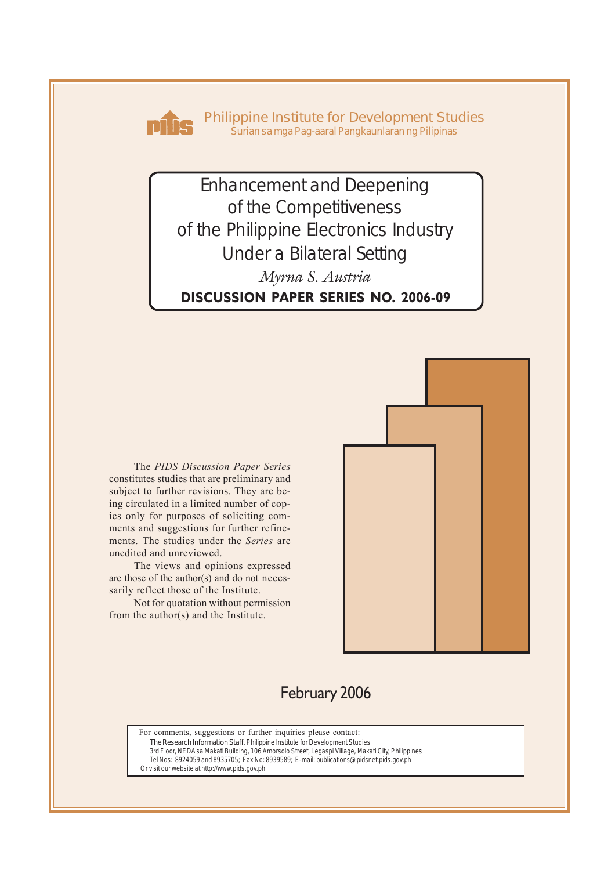

**Philippine Institute for Development Studies** *Surian sa mga Pag-aaral Pangkaunlaran ng Pilipinas*

Enhancement and Deepening of the Competitiveness of the Philippine Electronics Industry Under a Bilateral Setting **DISCUSSION PAPER SERIES NO. 2006-09** *Myrna S. Austria*

The *PIDS Discussion Paper Series* constitutes studies that are preliminary and subject to further revisions. They are being circulated in a limited number of copies only for purposes of soliciting comments and suggestions for further refinements. The studies under the *Series* are unedited and unreviewed.

The views and opinions expressed are those of the author(s) and do not necessarily reflect those of the Institute.

Not for quotation without permission from the author(s) and the Institute.



# February 2006

For comments, suggestions or further inquiries please contact: **The Research Information Staff,** Philippine Institute for Development Studies

3rd Floor, NEDA sa Makati Building, 106 Amorsolo Street, Legaspi Village, Makati City, Philippines Tel Nos: 8924059 and 8935705; Fax No: 8939589; E-mail: publications@pidsnet.pids.gov.ph

Or visit our website at http://www.pids.gov.ph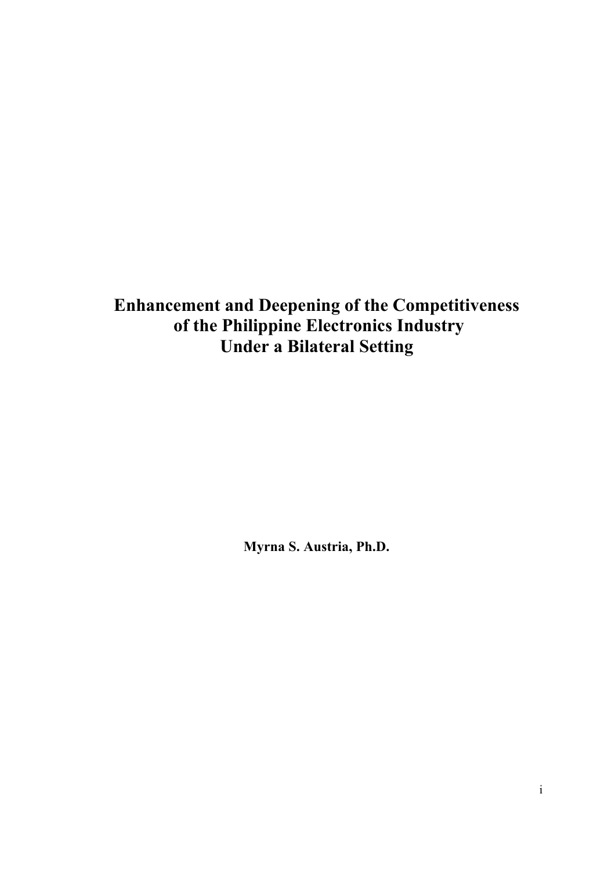**Enhancement and Deepening of the Competitiveness of the Philippine Electronics Industry Under a Bilateral Setting** 

**Myrna S. Austria, Ph.D.**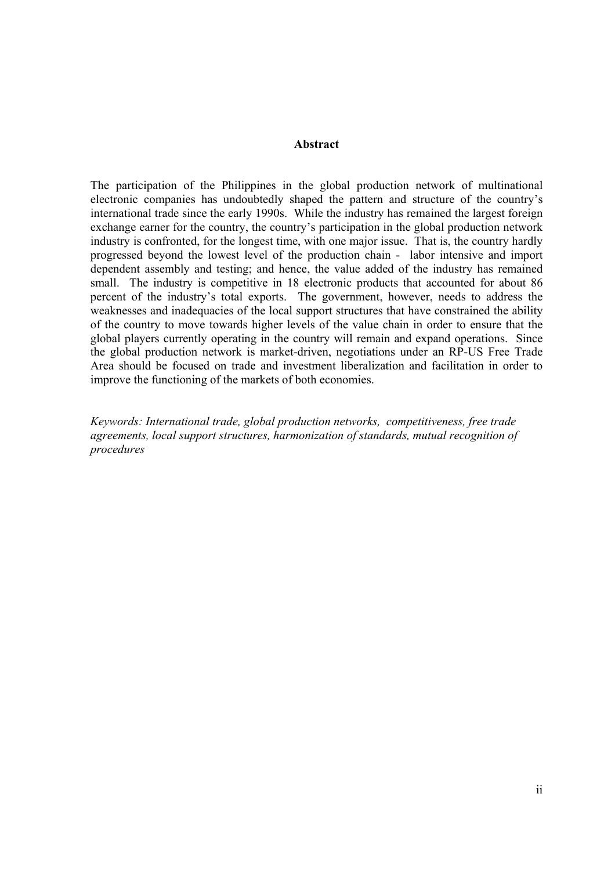#### **Abstract**

The participation of the Philippines in the global production network of multinational electronic companies has undoubtedly shaped the pattern and structure of the country's international trade since the early 1990s. While the industry has remained the largest foreign exchange earner for the country, the country's participation in the global production network industry is confronted, for the longest time, with one major issue. That is, the country hardly progressed beyond the lowest level of the production chain - labor intensive and import dependent assembly and testing; and hence, the value added of the industry has remained small. The industry is competitive in 18 electronic products that accounted for about 86 percent of the industry's total exports. The government, however, needs to address the weaknesses and inadequacies of the local support structures that have constrained the ability of the country to move towards higher levels of the value chain in order to ensure that the global players currently operating in the country will remain and expand operations. Since the global production network is market-driven, negotiations under an RP-US Free Trade Area should be focused on trade and investment liberalization and facilitation in order to improve the functioning of the markets of both economies.

*Keywords: International trade, global production networks, competitiveness, free trade agreements, local support structures, harmonization of standards, mutual recognition of procedures*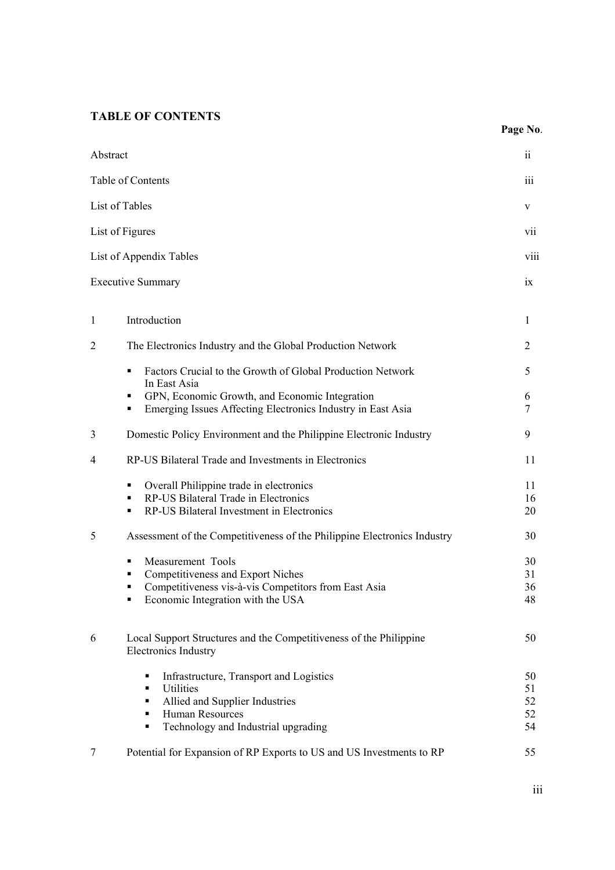## **TABLE OF CONTENTS**

|                |                                                                                                                                                                           | Page No.                   |
|----------------|---------------------------------------------------------------------------------------------------------------------------------------------------------------------------|----------------------------|
| Abstract       |                                                                                                                                                                           | $\overline{11}$            |
|                | Table of Contents                                                                                                                                                         | $\overline{111}$           |
|                | List of Tables                                                                                                                                                            | V                          |
|                | List of Figures                                                                                                                                                           | VII                        |
|                | List of Appendix Tables                                                                                                                                                   | viii                       |
|                | <b>Executive Summary</b>                                                                                                                                                  | 1X                         |
| 1              | Introduction                                                                                                                                                              | 1                          |
| $\overline{2}$ | The Electronics Industry and the Global Production Network                                                                                                                | 2                          |
|                | Factors Crucial to the Growth of Global Production Network<br>٠<br>In East Asia                                                                                           | 5                          |
|                | GPN, Economic Growth, and Economic Integration<br>٠<br>Emerging Issues Affecting Electronics Industry in East Asia<br>٠                                                   | 6<br>7                     |
| 3              | Domestic Policy Environment and the Philippine Electronic Industry                                                                                                        | 9                          |
| 4              | RP-US Bilateral Trade and Investments in Electronics                                                                                                                      | 11                         |
|                | Overall Philippine trade in electronics<br>٠<br>RP-US Bilateral Trade in Electronics<br>٠<br>RP-US Bilateral Investment in Electronics<br>٠                               | 11<br>16<br>20             |
| 5              | Assessment of the Competitiveness of the Philippine Electronics Industry                                                                                                  | 30                         |
|                | Measurement Tools<br>٠<br>Competitiveness and Export Niches<br>٠<br>Competitiveness vis-à-vis Competitors from East Asia<br>Economic Integration with the USA<br>٠        | 30<br>31<br>36<br>48       |
| 6              | Local Support Structures and the Competitiveness of the Philippine<br><b>Electronics Industry</b>                                                                         | 50                         |
|                | Infrastructure, Transport and Logistics<br>٠<br>Utilities<br>٠<br>Allied and Supplier Industries<br>٠<br>Human Resources<br>٠<br>Technology and Industrial upgrading<br>٠ | 50<br>51<br>52<br>52<br>54 |
| 7              | Potential for Expansion of RP Exports to US and US Investments to RP                                                                                                      | 55                         |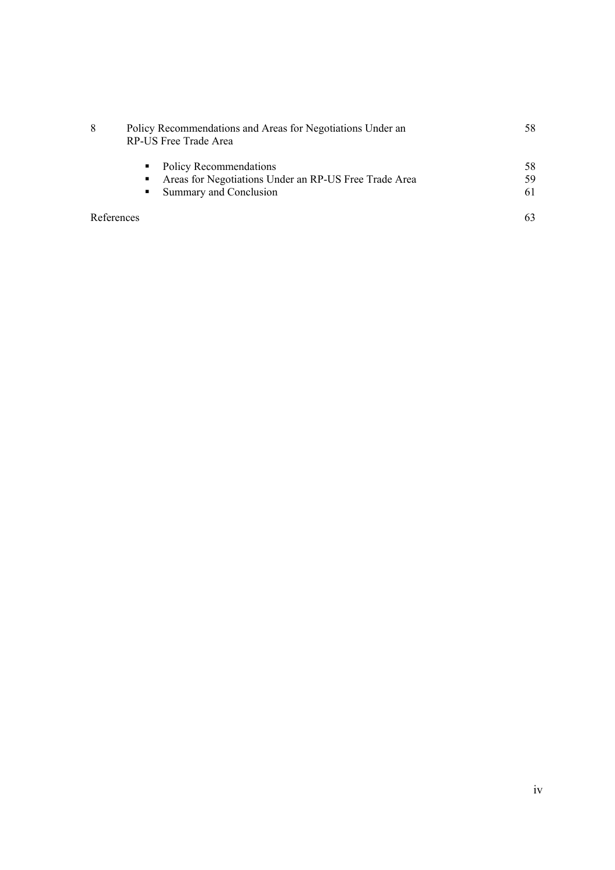| 8          | Policy Recommendations and Areas for Negotiations Under an<br>RP-US Free Trade Area |     |  |  |
|------------|-------------------------------------------------------------------------------------|-----|--|--|
|            | • Policy Recommendations                                                            | 58. |  |  |
|            | Areas for Negotiations Under an RP-US Free Trade Area<br>п                          | 59  |  |  |
|            | • Summary and Conclusion                                                            | 61  |  |  |
| References |                                                                                     |     |  |  |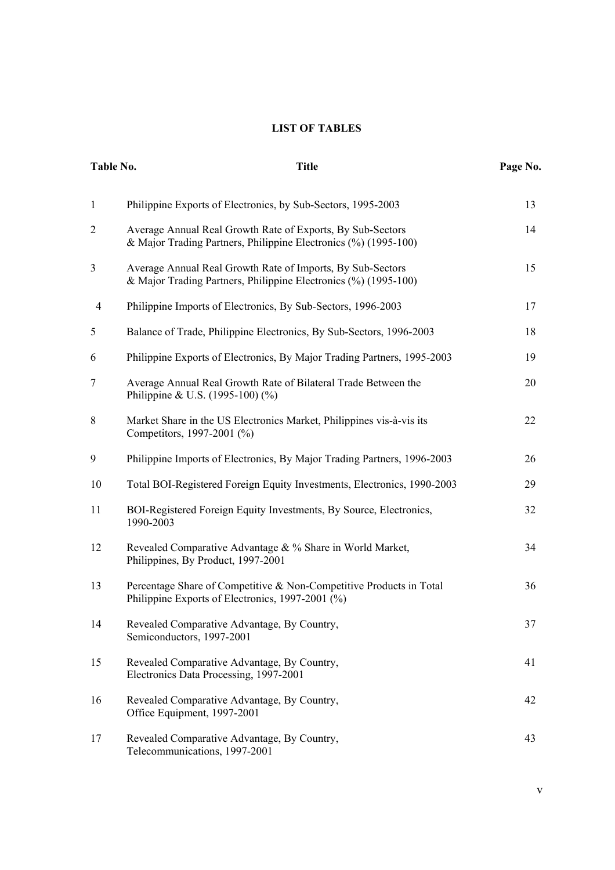### **LIST OF TABLES**

|                | <b>Title</b><br>Table No.                                                                                                     |    |  |
|----------------|-------------------------------------------------------------------------------------------------------------------------------|----|--|
| $\mathbf{1}$   | Philippine Exports of Electronics, by Sub-Sectors, 1995-2003                                                                  | 13 |  |
| $\overline{2}$ | Average Annual Real Growth Rate of Exports, By Sub-Sectors<br>& Major Trading Partners, Philippine Electronics (%) (1995-100) | 14 |  |
| 3              | Average Annual Real Growth Rate of Imports, By Sub-Sectors<br>& Major Trading Partners, Philippine Electronics (%) (1995-100) | 15 |  |
| $\overline{4}$ | Philippine Imports of Electronics, By Sub-Sectors, 1996-2003                                                                  | 17 |  |
| 5              | Balance of Trade, Philippine Electronics, By Sub-Sectors, 1996-2003                                                           | 18 |  |
| 6              | Philippine Exports of Electronics, By Major Trading Partners, 1995-2003                                                       | 19 |  |
| $\tau$         | Average Annual Real Growth Rate of Bilateral Trade Between the<br>Philippine & U.S. $(1995-100)(\%)$                          | 20 |  |
| 8              | Market Share in the US Electronics Market, Philippines vis-à-vis its<br>Competitors, 1997-2001 (%)                            | 22 |  |
| 9              | Philippine Imports of Electronics, By Major Trading Partners, 1996-2003                                                       | 26 |  |
| 10             | Total BOI-Registered Foreign Equity Investments, Electronics, 1990-2003                                                       | 29 |  |
| 11             | BOI-Registered Foreign Equity Investments, By Source, Electronics,<br>1990-2003                                               | 32 |  |
| 12             | Revealed Comparative Advantage & % Share in World Market,<br>Philippines, By Product, 1997-2001                               | 34 |  |
| 13             | Percentage Share of Competitive & Non-Competitive Products in Total<br>Philippine Exports of Electronics, 1997-2001 (%)       | 36 |  |
| 14             | Revealed Comparative Advantage, By Country,<br>Semiconductors, 1997-2001                                                      | 37 |  |
| 15             | Revealed Comparative Advantage, By Country,<br>Electronics Data Processing, 1997-2001                                         | 41 |  |
| 16             | Revealed Comparative Advantage, By Country,<br>Office Equipment, 1997-2001                                                    | 42 |  |
| 17             | Revealed Comparative Advantage, By Country,<br>Telecommunications, 1997-2001                                                  | 43 |  |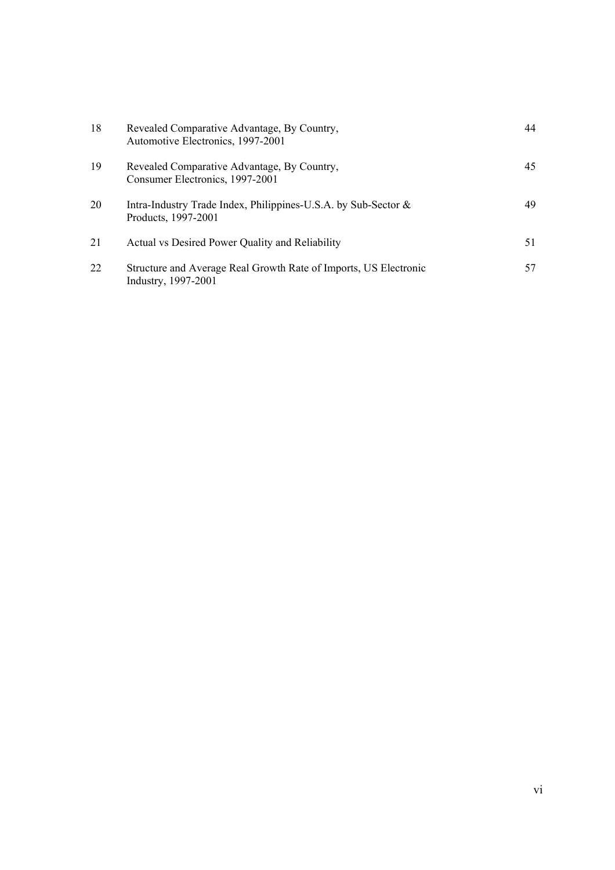| 18 | Revealed Comparative Advantage, By Country,<br>Automotive Electronics, 1997-2001        | 44 |
|----|-----------------------------------------------------------------------------------------|----|
| 19 | Revealed Comparative Advantage, By Country,<br>Consumer Electronics, 1997-2001          | 45 |
| 20 | Intra-Industry Trade Index, Philippines-U.S.A. by Sub-Sector &<br>Products, 1997-2001   | 49 |
| 21 | Actual vs Desired Power Quality and Reliability                                         | 51 |
| 22 | Structure and Average Real Growth Rate of Imports, US Electronic<br>Industry, 1997-2001 | 57 |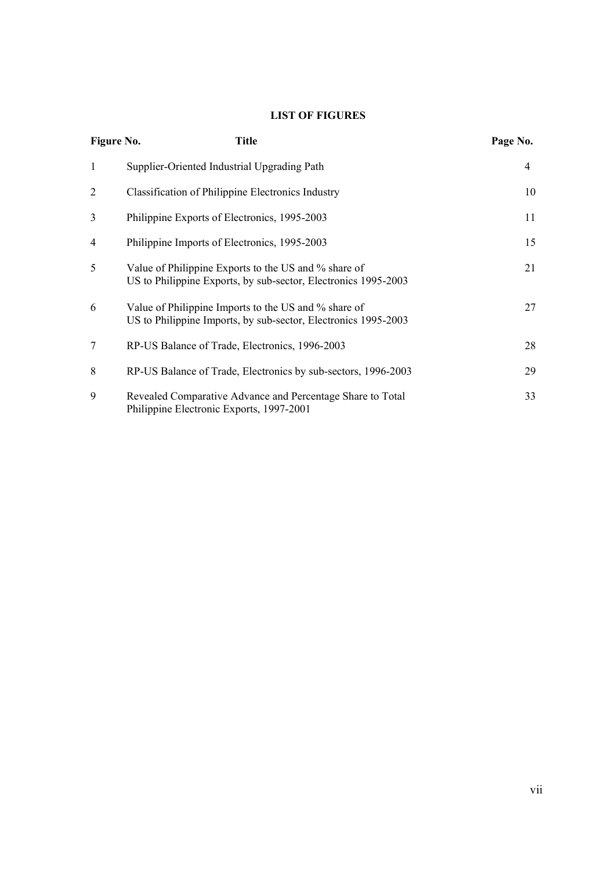## **LIST OF FIGURES**

| Figure No.     | <b>Title</b>                                                                                                           | Page No. |
|----------------|------------------------------------------------------------------------------------------------------------------------|----------|
| 1              | Supplier-Oriented Industrial Upgrading Path                                                                            | 4        |
| 2              | Classification of Philippine Electronics Industry                                                                      | 10       |
| 3              | Philippine Exports of Electronics, 1995-2003                                                                           | 11       |
| $\overline{4}$ | Philippine Imports of Electronics, 1995-2003                                                                           | 15       |
| 5              | Value of Philippine Exports to the US and % share of<br>US to Philippine Exports, by sub-sector, Electronics 1995-2003 | 21       |
| 6              | Value of Philippine Imports to the US and % share of<br>US to Philippine Imports, by sub-sector, Electronics 1995-2003 | 27       |
| 7              | RP-US Balance of Trade, Electronics, 1996-2003                                                                         | 28       |
| 8              | RP-US Balance of Trade, Electronics by sub-sectors, 1996-2003                                                          | 29       |
| 9              | Revealed Comparative Advance and Percentage Share to Total<br>Philippine Electronic Exports, 1997-2001                 | 33       |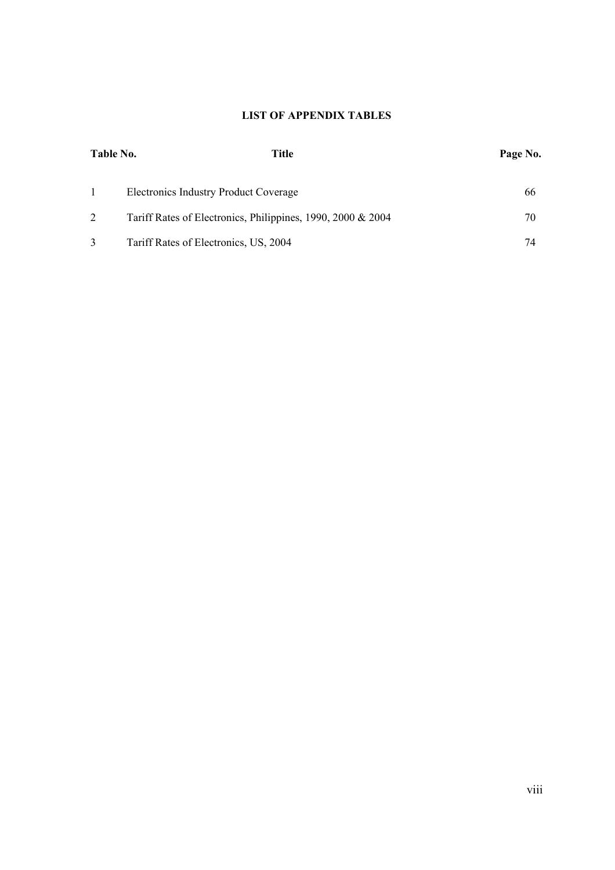## **LIST OF APPENDIX TABLES**

| Title<br>Table No. |                                                             | Page No. |
|--------------------|-------------------------------------------------------------|----------|
|                    | Electronics Industry Product Coverage                       | 66       |
|                    | Tariff Rates of Electronics, Philippines, 1990, 2000 & 2004 | 70       |
|                    | Tariff Rates of Electronics, US, 2004                       | 74       |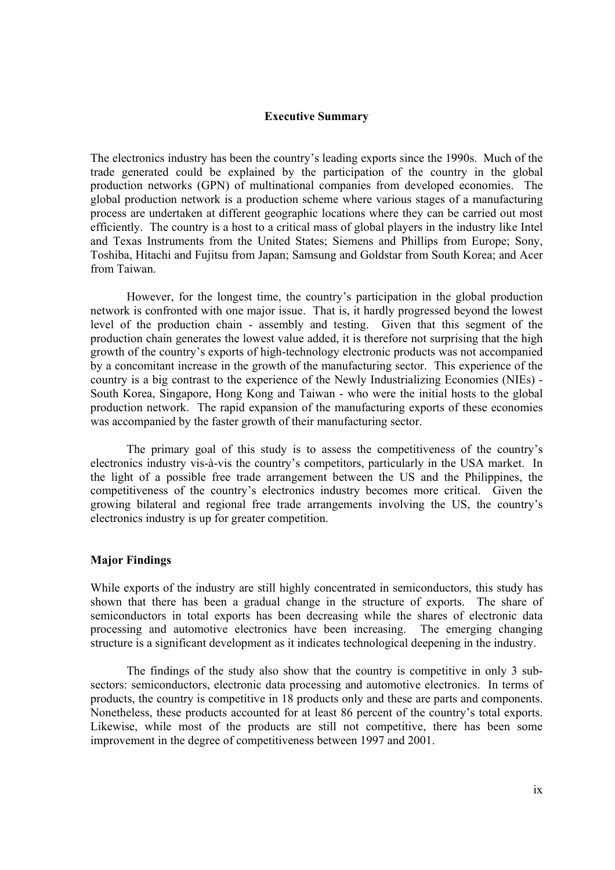#### **Executive Summary**

The electronics industry has been the country's leading exports since the 1990s. Much of the trade generated could be explained by the participation of the country in the global production networks (GPN) of multinational companies from developed economies. The global production network is a production scheme where various stages of a manufacturing process are undertaken at different geographic locations where they can be carried out most efficiently. The country is a host to a critical mass of global players in the industry like Intel and Texas Instruments from the United States; Siemens and Phillips from Europe; Sony, Toshiba, Hitachi and Fujitsu from Japan; Samsung and Goldstar from South Korea; and Acer from Taiwan.

However, for the longest time, the country's participation in the global production network is confronted with one major issue. That is, it hardly progressed beyond the lowest level of the production chain - assembly and testing. Given that this segment of the production chain generates the lowest value added, it is therefore not surprising that the high growth of the country's exports of high-technology electronic products was not accompanied by a concomitant increase in the growth of the manufacturing sector. This experience of the country is a big contrast to the experience of the Newly Industrializing Economies (NIEs) - South Korea, Singapore, Hong Kong and Taiwan - who were the initial hosts to the global production network. The rapid expansion of the manufacturing exports of these economies was accompanied by the faster growth of their manufacturing sector.

The primary goal of this study is to assess the competitiveness of the country's electronics industry vis-à-vis the country's competitors, particularly in the USA market. In the light of a possible free trade arrangement between the US and the Philippines, the competitiveness of the country's electronics industry becomes more critical. Given the growing bilateral and regional free trade arrangements involving the US, the country's electronics industry is up for greater competition.

#### **Major Findings**

While exports of the industry are still highly concentrated in semiconductors, this study has shown that there has been a gradual change in the structure of exports. The share of semiconductors in total exports has been decreasing while the shares of electronic data processing and automotive electronics have been increasing. The emerging changing structure is a significant development as it indicates technological deepening in the industry.

The findings of the study also show that the country is competitive in only 3 subsectors: semiconductors, electronic data processing and automotive electronics. In terms of products, the country is competitive in 18 products only and these are parts and components. Nonetheless, these products accounted for at least 86 percent of the country's total exports. Likewise, while most of the products are still not competitive, there has been some improvement in the degree of competitiveness between 1997 and 2001.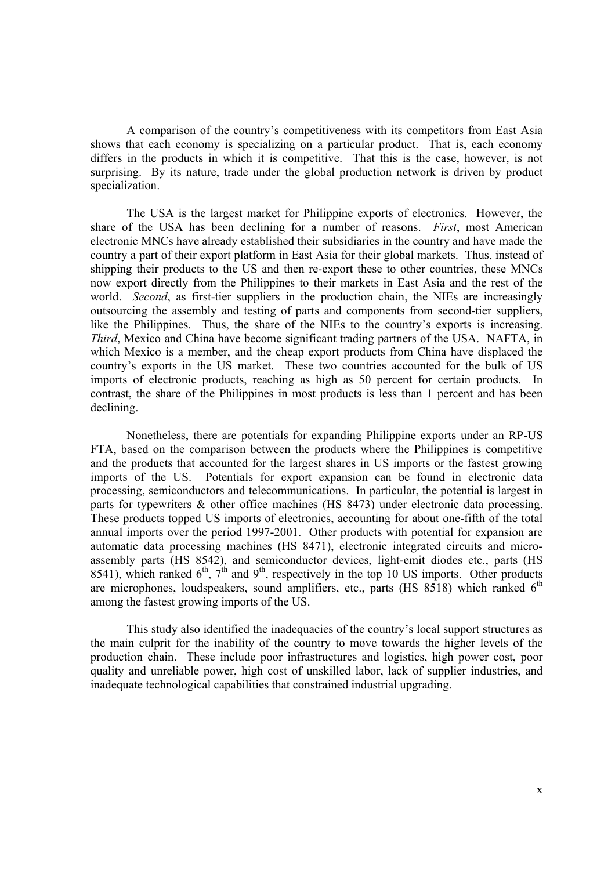A comparison of the country's competitiveness with its competitors from East Asia shows that each economy is specializing on a particular product. That is, each economy differs in the products in which it is competitive. That this is the case, however, is not surprising. By its nature, trade under the global production network is driven by product specialization.

The USA is the largest market for Philippine exports of electronics. However, the share of the USA has been declining for a number of reasons. *First*, most American electronic MNCs have already established their subsidiaries in the country and have made the country a part of their export platform in East Asia for their global markets. Thus, instead of shipping their products to the US and then re-export these to other countries, these MNCs now export directly from the Philippines to their markets in East Asia and the rest of the world. *Second*, as first-tier suppliers in the production chain, the NIEs are increasingly outsourcing the assembly and testing of parts and components from second-tier suppliers, like the Philippines. Thus, the share of the NIEs to the country's exports is increasing. *Third*, Mexico and China have become significant trading partners of the USA. NAFTA, in which Mexico is a member, and the cheap export products from China have displaced the country's exports in the US market. These two countries accounted for the bulk of US imports of electronic products, reaching as high as 50 percent for certain products. In contrast, the share of the Philippines in most products is less than 1 percent and has been declining.

Nonetheless, there are potentials for expanding Philippine exports under an RP-US FTA, based on the comparison between the products where the Philippines is competitive and the products that accounted for the largest shares in US imports or the fastest growing imports of the US. Potentials for export expansion can be found in electronic data processing, semiconductors and telecommunications. In particular, the potential is largest in parts for typewriters & other office machines (HS 8473) under electronic data processing. These products topped US imports of electronics, accounting for about one-fifth of the total annual imports over the period 1997-2001. Other products with potential for expansion are automatic data processing machines (HS 8471), electronic integrated circuits and microassembly parts (HS 8542), and semiconductor devices, light-emit diodes etc., parts (HS 8541), which ranked  $6<sup>th</sup>$ ,  $7<sup>th</sup>$  and  $9<sup>th</sup>$ , respectively in the top 10 US imports. Other products are microphones, loudspeakers, sound amplifiers, etc., parts (HS  $8518$ ) which ranked  $6<sup>th</sup>$ among the fastest growing imports of the US.

This study also identified the inadequacies of the country's local support structures as the main culprit for the inability of the country to move towards the higher levels of the production chain. These include poor infrastructures and logistics, high power cost, poor quality and unreliable power, high cost of unskilled labor, lack of supplier industries, and inadequate technological capabilities that constrained industrial upgrading.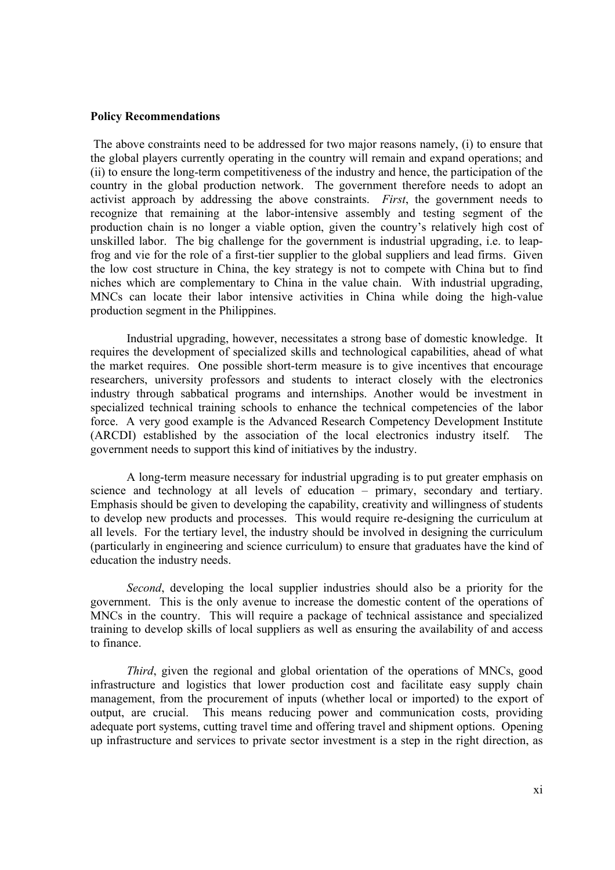#### **Policy Recommendations**

 The above constraints need to be addressed for two major reasons namely, (i) to ensure that the global players currently operating in the country will remain and expand operations; and (ii) to ensure the long-term competitiveness of the industry and hence, the participation of the country in the global production network. The government therefore needs to adopt an activist approach by addressing the above constraints. *First*, the government needs to recognize that remaining at the labor-intensive assembly and testing segment of the production chain is no longer a viable option, given the country's relatively high cost of unskilled labor. The big challenge for the government is industrial upgrading, i.e. to leapfrog and vie for the role of a first-tier supplier to the global suppliers and lead firms. Given the low cost structure in China, the key strategy is not to compete with China but to find niches which are complementary to China in the value chain. With industrial upgrading, MNCs can locate their labor intensive activities in China while doing the high-value production segment in the Philippines.

Industrial upgrading, however, necessitates a strong base of domestic knowledge. It requires the development of specialized skills and technological capabilities, ahead of what the market requires. One possible short-term measure is to give incentives that encourage researchers, university professors and students to interact closely with the electronics industry through sabbatical programs and internships. Another would be investment in specialized technical training schools to enhance the technical competencies of the labor force. A very good example is the Advanced Research Competency Development Institute (ARCDI) established by the association of the local electronics industry itself. The government needs to support this kind of initiatives by the industry.

A long-term measure necessary for industrial upgrading is to put greater emphasis on science and technology at all levels of education – primary, secondary and tertiary. Emphasis should be given to developing the capability, creativity and willingness of students to develop new products and processes. This would require re-designing the curriculum at all levels. For the tertiary level, the industry should be involved in designing the curriculum (particularly in engineering and science curriculum) to ensure that graduates have the kind of education the industry needs.

*Second*, developing the local supplier industries should also be a priority for the government. This is the only avenue to increase the domestic content of the operations of MNCs in the country. This will require a package of technical assistance and specialized training to develop skills of local suppliers as well as ensuring the availability of and access to finance.

*Third*, given the regional and global orientation of the operations of MNCs, good infrastructure and logistics that lower production cost and facilitate easy supply chain management, from the procurement of inputs (whether local or imported) to the export of output, are crucial. This means reducing power and communication costs, providing adequate port systems, cutting travel time and offering travel and shipment options. Opening up infrastructure and services to private sector investment is a step in the right direction, as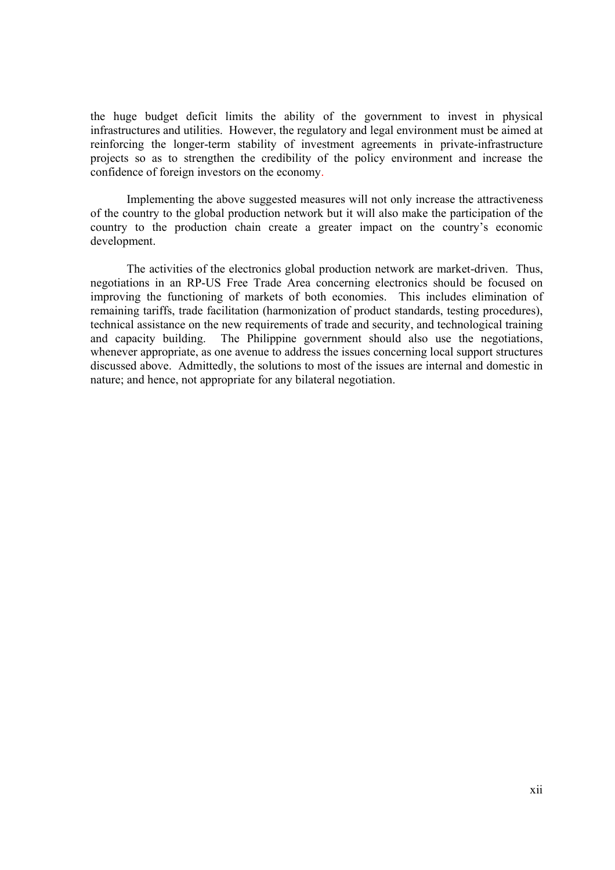the huge budget deficit limits the ability of the government to invest in physical infrastructures and utilities. However, the regulatory and legal environment must be aimed at reinforcing the longer-term stability of investment agreements in private-infrastructure projects so as to strengthen the credibility of the policy environment and increase the confidence of foreign investors on the economy.

 Implementing the above suggested measures will not only increase the attractiveness of the country to the global production network but it will also make the participation of the country to the production chain create a greater impact on the country's economic development.

The activities of the electronics global production network are market-driven. Thus, negotiations in an RP-US Free Trade Area concerning electronics should be focused on improving the functioning of markets of both economies. This includes elimination of remaining tariffs, trade facilitation (harmonization of product standards, testing procedures), technical assistance on the new requirements of trade and security, and technological training and capacity building. The Philippine government should also use the negotiations, whenever appropriate, as one avenue to address the issues concerning local support structures discussed above. Admittedly, the solutions to most of the issues are internal and domestic in nature; and hence, not appropriate for any bilateral negotiation.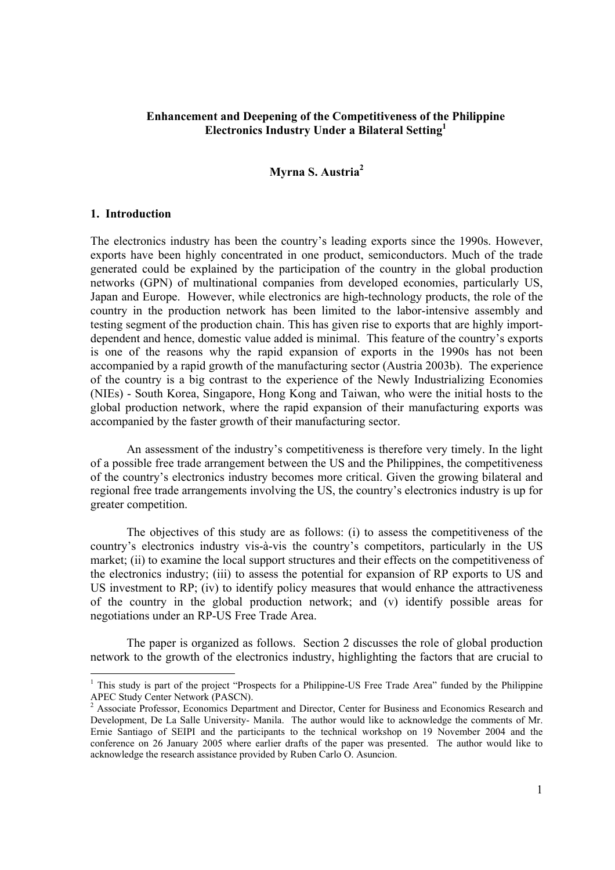## **Enhancement and Deepening of the Competitiveness of the Philippine Electronics Industry Under a Bilateral Setting1**

## **Myrna S. Austria2**

#### **1. Introduction**

l

The electronics industry has been the country's leading exports since the 1990s. However, exports have been highly concentrated in one product, semiconductors. Much of the trade generated could be explained by the participation of the country in the global production networks (GPN) of multinational companies from developed economies, particularly US, Japan and Europe. However, while electronics are high-technology products, the role of the country in the production network has been limited to the labor-intensive assembly and testing segment of the production chain. This has given rise to exports that are highly importdependent and hence, domestic value added is minimal. This feature of the country's exports is one of the reasons why the rapid expansion of exports in the 1990s has not been accompanied by a rapid growth of the manufacturing sector (Austria 2003b). The experience of the country is a big contrast to the experience of the Newly Industrializing Economies (NIEs) - South Korea, Singapore, Hong Kong and Taiwan, who were the initial hosts to the global production network, where the rapid expansion of their manufacturing exports was accompanied by the faster growth of their manufacturing sector.

An assessment of the industry's competitiveness is therefore very timely. In the light of a possible free trade arrangement between the US and the Philippines, the competitiveness of the country's electronics industry becomes more critical. Given the growing bilateral and regional free trade arrangements involving the US, the country's electronics industry is up for greater competition.

The objectives of this study are as follows: (i) to assess the competitiveness of the country's electronics industry vis-à-vis the country's competitors, particularly in the US market; (ii) to examine the local support structures and their effects on the competitiveness of the electronics industry; (iii) to assess the potential for expansion of RP exports to US and US investment to RP; (iv) to identify policy measures that would enhance the attractiveness of the country in the global production network; and (v) identify possible areas for negotiations under an RP-US Free Trade Area.

The paper is organized as follows. Section 2 discusses the role of global production network to the growth of the electronics industry, highlighting the factors that are crucial to

<sup>&</sup>lt;sup>1</sup> This study is part of the project "Prospects for a Philippine-US Free Trade Area" funded by the Philippine APEC Study Center Network (PASCN).

<sup>&</sup>lt;sup>2</sup> Associate Professor, Economics Department and Director, Center for Business and Economics Research and Development, De La Salle University- Manila. The author would like to acknowledge the comments of Mr. Ernie Santiago of SEIPI and the participants to the technical workshop on 19 November 2004 and the conference on 26 January 2005 where earlier drafts of the paper was presented. The author would like to acknowledge the research assistance provided by Ruben Carlo O. Asuncion.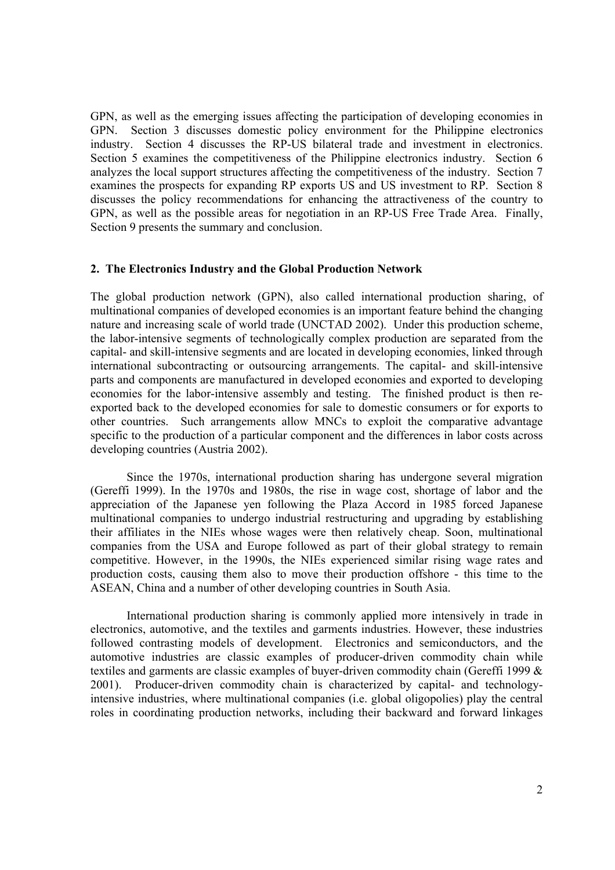GPN, as well as the emerging issues affecting the participation of developing economies in GPN. Section 3 discusses domestic policy environment for the Philippine electronics industry. Section 4 discusses the RP-US bilateral trade and investment in electronics. Section 5 examines the competitiveness of the Philippine electronics industry. Section 6 analyzes the local support structures affecting the competitiveness of the industry. Section 7 examines the prospects for expanding RP exports US and US investment to RP. Section 8 discusses the policy recommendations for enhancing the attractiveness of the country to GPN, as well as the possible areas for negotiation in an RP-US Free Trade Area. Finally, Section 9 presents the summary and conclusion.

#### **2. The Electronics Industry and the Global Production Network**

The global production network (GPN), also called international production sharing, of multinational companies of developed economies is an important feature behind the changing nature and increasing scale of world trade (UNCTAD 2002). Under this production scheme, the labor-intensive segments of technologically complex production are separated from the capital- and skill-intensive segments and are located in developing economies, linked through international subcontracting or outsourcing arrangements. The capital- and skill-intensive parts and components are manufactured in developed economies and exported to developing economies for the labor-intensive assembly and testing. The finished product is then reexported back to the developed economies for sale to domestic consumers or for exports to other countries. Such arrangements allow MNCs to exploit the comparative advantage specific to the production of a particular component and the differences in labor costs across developing countries (Austria 2002).

Since the 1970s, international production sharing has undergone several migration (Gereffi 1999). In the 1970s and 1980s, the rise in wage cost, shortage of labor and the appreciation of the Japanese yen following the Plaza Accord in 1985 forced Japanese multinational companies to undergo industrial restructuring and upgrading by establishing their affiliates in the NIEs whose wages were then relatively cheap. Soon, multinational companies from the USA and Europe followed as part of their global strategy to remain competitive. However, in the 1990s, the NIEs experienced similar rising wage rates and production costs, causing them also to move their production offshore - this time to the ASEAN, China and a number of other developing countries in South Asia.

International production sharing is commonly applied more intensively in trade in electronics, automotive, and the textiles and garments industries. However, these industries followed contrasting models of development. Electronics and semiconductors, and the automotive industries are classic examples of producer-driven commodity chain while textiles and garments are classic examples of buyer-driven commodity chain (Gereffi 1999 & 2001). Producer-driven commodity chain is characterized by capital- and technologyintensive industries, where multinational companies (i.e. global oligopolies) play the central roles in coordinating production networks, including their backward and forward linkages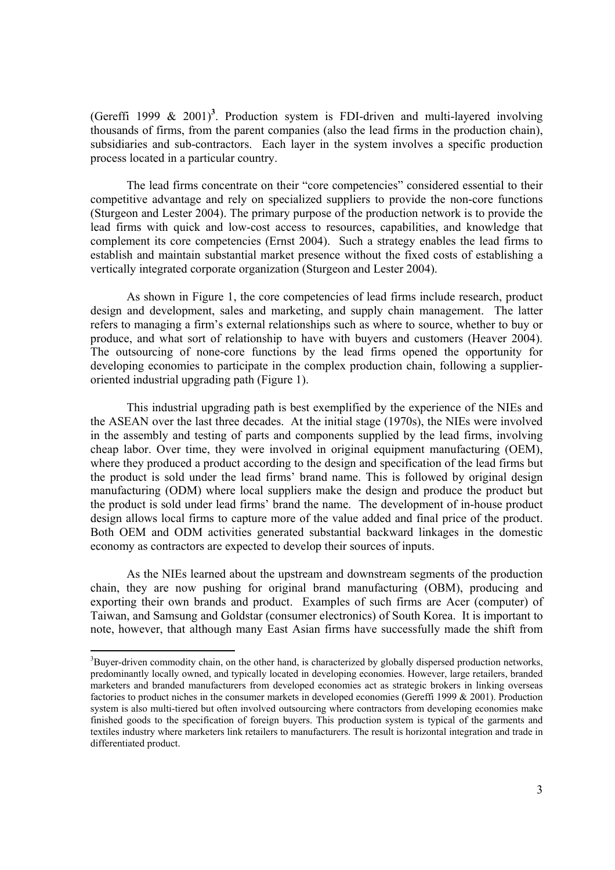(Gereffi 1999  $\&$  2001)<sup>3</sup>. Production system is FDI-driven and multi-layered involving thousands of firms, from the parent companies (also the lead firms in the production chain), subsidiaries and sub-contractors. Each layer in the system involves a specific production process located in a particular country.

The lead firms concentrate on their "core competencies" considered essential to their competitive advantage and rely on specialized suppliers to provide the non-core functions (Sturgeon and Lester 2004). The primary purpose of the production network is to provide the lead firms with quick and low-cost access to resources, capabilities, and knowledge that complement its core competencies (Ernst 2004). Such a strategy enables the lead firms to establish and maintain substantial market presence without the fixed costs of establishing a vertically integrated corporate organization (Sturgeon and Lester 2004).

As shown in Figure 1, the core competencies of lead firms include research, product design and development, sales and marketing, and supply chain management. The latter refers to managing a firm's external relationships such as where to source, whether to buy or produce, and what sort of relationship to have with buyers and customers (Heaver 2004). The outsourcing of none-core functions by the lead firms opened the opportunity for developing economies to participate in the complex production chain, following a supplieroriented industrial upgrading path (Figure 1).

This industrial upgrading path is best exemplified by the experience of the NIEs and the ASEAN over the last three decades. At the initial stage (1970s), the NIEs were involved in the assembly and testing of parts and components supplied by the lead firms, involving cheap labor. Over time, they were involved in original equipment manufacturing (OEM), where they produced a product according to the design and specification of the lead firms but the product is sold under the lead firms' brand name. This is followed by original design manufacturing (ODM) where local suppliers make the design and produce the product but the product is sold under lead firms' brand the name. The development of in-house product design allows local firms to capture more of the value added and final price of the product. Both OEM and ODM activities generated substantial backward linkages in the domestic economy as contractors are expected to develop their sources of inputs.

As the NIEs learned about the upstream and downstream segments of the production chain, they are now pushing for original brand manufacturing (OBM), producing and exporting their own brands and product. Examples of such firms are Acer (computer) of Taiwan, and Samsung and Goldstar (consumer electronics) of South Korea. It is important to note, however, that although many East Asian firms have successfully made the shift from

 $3B$ uyer-driven commodity chain, on the other hand, is characterized by globally dispersed production networks, predominantly locally owned, and typically located in developing economies. However, large retailers, branded marketers and branded manufacturers from developed economies act as strategic brokers in linking overseas factories to product niches in the consumer markets in developed economies (Gereffi 1999 & 2001). Production system is also multi-tiered but often involved outsourcing where contractors from developing economies make finished goods to the specification of foreign buyers. This production system is typical of the garments and textiles industry where marketers link retailers to manufacturers. The result is horizontal integration and trade in differentiated product.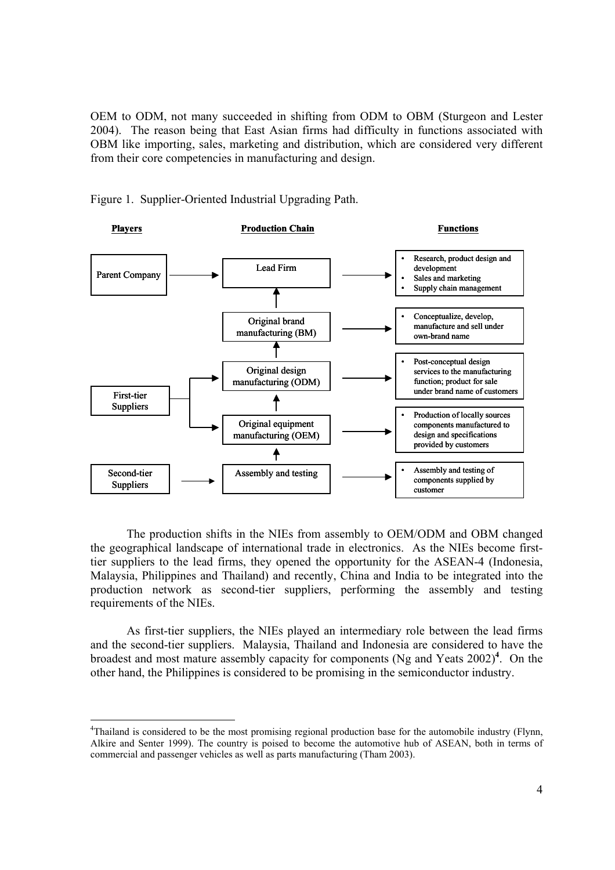OEM to ODM, not many succeeded in shifting from ODM to OBM (Sturgeon and Lester 2004). The reason being that East Asian firms had difficulty in functions associated with OBM like importing, sales, marketing and distribution, which are considered very different from their core competencies in manufacturing and design.



Figure 1. Supplier-Oriented Industrial Upgrading Path.

The production shifts in the NIEs from assembly to OEM/ODM and OBM changed the geographical landscape of international trade in electronics. As the NIEs become firsttier suppliers to the lead firms, they opened the opportunity for the ASEAN-4 (Indonesia, Malaysia, Philippines and Thailand) and recently, China and India to be integrated into the production network as second-tier suppliers, performing the assembly and testing requirements of the NIEs.

As first-tier suppliers, the NIEs played an intermediary role between the lead firms and the second-tier suppliers. Malaysia, Thailand and Indonesia are considered to have the broadest and most mature assembly capacity for components (Ng and Yeats 2002)**<sup>4</sup>** . On the other hand, the Philippines is considered to be promising in the semiconductor industry.

<sup>&</sup>lt;sup>4</sup>Thailand is considered to be the most promising regional production base for the automobile industry (Flynn, Alkire and Senter 1999). The country is poised to become the automotive hub of ASEAN, both in terms of commercial and passenger vehicles as well as parts manufacturing (Tham 2003).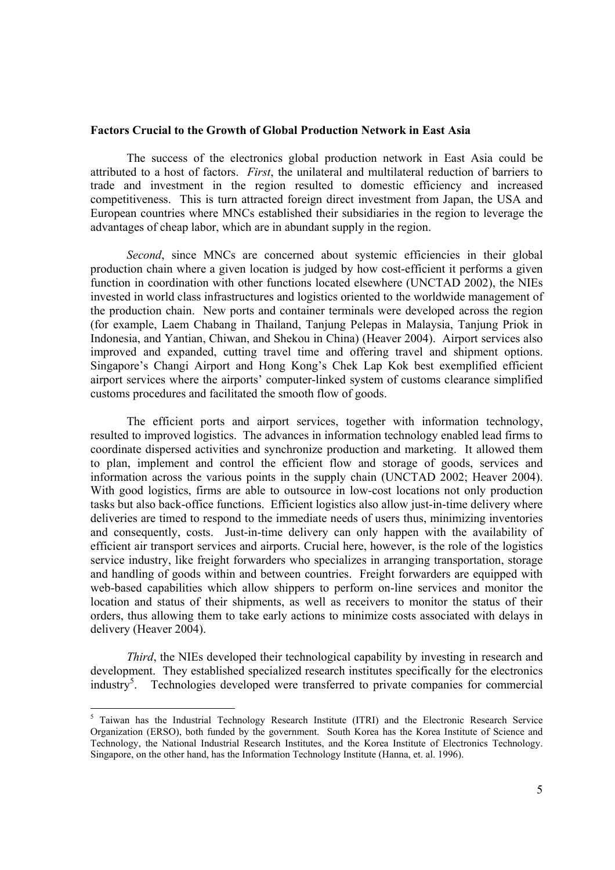#### **Factors Crucial to the Growth of Global Production Network in East Asia**

The success of the electronics global production network in East Asia could be attributed to a host of factors. *First*, the unilateral and multilateral reduction of barriers to trade and investment in the region resulted to domestic efficiency and increased competitiveness. This is turn attracted foreign direct investment from Japan, the USA and European countries where MNCs established their subsidiaries in the region to leverage the advantages of cheap labor, which are in abundant supply in the region.

*Second*, since MNCs are concerned about systemic efficiencies in their global production chain where a given location is judged by how cost-efficient it performs a given function in coordination with other functions located elsewhere (UNCTAD 2002), the NIEs invested in world class infrastructures and logistics oriented to the worldwide management of the production chain. New ports and container terminals were developed across the region (for example, Laem Chabang in Thailand, Tanjung Pelepas in Malaysia, Tanjung Priok in Indonesia, and Yantian, Chiwan, and Shekou in China) (Heaver 2004). Airport services also improved and expanded, cutting travel time and offering travel and shipment options. Singapore's Changi Airport and Hong Kong's Chek Lap Kok best exemplified efficient airport services where the airports' computer-linked system of customs clearance simplified customs procedures and facilitated the smooth flow of goods.

The efficient ports and airport services, together with information technology, resulted to improved logistics. The advances in information technology enabled lead firms to coordinate dispersed activities and synchronize production and marketing. It allowed them to plan, implement and control the efficient flow and storage of goods, services and information across the various points in the supply chain (UNCTAD 2002; Heaver 2004). With good logistics, firms are able to outsource in low-cost locations not only production tasks but also back-office functions. Efficient logistics also allow just-in-time delivery where deliveries are timed to respond to the immediate needs of users thus, minimizing inventories and consequently, costs. Just-in-time delivery can only happen with the availability of efficient air transport services and airports. Crucial here, however, is the role of the logistics service industry, like freight forwarders who specializes in arranging transportation, storage and handling of goods within and between countries. Freight forwarders are equipped with web-based capabilities which allow shippers to perform on-line services and monitor the location and status of their shipments, as well as receivers to monitor the status of their orders, thus allowing them to take early actions to minimize costs associated with delays in delivery (Heaver 2004).

*Third*, the NIEs developed their technological capability by investing in research and development. They established specialized research institutes specifically for the electronics industry<sup>5</sup>. Technologies developed were transferred to private companies for commercial

<sup>&</sup>lt;sup>5</sup> Taiwan has the Industrial Technology Research Institute (ITRI) and the Electronic Research Service Organization (ERSO), both funded by the government. South Korea has the Korea Institute of Science and Technology, the National Industrial Research Institutes, and the Korea Institute of Electronics Technology. Singapore, on the other hand, has the Information Technology Institute (Hanna, et. al. 1996).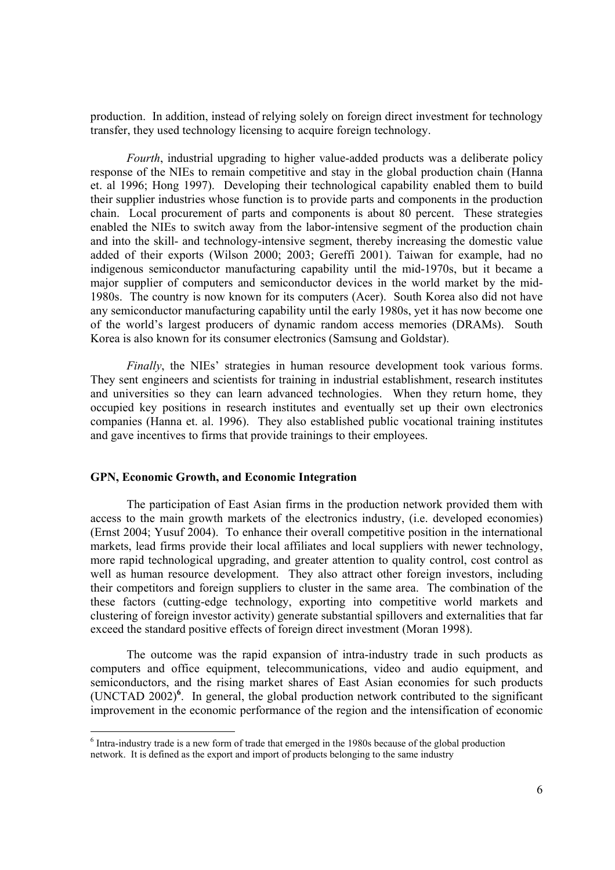production. In addition, instead of relying solely on foreign direct investment for technology transfer, they used technology licensing to acquire foreign technology.

*Fourth*, industrial upgrading to higher value-added products was a deliberate policy response of the NIEs to remain competitive and stay in the global production chain (Hanna et. al 1996; Hong 1997). Developing their technological capability enabled them to build their supplier industries whose function is to provide parts and components in the production chain. Local procurement of parts and components is about 80 percent. These strategies enabled the NIEs to switch away from the labor-intensive segment of the production chain and into the skill- and technology-intensive segment, thereby increasing the domestic value added of their exports (Wilson 2000; 2003; Gereffi 2001). Taiwan for example, had no indigenous semiconductor manufacturing capability until the mid-1970s, but it became a major supplier of computers and semiconductor devices in the world market by the mid-1980s. The country is now known for its computers (Acer). South Korea also did not have any semiconductor manufacturing capability until the early 1980s, yet it has now become one of the world's largest producers of dynamic random access memories (DRAMs). South Korea is also known for its consumer electronics (Samsung and Goldstar).

*Finally*, the NIEs' strategies in human resource development took various forms. They sent engineers and scientists for training in industrial establishment, research institutes and universities so they can learn advanced technologies. When they return home, they occupied key positions in research institutes and eventually set up their own electronics companies (Hanna et. al. 1996). They also established public vocational training institutes and gave incentives to firms that provide trainings to their employees.

#### **GPN, Economic Growth, and Economic Integration**

The participation of East Asian firms in the production network provided them with access to the main growth markets of the electronics industry, (i.e. developed economies) (Ernst 2004; Yusuf 2004). To enhance their overall competitive position in the international markets, lead firms provide their local affiliates and local suppliers with newer technology, more rapid technological upgrading, and greater attention to quality control, cost control as well as human resource development. They also attract other foreign investors, including their competitors and foreign suppliers to cluster in the same area. The combination of the these factors (cutting-edge technology, exporting into competitive world markets and clustering of foreign investor activity) generate substantial spillovers and externalities that far exceed the standard positive effects of foreign direct investment (Moran 1998).

The outcome was the rapid expansion of intra-industry trade in such products as computers and office equipment, telecommunications, video and audio equipment, and semiconductors, and the rising market shares of East Asian economies for such products (UNCTAD 2002)**<sup>6</sup>** . In general, the global production network contributed to the significant improvement in the economic performance of the region and the intensification of economic

 $6$  Intra-industry trade is a new form of trade that emerged in the 1980s because of the global production network. It is defined as the export and import of products belonging to the same industry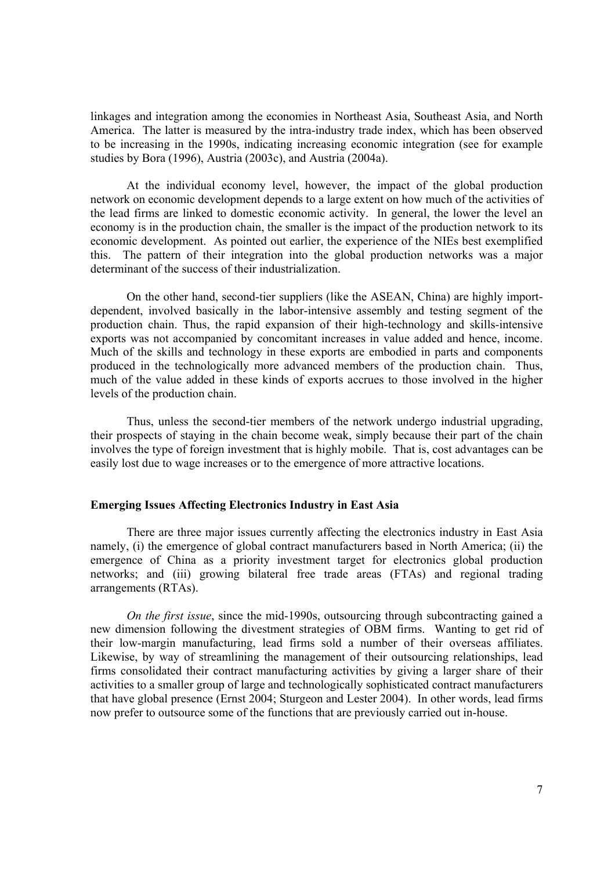linkages and integration among the economies in Northeast Asia, Southeast Asia, and North America. The latter is measured by the intra-industry trade index, which has been observed to be increasing in the 1990s, indicating increasing economic integration (see for example studies by Bora (1996), Austria (2003c), and Austria (2004a).

At the individual economy level, however, the impact of the global production network on economic development depends to a large extent on how much of the activities of the lead firms are linked to domestic economic activity. In general, the lower the level an economy is in the production chain, the smaller is the impact of the production network to its economic development. As pointed out earlier, the experience of the NIEs best exemplified this. The pattern of their integration into the global production networks was a major determinant of the success of their industrialization.

On the other hand, second-tier suppliers (like the ASEAN, China) are highly importdependent, involved basically in the labor-intensive assembly and testing segment of the production chain. Thus, the rapid expansion of their high-technology and skills-intensive exports was not accompanied by concomitant increases in value added and hence, income. Much of the skills and technology in these exports are embodied in parts and components produced in the technologically more advanced members of the production chain. Thus, much of the value added in these kinds of exports accrues to those involved in the higher levels of the production chain.

 Thus, unless the second-tier members of the network undergo industrial upgrading, their prospects of staying in the chain become weak, simply because their part of the chain involves the type of foreign investment that is highly mobile. That is, cost advantages can be easily lost due to wage increases or to the emergence of more attractive locations.

#### **Emerging Issues Affecting Electronics Industry in East Asia**

 There are three major issues currently affecting the electronics industry in East Asia namely, (i) the emergence of global contract manufacturers based in North America; (ii) the emergence of China as a priority investment target for electronics global production networks; and (iii) growing bilateral free trade areas (FTAs) and regional trading arrangements (RTAs).

*On the first issue*, since the mid-1990s, outsourcing through subcontracting gained a new dimension following the divestment strategies of OBM firms. Wanting to get rid of their low-margin manufacturing, lead firms sold a number of their overseas affiliates. Likewise, by way of streamlining the management of their outsourcing relationships, lead firms consolidated their contract manufacturing activities by giving a larger share of their activities to a smaller group of large and technologically sophisticated contract manufacturers that have global presence (Ernst 2004; Sturgeon and Lester 2004). In other words, lead firms now prefer to outsource some of the functions that are previously carried out in-house.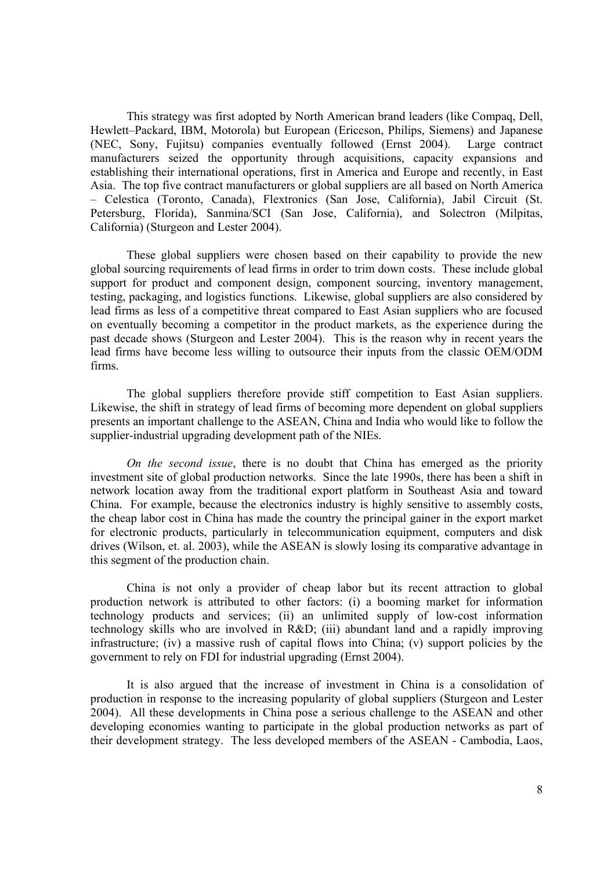This strategy was first adopted by North American brand leaders (like Compaq, Dell, Hewlett–Packard, IBM, Motorola) but European (Ericcson, Philips, Siemens) and Japanese (NEC, Sony, Fujitsu) companies eventually followed (Ernst 2004). Large contract manufacturers seized the opportunity through acquisitions, capacity expansions and establishing their international operations, first in America and Europe and recently, in East Asia. The top five contract manufacturers or global suppliers are all based on North America – Celestica (Toronto, Canada), Flextronics (San Jose, California), Jabil Circuit (St. Petersburg, Florida), Sanmina/SCI (San Jose, California), and Solectron (Milpitas, California) (Sturgeon and Lester 2004).

These global suppliers were chosen based on their capability to provide the new global sourcing requirements of lead firms in order to trim down costs. These include global support for product and component design, component sourcing, inventory management, testing, packaging, and logistics functions. Likewise, global suppliers are also considered by lead firms as less of a competitive threat compared to East Asian suppliers who are focused on eventually becoming a competitor in the product markets, as the experience during the past decade shows (Sturgeon and Lester 2004). This is the reason why in recent years the lead firms have become less willing to outsource their inputs from the classic OEM/ODM firms.

The global suppliers therefore provide stiff competition to East Asian suppliers. Likewise, the shift in strategy of lead firms of becoming more dependent on global suppliers presents an important challenge to the ASEAN, China and India who would like to follow the supplier-industrial upgrading development path of the NIEs.

*On the second issue*, there is no doubt that China has emerged as the priority investment site of global production networks. Since the late 1990s, there has been a shift in network location away from the traditional export platform in Southeast Asia and toward China. For example, because the electronics industry is highly sensitive to assembly costs, the cheap labor cost in China has made the country the principal gainer in the export market for electronic products, particularly in telecommunication equipment, computers and disk drives (Wilson, et. al. 2003), while the ASEAN is slowly losing its comparative advantage in this segment of the production chain.

China is not only a provider of cheap labor but its recent attraction to global production network is attributed to other factors: (i) a booming market for information technology products and services; (ii) an unlimited supply of low-cost information technology skills who are involved in  $R&D$ : (iii) abundant land and a rapidly improving infrastructure; (iv) a massive rush of capital flows into China; (v) support policies by the government to rely on FDI for industrial upgrading (Ernst 2004).

It is also argued that the increase of investment in China is a consolidation of production in response to the increasing popularity of global suppliers (Sturgeon and Lester 2004). All these developments in China pose a serious challenge to the ASEAN and other developing economies wanting to participate in the global production networks as part of their development strategy. The less developed members of the ASEAN - Cambodia, Laos,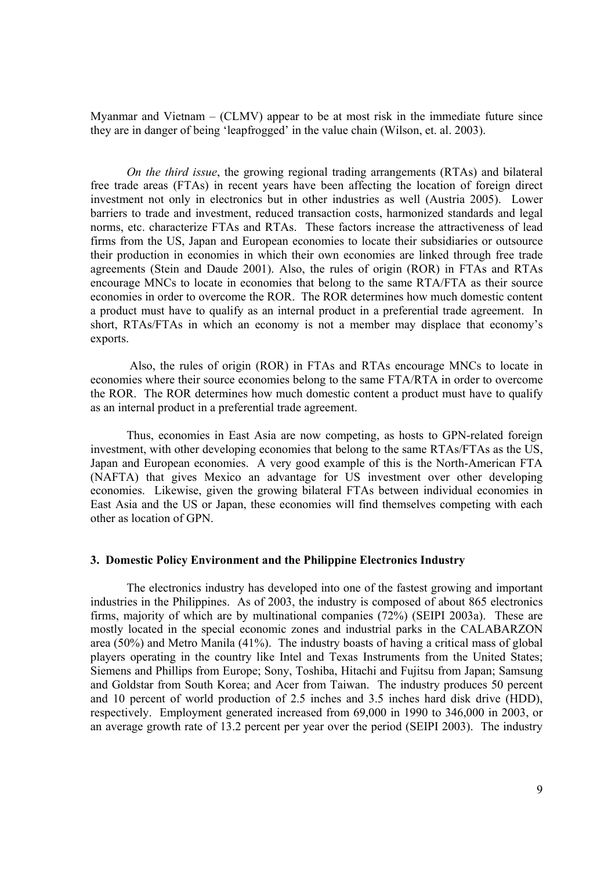Myanmar and Vietnam – (CLMV) appear to be at most risk in the immediate future since they are in danger of being 'leapfrogged' in the value chain (Wilson, et. al. 2003).

*On the third issue*, the growing regional trading arrangements (RTAs) and bilateral free trade areas (FTAs) in recent years have been affecting the location of foreign direct investment not only in electronics but in other industries as well (Austria 2005). Lower barriers to trade and investment, reduced transaction costs, harmonized standards and legal norms, etc. characterize FTAs and RTAs. These factors increase the attractiveness of lead firms from the US, Japan and European economies to locate their subsidiaries or outsource their production in economies in which their own economies are linked through free trade agreements (Stein and Daude 2001). Also, the rules of origin (ROR) in FTAs and RTAs encourage MNCs to locate in economies that belong to the same RTA/FTA as their source economies in order to overcome the ROR. The ROR determines how much domestic content a product must have to qualify as an internal product in a preferential trade agreement. In short, RTAs/FTAs in which an economy is not a member may displace that economy's exports.

 Also, the rules of origin (ROR) in FTAs and RTAs encourage MNCs to locate in economies where their source economies belong to the same FTA/RTA in order to overcome the ROR. The ROR determines how much domestic content a product must have to qualify as an internal product in a preferential trade agreement.

Thus, economies in East Asia are now competing, as hosts to GPN-related foreign investment, with other developing economies that belong to the same RTAs/FTAs as the US, Japan and European economies. A very good example of this is the North-American FTA (NAFTA) that gives Mexico an advantage for US investment over other developing economies. Likewise, given the growing bilateral FTAs between individual economies in East Asia and the US or Japan, these economies will find themselves competing with each other as location of GPN.

#### **3. Domestic Policy Environment and the Philippine Electronics Industry**

The electronics industry has developed into one of the fastest growing and important industries in the Philippines. As of 2003, the industry is composed of about 865 electronics firms, majority of which are by multinational companies (72%) (SEIPI 2003a). These are mostly located in the special economic zones and industrial parks in the CALABARZON area (50%) and Metro Manila (41%). The industry boasts of having a critical mass of global players operating in the country like Intel and Texas Instruments from the United States; Siemens and Phillips from Europe; Sony, Toshiba, Hitachi and Fujitsu from Japan; Samsung and Goldstar from South Korea; and Acer from Taiwan. The industry produces 50 percent and 10 percent of world production of 2.5 inches and 3.5 inches hard disk drive (HDD), respectively. Employment generated increased from 69,000 in 1990 to 346,000 in 2003, or an average growth rate of 13.2 percent per year over the period (SEIPI 2003). The industry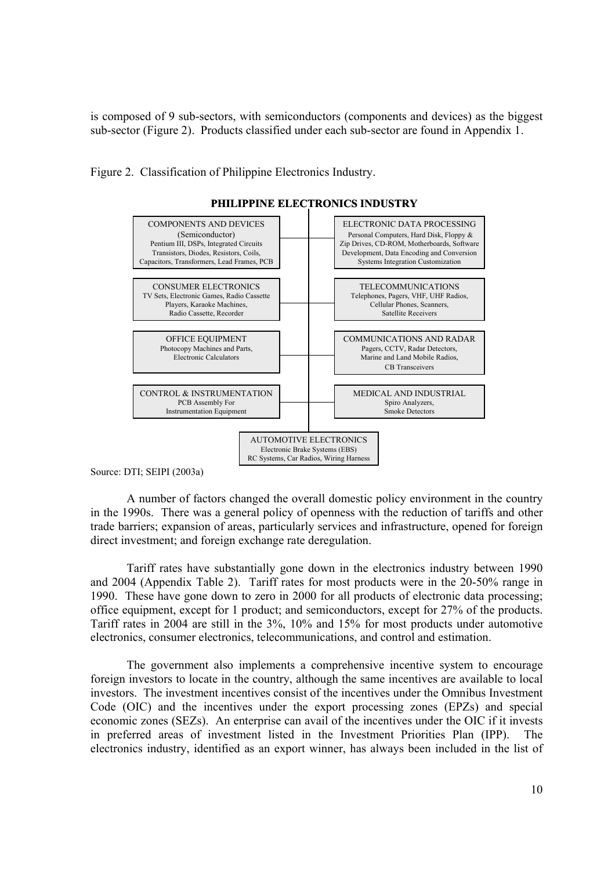is composed of 9 sub-sectors, with semiconductors (components and devices) as the biggest sub-sector (Figure 2). Products classified under each sub-sector are found in Appendix 1.

Figure 2. Classification of Philippine Electronics Industry.



**PHILIPPINE ELECTRONICS INDUSTRY**

Source: DTI; SEIPI (2003a)

A number of factors changed the overall domestic policy environment in the country in the 1990s. There was a general policy of openness with the reduction of tariffs and other trade barriers; expansion of areas, particularly services and infrastructure, opened for foreign direct investment; and foreign exchange rate deregulation.

 Tariff rates have substantially gone down in the electronics industry between 1990 and 2004 (Appendix Table 2). Tariff rates for most products were in the 20-50% range in 1990. These have gone down to zero in 2000 for all products of electronic data processing; office equipment, except for 1 product; and semiconductors, except for 27% of the products. Tariff rates in 2004 are still in the 3%, 10% and 15% for most products under automotive electronics, consumer electronics, telecommunications, and control and estimation.

 The government also implements a comprehensive incentive system to encourage foreign investors to locate in the country, although the same incentives are available to local investors. The investment incentives consist of the incentives under the Omnibus Investment Code (OIC) and the incentives under the export processing zones (EPZs) and special economic zones (SEZs). An enterprise can avail of the incentives under the OIC if it invests in preferred areas of investment listed in the Investment Priorities Plan (IPP). electronics industry, identified as an export winner, has always been included in the list of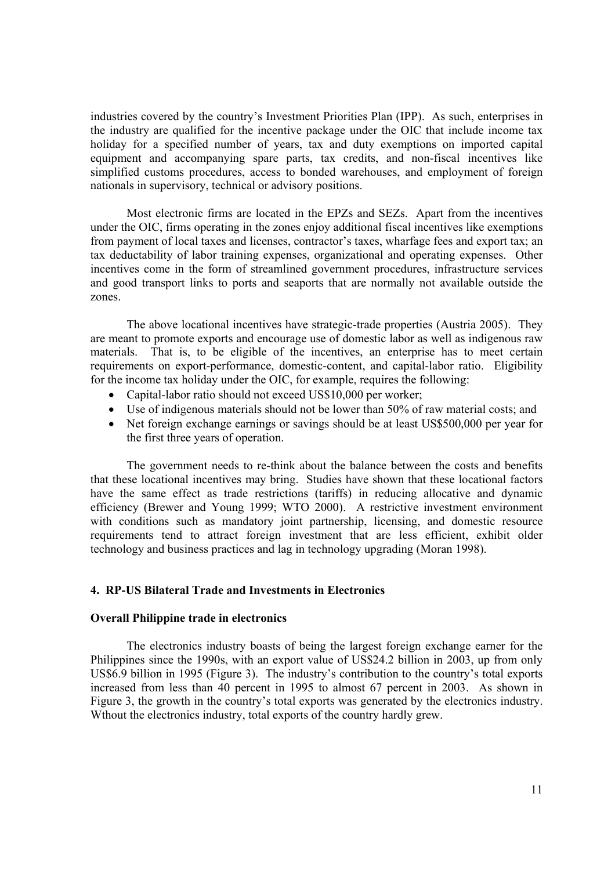industries covered by the country's Investment Priorities Plan (IPP). As such, enterprises in the industry are qualified for the incentive package under the OIC that include income tax holiday for a specified number of years, tax and duty exemptions on imported capital equipment and accompanying spare parts, tax credits, and non-fiscal incentives like simplified customs procedures, access to bonded warehouses, and employment of foreign nationals in supervisory, technical or advisory positions.

Most electronic firms are located in the EPZs and SEZs. Apart from the incentives under the OIC, firms operating in the zones enjoy additional fiscal incentives like exemptions from payment of local taxes and licenses, contractor's taxes, wharfage fees and export tax; an tax deductability of labor training expenses, organizational and operating expenses. Other incentives come in the form of streamlined government procedures, infrastructure services and good transport links to ports and seaports that are normally not available outside the zones.

 The above locational incentives have strategic-trade properties (Austria 2005). They are meant to promote exports and encourage use of domestic labor as well as indigenous raw materials. That is, to be eligible of the incentives, an enterprise has to meet certain requirements on export-performance, domestic-content, and capital-labor ratio. Eligibility for the income tax holiday under the OIC, for example, requires the following:

- Capital-labor ratio should not exceed US\$10,000 per worker;
- Use of indigenous materials should not be lower than 50% of raw material costs; and
- Net foreign exchange earnings or savings should be at least US\$500,000 per year for the first three years of operation.

The government needs to re-think about the balance between the costs and benefits that these locational incentives may bring. Studies have shown that these locational factors have the same effect as trade restrictions (tariffs) in reducing allocative and dynamic efficiency (Brewer and Young 1999; WTO 2000). A restrictive investment environment with conditions such as mandatory joint partnership, licensing, and domestic resource requirements tend to attract foreign investment that are less efficient, exhibit older technology and business practices and lag in technology upgrading (Moran 1998).

#### **4. RP-US Bilateral Trade and Investments in Electronics**

#### **Overall Philippine trade in electronics**

The electronics industry boasts of being the largest foreign exchange earner for the Philippines since the 1990s, with an export value of US\$24.2 billion in 2003, up from only US\$6.9 billion in 1995 (Figure 3). The industry's contribution to the country's total exports increased from less than 40 percent in 1995 to almost 67 percent in 2003. As shown in Figure 3, the growth in the country's total exports was generated by the electronics industry. Wthout the electronics industry, total exports of the country hardly grew.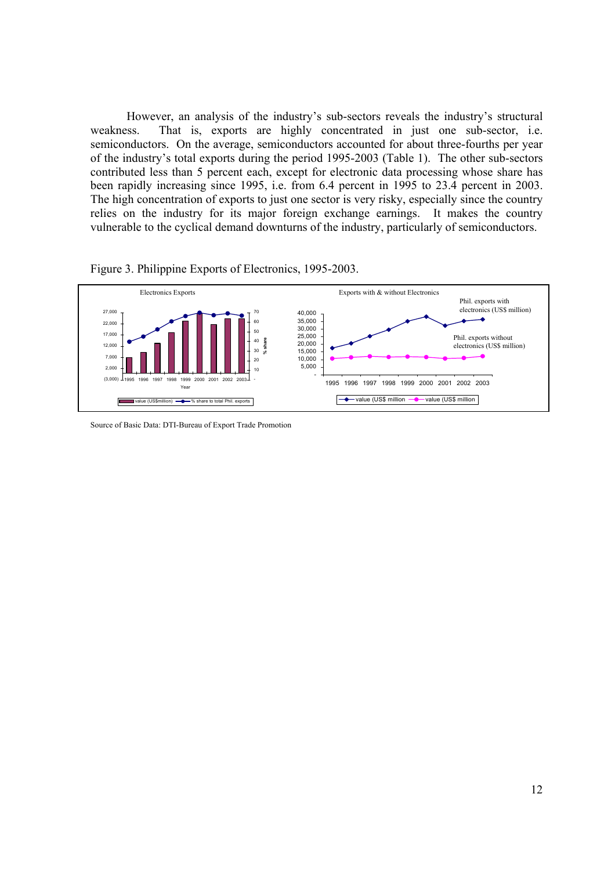However, an analysis of the industry's sub-sectors reveals the industry's structural weakness. That is, exports are highly concentrated in just one sub-sector, i.e. semiconductors. On the average, semiconductors accounted for about three-fourths per year of the industry's total exports during the period 1995-2003 (Table 1). The other sub-sectors contributed less than 5 percent each, except for electronic data processing whose share has been rapidly increasing since 1995, i.e. from 6.4 percent in 1995 to 23.4 percent in 2003. The high concentration of exports to just one sector is very risky, especially since the country relies on the industry for its major foreign exchange earnings. It makes the country vulnerable to the cyclical demand downturns of the industry, particularly of semiconductors.





Source of Basic Data: DTI-Bureau of Export Trade Promotion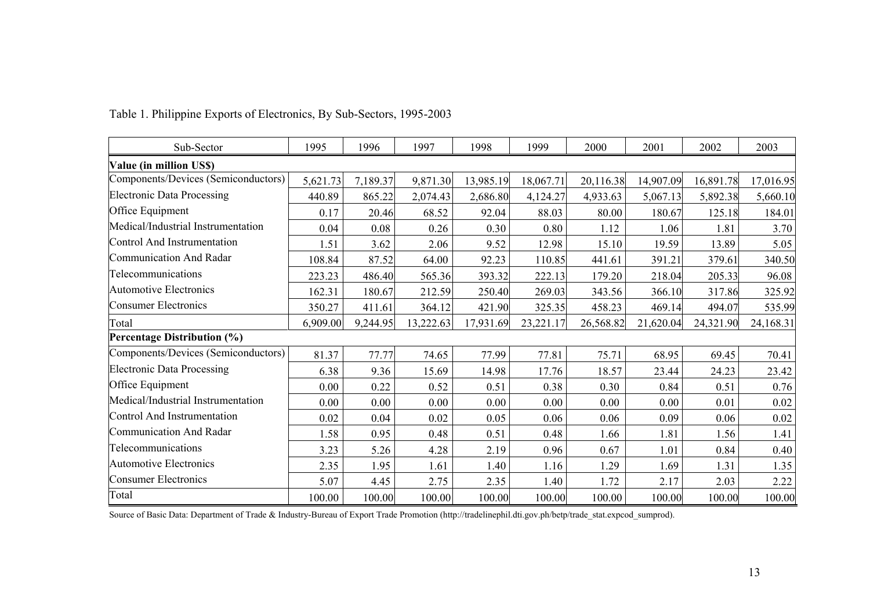| Sub-Sector                          | 1995     | 1996     | 1997      | 1998      | 1999      | 2000      | 2001      | 2002      | 2003      |
|-------------------------------------|----------|----------|-----------|-----------|-----------|-----------|-----------|-----------|-----------|
| Value (in million US\$)             |          |          |           |           |           |           |           |           |           |
| Components/Devices (Semiconductors) | 5,621.73 | 7,189.37 | 9,871.30  | 13,985.19 | 18,067.71 | 20,116.38 | 14,907.09 | 16,891.78 | 17,016.95 |
| <b>Electronic Data Processing</b>   | 440.89   | 865.22   | 2,074.43  | 2,686.80  | 4,124.27  | 4,933.63  | 5,067.13  | 5,892.38  | 5,660.10  |
| Office Equipment                    | 0.17     | 20.46    | 68.52     | 92.04     | 88.03     | 80.00     | 180.67    | 125.18    | 184.01    |
| Medical/Industrial Instrumentation  | 0.04     | 0.08     | 0.26      | 0.30      | 0.80      | 1.12      | 1.06      | 1.81      | 3.70      |
| Control And Instrumentation         | 1.51     | 3.62     | 2.06      | 9.52      | 12.98     | 15.10     | 19.59     | 13.89     | 5.05      |
| Communication And Radar             | 108.84   | 87.52    | 64.00     | 92.23     | 110.85    | 441.61    | 391.21    | 379.61    | 340.50    |
| Telecommunications                  | 223.23   | 486.40   | 565.36    | 393.32    | 222.13    | 179.20    | 218.04    | 205.33    | 96.08     |
| <b>Automotive Electronics</b>       | 162.31   | 180.67   | 212.59    | 250.40    | 269.03    | 343.56    | 366.10    | 317.86    | 325.92    |
| Consumer Electronics                | 350.27   | 411.61   | 364.12    | 421.90    | 325.35    | 458.23    | 469.14    | 494.07    | 535.99    |
| Total                               | 6,909.00 | 9,244.95 | 13,222.63 | 17,931.69 | 23,221.17 | 26,568.82 | 21,620.04 | 24,321.90 | 24,168.31 |
| <b>Percentage Distribution (%)</b>  |          |          |           |           |           |           |           |           |           |
| Components/Devices (Semiconductors) | 81.37    | 77.77    | 74.65     | 77.99     | 77.81     | 75.71     | 68.95     | 69.45     | 70.41     |
| <b>Electronic Data Processing</b>   | 6.38     | 9.36     | 15.69     | 14.98     | 17.76     | 18.57     | 23.44     | 24.23     | 23.42     |
| Office Equipment                    | 0.00     | 0.22     | 0.52      | 0.51      | 0.38      | 0.30      | 0.84      | 0.51      | 0.76      |
| Medical/Industrial Instrumentation  | 0.00     | 0.00     | 0.00      | 0.00      | 0.00      | 0.00      | 0.00      | 0.01      | 0.02      |
| Control And Instrumentation         | 0.02     | 0.04     | 0.02      | 0.05      | 0.06      | 0.06      | 0.09      | 0.06      | 0.02      |
| Communication And Radar             | 1.58     | 0.95     | 0.48      | 0.51      | 0.48      | 1.66      | 1.81      | 1.56      | 1.41      |
| Telecommunications                  | 3.23     | 5.26     | 4.28      | 2.19      | 0.96      | 0.67      | 1.01      | 0.84      | 0.40      |
| <b>Automotive Electronics</b>       | 2.35     | 1.95     | 1.61      | 1.40      | 1.16      | 1.29      | 1.69      | 1.31      | 1.35      |
| <b>Consumer Electronics</b>         | 5.07     | 4.45     | 2.75      | 2.35      | 1.40      | 1.72      | 2.17      | 2.03      | 2.22      |
| Total                               | 100.00   | 100.00   | 100.00    | 100.00    | 100.00    | 100.00    | 100.00    | 100.00    | 100.00    |

Table 1. Philippine Exports of Electronics, By Sub-Sectors, 1995-2003

Source of Basic Data: Department of Trade & Industry-Bureau of Export Trade Promotion (http://tradelinephil.dti.gov.ph/betp/trade\_stat.expcod\_sumprod).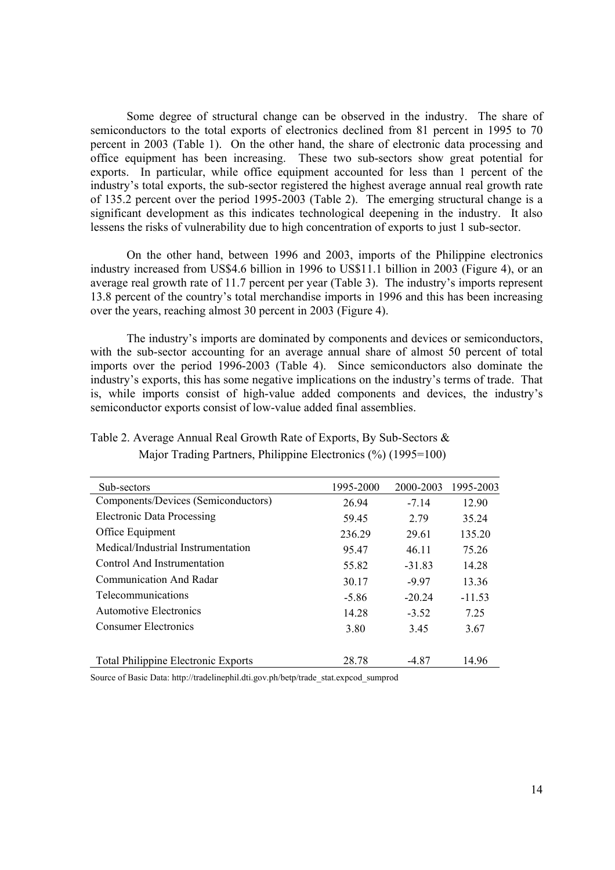Some degree of structural change can be observed in the industry. The share of semiconductors to the total exports of electronics declined from 81 percent in 1995 to 70 percent in 2003 (Table 1). On the other hand, the share of electronic data processing and office equipment has been increasing. These two sub-sectors show great potential for exports. In particular, while office equipment accounted for less than 1 percent of the industry's total exports, the sub-sector registered the highest average annual real growth rate of 135.2 percent over the period 1995-2003 (Table 2). The emerging structural change is a significant development as this indicates technological deepening in the industry. It also lessens the risks of vulnerability due to high concentration of exports to just 1 sub-sector.

On the other hand, between 1996 and 2003, imports of the Philippine electronics industry increased from US\$4.6 billion in 1996 to US\$11.1 billion in 2003 (Figure 4), or an average real growth rate of 11.7 percent per year (Table 3). The industry's imports represent 13.8 percent of the country's total merchandise imports in 1996 and this has been increasing over the years, reaching almost 30 percent in 2003 (Figure 4).

The industry's imports are dominated by components and devices or semiconductors, with the sub-sector accounting for an average annual share of almost 50 percent of total imports over the period 1996-2003 (Table 4). Since semiconductors also dominate the industry's exports, this has some negative implications on the industry's terms of trade. That is, while imports consist of high-value added components and devices, the industry's semiconductor exports consist of low-value added final assemblies.

| Sub-sectors                                | 1995-2000 | 2000-2003 | 1995-2003 |
|--------------------------------------------|-----------|-----------|-----------|
| Components/Devices (Semiconductors)        | 26.94     | $-7.14$   | 12.90     |
| <b>Electronic Data Processing</b>          | 59.45     | 2.79      | 35.24     |
| Office Equipment                           | 236.29    | 29.61     | 135.20    |
| Medical/Industrial Instrumentation         | 95.47     | 46.11     | 75.26     |
| Control And Instrumentation                | 55.82     | $-31.83$  | 14.28     |
| Communication And Radar                    | 30.17     | $-9.97$   | 13.36     |
| <b>Telecommunications</b>                  | $-5.86$   | $-20.24$  | $-11.53$  |
| Automotive Electronics                     | 14.28     | $-3.52$   | 7 25      |
| <b>Consumer Electronics</b>                | 3.80      | 3.45      | 3.67      |
|                                            |           |           |           |
| <b>Total Philippine Electronic Exports</b> | 28.78     | -4.87     | 14.96     |

## Table 2. Average Annual Real Growth Rate of Exports, By Sub-Sectors & Major Trading Partners, Philippine Electronics (%) (1995=100)

Source of Basic Data: http://tradelinephil.dti.gov.ph/betp/trade\_stat.expcod\_sumprod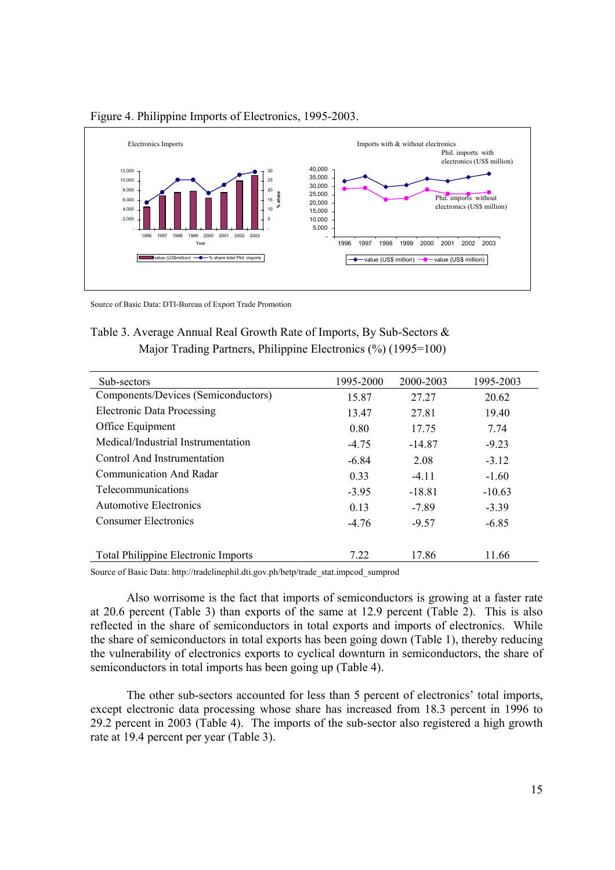

## Figure 4. Philippine Imports of Electronics, 1995-2003.

Source of Basic Data: DTI-Bureau of Export Trade Promotion

| Table 3. Average Annual Real Growth Rate of Imports, By Sub-Sectors $\&$ |
|--------------------------------------------------------------------------|
| Major Trading Partners, Philippine Electronics (%) (1995=100)            |

| Sub-sectors                                | 1995-2000 | 2000-2003 | 1995-2003 |
|--------------------------------------------|-----------|-----------|-----------|
| Components/Devices (Semiconductors)        | 15.87     | 27.27     | 20.62     |
| <b>Electronic Data Processing</b>          | 13.47     | 27.81     | 19.40     |
| Office Equipment                           | 0.80      | 17.75     | 7.74      |
| Medical/Industrial Instrumentation         | $-4.75$   | $-14.87$  | $-9.23$   |
| Control And Instrumentation                | $-6.84$   | 2.08      | $-3.12$   |
| Communication And Radar                    | 0.33      | $-4.11$   | $-1.60$   |
| Telecommunications                         | $-3.95$   | $-18.81$  | $-10.63$  |
| Automotive Electronics                     | 0.13      | $-7.89$   | $-3.39$   |
| Consumer Electronics                       | $-4.76$   | $-9.57$   | $-6.85$   |
|                                            |           |           |           |
| <b>Total Philippine Electronic Imports</b> | 7.22      | 17.86     | 11.66     |

Source of Basic Data: http://tradelinephil.dti.gov.ph/betp/trade\_stat.impcod\_sumprod

Also worrisome is the fact that imports of semiconductors is growing at a faster rate at 20.6 percent (Table 3) than exports of the same at 12.9 percent (Table 2). This is also reflected in the share of semiconductors in total exports and imports of electronics. While the share of semiconductors in total exports has been going down (Table 1), thereby reducing the vulnerability of electronics exports to cyclical downturn in semiconductors, the share of semiconductors in total imports has been going up (Table 4).

 The other sub-sectors accounted for less than 5 percent of electronics' total imports, except electronic data processing whose share has increased from 18.3 percent in 1996 to 29.2 percent in 2003 (Table 4). The imports of the sub-sector also registered a high growth rate at 19.4 percent per year (Table 3).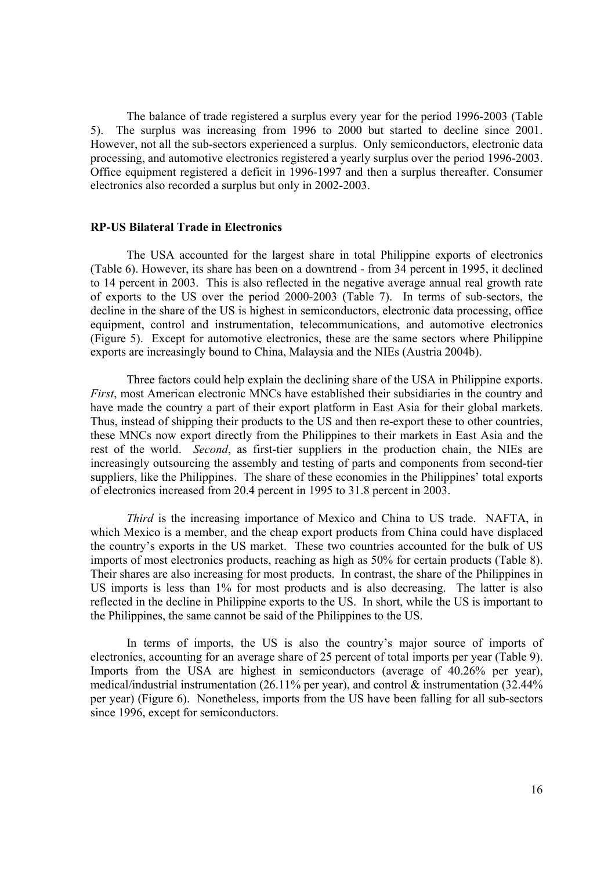The balance of trade registered a surplus every year for the period 1996-2003 (Table 5). The surplus was increasing from 1996 to 2000 but started to decline since 2001. However, not all the sub-sectors experienced a surplus. Only semiconductors, electronic data processing, and automotive electronics registered a yearly surplus over the period 1996-2003. Office equipment registered a deficit in 1996-1997 and then a surplus thereafter. Consumer electronics also recorded a surplus but only in 2002-2003.

#### **RP-US Bilateral Trade in Electronics**

The USA accounted for the largest share in total Philippine exports of electronics (Table 6). However, its share has been on a downtrend - from 34 percent in 1995, it declined to 14 percent in 2003. This is also reflected in the negative average annual real growth rate of exports to the US over the period 2000-2003 (Table 7). In terms of sub-sectors, the decline in the share of the US is highest in semiconductors, electronic data processing, office equipment, control and instrumentation, telecommunications, and automotive electronics (Figure 5). Except for automotive electronics, these are the same sectors where Philippine exports are increasingly bound to China, Malaysia and the NIEs (Austria 2004b).

 Three factors could help explain the declining share of the USA in Philippine exports. *First*, most American electronic MNCs have established their subsidiaries in the country and have made the country a part of their export platform in East Asia for their global markets. Thus, instead of shipping their products to the US and then re-export these to other countries, these MNCs now export directly from the Philippines to their markets in East Asia and the rest of the world. *Second*, as first-tier suppliers in the production chain, the NIEs are increasingly outsourcing the assembly and testing of parts and components from second-tier suppliers, like the Philippines. The share of these economies in the Philippines' total exports of electronics increased from 20.4 percent in 1995 to 31.8 percent in 2003.

*Third* is the increasing importance of Mexico and China to US trade. NAFTA, in which Mexico is a member, and the cheap export products from China could have displaced the country's exports in the US market. These two countries accounted for the bulk of US imports of most electronics products, reaching as high as 50% for certain products (Table 8). Their shares are also increasing for most products. In contrast, the share of the Philippines in US imports is less than 1% for most products and is also decreasing. The latter is also reflected in the decline in Philippine exports to the US. In short, while the US is important to the Philippines, the same cannot be said of the Philippines to the US.

In terms of imports, the US is also the country's major source of imports of electronics, accounting for an average share of 25 percent of total imports per year (Table 9). Imports from the USA are highest in semiconductors (average of 40.26% per year), medical/industrial instrumentation (26.11% per year), and control & instrumentation (32.44% per year) (Figure 6). Nonetheless, imports from the US have been falling for all sub-sectors since 1996, except for semiconductors.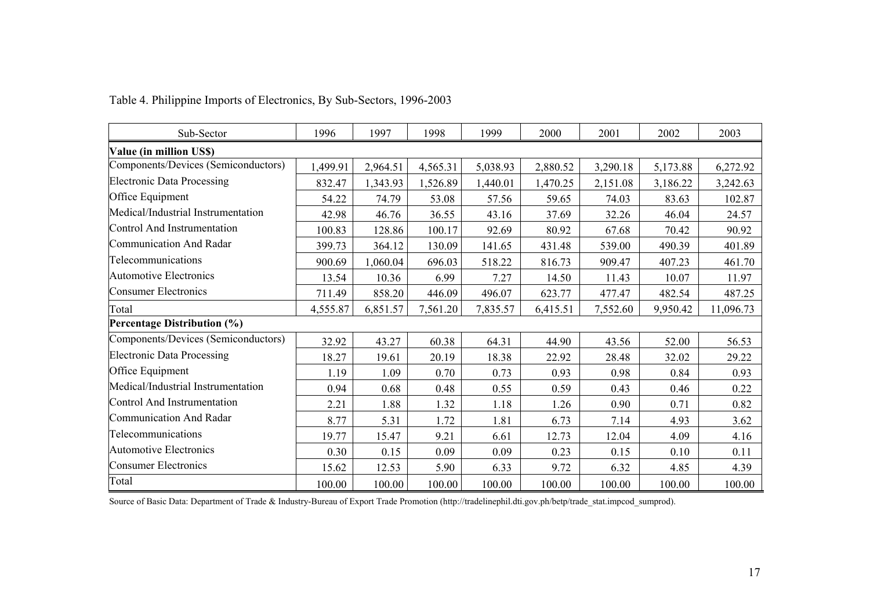| Sub-Sector                          | 1996     | 1997     | 1998     | 1999     | 2000     | 2001     | 2002     | 2003      |
|-------------------------------------|----------|----------|----------|----------|----------|----------|----------|-----------|
| Value (in million US\$)             |          |          |          |          |          |          |          |           |
| Components/Devices (Semiconductors) | 1,499.91 | 2,964.51 | 4,565.31 | 5,038.93 | 2,880.52 | 3,290.18 | 5,173.88 | 6,272.92  |
| <b>Electronic Data Processing</b>   | 832.47   | 1,343.93 | 1,526.89 | 1,440.01 | 1,470.25 | 2,151.08 | 3,186.22 | 3,242.63  |
| Office Equipment                    | 54.22    | 74.79    | 53.08    | 57.56    | 59.65    | 74.03    | 83.63    | 102.87    |
| Medical/Industrial Instrumentation  | 42.98    | 46.76    | 36.55    | 43.16    | 37.69    | 32.26    | 46.04    | 24.57     |
| Control And Instrumentation         | 100.83   | 128.86   | 100.17   | 92.69    | 80.92    | 67.68    | 70.42    | 90.92     |
| Communication And Radar             | 399.73   | 364.12   | 130.09   | 141.65   | 431.48   | 539.00   | 490.39   | 401.89    |
| Telecommunications                  | 900.69   | 1,060.04 | 696.03   | 518.22   | 816.73   | 909.47   | 407.23   | 461.70    |
| <b>Automotive Electronics</b>       | 13.54    | 10.36    | 6.99     | 7.27     | 14.50    | 11.43    | 10.07    | 11.97     |
| <b>Consumer Electronics</b>         | 711.49   | 858.20   | 446.09   | 496.07   | 623.77   | 477.47   | 482.54   | 487.25    |
| Total                               | 4,555.87 | 6,851.57 | 7,561.20 | 7,835.57 | 6,415.51 | 7,552.60 | 9,950.42 | 11,096.73 |
| <b>Percentage Distribution (%)</b>  |          |          |          |          |          |          |          |           |
| Components/Devices (Semiconductors) | 32.92    | 43.27    | 60.38    | 64.31    | 44.90    | 43.56    | 52.00    | 56.53     |
| <b>Electronic Data Processing</b>   | 18.27    | 19.61    | 20.19    | 18.38    | 22.92    | 28.48    | 32.02    | 29.22     |
| Office Equipment                    | 1.19     | 1.09     | 0.70     | 0.73     | 0.93     | 0.98     | 0.84     | 0.93      |
| Medical/Industrial Instrumentation  | 0.94     | 0.68     | 0.48     | 0.55     | 0.59     | 0.43     | 0.46     | 0.22      |
| Control And Instrumentation         | 2.21     | 1.88     | 1.32     | 1.18     | 1.26     | 0.90     | 0.71     | 0.82      |
| Communication And Radar             | 8.77     | 5.31     | 1.72     | 1.81     | 6.73     | 7.14     | 4.93     | 3.62      |
| Telecommunications                  | 19.77    | 15.47    | 9.21     | 6.61     | 12.73    | 12.04    | 4.09     | 4.16      |
| <b>Automotive Electronics</b>       | 0.30     | 0.15     | 0.09     | 0.09     | 0.23     | 0.15     | 0.10     | 0.11      |
| <b>Consumer Electronics</b>         | 15.62    | 12.53    | 5.90     | 6.33     | 9.72     | 6.32     | 4.85     | 4.39      |
| Total                               | 100.00   | 100.00   | 100.00   | 100.00   | 100.00   | 100.00   | 100.00   | 100.00    |

Table 4. Philippine Imports of Electronics, By Sub-Sectors, 1996-2003

Source of Basic Data: Department of Trade & Industry-Bureau of Export Trade Promotion (http://tradelinephil.dti.gov.ph/betp/trade\_stat.impcod\_sumprod).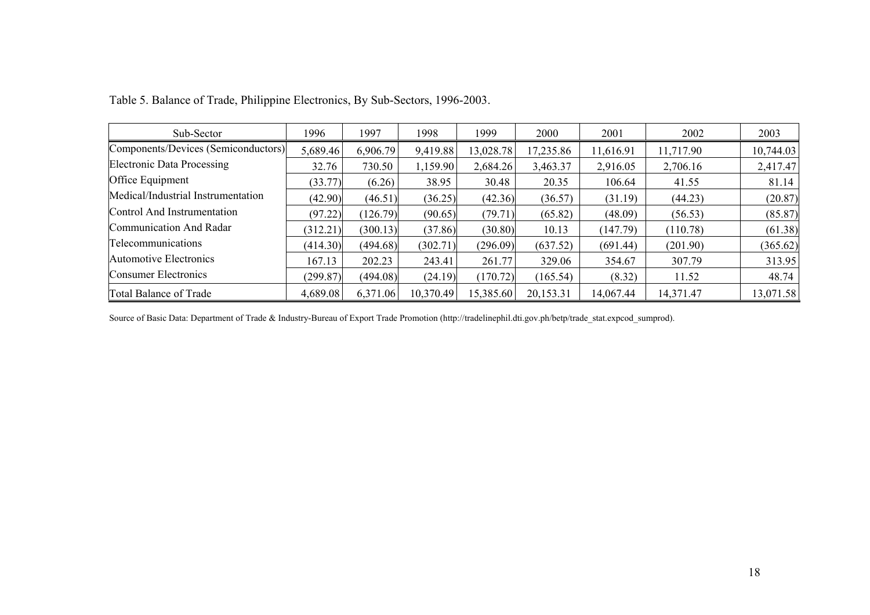| Sub-Sector                          | 1996     | 1997     | 1998      | 1999      | 2000      | 2001      | 2002      | 2003      |
|-------------------------------------|----------|----------|-----------|-----------|-----------|-----------|-----------|-----------|
| Components/Devices (Semiconductors) | 5,689.46 | 6,906.79 | 9,419.88  | 13,028.78 | 17,235.86 | 11,616.91 | 11,717.90 | 10,744.03 |
| <b>Electronic Data Processing</b>   | 32.76    | 730.50   | 1,159.90  | 2,684.26  | 3,463.37  | 2,916.05  | 2,706.16  | 2,417.47  |
| Office Equipment                    | (33.77)  | (6.26)   | 38.95     | 30.48     | 20.35     | 106.64    | 41.55     | 81.14     |
| Medical/Industrial Instrumentation  | (42.90)  | (46.51)  | (36.25)   | (42.36)   | (36.57)   | (31.19)   | (44.23)   | (20.87)   |
| Control And Instrumentation         | (97.22)  | (126.79) | (90.65)   | (79.71)   | (65.82)   | (48.09)   | (56.53)   | (85.87)   |
| Communication And Radar             | (312.21) | (300.13) | (37.86)   | (30.80)   | 10.13     | (147.79)  | (110.78)  | (61.38)   |
| Telecommunications                  | (414.30) | (494.68) | (302.71)  | (296.09)  | (637.52)  | (691.44)  | (201.90)  | (365.62)  |
| Automotive Electronics              | 167.13   | 202.23   | 243.41    | 261.77    | 329.06    | 354.67    | 307.79    | 313.95    |
| Consumer Electronics                | (299.87) | (494.08) | (24.19)   | (170.72)  | (165.54)  | (8.32)    | 11.52     | 48.74     |
| Total Balance of Trade              | 4,689.08 | 6,371.06 | 10,370.49 | 15,385.60 | 20,153.31 | 14,067.44 | 14,371.47 | 13,071.58 |

Table 5. Balance of Trade, Philippine Electronics, By Sub-Sectors, 1996-2003.

Source of Basic Data: Department of Trade & Industry-Bureau of Export Trade Promotion (http://tradelinephil.dti.gov.ph/betp/trade\_stat.expcod\_sumprod).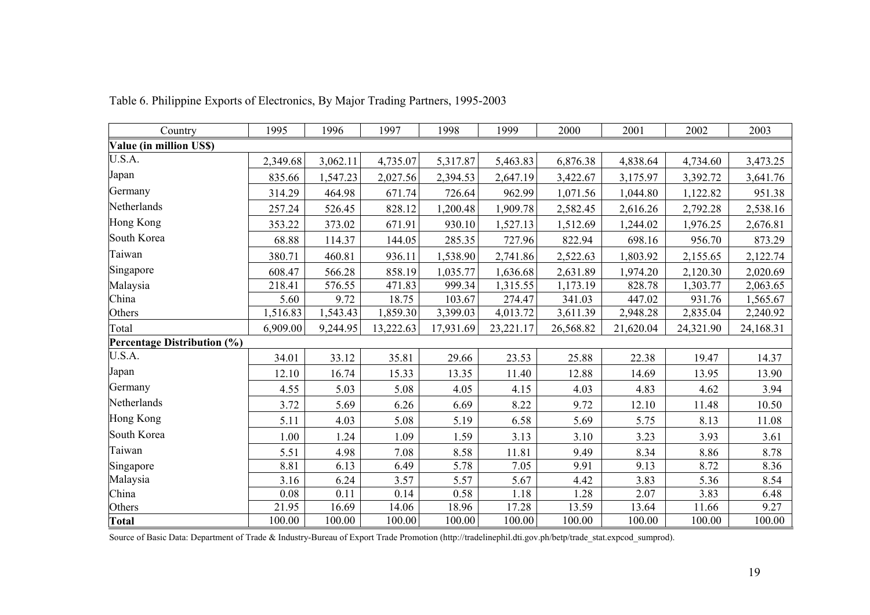| Country                            | 1995     | 1996     | 1997      | 1998      | 1999      | 2000      | 2001      | 2002      | 2003      |
|------------------------------------|----------|----------|-----------|-----------|-----------|-----------|-----------|-----------|-----------|
| Value (in million US\$)            |          |          |           |           |           |           |           |           |           |
| U.S.A.                             | 2,349.68 | 3,062.11 | 4,735.07  | 5,317.87  | 5,463.83  | 6,876.38  | 4,838.64  | 4,734.60  | 3,473.25  |
| Japan                              | 835.66   | 1,547.23 | 2,027.56  | 2,394.53  | 2,647.19  | 3,422.67  | 3,175.97  | 3,392.72  | 3,641.76  |
| Germany                            | 314.29   | 464.98   | 671.74    | 726.64    | 962.99    | 1,071.56  | 1,044.80  | 1,122.82  | 951.38    |
| Netherlands                        | 257.24   | 526.45   | 828.12    | 1,200.48  | 1,909.78  | 2,582.45  | 2,616.26  | 2,792.28  | 2,538.16  |
| Hong Kong                          | 353.22   | 373.02   | 671.91    | 930.10    | 1,527.13  | 1,512.69  | 1,244.02  | 1,976.25  | 2,676.81  |
| South Korea                        | 68.88    | 114.37   | 144.05    | 285.35    | 727.96    | 822.94    | 698.16    | 956.70    | 873.29    |
| Taiwan                             | 380.71   | 460.81   | 936.11    | 1,538.90  | 2,741.86  | 2,522.63  | 1,803.92  | 2,155.65  | 2,122.74  |
| Singapore                          | 608.47   | 566.28   | 858.19    | 1,035.77  | 1,636.68  | 2,631.89  | 1,974.20  | 2,120.30  | 2,020.69  |
| Malaysia                           | 218.41   | 576.55   | 471.83    | 999.34    | 1,315.55  | 1,173.19  | 828.78    | 1,303.77  | 2,063.65  |
| China                              | 5.60     | 9.72     | 18.75     | 103.67    | 274.47    | 341.03    | 447.02    | 931.76    | 1,565.67  |
| Others                             | 1,516.83 | 1,543.43 | 1,859.30  | 3,399.03  | 4,013.72  | 3,611.39  | 2,948.28  | 2,835.04  | 2,240.92  |
| Total                              | 6,909.00 | 9,244.95 | 13,222.63 | 17,931.69 | 23,221.17 | 26,568.82 | 21,620.04 | 24,321.90 | 24,168.31 |
| <b>Percentage Distribution (%)</b> |          |          |           |           |           |           |           |           |           |
| U.S.A.                             | 34.01    | 33.12    | 35.81     | 29.66     | 23.53     | 25.88     | 22.38     | 19.47     | 14.37     |
| Japan                              | 12.10    | 16.74    | 15.33     | 13.35     | 11.40     | 12.88     | 14.69     | 13.95     | 13.90     |
| Germany                            | 4.55     | 5.03     | 5.08      | 4.05      | 4.15      | 4.03      | 4.83      | 4.62      | 3.94      |
| Netherlands                        | 3.72     | 5.69     | 6.26      | 6.69      | 8.22      | 9.72      | 12.10     | 11.48     | 10.50     |
| Hong Kong                          | 5.11     | 4.03     | 5.08      | 5.19      | 6.58      | 5.69      | 5.75      | 8.13      | 11.08     |
| South Korea                        | 1.00     | 1.24     | 1.09      | 1.59      | 3.13      | 3.10      | 3.23      | 3.93      | 3.61      |
| Taiwan                             | 5.51     | 4.98     | 7.08      | 8.58      | 11.81     | 9.49      | 8.34      | 8.86      | 8.78      |
| Singapore                          | 8.81     | 6.13     | 6.49      | 5.78      | 7.05      | 9.91      | 9.13      | 8.72      | 8.36      |
| Malaysia                           | 3.16     | 6.24     | 3.57      | 5.57      | 5.67      | 4.42      | 3.83      | 5.36      | 8.54      |
| China                              | 0.08     | 0.11     | 0.14      | 0.58      | 1.18      | 1.28      | 2.07      | 3.83      | 6.48      |
| Others                             | 21.95    | 16.69    | 14.06     | 18.96     | 17.28     | 13.59     | 13.64     | 11.66     | 9.27      |
| <b>Total</b>                       | 100.00   | 100.00   | 100.00    | 100.00    | 100.00    | 100.00    | 100.00    | 100.00    | 100.00    |

Table 6. Philippine Exports of Electronics, By Major Trading Partners, 1995-2003

Source of Basic Data: Department of Trade & Industry-Bureau of Export Trade Promotion (http://tradelinephil.dti.gov.ph/betp/trade\_stat.expcod\_sumprod).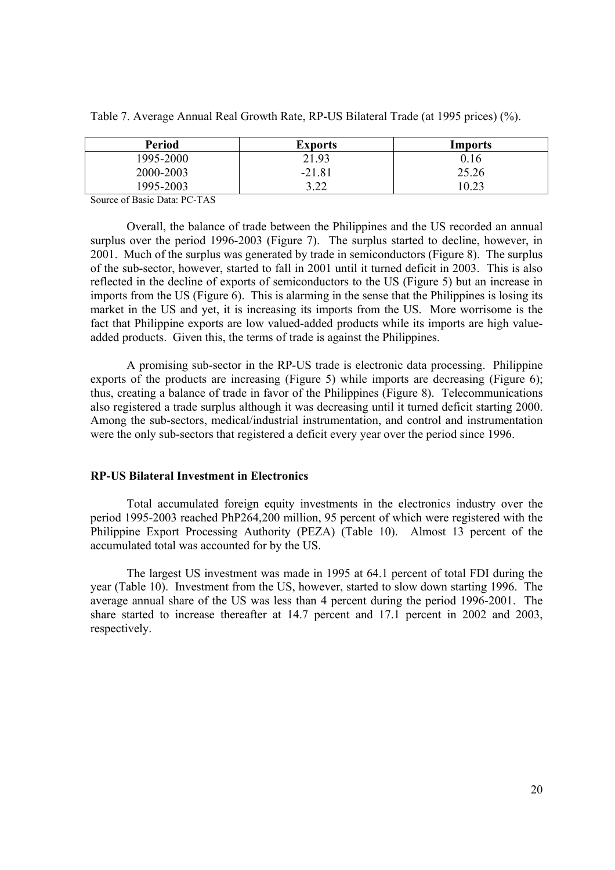| <b>Period</b> | <b>Exports</b> | Imports |
|---------------|----------------|---------|
| 1995-2000     | 21.93          | 0.16    |
| 2000-2003     | $-21.81$       | 25.26   |
| 1995-2003     | 3.22<br>∟∠. ر  | 0.23    |

Table 7. Average Annual Real Growth Rate, RP-US Bilateral Trade (at 1995 prices) (%).

Source of Basic Data: PC-TAS

Overall, the balance of trade between the Philippines and the US recorded an annual surplus over the period 1996-2003 (Figure 7). The surplus started to decline, however, in 2001. Much of the surplus was generated by trade in semiconductors (Figure 8). The surplus of the sub-sector, however, started to fall in 2001 until it turned deficit in 2003. This is also reflected in the decline of exports of semiconductors to the US (Figure 5) but an increase in imports from the US (Figure 6). This is alarming in the sense that the Philippines is losing its market in the US and yet, it is increasing its imports from the US. More worrisome is the fact that Philippine exports are low valued-added products while its imports are high valueadded products. Given this, the terms of trade is against the Philippines.

 A promising sub-sector in the RP-US trade is electronic data processing. Philippine exports of the products are increasing (Figure 5) while imports are decreasing (Figure 6); thus, creating a balance of trade in favor of the Philippines (Figure 8). Telecommunications also registered a trade surplus although it was decreasing until it turned deficit starting 2000. Among the sub-sectors, medical/industrial instrumentation, and control and instrumentation were the only sub-sectors that registered a deficit every year over the period since 1996.

#### **RP-US Bilateral Investment in Electronics**

 Total accumulated foreign equity investments in the electronics industry over the period 1995-2003 reached PhP264,200 million, 95 percent of which were registered with the Philippine Export Processing Authority (PEZA) (Table 10). Almost 13 percent of the accumulated total was accounted for by the US.

The largest US investment was made in 1995 at 64.1 percent of total FDI during the year (Table 10). Investment from the US, however, started to slow down starting 1996. The average annual share of the US was less than 4 percent during the period 1996-2001. The share started to increase thereafter at 14.7 percent and 17.1 percent in 2002 and 2003, respectively.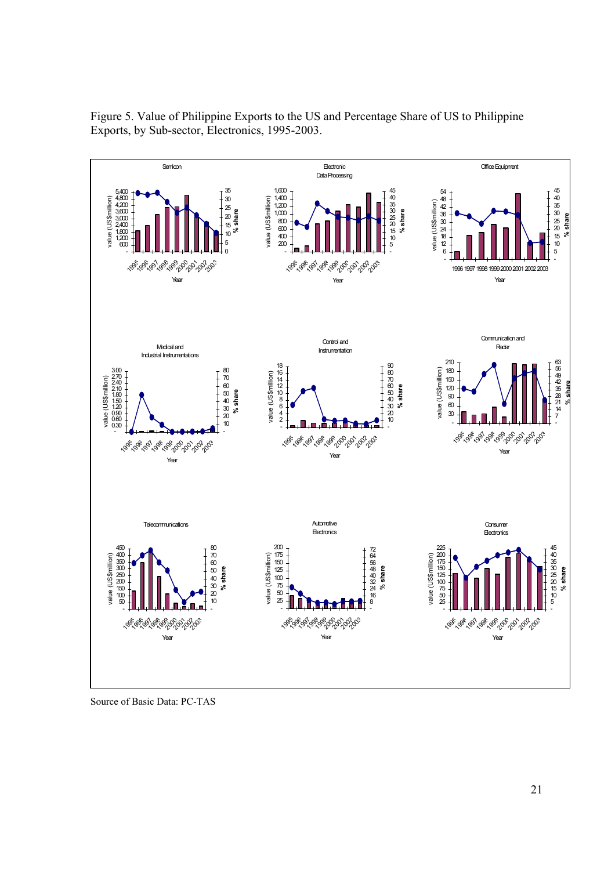

Figure 5. Value of Philippine Exports to the US and Percentage Share of US to Philippine Exports, by Sub-sector, Electronics, 1995-2003.

Source of Basic Data: PC-TAS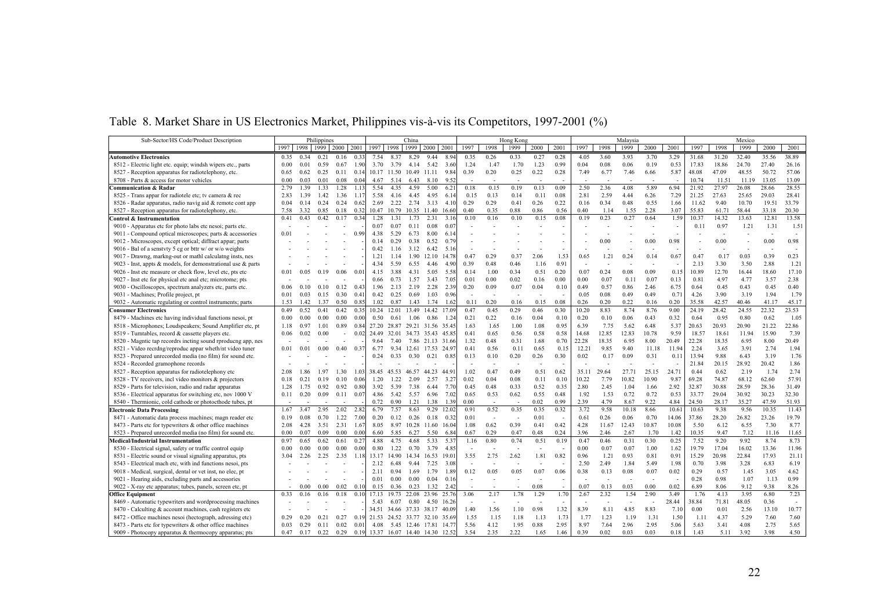|  |  | Table 8. Market Share in US Electronics Market, Philippines vis-à-vis its Competitors, 1997-2001 (%) |  |  |  |  |
|--|--|------------------------------------------------------------------------------------------------------|--|--|--|--|
|  |  |                                                                                                      |  |  |  |  |

| Sub-Sector/HS Code/Product Description                       | Philippines |      |           |      | China          |       |                   |            |                               |               | Hong Kong |        |      |      |      |       | Malaysia |       |       | Mexico |       |       |       |       |        |
|--------------------------------------------------------------|-------------|------|-----------|------|----------------|-------|-------------------|------------|-------------------------------|---------------|-----------|--------|------|------|------|-------|----------|-------|-------|--------|-------|-------|-------|-------|--------|
|                                                              | 1997        | 1998 | 1999 2000 |      | 2001           | 1997  | 1998              | 1999       | 2000                          | 2001          | 1997      | 1998   | 1999 | 2000 | 2001 | 1997  | 1998     | 1999  | 2000  | 2001   | 1997  | 1998  | 1999  | 2000  | 2001   |
|                                                              |             |      |           |      |                |       |                   |            |                               |               |           |        |      |      |      |       |          |       |       |        |       |       |       |       |        |
| <b>Automotive Electronics</b>                                | 0.35        | 0.34 | 0.21      | 0.16 | 0.31           | 7.54  | 8.37              | 8.29       | 9 4 4                         |               | 0.35      | 0.26   | 0.33 | 0.27 | 0.28 | 4.05  | 3.60     | 3.93  | 3.70  | 3.29   | 31.68 | 31.20 | 32.40 | 35.56 | 38.89  |
| 8512 - Electric light etc. equip; windsh wipers etc., parts  | 0.00        | 0.01 | 0.59      | 0.67 | 190            | 3.70  | 3.79              | 4.14       | 5.42                          | 3.60          | 1.24      | 1.47   | 1.70 | 1.23 | 0.99 | 0.04  | 0.08     | 0.06  | 0.19  | 0.53   | 17.83 | 18.86 | 24.70 | 27.40 | 26.16  |
| 8527 - Reception apparatus for radiotelephony, etc.          | 0.65        | 0.62 | 0.25      | 0.11 | 0.1            |       | 10.17 11.50       | 10.49      | 11.11                         | 9.84          | 0.39      | 0.20   | 0.25 | 0.22 | 0.28 | 7.49  | 6.77     | 7.46  | 6.66  | 5.87   | 48.08 | 47.09 | 48.55 | 50.72 | 57.06  |
| 8708 - Parts & access for motor vehicles                     | 0.00        | 0.03 | 0.01      | 0.08 | 0.04           | 4.67  | 5.14              | 6.43       | 8.10                          | 9.52          |           |        |      |      |      |       |          |       |       |        | 10.74 | 11.51 | 11.19 | 13.05 | 13.09  |
| Communication & Radar                                        | 2.79        | 1.39 | 1.33      | 1.28 | 1.13           | 5.54  | 4.35              | 4.59       | 5.00                          | 6.2           | 0.18      | 0.15   | 0.19 | 0.13 | 0.09 | 2.50  | 2.36     | 4.08  | 5.89  | 6.94   | 21.92 | 27.97 | 26.08 | 28.66 | 28.55  |
| 8525 - Trans appar for radiotele etc; tv camera & rec        | 2.83        | 1.39 | 1.42      | 1.36 | 1.17           | 5.58  | 4.16              | 4.45       | 4.95                          | 6.1           | 0.15      | 0.13   | 0.14 | 0.11 | 0.08 | 2.81  | 2.59     | 4.44  | 6.26  | 7.29   | 21.25 | 27.63 | 25.65 | 29.03 | 28.41  |
| 8526 - Radar apparatus, radio navig aid & remote cont app    | 0.04        | 0.14 | 0.24      | 0.24 | 0.62           | 2.69  | 2.22              | 2.74       | 3.13                          | 4.1           | 0.29      | 0.29   | 0.41 | 0.26 | 0.22 | 0.16  | 0.34     | 0.48  | 0.55  | 1.66   | 11.62 | 9.40  | 10.70 | 19.51 | 33.79  |
| 8527 - Reception apparatus for radiotelephony, etc.          | 7.58        | 3.32 | 0.85      | 0.18 | 0.32           |       | 10.47 10.79       |            | 10.35 11.40                   | 16.6          | 0.40      | 0.35   | 0.88 | 0.86 | 0.56 | 0.40  | 1.14     | 1.55  | 2.28  | 3.07   | 55.83 | 61.71 | 58.44 | 33.18 | 20.30  |
| Control & Instrumentation                                    | 0.41        | 0.43 | 0.42      | 0.17 | 0.34           | 1.28  | 1.31              | 1.73       | 2.31                          | 3.1           | 010       | 0.16   | 0.10 | 0.15 | 0.08 | 0.19  | 0.23     | 0.27  | 0.64  | 1.59   | 10.37 | 14.32 | 13.63 | 12.81 | 13.58  |
| 9010 - Apparatus etc for photo labs etc nesoi; parts etc.    |             |      |           |      |                | 0.07  | 0.07              | 0.11       | 0.08                          | $0.0^{\circ}$ |           |        |      |      |      |       |          |       |       |        | 0.11  | 0.97  | 1.21  | 1.31  | 1.51   |
| 9011 - Compound optical microscopes; parts & accessories     | 0.01        |      |           |      | 0.99           | 4.38  | 5.29              | 6.73       | 8.00                          | 6.1           |           |        |      |      |      |       |          |       |       |        |       |       |       |       |        |
| 9012 - Microscopes, except optical; diffract appar; parts    |             |      |           |      |                | 014   | 0.29              | 0.38       | 0.52                          | 0.79          |           |        |      |      |      |       | 0.00     |       | 0.00  | 0.98   |       | 0.00  |       | 0.00  | 0.98   |
| 9016 - Bal of a senstvty 5 cg or bttr w/ or w/o weights      |             |      |           |      |                | 0.42  | 1 1 6             | 3.12       | 6.42                          | 5.1           |           |        |      |      |      |       |          |       |       |        |       |       |       |       |        |
| 9017 - Drawng, markng-out or mathl calculatng insts, nes     |             |      |           |      |                | 1.21  | 1.14              | 1.90       | 12.10                         | 14.78         | 0.47      | 0.29   | 0.37 | 2.06 | 1.53 | 0.65  | 1.21     | 0.24  | 0.14  | 0.67   | 0.47  | 0.17  | 0.03  | 0.39  | 0.23   |
| 9023 - Inst, appts & models, for demonstrational use & parts |             |      |           |      |                | 4.34  | 5.59              | 6.55       | 4.46                          | 4.9           | 0.39      | 0.48   | 0.46 | 1.16 | 0.91 |       |          |       |       |        | 2.13  | 3.30  | 3.50  | 2.88  | 1.21   |
| 9026 - Inst etc measure or check flow, level etc, pts etc    | 0.01        | 0.05 | 0.19      | 0.06 | 0 <sub>0</sub> | 4.15  | 3.88              | 4.31       | 5.05                          | 5.58          | 0.14      | 1.00   | 0.34 | 0.51 | 0.20 | 0.07  | 0.24     | 0.08  | 0.09  | 0.15   | 10.89 | 12.70 | 16.44 | 18.60 | 17.10  |
| 9027 - Inst etc for physical etc anal etc; microtome; pts    |             |      |           |      |                | 0.66  | 0.73              | 1.57       | 3.43                          | 7.05          | 0.01      | 0.00   | 0.02 | 0.16 | 0.00 | 0.00  | 0.07     | 0.11  | 0.07  | 0.13   | 0.81  | 4.97  | 4.77  | 3.57  | 2.38   |
| 9030 - Oscilloscopes, spectrum analyzers etc, parts etc.     | 0.06        | 010  | 010       | 0.12 | 0.43           | 1.96  | 2.13              | 2.19       | 2.28                          | 2.39          | 0.20      | 0.09   | 0.07 | 0.04 | 0.10 | 0.49  | 0.57     | 0.86  | 2.46  | 6.75   | 0.64  | 0.45  | 0.43  | 0.45  | 0.40   |
| 9031 - Machines; Profile project, pt                         | 0.01        | 0.03 | 0.15      | 0.30 | 0.41           | 0.42  | 0.25              | 0.69       | 1.03                          | 0.96          |           |        |      |      |      | 0.05  | 0.08     | 0.49  | 0.49  | 0.71   | 4.26  | 3.90  | 3.19  | 1.94  | 1.79   |
| 9032 - Automatic regulating or control instruments; parts    | 1.53        | 1.42 | 1.37      | 0.50 | 0.85           | 1.02  | 0.87              | 1.43       | 1.74                          | 1.62          | 0.11      | 0.20   | 0.16 | 0.15 | 0.08 | 0.26  | 0.20     | 0.22  | 0.16  | 0.20   | 35.58 | 42.57 | 40.46 | 41.17 | 45.17  |
| <b>Consumer Electronics</b>                                  | 0.49        | 0.52 | 041       | 0.42 | 0.35           | 10 24 | 12.01             | 13.49      | 14 42                         | 170'          | 0.47      | 0.45   | 0.29 | 0.46 | 0.30 | 10.20 | 8.83     | 8.74  | 8.76  | 9.00   | 24.19 | 28.42 | 24.55 | 22.32 | 23.53  |
| 8479 - Machines etc having individual functions nesoi, pt    | 0.00        | 0.00 | 0.00      | 0.00 | 0.00           | 0.50  | 0.61              | 1.06       | 0.86                          | $1.2^{\circ}$ | 0.21      | 0.22   | 0.16 | 0.04 | 0.10 | 0.20  | 0.10     | 0.06  | 0.43  | 0.32   | 0.64  | 0.95  | 0.80  | 0.62  | 1.05   |
| 8518 - Microphones: Loudspeakers: Sound Amplifier etc. pt    | 1.18        | 0.97 | 1.01      | 0.89 | 0.84           | 27.20 |                   |            | 28.87 29.21 31.56 35.45       |               | 1.63      | 1.65   | 1.00 | 1.08 | 0.95 | 6.39  | 7.75     | 5.62  | 6.48  | 5.37   | 20.63 | 20.93 | 20.90 | 21.22 | 22.86  |
| 8519 - Turntables, record & cassette players etc.            | 0.06        | 0.02 | 0.00      |      | 0.02           | 24.49 |                   |            | 32.01 34.73 35.43 45.85       |               | 0.41      | 0.65   | 0.56 | 0.58 | 0.58 | 14.68 | 12.85    | 12.83 | 10.78 | 9.59   | 18.57 | 18.61 | 11.94 | 15.90 | 7.39   |
| 8520 - Magntic tap recordrs incting sound rproducng app, nes |             |      |           |      |                | 9.64  | 7.40              |            | 7.86 21.13 31.66              |               | 1.32      | 0.48   | 0.31 | 1.68 | 0.70 | 22.28 | 18.35    | 6.95  | 8.00  | 20.49  | 22.28 | 18.35 | 6.95  | 8.00  | 20.49  |
| 8521 - Video recrdng/reproduc appar wheth/nt video tuner     | 0.01        | 0.01 | 0.00      | 0.40 | 0.37           | 6.77  |                   |            | 9.34 12.61 17.53 24.9         |               | 0.41      | 0.56   | 0.11 | 0.65 | 0.15 | 12.21 | 9.85     | 9.40  | 11.18 | 11.94  | 2.24  | 3.65  | 3.91  | 2.74  | 1.94   |
| 8523 - Prepared unrecorded media (no film) for sound etc.    |             |      |           |      |                | 0.24  | 0.33              | 0.30       | 0.21                          | 0.85          | 0.13      | 0.10   | 0.20 | 0.26 | 0.30 | 0.02  | 0.17     | 0.09  | 0.31  | 0.11   | 13.94 | 9.88  | 6.43  | 3.19  | 1.76   |
| 8524 - Recorded gramophone records                           |             |      |           |      |                |       |                   |            |                               |               |           |        |      |      |      |       |          |       |       |        | 21.84 | 20.15 | 28.92 | 2042  | 1.86   |
| 8527 - Reception apparatus for radiotelephony etc            | 2.08        | .86  | 97        | 1.30 | $10^{3}$       | 38.45 | 45.53             | 46.57      | 44.23                         | 44.9          | 1.02      | 0.47   | 0.49 | 0.51 | 0.62 | 35.11 | 29.64    | 27.71 | 25.15 | 24.71  | 0.44  | 0.62  | 2.19  | 1.74  | 2.74   |
| 8528 - TV receivers, incl video monitors & projectors        | 0.18        | 0.21 | 0.19      | 0.10 | 0.06           | 1.20  | 1.22              | 2.09       | 2.57                          | 3.27          | 0.02      | 0.04   | 0.08 | 0.11 | 0.10 | 10.22 | 7.79     | 10.82 | 10.90 | 9.87   | 69.28 | 74.87 | 68.12 | 62.60 | 57.91  |
| 8529 - Parts for television, radio and radar apparatus       | 1.28        | 1.75 | 0.92      | 0.92 | 0.80           | 3.92  | 5.39              | 7.38       | 6.44                          | 7.70          | 0.45      | 0.48   | 0.33 | 0.52 | 0.35 | 2.80  | 2.45     | 1.04  | 1.66  | 2.92   | 32.87 | 30.88 | 28.59 | 28.36 | 31.49  |
| 8536 - Electrical apparatus for switching etc, nov 1000 V    | 0.11        | 0.20 | 0.09      | 0.11 | 0.07           | 4.86  | 5.42              | 5.57       | 6.96                          | 7.02          | 0.65      | 0.53   | 0.62 | 0.55 | 0.48 | 1.92  | 1.53     | 0.72  | 0.72  | 0.53   | 33.77 | 29.04 | 30.92 | 30.23 | 32.30  |
| 8540 - Thermionic, cold cathode or photocthode tubes, pt     |             |      |           |      |                | 0.72  | 0.90              | 1.21       | 1.38                          | 1.39          | 0.00      |        |      | 0.02 | 0.99 | 2.39  | 4.79     | 8.67  | 9.22  | 4.84   | 24.50 | 28.17 | 35.27 | 47.59 | 51.93  |
| <b>Electronic Data Processing</b>                            | 1.67        | 3.47 | 2.95      | 2.02 | 2.82           | 6.79  | 7.57              | 8.63       | 9.29                          | 12.0          | 0.91      | 0.52   | 0.35 | 0.35 | 0.32 | 3.72  | 9.58     | 10.18 | 8.66  | 10.61  | 10.63 | 9.38  | 9.56  | 10.35 | 11.43  |
| 8471 - Automatic data process machines; magn reader etc      | 0.19        | 0.08 | 0.70      | 1.22 | 7.00           | 0.20  | 0.12              | 0.26       | 0.18                          | 032           | 0.01      | $\sim$ |      | 0.01 |      | 0.61  | 0.26     | 0.06  | 0.70  | 14.06  | 37.86 | 28.20 | 26.82 | 23.26 | 19.79  |
| 8473 - Parts etc for typewriters & other office machines     | 2.08        | 4.28 | 3.51      | 2.31 | 1.67           | 8.05  |                   |            | 8.97 10.28 11.60              | 16.0          | 1.08      | 0.62   | 0.39 | 0.41 | 0.42 | 4.28  | 11.67    | 12.43 | 10.87 | 10.08  | 5.50  | 6.12  | 6.55  | 7.30  | 8.77   |
| 8523 - Prepared unrecorded media (no film) for sound etc.    | 0.00        | 0.07 | 0.09      | 0.00 | 0.00           | 6.60  | 5.85              | 6.27       | 5.50                          | 6.8           | 0.67      | 0.29   | 0.47 | 0.48 | 0.24 | 3.96  | 2.46     | 2.67  | 1.70  | 1.42   | 10.35 | 9.47  | 7.12  | 11.16 | 11.65  |
| Medical/Industrial Instrumentation                           | 0.97        | 0.65 | 0.62      | 0.61 | 0.27           | 4.88  | 4.75              | 4.68       | 5.33                          | 5.3           | 1.16      | 0.80   | 0.74 | 0.51 | 0.19 | 0.47  | 0.46     | 0.31  | 0.30  | 0.25   | 7.52  | 9.20  | 9.92  | 8.74  | 8.73   |
| 8530 - Electrical signal, safety or traffic control equip    | 0.00        | 0.00 | 0.00      | 0.00 | 0.00           | 0.80  | 1.22              | 0.70       | 3.79                          | 4.85          |           |        |      |      |      | 0.00  | 0.07     | 0.07  | 1.00  | 1.62   | 19.79 | 17.04 | 16.02 | 13.36 | 11.96  |
| 8531 - Electric sound or visual signaling apparatus, pts     | 3.04        | 2.26 | 2.25      | 2.35 |                | 13.17 | 14.90             | 14.34      | 16.53                         | 19.0          | 3.55      | 2.75   | 2.62 | 1.81 | 0.82 | 0.96  | 1.21     | 0.93  | 0.81  | 0.91   | 15.29 | 20.98 | 22.84 | 17.93 | 21.11  |
| 8543 - Electrical mach etc, with ind functions nesoi, pts    |             |      |           |      |                | 2.12  | 6.48              | 9.44       | 7.25                          | 3.08          |           |        |      |      |      | 2.50  | 2.49     | 1.84  | 5.49  | 1.98   | 0.70  | 3.98  | 3.28  | 6.83  | 6.19   |
| 9018 - Medical, surgical, dental or vet inst, no elec, pt    |             |      |           |      |                | 2 1 1 | 0.94              | 1.69       | 1.79                          | 1.89          | 012       | 0.05   | 0.05 | 0.07 | 0.06 | 0.38  | 0.13     | 0.08  | 0.07  | 0.02   | 0.29  | 0.57  | 1.45  | 3.05  | 4.62   |
| 9021 - Hearing aids, excluding parts and accessories         |             |      |           |      |                | 0.01  | 0.00              | 0.00       | 0.04                          | 0.1           |           |        |      |      |      |       |          |       |       |        | 0.28  | 0.98  | 1.07  | 1.13  | 0.99   |
| 9022 - X-ray etc apparatus; tubes, panels, screen etc, pt    |             | 0.00 | 0.00      | 0.02 | 0.1            | 0.15  | 0.36              | 0.23       | 1.32                          | 2.42          |           |        |      | 0.08 |      | 0.07  | 0.13     | 0.03  | 0.00  | 0.02   | 6.89  | 8.06  | 9.12  | 9.38  | 8.26   |
| <b>Office Equipment</b>                                      | 0.33        | 0.16 | 0.16      | 0.18 | 0 <sub>1</sub> | 1713  | 19.73             | 22.08      | 23.96                         | 25.7          | 3.06      | 2.17   | 1.78 | 1.29 | 1.70 | 2.67  | 2.32     | 1.54  | 2.90  | 3.49   | 1.76  | 4.13  | 3.95  | 6.80  | 7.23   |
| 8469 - Automatic typewriters and wordprocessing machines     |             |      |           |      |                | 5.43  | 6.07              | 0.80       | 4.50                          | 16.26         |           |        |      |      |      |       |          |       |       | 28.44  | 38.84 | 71.81 | 48.05 | 0.36  | $\sim$ |
| 8470 - Calculting & account machines, cash registers etc     |             |      |           |      |                |       | 34.51 34.66 37.33 |            | 38.17                         | 40.0          | 1.40      | 1.56   | 1.10 | 0.98 | 1.32 | 8.39  | 8.11     | 4.85  | 8.83  | 7.10   | 0.00  | 0.01  | 2.56  | 13.10 | 10.77  |
| 8472 - Office machines nesoi (hectograph, adressing etc)     | 0.29        | 020  | 021       | 0.27 | 0 <sub>1</sub> |       |                   |            | 21.53 24.52 33.77 32.10 35.6  |               | 1.55      | 1.15   | 1.18 | 1.13 | 1.73 | 1.77  | 1.23     | 1.19  | 1.31  | 1.50   | 1.1   | 4.37  | 5.29  | 7.60  | 7.60   |
| 8473 - Parts etc for typewriters & other office machines     | 0.03        | 0.29 | 011       | 0.02 | 0.0            | 4.08  |                   | 5.45 12.46 | 17.81                         | 14.7          | 5.56      | 4.12   | 1.95 | 0.88 | 2.95 | 8.97  | 7.64     | 2.96  | 2.95  | 5.06   | 5.63  | 3.41  | 4.08  | 2.75  | 5.65   |
| 9009 - Photocopy apparatus & thermocopy apparatus; pts       | 0.47        | 0.17 | 0.22      | 0.29 | 0.19           |       |                   |            | 13.37 16.07 14.40 14.30 12.52 |               | 3.54      | 2.35   | 2.22 | 1.65 | 1.46 | 0.39  | 0.02     | 0.03  | 0.03  | 0.18   | 143   | 5.11  | 3.92  | 3 9 8 | 4.50   |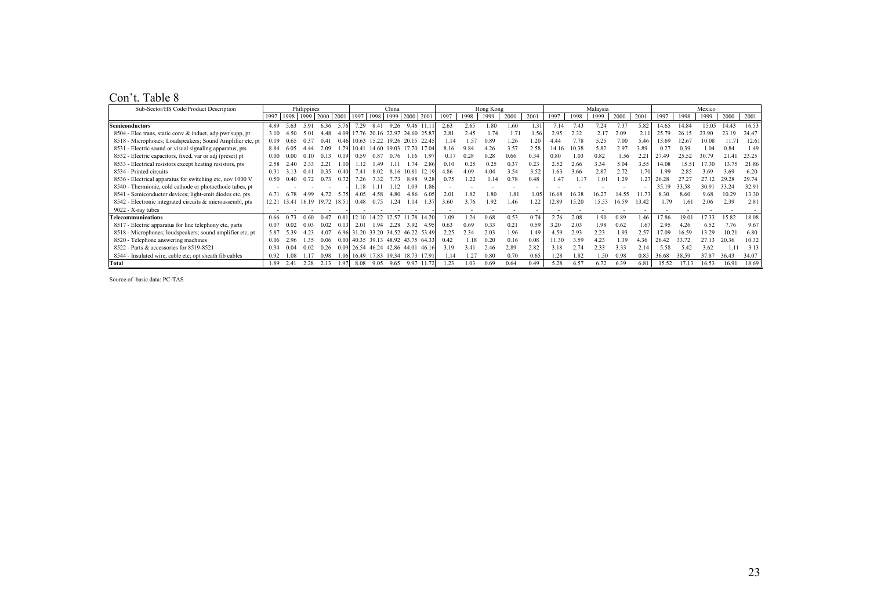#### Con't. Table 8

| Sub-Sector/HS Code/Product Description                    |       |       |                     | Philippines |       |             |       | China |                           |        |      |                | Hong Kong |      |       |       |      | Malaysia |       |       | Mexico |        |       |       |       |
|-----------------------------------------------------------|-------|-------|---------------------|-------------|-------|-------------|-------|-------|---------------------------|--------|------|----------------|-----------|------|-------|-------|------|----------|-------|-------|--------|--------|-------|-------|-------|
|                                                           |       |       | 1997 1998 1999 2000 |             |       | 2001 1997   | 1998  | 1999  | 2000                      | 2001   | 1997 | 1998           | 1999      | 2000 | 2001  | 1997  | 1998 | 1999     | 2000  | 2001  | 1997   | 1998   | 1999  | 2000  | 2001  |
| <b>Semiconductors</b>                                     | 489   | 5.63  | 591                 | 636         | 5.76  | 7.29        | 841   | 9.26  | 946 11 11                 |        | 2.63 | 2.65           | 80        | 1.60 | .31   | 7.14  | 743  | 7.24     | 7.37  | 5.82  | 14.65  | 14 84  | 1505  | 1443  | 16.53 |
| 8504 - Elec trans, static conv & induct, adp pwr supp, pt | 3.10  | 45 O  |                     | 4 4 8       |       |             |       |       | 776 2016 22 97 24 60 25 8 |        | 2.81 | 2.45           | 1.74      | 1.71 | .56   | 2.95  | 2.32 | 2.17     | 2.09  |       | 25.79  | 26. IS | 23 Q( | 23.19 | 24 47 |
| 8518 - Microphones; Loudspeakers; Sound Amplifier etc, pt | 19    | 0.65  |                     |             | 0 46  | 10.63       | 15.22 |       | 19 26 20 15 22 4          |        |      | 1.57           | 0.89      | .26  | .20   | 4 4 4 |      | 5.25     | 7.00  | 546   | 13.69  | 12.67  |       |       | 12.61 |
| 8531 - Electric sound or visual signaling apparatus, pts  | 884   |       |                     | 0۹ (        |       | 1041        | 14.60 | 19.03 |                           |        | 816  |                |           | 3.57 | 2.58  | 14.16 | 0.38 | 5.82     | 297   | 3.89  | 0.27   | 0.39   |       | 0.84  | 1.49  |
| 8532 - Electric capacitors, fixed, var or adj (preset) pt | 0.00  | 0.00  | -0.10               |             |       | 0.59        | 0.87  | 0.76  | -16                       | 19     |      | 0.28           | 0.28      | 0.66 | 0.34  | 0.80  | l 03 | 0.82     | 1.56  | 2.21  |        | 25 S.  | 30.79 | 2141  | 23.25 |
| 8533 - Electrical resistors except heating resistors, pts | 2.58  |       | ว วว                |             |       |             |       |       |                           | -2.86  | 0.10 | 0.25           | 0.25      | 0.37 | 0.23  | 2.52  | 2.66 | 3.34     | 5 0 4 | 3.55  | 14.08  |        | 730   |       | 21.86 |
| 8534 - Printed circuits                                   | 0.31  | 313   |                     | 0.35        |       | -41         | 8.02  | 816   | 10.81                     | 12.19  | 486  | 4.09           | 4.04      | 3.54 | 3.52  | 1.63  | 3.66 | 2.87     | 2 7 2 | -70   | 199    | 2.85   | 3.69  | 3.69  | 6.20  |
| 8536 - Electrical apparatus for switching etc, nov 1000 V | 0.50  | 0.40  |                     |             |       |             |       |       |                           |        | 0.75 | -22            |           | 0.78 | 0.48  | 1.47  |      | l () i   | .29   | 27    |        |        |       |       | 29 74 |
| 8540 - Thermionic, cold cathode or photocthode tubes, pt  |       |       |                     |             |       | 18          |       |       | 109                       | 86     |      |                |           |      |       |       |      |          |       |       | 35.19  | 33.58  | 30.91 | 33.24 | 32.91 |
| 8541 - Semiconductor devices; light-emit diodes etc. pts  | 6.71  | 6.78  | 4.99                |             | 5.75  | 4.05        | -58   | 4.80  | 486                       | -60    | 2.01 | -82            | 180       | 1.81 | 1 O.S | 16.68 | 638  | 162'     | 14.55 |       | 8.30   | 8.60   | 9.68  | 10.29 | 13.30 |
| 8542 - Electronic integrated circuits & microassembl, pts | 12 21 | 13.41 | 16.19               | 19.72 18.51 |       |             |       |       | 14                        | - 31   | 3.60 | 3.76           | l 92      | 146  | .22   | 12.89 | 5.20 | 15.53    | 16.59 | 13.42 | 179    | -6     | 2.06  | 2.39  | 2.81  |
| 9022 - X-ray tubes                                        |       |       |                     |             |       |             |       |       |                           |        |      |                |           |      |       |       |      |          |       |       |        |        |       |       |       |
| <b>Telecommunications</b>                                 |       |       | 0.60                | 0.47        |       | 1210        | 14 22 | 12.57 | 78                        | 142    | .09  | .24            | 0.68      | 0.53 | 0.74  | 2.76  | 2.08 | 1.90     | 0.89  | .46   | 7.86   | 19 0   | 17.33 | 15.82 | 18.08 |
| 8517 - Electric apparatus for line telephony etc, parts   |       | 0.02  | 0.03                | 0.02        |       | 2.01        | 194   | 2.28  | 392                       | -49    | 0.63 | 0.69           | 0.33      | 0.21 | 0.59  | 3 20  | 2.03 | 1.98     | 0.62  | 67    | 295    |        | 6.52  | 776   | 9.67  |
| 8518 - Microphones; loudspeakers; sound amplifier etc, pt | 5.87  |       |                     |             | 696   | 31.20       | 33 20 |       | 34 52 46 22               | -53.49 | 2.25 | 234            | 2.03      | 1.96 | -49   | 4.59  | 293  | 2.23     | -93   | 2.57  | 17 09  | 16.59  | 13.29 | 10.2  | 6.80  |
| 8520 - Telephone answering machines                       |       |       | 135                 | 0.06        | 0.001 | 40 35 39 13 |       |       | 48 92 43 75               | -64.33 |      | 118            | 0.20      | 016  | 0.08  | 1.30  | 3.59 | 4.23     | 39    | -36   | 26.40  |        | 2713  | 20.36 | 10.32 |
| 8522 - Parts & accessories for 8519-8521                  |       |       |                     |             |       | 26.54       | 46.24 | 42.86 | 44 O                      |        | 3.19 | 341            | , 46      | 2.89 | 2.82  | 3.18  |      | 233      | 3.33  |       | 5.58   | -5.43  | 3.62  |       | 3.13  |
| 8544 - Insulated wire, cable etc; opt sheath fib cables   | 0.92  | 08    |                     | 0.98        | -06   | 1649        | 1783  | 19.34 | 18.73                     |        |      |                | 0.80      | 0.70 | 0.65  | .28   | . 82 | .50      | 0.98  | 0.85  | 36.68  | 38.59  | 37.87 | 36.43 | 34.07 |
| Total                                                     | 189   |       | 2.28                |             |       | 8.08        | 9.05  | 9.65  | 9.97                      |        |      | 0 <sup>3</sup> | 0.69      | 0.64 | 0.49  | 5.28  | 6.57 | 6.72     | 6.39  | 6.81  | 15.52  |        | 16.53 | 1691  | 18.69 |

Source of basic data: PC-TAS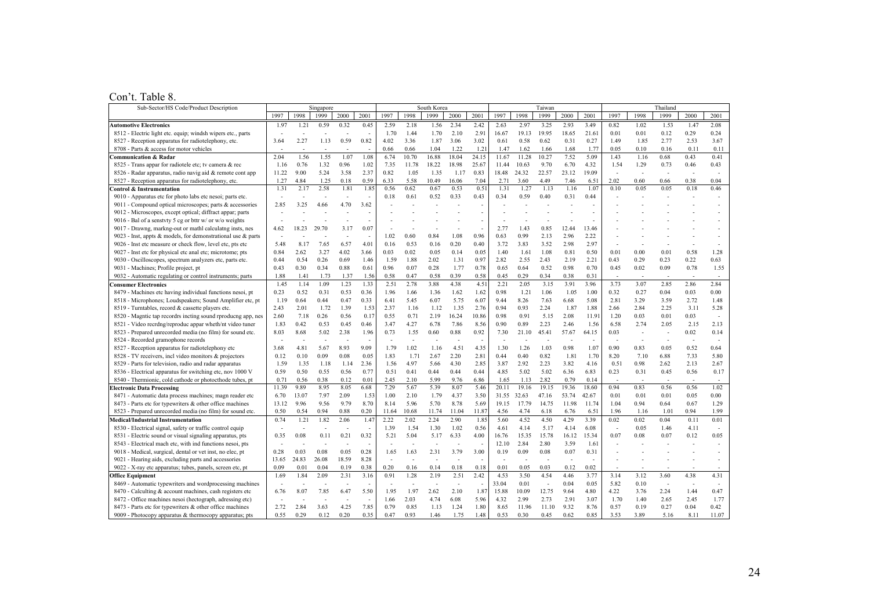#### Con't. Table 8.

| Sub-Sector/HS Code/Product Description                       |                |       | Singapore      |                |                |                |       | South Korea |       |       |       |       | Taiwan |       |        |        |                          | Thailand                 |        |                          |
|--------------------------------------------------------------|----------------|-------|----------------|----------------|----------------|----------------|-------|-------------|-------|-------|-------|-------|--------|-------|--------|--------|--------------------------|--------------------------|--------|--------------------------|
|                                                              | 1997           | 1998  | 1999           | 2000           | 2001           | 1997           | 1998  | 1999        | 2000  | 200   | 1997  | 1998  | 1999   | 2000  | 2001   | 1997   | 1998                     | 1999                     | 2000   | 2001                     |
| <b>Automotive Electronics</b>                                | 197            | 1.21  | 0.59           | 0.32           | 0.45           | 2.59           | 2.18  | 1.56        | 2.34  | 2.42  | 2.63  | 2.97  | 3.25   | 2.93  | 3.49   | 0.82   | 1.02                     | 1.53                     | 147    | 2.08                     |
| 8512 - Electric light etc. equip; windsh wipers etc., parts  |                |       |                |                | J.             | 1.70           | 1.44  | 1.70        | 2.10  | 2.9   | 16.67 | 19.13 | 19.95  | 18.65 | 21.61  | 0.01   | 0.01                     | 0.12                     | 0.29   | 0.24                     |
| 8527 - Reception apparatus for radiotelephony, etc.          | 3.64           | 2.27  | 1.13           | 0.59           | 0.82           | 4.02           | 3.36  | 1.87        | 3.06  | 3.02  | 0.61  | 0.58  | 0.62   | 0.31  | 0.27   | 1.49   | 1.85                     | 2.77                     | 2.53   | 3.67                     |
| 8708 - Parts & access for motor vehicles                     |                |       |                |                |                | 0.66           | 0.66  | 1.04        | 1.22  | 1.2   | 1.47  | 1.62  | 1.66   | 1.68  | 1.77   | 0.05   | 0.10                     | 0.16                     | 0.11   | 0.11                     |
| Communication & Radar                                        | 2.04           | 1.56  | 1.55           | 1.07           | 1.08           | 6.74           | 10.70 | 16.88       | 18.04 | 24.15 | 11.67 | 11.28 | 10.27  | 7.52  | 5.09   | 143    | 1.16                     | 0.68                     | 0.43   | 0.41                     |
| 8525 - Trans appar for radiotele etc; tv camera & rec        | 1.16           | 0.76  | 1.32           | 0.96           | 1.02           | 7.35           | 11.78 | 18.22       | 18.98 | 25.67 | 11.44 | 10.63 | 9.70   | 6.70  | 4.32   | 1.54   | 1.29                     | 0.73                     | 0.46   | 0.43                     |
| 8526 - Radar apparatus, radio navig aid & remote cont app    | 11.22          | 9.00  | 5.24           | 3.58           | 2.37           | 0.82           | 1.05  | 1.35        | 1.17  | 0.83  | 18.48 | 24.32 | 22.57  | 23.12 | 19.09  |        | ÷,                       | J.                       | $\sim$ |                          |
| 8527 - Reception apparatus for radiotelephony, etc.          | 1.27           | 4.84  | 1.25           | 0.18           | 0.59           | 6.33           | 5.58  | 10.49       | 16.06 | 7.04  | 2.71  | 3.60  | 4.49   | 7.46  | 6.51   | 2.02   | 0.60                     | 0.66                     | 0.38   | 0.04                     |
| Control & Instrumentation                                    | 1.31           | 2.17  | 2.58           | 1.81           | 1.85           | 0.56           | 0.62  | 0.67        | 0.53  | 0.51  | 1.31  | 1.27  | 1.13   | 1.16  | 1.07   | 0.10   | 0.05                     | 0.05                     | 0.18   | 0.46                     |
| 9010 - Apparatus etc for photo labs etc nesoi; parts etc.    | $\overline{a}$ |       |                | $\overline{a}$ | ÷,             | 0.18           | 0.61  | 0.52        | 0.33  | 0.43  | 0.34  | 0.59  | 0.40   | 0.31  | 0.44   |        |                          |                          |        |                          |
| 9011 - Compound optical microscopes; parts & accessories     | 2.85           | 3.25  | 4.66           | 4.70           | 3.62           |                |       |             |       |       |       |       |        |       |        |        |                          |                          |        |                          |
| 9012 - Microscopes, except optical; diffract appar; parts    |                |       |                |                |                |                |       |             |       |       |       |       |        |       |        |        |                          |                          |        |                          |
| 9016 - Bal of a senstvty 5 cg or bttr w/ or w/o weights      |                |       |                |                |                |                |       |             |       |       |       |       |        |       |        |        |                          |                          |        |                          |
| 9017 - Drawng, markng-out or mathl calculatng insts, nes     | 4.62           | 18.23 | 29.70          | 3.17           | 0.07           |                |       |             | ÷,    |       | 2.77  | 1.43  | 0.85   | 12.44 | 13.46  |        |                          |                          |        |                          |
| 9023 - Inst, appts & models, for demonstrational use & parts |                |       |                |                |                | 1.02           | 0.60  | 0.84        | 1.08  | 0.96  | 0.63  | 0.99  | 2.13   | 2.96  | 2.22   |        |                          |                          |        |                          |
| 9026 - Inst etc measure or check flow, level etc, pts etc    | 5.48           | 8.17  | 7.65           | 6.57           | 4.01           | 0.16           | 0.53  | 0.16        | 0.20  | 0.40  | 3.72  | 3.83  | 3.52   | 2.98  | 2.97   |        |                          |                          |        |                          |
| 9027 - Inst etc for physical etc anal etc; microtome; pts    | 0.84           | 2.62  | 3.27           | 4.02           | 3.66           | 0.03           | 0.02  | 0.05        | 0.14  | 0.05  | 1.40  | 1.61  | 1.08   | 0.81  | 0.50   | 0.01   | 0.00                     | 0.01                     | 0.58   | 1.28                     |
| 9030 - Oscilloscopes, spectrum analyzers etc, parts etc.     | 0.44           | 0.54  | 0.26           | 0.69           | 1.46           | 1.59           | 1.88  | 2.02        | 1.31  | 0.97  | 2.82  | 2.55  | 2.43   | 2.19  | 2.21   | 0.43   | 0.29                     | 0.23                     | 0.22   | 0.63                     |
| 9031 - Machines; Profile project, pt                         | 0.43           | 0.30  | 0.34           | 0.88           | 0.61           | 0.96           | 0.07  | 0.28        | 1.77  | 0.78  | 0.65  | 0.64  | 0.52   | 0.98  | 0.70   | 0.45   | 0.02                     | 0.09                     | 0.78   | 1.55                     |
| 9032 - Automatic regulating or control instruments; parts    | 1.88           | 1.41  | 1.73           | 1.37           | 1.56           | 0.58           | 0.47  | 0.58        | 0.39  | 0.58  | 0.45  | 0.29  | 0.34   | 0.38  | 0.31   |        | $\overline{\phantom{a}}$ | $\overline{\phantom{a}}$ | $\sim$ | $\overline{\phantom{a}}$ |
| <b>Consumer Electronics</b>                                  | 1.45           | 1.14  | 1.09           | 1.23           | 1.33           | 2.51           | 2.78  | 3.88        | 4.38  | 4.51  | 2.21  | 2.05  | 3.15   | 3.91  | 3.96   | 3.73   | 3.07                     | 2.85                     | 2.86   | 2.84                     |
| 8479 - Machines etc having individual functions nesoi, pt    | 0.23           | 0.52  | 0.31           | 0.53           | 0.36           | 1.96           | 1.66  | 1.36        | 1.62  | 1.62  | 0.98  | 1.21  | 1.06   | 1.05  | 1.00   | 0.32   | 0.27                     | 0.04                     | 0.03   | 0.00                     |
| 8518 - Microphones; Loudspeakers; Sound Amplifier etc, pt    | 1.19           | 0.64  | 0.44           | 0.47           | 0.33           | 6.41           | 5.45  | 6.07        | 5.75  | 6.07  | 9.44  | 8.26  | 7.63   | 6.68  | 5.08   | 2.81   | 3.29                     | 3.59                     | 2.72   | 1.48                     |
| 8519 - Turntables, record & cassette players etc.            | 2.43           | 2.01  | 1.72           | 1.39           | 1.53           | 2.37           | 1.16  | 1.12        | 1.35  | 2.76  | 0.94  | 0.93  | 2.24   | 1.87  | 1.88   | 2.66   | 2.84                     | 2.25                     | 3.11   | 5.28                     |
| 8520 - Magntic tap recordrs incting sound rproducng app, nes | 2.60           | 7.18  | 0.26           | 0.56           | 0.17           | 0.55           | 0.71  | 2.19        | 16.24 | 10.86 | 0.98  | 0.91  | 5.15   | 2.08  | 11.9   | 1.20   | 0.03                     | 0.01                     | 0.03   |                          |
| 8521 - Video recrdng/reproduc appar wheth/nt video tuner     | 1.83           | 0.42  | 0.53           | 0.45           | 0.46           | 3.47           | 4.27  | 6.78        | 7.86  | 8.56  | 0.90  | 0.89  | 2.23   | 2.46  | 1.56   | 6.58   | 2.74                     | 2.05                     | 2.15   | 2.13                     |
| 8523 - Prepared unrecorded media (no film) for sound etc.    | 8.03           | 8.68  | 5.02           | 2.38           | 1.96           | 0.73           | 1.55  | 0.60        | 0.88  | 0.92  | 7.30  | 21.10 | 45.41  | 57.67 | 64.15  | 0.03   | ÷,                       | $\overline{a}$           | 0.02   | 0.14                     |
| 8524 - Recorded gramophone records                           |                |       | $\overline{a}$ |                | $\overline{a}$ | $\overline{a}$ |       |             | J.    |       | ÷,    | ÷,    | L.     |       | $\sim$ |        | ÷,                       | $\sim$                   | $\sim$ |                          |
| 8527 - Reception apparatus for radiotelephony etc            | 3.68           | 4.81  | 5.67           | 8.93           | 9.09           | 1.79           | 1.02  | 1.16        | 4.51  | 4.35  | 1.30  | 1.26  | 1.03   | 0.98  | 1.07   | 0.90   | 0.83                     | 0.05                     | 0.52   | 0.64                     |
| 8528 - TV receivers, incl video monitors & projectors        | 0.12           | 0.10  | 0.09           | 0.08           | 0.05           | 1.83           | 1.71  | 2.67        | 2.20  | 2.81  | 0.44  | 0.40  | 0.82   | 1.81  | 1.70   | 8.20   | 7.10                     | 6.88                     | 7.33   | 5.80                     |
| 8529 - Parts for television, radio and radar apparatus       | 1.59           | 1.35  | 1.18           | 1.14           | 2.36           | 1.56           | 4.97  | 5.66        | 4.30  | 2.85  | 3.87  | 2.92  | 2.23   | 3.82  | 4.16   | 0.51   | 0.98                     | 2.62                     | 2.13   | 2.67                     |
| 8536 - Electrical apparatus for switching etc, nov 1000 V    | 0.59           | 0.50  | 0.55           | 0.56           | 0.77           | 0.51           | 0.41  | 0.44        | 0.44  | 0.44  | 4.85  | 5.02  | 5.02   | 6.36  | 6.83   | 0.23   | 0.31                     | 0.45                     | 0.56   | 0.17                     |
| 8540 - Thermionic, cold cathode or photocthode tubes, pt     | 0.71           | 0.56  | 0.38           | 0.12           | 0.01           | 2.45           | 2.10  | 5.99        | 9.76  | 6.86  | 1.65  | 1.13  | 2.82   | 0.79  | 0.14   | $\sim$ | $\overline{a}$           | $\sim$                   | $\sim$ | $\sim$                   |
| <b>Electronic Data Processing</b>                            | 11.39          | 9.89  | 8.95           | 8.05           | 6.68           | 7.29           | 5.67  | 5.39        | 8.07  | 5.46  | 20.11 | 19.16 | 19.15  | 19.36 | 18.60  | 0.94   | 0.83                     | 0.56                     | 0.56   | 1.02                     |
| 8471 - Automatic data process machines; magn reader etc      | 6.70           | 13.07 | 7.97           | 2.09           | 1.53           | 1.00           | 2.10  | 1.79        | 4.37  | 3.50  | 31.55 | 32.63 | 47.16  | 53.74 | 42.67  | 0.01   | 0.01                     | 0.01                     | 0.05   | 0.00                     |
| 8473 - Parts etc for typewriters & other office machines     | 13.12          | 9.96  | 9.56           | 9.79           | 8.70           | 8.14           | 5.96  | 5.70        | 8.78  | 5.69  | 19.15 | 17.79 | 14.75  | 11.98 | 11.74  | 1.04   | 0.94                     | 0.64                     | 0.67   | 1.29                     |
| 8523 - Prepared unrecorded media (no film) for sound etc.    | 0.50           | 0.54  | 0.94           | 0.88           | 0.20           | 11.64          | 10.68 | 11.74       | 11.04 | 11.87 | 4.56  | 4.74  | 6.18   | 6.76  | 6.51   | 1.96   | 1.16                     | 1.01                     | 0.94   | 1.99                     |
| <b>Medical/Industrial Instrumentation</b>                    | 0.74           | 1.21  | 1.82           | 2.06           | 1.47           | 2.22           | 2.02  | 2.24        | 2.90  | 1.85  | 5.60  | 4.52  | 4.50   | 4.29  | 3.39   | 0.02   | 0.02                     | 0.04                     | 0.11   | 0.01                     |
| 8530 - Electrical signal, safety or traffic control equip    |                |       |                |                | $\sim$         | 1.39           | 1.54  | 1.30        | 1.02  | 0.56  | 4.61  | 4.14  | 5.17   | 4.14  | 6.08   |        | 0.05                     | 1.46                     | 4.11   |                          |
| 8531 - Electric sound or visual signaling apparatus, pts     | 0.35           | 0.08  | 0.11           | 0.21           | 0.32           | 5.21           | 5.04  | 5.17        | 6.33  | 4.00  | 16.76 | 15.35 | 15.78  | 16.12 | 15.34  | 0.07   | 0.08                     | 0.07                     | 0.12   | 0.05                     |
| 8543 - Electrical mach etc, with ind functions nesoi, pts    |                |       |                |                |                |                |       |             |       |       | 12.10 | 2.84  | 2.80   | 3.59  | 1.61   |        |                          |                          |        |                          |
| 9018 - Medical, surgical, dental or vet inst, no elec, pt    | 0.28           | 0.03  | 0.08           | 0.05           | 0.28           | 1.65           | 1.63  | 2.31        | 3.79  | 3.00  | 0.19  | 0.09  | 0.08   | 0.07  | 0.31   |        |                          |                          |        |                          |
| 9021 - Hearing aids, excluding parts and accessories         | 13.65          | 24.83 | 26.08          | 18.59          | 8.28           |                |       |             |       |       |       |       |        |       |        |        |                          |                          |        |                          |
| 9022 - X-ray etc apparatus; tubes, panels, screen etc, pt    | 0.09           | 0.01  | 0.04           | 0.19           | 0.38           | 0.20           | 0.16  | 0.14        | 0.18  | 0.18  | 0.01  | 0.05  | 0.03   | 0.12  | 0.02   |        |                          |                          |        |                          |
| <b>Office Equipment</b>                                      | 1.69           | 1.84  | 2.09           | 2.31           | 3.16           | 0.91           | 1.28  | 2.19        | 2.51  | 2.42  | 4.53  | 3.50  | 4.54   | 4.46  | 3.77   | 3.14   | 3.12                     | 3.60                     | 4.38   | 4.31                     |
| 8469 - Automatic typewriters and wordprocessing machines     |                |       |                |                |                |                |       |             |       |       | 33.04 | 0.01  |        | 0.04  | 0.05   | 5.82   | 0.10                     |                          |        |                          |
| 8470 - Calculting & account machines, cash registers etc     | 6.76           | 8.07  | 7.85           | 6.47           | 5.50           | 1.95           | 1.97  | 2.62        | 2.10  | 1.87  | 15.88 | 10.09 | 12.75  | 9.64  | 4.80   | 4.22   | 3.76                     | 2.24                     | 1.44   | 0.47                     |
| 8472 - Office machines nesoi (hectograph, adressing etc)     |                |       |                |                | $\overline{a}$ | 1.66           | 2.03  | 4.74        | 6.08  | 5.96  | 4.32  | 2.99  | 2.73   | 2.91  | 3.07   | 1.70   | 1.40                     | 2.65                     | 2.45   | 1.77                     |
| 8473 - Parts etc for typewriters & other office machines     | 2.72           | 2.84  | 3.63           | 4.25           | 7.85           | 0.79           | 0.85  | 1.13        | 1.24  | 1.80  | 8.65  | 11.96 | 11.10  | 9.32  | 8.76   | 0.57   | 0.19                     | 0.27                     | 0.04   | 0.42                     |
| 9009 - Photocopy apparatus & thermocopy apparatus; pts       | 0.55           | 0.29  | 0.12           | 0.20           | 0.35           | 0.47           | 0.93  | 1.46        | 1.75  | 1.48  | 0.53  | 0.30  | 0.45   | 0.62  | 0.85   | 3.53   | 3.89                     | 5.16                     | 8.11   | 11.07                    |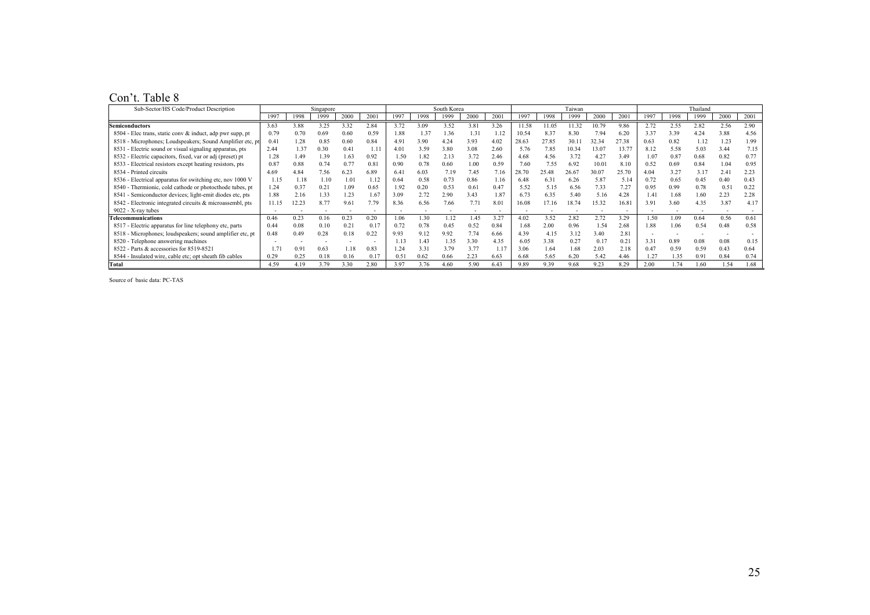#### Con't. Table 8

| Sub-Sector/HS Code/Product Description                    |       |       | Singapore |      |      |      |      | South Korea |               |               |       |       | Taiwan |       |                |      |      | Thailand |      |       |
|-----------------------------------------------------------|-------|-------|-----------|------|------|------|------|-------------|---------------|---------------|-------|-------|--------|-------|----------------|------|------|----------|------|-------|
|                                                           | 1997  | 1998  | 1999      | 2000 | 2001 | 1997 | 1998 | 1999        | 2000          | 2001          | 1997  | 1998  | 1999   | 2000  | 2001           | 1997 | 1998 | 1999     | 2000 | 2001  |
| <b>Semiconductors</b>                                     | 3.63  | 3.88  | 3.25      | 3.32 | 2.84 | 3.72 | 3.09 | 3.52        | 3.81          | 3.26          | 11.58 | 11.05 | 11.32  | 10.79 | 9.86           | 2.72 | 2.55 | 2.82     | 2.56 | 2.90  |
| 8504 - Elec trans, static conv & induct, adp pwr supp, pt | 0.79  | 0.70  | 0.69      | 0.60 | 0.59 | 1.88 | 1.37 | 1.36        | $1.3^{\circ}$ | 1.12          | 10.54 | 8.37  | 8.30   | 7.94  | 6.20           | 3.37 | 3.39 | 4.24     | 3.88 | 4.56  |
| 8518 - Microphones; Loudspeakers; Sound Amplifier etc. pt | 0.41  | .28   | 0.85      | 0.60 | 0.84 | 4.91 | 3.90 | 4.24        | 3.93          | 4.02          | 28.63 | 27.85 | 30 1   | 32.34 | 2738           | 0.63 | 0.82 | 1.12     | 1.23 | .99   |
| 8531 - Electric sound or visual signaling apparatus, pts  | 2 4 4 | 1.37  | 0.30      | 041  | 1.11 | 4.01 | 3.59 | 3.80        | 3.08          | 2.60          | 5.76  | 7.85  | 10.34  | 13.07 | $13.7^{\circ}$ | 8.12 | 5.58 | 5.03     | 3.44 | 7.15  |
| 8532 - Electric capacitors, fixed, var or adj (preset) pt | 1.28  | 1.49  | 1.39      | 1.63 | 0.92 | 1.50 | 1.82 | 2.13        | 3.72          | 2.46          | 4.68  | 4.56  | 3.72   | 4.27  | 3.49           | 1.07 | 0.87 | 0.68     | 0.82 |       |
| 8533 - Electrical resistors except heating resistors, pts | 0.87  | 0.88  | 0.74      | 0.77 | 0.81 | 0.90 | 0.78 | 0.60        | .00           | 0.59          | 7.60  | 7.55  | 6.92   | 10.01 | 8.10           | 0.52 | 0.69 | 0.84     | 1.04 | 0.95  |
| 8534 - Printed circuits                                   | 4.69  | 4 8 4 | 7.56      | 6.23 | 6.89 | 6.41 | 6.03 | 7.19        | 7.45          | 7.16          | 28.70 | 25.48 | 26.67  | 30.07 | 25.70          | 4.04 | 3.27 | 3.17     | 2.41 | 2.23  |
| 8536 - Electrical apparatus for switching etc, nov 1000 V | 1.15  |       | 1.10      | 1.01 | 1.12 | 0.64 | 0.58 | 0.73        | 0.86          | 1.16          | 6.48  | 6.31  | 6.26   | 5.87  | 5.14           | 0.72 | 0.65 | 0.45     | 0.40 | 0.43  |
| 8540 - Thermionic, cold cathode or photocthode tubes, pt  | 1.24  | 0.37  | 0.21      | 1.09 | 0.65 | 1.92 | 0.20 | 0.53        | 0.61          | 0.47          | 5.52  | 5.15  | 6.56   | 7.33  | 7.27           | 0.95 | 0.99 | 0.78     | 0.51 | 0.22  |
| 8541 - Semiconductor devices; light-emit diodes etc. pts  | 188   | 2.16  | 1.33      | 1.23 | 1.67 | 3.09 | 2.72 | 2.90        | 3.43          | 1.87          | 6.73  | 6.35  | 5.40   | 5.16  | 4.28           | 1.41 | 1.68 | 1 60     | 2.23 | 2.28  |
| 8542 - Electronic integrated circuits & microassembl, pts | 11.15 | 12.23 | 8.77      | 9.61 | 7.79 | 836  | 6.56 | 7.66        |               | 8.01          | 16.08 | 17.16 | 1874   | 15.32 | 16.81          | 3.91 | 3.60 | 4.35     | 3.87 | 4 1 7 |
| $9022 - X$ -ray tubes                                     |       |       |           |      |      |      |      |             |               |               |       |       |        |       |                |      |      |          |      |       |
| Telecommunications                                        | 0.46  | 0.23  | 0.16      | 0.23 | 0.20 | .06  | .30  | .12         | .45           | 3.27          | 4.02  | 3.52  | 2.82   | 2.72  | 3.29           | 1.50 | .09  | 0.64     | 0.56 | 0.61  |
| 8517 - Electric apparatus for line telephony etc. parts   | 0.44  | 0.08  | 0.10      | 0.21 | 0.17 | 0.72 | 0.78 | 0.45        | 0.52          | 0.84          | 1.68  | 2.00  | 0.96   | 1.54  | 2.68           | 1.88 | 1.06 | 0.54     | 0.48 | 0.58  |
| 8518 - Microphones; loudspeakers; sound amplifier etc. pt | 0.48  | 0.49  | 0.28      | 0.18 | 0.22 | 9.93 | 9.12 | 9.92        | 7.74          | 6.66          | 4.39  | 4.15  | 3.12   | 3.40  | 2.81           |      |      |          |      |       |
| 8520 - Telephone answering machines                       |       |       |           |      |      | 113  | l.43 | . 35        | 3.30          | 4.35          | 6.05  | 3.38  | 0.27   | 0.17  | 0.21           | 3.31 | 0.89 | 0.08     | 0.08 | 0.15  |
| 8522 - Parts & accessories for 8519-8521                  |       | 09    | 0.63      | 18   | 0.83 | .24  | 3.31 | 3.79        | 3.77          | $1.1^{\circ}$ | 3.06  | 1.64  | 1.68   | 2.03  | 2.18           | 0.47 | 0.59 | 0.59     | 0.43 | 0.64  |
| 8544 - Insulated wire, cable etc; opt sheath fib cables   | 0.29  | 0.25  | 0.18      | 0.16 | 0.17 | 0.5  | 0.62 | 0.66        | 2.23          | 6.63          | 6.68  | 5.65  | 6.20   | 5.42  | 4.46           | . 27 | .35  | 0.91     | 0.84 | 0.74  |
| <b>Total</b>                                              | 4.59  | 4.19  | 3.79      | 3.30 | 2.80 | 3.97 | 3.76 | 4.60        | 5.90          | 6.43          | 9.89  | 9.39  | 9.68   | 9.23  | 8.29           | 2.00 | 1.74 | 1.60     | 1.54 | .68   |

Source of basic data: PC-TAS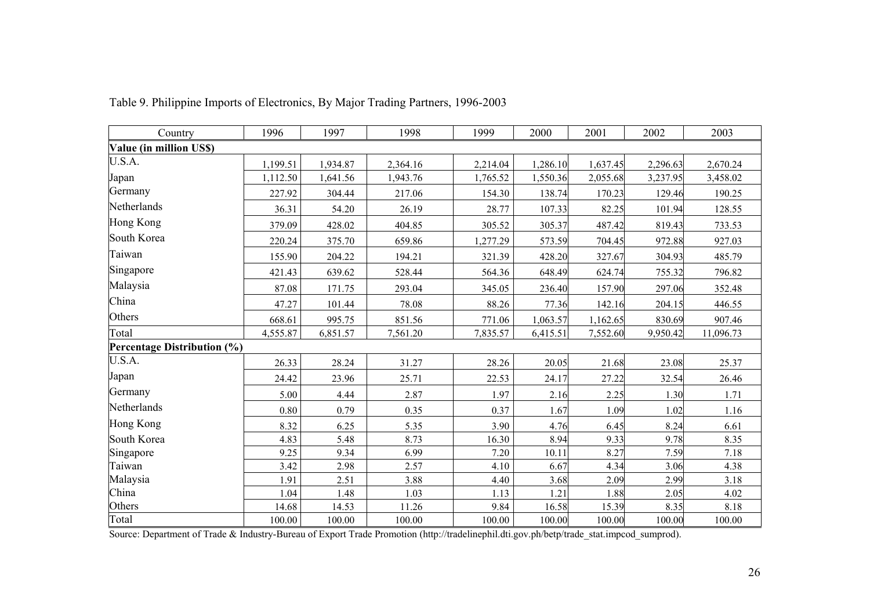| Country                     | 1996     | 1997     | 1998     | 1999     | 2000     | 2001     | 2002     | 2003      |
|-----------------------------|----------|----------|----------|----------|----------|----------|----------|-----------|
| Value (in million US\$)     |          |          |          |          |          |          |          |           |
| U.S.A.                      | 1,199.51 | 1,934.87 | 2,364.16 | 2,214.04 | 1,286.10 | 1,637.45 | 2,296.63 | 2,670.24  |
| Japan                       | 1,112.50 | 1,641.56 | 1,943.76 | 1,765.52 | 1,550.36 | 2,055.68 | 3,237.95 | 3,458.02  |
| Germany                     | 227.92   | 304.44   | 217.06   | 154.30   | 138.74   | 170.23   | 129.46   | 190.25    |
| Netherlands                 | 36.31    | 54.20    | 26.19    | 28.77    | 107.33   | 82.25    | 101.94   | 128.55    |
| Hong Kong                   | 379.09   | 428.02   | 404.85   | 305.52   | 305.37   | 487.42   | 819.43   | 733.53    |
| South Korea                 | 220.24   | 375.70   | 659.86   | 1,277.29 | 573.59   | 704.45   | 972.88   | 927.03    |
| Taiwan                      | 155.90   | 204.22   | 194.21   | 321.39   | 428.20   | 327.67   | 304.93   | 485.79    |
| Singapore                   | 421.43   | 639.62   | 528.44   | 564.36   | 648.49   | 624.74   | 755.32   | 796.82    |
| Malaysia                    | 87.08    | 171.75   | 293.04   | 345.05   | 236.40   | 157.90   | 297.06   | 352.48    |
| China                       | 47.27    | 101.44   | 78.08    | 88.26    | 77.36    | 142.16   | 204.15   | 446.55    |
| Others                      | 668.61   | 995.75   | 851.56   | 771.06   | 1,063.57 | 1,162.65 | 830.69   | 907.46    |
| Total                       | 4,555.87 | 6,851.57 | 7,561.20 | 7,835.57 | 6,415.51 | 7,552.60 | 9,950.42 | 11,096.73 |
| Percentage Distribution (%) |          |          |          |          |          |          |          |           |
| U.S.A.                      | 26.33    | 28.24    | 31.27    | 28.26    | 20.05    | 21.68    | 23.08    | 25.37     |
| Japan                       | 24.42    | 23.96    | 25.71    | 22.53    | 24.17    | 27.22    | 32.54    | 26.46     |
| Germany                     | 5.00     | 4.44     | 2.87     | 1.97     | 2.16     | 2.25     | 1.30     | 1.71      |
| Netherlands                 | 0.80     | 0.79     | 0.35     | 0.37     | 1.67     | 1.09     | 1.02     | 1.16      |
| Hong Kong                   | 8.32     | 6.25     | 5.35     | 3.90     | 4.76     | 6.45     | 8.24     | 6.61      |
| South Korea                 | 4.83     | 5.48     | 8.73     | 16.30    | 8.94     | 9.33     | 9.78     | 8.35      |
| Singapore                   | 9.25     | 9.34     | 6.99     | 7.20     | 10.11    | 8.27     | 7.59     | 7.18      |
| Taiwan                      | 3.42     | 2.98     | 2.57     | 4.10     | 6.67     | 4.34     | 3.06     | 4.38      |
| Malaysia                    | 1.91     | 2.51     | 3.88     | 4.40     | 3.68     | 2.09     | 2.99     | 3.18      |
| China                       | 1.04     | 1.48     | 1.03     | 1.13     | 1.21     | 1.88     | 2.05     | 4.02      |
| Others                      | 14.68    | 14.53    | 11.26    | 9.84     | 16.58    | 15.39    | 8.35     | 8.18      |
| Total                       | 100.00   | 100.00   | 100.00   | 100.00   | 100.00   | 100.00   | 100.00   | 100.00    |

Table 9. Philippine Imports of Electronics, By Major Trading Partners, 1996-2003

Source: Department of Trade & Industry-Bureau of Export Trade Promotion (http://tradelinephil.dti.gov.ph/betp/trade\_stat.impcod\_sumprod).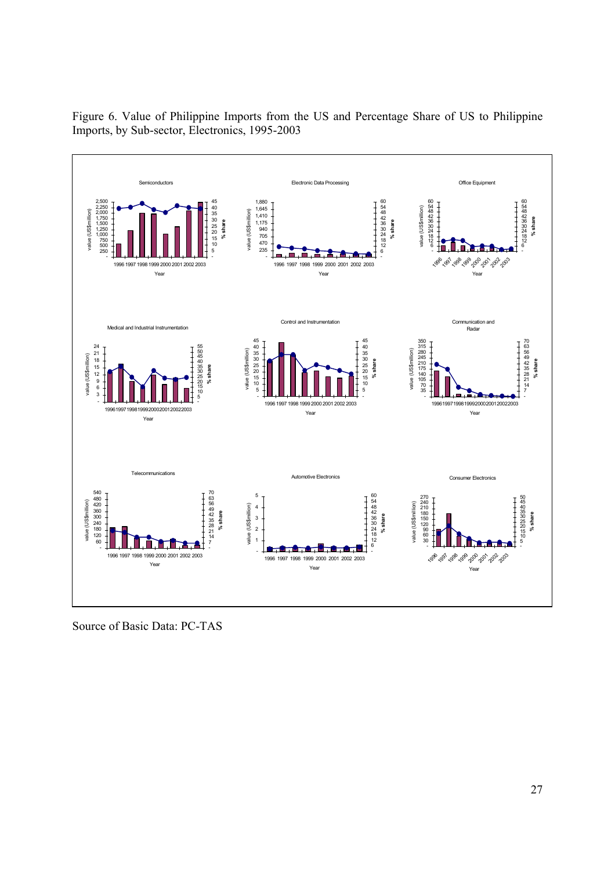

Figure 6. Value of Philippine Imports from the US and Percentage Share of US to Philippine Imports, by Sub-sector, Electronics, 1995-2003

Source of Basic Data: PC-TAS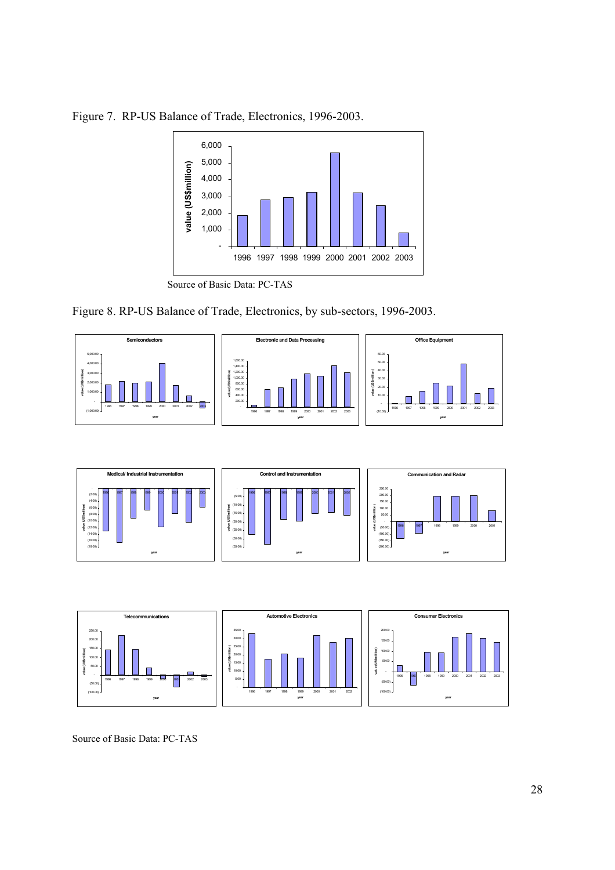

Figure 7. RP-US Balance of Trade, Electronics, 1996-2003.

Figure 8. RP-US Balance of Trade, Electronics, by sub-sectors, 1996-2003.







Source of Basic Data: PC-TAS

Source of Basic Data: PC-TAS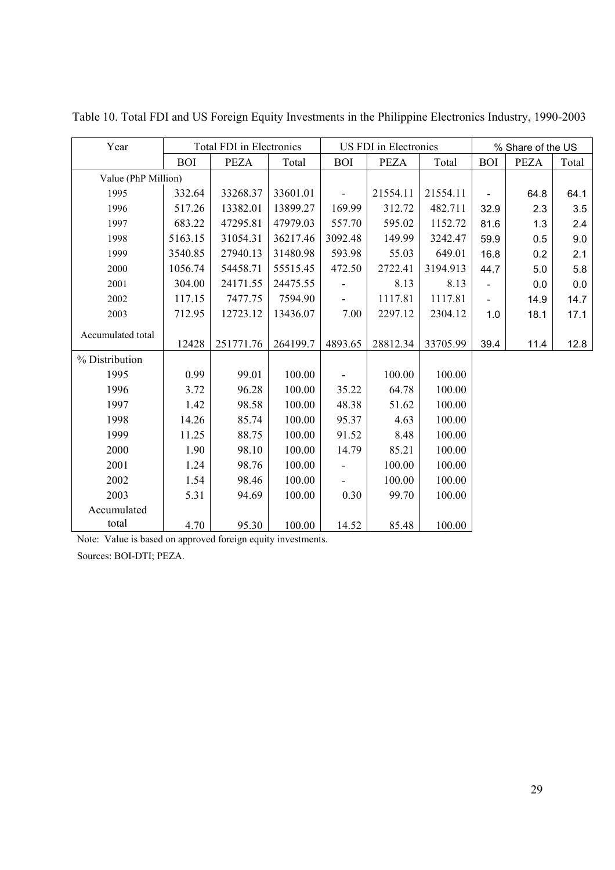| Year                |            | <b>Total FDI</b> in Electronics |          |                          | US FDI in Electronics |          | % Share of the US        |             |       |  |
|---------------------|------------|---------------------------------|----------|--------------------------|-----------------------|----------|--------------------------|-------------|-------|--|
|                     | <b>BOI</b> | <b>PEZA</b>                     | Total    | <b>BOI</b>               | <b>PEZA</b>           | Total    | <b>BOI</b>               | <b>PEZA</b> | Total |  |
| Value (PhP Million) |            |                                 |          |                          |                       |          |                          |             |       |  |
| 1995                | 332.64     | 33268.37                        | 33601.01 |                          | 21554.11              | 21554.11 | $\overline{\phantom{a}}$ | 64.8        | 64.1  |  |
| 1996                | 517.26     | 13382.01                        | 13899.27 | 169.99                   | 312.72                | 482.711  | 32.9                     | 2.3         | 3.5   |  |
| 1997                | 683.22     | 47295.81                        | 47979.03 | 557.70                   | 595.02                | 1152.72  | 81.6                     | 1.3         | 2.4   |  |
| 1998                | 5163.15    | 31054.31                        | 36217.46 | 3092.48                  | 149.99                | 3242.47  | 59.9                     | 0.5         | 9.0   |  |
| 1999                | 3540.85    | 27940.13                        | 31480.98 | 593.98                   | 55.03                 | 649.01   | 16.8                     | 0.2         | 2.1   |  |
| 2000                | 1056.74    | 54458.71                        | 55515.45 | 472.50                   | 2722.41               | 3194.913 | 44.7                     | 5.0         | 5.8   |  |
| 2001                | 304.00     | 24171.55                        | 24475.55 |                          | 8.13                  | 8.13     |                          | 0.0         | 0.0   |  |
| 2002                | 117.15     | 7477.75                         | 7594.90  | $\overline{\phantom{a}}$ | 1117.81               | 1117.81  | $\blacksquare$           | 14.9        | 14.7  |  |
| 2003                | 712.95     | 12723.12                        | 13436.07 | 7.00                     | 2297.12               | 2304.12  | 1.0                      | 18.1        | 17.1  |  |
| Accumulated total   |            |                                 |          |                          |                       |          |                          |             |       |  |
|                     | 12428      | 251771.76                       | 264199.7 | 4893.65                  | 28812.34              | 33705.99 | 39.4                     | 11.4        | 12.8  |  |
| % Distribution      |            |                                 |          |                          |                       |          |                          |             |       |  |
| 1995                | 0.99       | 99.01                           | 100.00   |                          | 100.00                | 100.00   |                          |             |       |  |
| 1996                | 3.72       | 96.28                           | 100.00   | 35.22                    | 64.78                 | 100.00   |                          |             |       |  |
| 1997                | 1.42       | 98.58                           | 100.00   | 48.38                    | 51.62                 | 100.00   |                          |             |       |  |
| 1998                | 14.26      | 85.74                           | 100.00   | 95.37                    | 4.63                  | 100.00   |                          |             |       |  |
| 1999                | 11.25      | 88.75                           | 100.00   | 91.52                    | 8.48                  | 100.00   |                          |             |       |  |
| 2000                | 1.90       | 98.10                           | 100.00   | 14.79                    | 85.21                 | 100.00   |                          |             |       |  |
| 2001                | 1.24       | 98.76                           | 100.00   |                          | 100.00                | 100.00   |                          |             |       |  |
| 2002                | 1.54       | 98.46                           | 100.00   |                          | 100.00                | 100.00   |                          |             |       |  |
| 2003                | 5.31       | 94.69                           | 100.00   | 0.30                     | 99.70                 | 100.00   |                          |             |       |  |
| Accumulated         |            |                                 |          |                          |                       |          |                          |             |       |  |
| total               | 4.70       | 95.30                           | 100.00   | 14.52                    | 85.48                 | 100.00   |                          |             |       |  |

Table 10. Total FDI and US Foreign Equity Investments in the Philippine Electronics Industry, 1990-2003

Note: Value is based on approved foreign equity investments.

Sources: BOI-DTI; PEZA.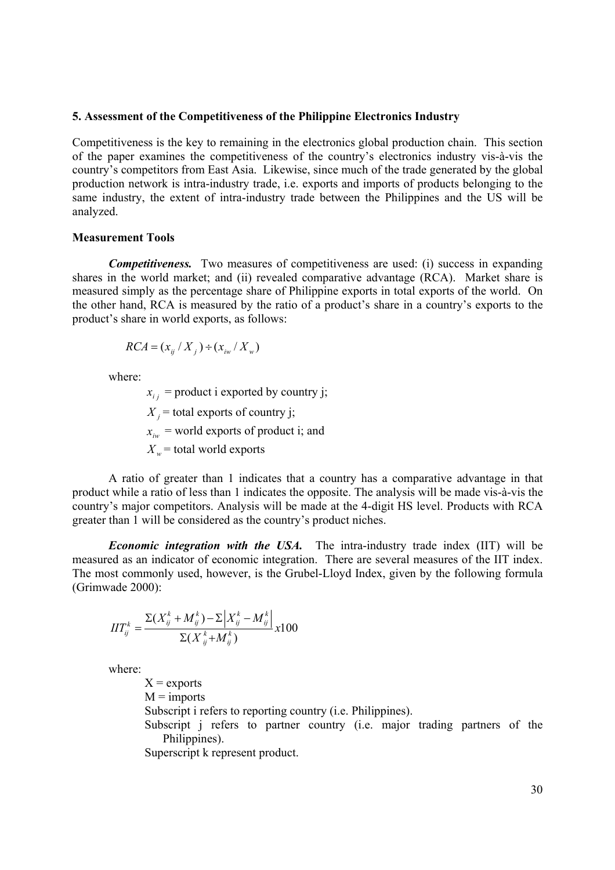#### **5. Assessment of the Competitiveness of the Philippine Electronics Industry**

Competitiveness is the key to remaining in the electronics global production chain. This section of the paper examines the competitiveness of the country's electronics industry vis-à-vis the country's competitors from East Asia. Likewise, since much of the trade generated by the global production network is intra-industry trade, i.e. exports and imports of products belonging to the same industry, the extent of intra-industry trade between the Philippines and the US will be analyzed.

#### **Measurement Tools**

*Competitiveness.* Two measures of competitiveness are used: (i) success in expanding shares in the world market; and (ii) revealed comparative advantage (RCA). Market share is measured simply as the percentage share of Philippine exports in total exports of the world. On the other hand, RCA is measured by the ratio of a product's share in a country's exports to the product's share in world exports, as follows:

$$
RCA = (x_{ij} / X_j) \div (x_{iw} / X_w)
$$

where:

 $x_{i,i}$  = product i exported by country j;  $X_i$  = total exports of country *j*;  $x_{iw}$  = world exports of product i; and  $X_w$  = total world exports

A ratio of greater than 1 indicates that a country has a comparative advantage in that product while a ratio of less than 1 indicates the opposite. The analysis will be made vis-à-vis the country's major competitors. Analysis will be made at the 4-digit HS level. Products with RCA greater than 1 will be considered as the country's product niches.

*Economic integration with the USA.* The intra-industry trade index (IIT) will be measured as an indicator of economic integration. There are several measures of the IIT index. The most commonly used, however, is the Grubel-Lloyd Index, given by the following formula (Grimwade 2000):

$$
IIT_{ij}^{k} = \frac{\Sigma(X_{ij}^{k} + M_{ij}^{k}) - \Sigma(X_{ij}^{k} - M_{ij}^{k})}{\Sigma(X_{ij}^{k} + M_{ij}^{k})} \times 100
$$

where:

 $X =$ exports  $M =$  imports Subscript i refers to reporting country (i.e. Philippines). Subscript j refers to partner country (i.e. major trading partners of the Philippines). Superscript k represent product.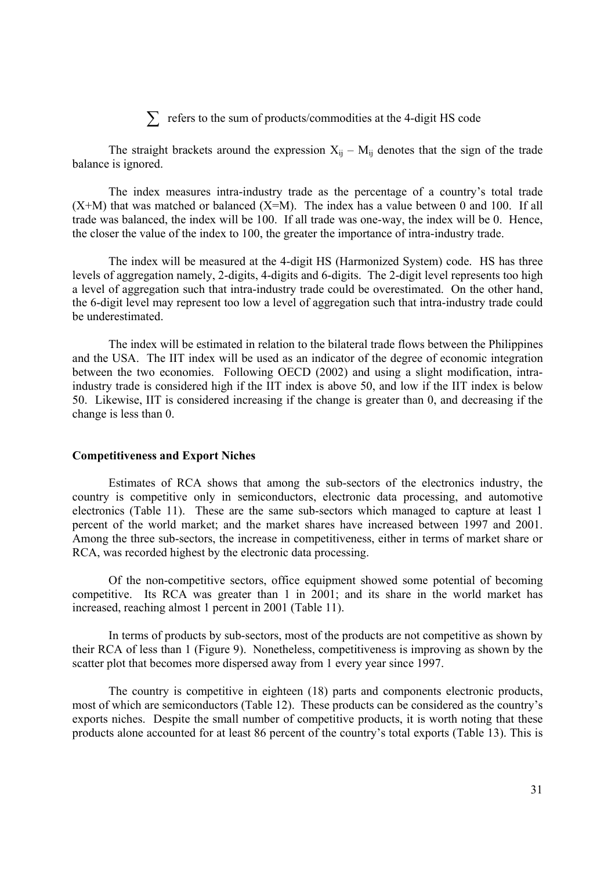# ∑ refers to the sum of products/commodities at the 4-digit HS code

The straight brackets around the expression  $X_{ij} - M_{ij}$  denotes that the sign of the trade balance is ignored.

The index measures intra-industry trade as the percentage of a country's total trade  $(X+M)$  that was matched or balanced  $(X=M)$ . The index has a value between 0 and 100. If all trade was balanced, the index will be 100. If all trade was one-way, the index will be 0. Hence, the closer the value of the index to 100, the greater the importance of intra-industry trade.

 The index will be measured at the 4-digit HS (Harmonized System) code. HS has three levels of aggregation namely, 2-digits, 4-digits and 6-digits. The 2-digit level represents too high a level of aggregation such that intra-industry trade could be overestimated. On the other hand, the 6-digit level may represent too low a level of aggregation such that intra-industry trade could be underestimated.

The index will be estimated in relation to the bilateral trade flows between the Philippines and the USA. The IIT index will be used as an indicator of the degree of economic integration between the two economies. Following OECD (2002) and using a slight modification, intraindustry trade is considered high if the IIT index is above 50, and low if the IIT index is below 50. Likewise, IIT is considered increasing if the change is greater than 0, and decreasing if the change is less than 0.

#### **Competitiveness and Export Niches**

Estimates of RCA shows that among the sub-sectors of the electronics industry, the country is competitive only in semiconductors, electronic data processing, and automotive electronics (Table 11). These are the same sub-sectors which managed to capture at least 1 percent of the world market; and the market shares have increased between 1997 and 2001. Among the three sub-sectors, the increase in competitiveness, either in terms of market share or RCA, was recorded highest by the electronic data processing.

Of the non-competitive sectors, office equipment showed some potential of becoming competitive. Its RCA was greater than 1 in 2001; and its share in the world market has increased, reaching almost 1 percent in 2001 (Table 11).

In terms of products by sub-sectors, most of the products are not competitive as shown by their RCA of less than 1 (Figure 9). Nonetheless, competitiveness is improving as shown by the scatter plot that becomes more dispersed away from 1 every year since 1997.

The country is competitive in eighteen (18) parts and components electronic products, most of which are semiconductors (Table 12). These products can be considered as the country's exports niches. Despite the small number of competitive products, it is worth noting that these products alone accounted for at least 86 percent of the country's total exports (Table 13). This is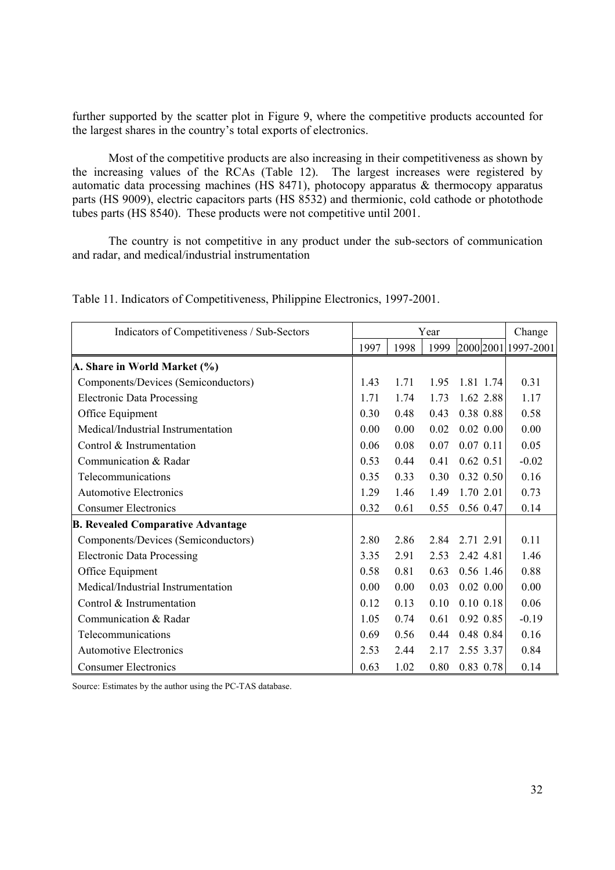further supported by the scatter plot in Figure 9, where the competitive products accounted for the largest shares in the country's total exports of electronics.

Most of the competitive products are also increasing in their competitiveness as shown by the increasing values of the RCAs (Table 12). The largest increases were registered by automatic data processing machines (HS 8471), photocopy apparatus & thermocopy apparatus parts (HS 9009), electric capacitors parts (HS 8532) and thermionic, cold cathode or photothode tubes parts (HS 8540). These products were not competitive until 2001.

The country is not competitive in any product under the sub-sectors of communication and radar, and medical/industrial instrumentation

| Indicators of Competitiveness / Sub-Sectors |      | Change |      |             |                     |
|---------------------------------------------|------|--------|------|-------------|---------------------|
|                                             | 1997 | 1998   | 1999 |             | 2000 2001 1997-2001 |
| A. Share in World Market (%)                |      |        |      |             |                     |
| Components/Devices (Semiconductors)         | 1.43 | 1.71   | 1.95 | 1.81 1.74   | 0.31                |
| <b>Electronic Data Processing</b>           | 1.71 | 1.74   | 1.73 | 1.62 2.88   | 1.17                |
| Office Equipment                            | 0.30 | 0.48   | 0.43 | 0.38 0.88   | 0.58                |
| Medical/Industrial Instrumentation          | 0.00 | 0.00   | 0.02 | $0.02$ 0.00 | 0.00                |
| Control & Instrumentation                   | 0.06 | 0.08   | 0.07 | $0.07$ 0.11 | 0.05                |
| Communication & Radar                       | 0.53 | 0.44   | 0.41 | $0.62$ 0.51 | $-0.02$             |
| Telecommunications                          | 0.35 | 0.33   | 0.30 | $0.32$ 0.50 | 0.16                |
| <b>Automotive Electronics</b>               | 1.29 | 1.46   | 1.49 | 1.70 2.01   | 0.73                |
| <b>Consumer Electronics</b>                 | 0.32 | 0.61   | 0.55 | 0.56 0.47   | 0.14                |
| <b>B. Revealed Comparative Advantage</b>    |      |        |      |             |                     |
| Components/Devices (Semiconductors)         | 2.80 | 2.86   | 2.84 | 2.71 2.91   | 0.11                |
| <b>Electronic Data Processing</b>           | 3.35 | 2.91   | 2.53 | 2.42 4.81   | 1.46                |
| Office Equipment                            | 0.58 | 0.81   | 0.63 | 0.56 1.46   | 0.88                |
| Medical/Industrial Instrumentation          | 0.00 | 0.00   | 0.03 | $0.02$ 0.00 | 0.00                |
| Control & Instrumentation                   | 0.12 | 0.13   | 0.10 | 0.10 0.18   | 0.06                |
| Communication & Radar                       | 1.05 | 0.74   | 0.61 | 0.92 0.85   | $-0.19$             |
| Telecommunications                          | 0.69 | 0.56   | 0.44 | 0.48 0.84   | 0.16                |
| <b>Automotive Electronics</b>               | 2.53 | 2.44   | 2.17 | 2.55 3.37   | 0.84                |
| <b>Consumer Electronics</b>                 | 0.63 | 1.02   | 0.80 | 0.83 0.78   | 0.14                |

Table 11. Indicators of Competitiveness, Philippine Electronics, 1997-2001.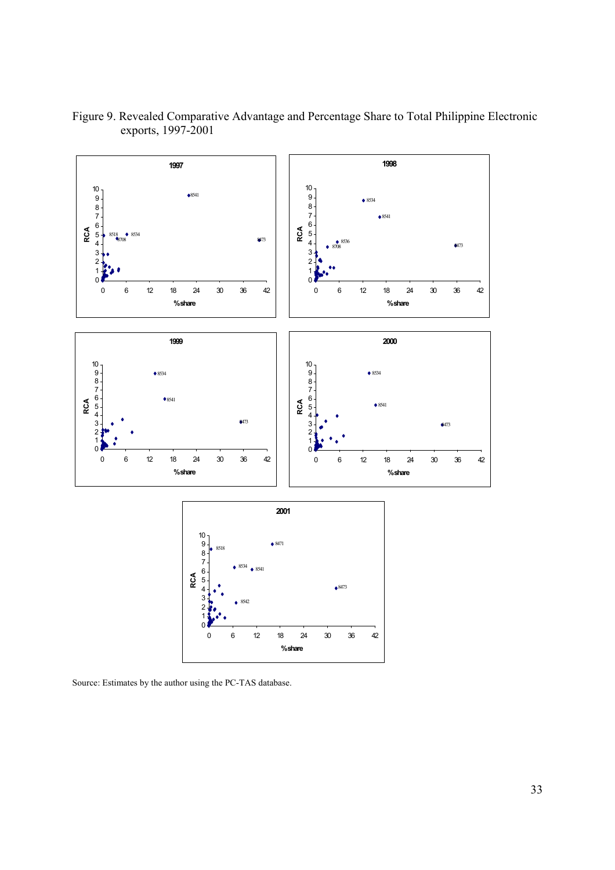

Figure 9. Revealed Comparative Advantage and Percentage Share to Total Philippine Electronic exports, 1997-2001

Source: Estimates by the author using the PC-TAS database.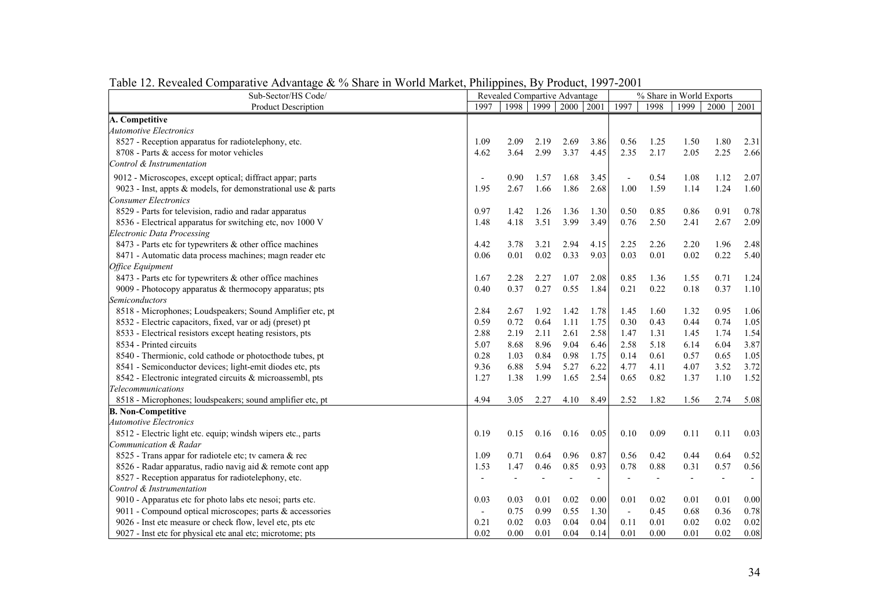| Sub-Sector/HS Code/                                          | Revealed Compartive Advantage |      |      |                | % Share in World Exports |                |      |                          |                          |                          |
|--------------------------------------------------------------|-------------------------------|------|------|----------------|--------------------------|----------------|------|--------------------------|--------------------------|--------------------------|
| <b>Product Description</b>                                   | 1997                          | 1998 | 1999 | 2000 2001      |                          | 1997           | 1998 | 1999                     | 2000                     | 2001                     |
| A. Competitive                                               |                               |      |      |                |                          |                |      |                          |                          |                          |
| <b>Automotive Electronics</b>                                |                               |      |      |                |                          |                |      |                          |                          |                          |
| 8527 - Reception apparatus for radiotelephony, etc.          | 1.09                          | 2.09 | 2.19 | 2.69           | 3.86                     | 0.56           | 1.25 | 1.50                     | 1.80                     | 2.31                     |
| 8708 - Parts & access for motor vehicles                     | 4.62                          | 3.64 | 2.99 | 3.37           | 4.45                     | 2.35           | 2.17 | 2.05                     | 2.25                     | 2.66                     |
| Control & Instrumentation                                    |                               |      |      |                |                          |                |      |                          |                          |                          |
| 9012 - Microscopes, except optical; diffract appar; parts    |                               | 0.90 | 1.57 | 1.68           | 3.45                     |                | 0.54 | 1.08                     | 1.12                     | 2.07                     |
| 9023 - Inst, appts & models, for demonstrational use & parts | 1.95                          | 2.67 | 1.66 | 1.86           | 2.68                     | 1.00           | 1.59 | 1.14                     | 1.24                     | 1.60                     |
| <b>Consumer Electronics</b>                                  |                               |      |      |                |                          |                |      |                          |                          |                          |
| 8529 - Parts for television, radio and radar apparatus       | 0.97                          | 1.42 | 1.26 | 1.36           | 1.30                     | 0.50           | 0.85 | 0.86                     | 0.91                     | 0.78                     |
| 8536 - Electrical apparatus for switching etc, nov 1000 V    | 1.48                          | 4.18 | 3.51 | 3.99           | 3.49                     | 0.76           | 2.50 | 2.41                     | 2.67                     | 2.09                     |
| <b>Electronic Data Processing</b>                            |                               |      |      |                |                          |                |      |                          |                          |                          |
| 8473 - Parts etc for typewriters & other office machines     | 4.42                          | 3.78 | 3.21 | 2.94           | 4.15                     | 2.25           | 2.26 | 2.20                     | 1.96                     | 2.48                     |
| 8471 - Automatic data process machines; magn reader etc      | 0.06                          | 0.01 | 0.02 | 0.33           | 9.03                     | 0.03           | 0.01 | 0.02                     | 0.22                     | 5.40                     |
| Office Equipment                                             |                               |      |      |                |                          |                |      |                          |                          |                          |
| 8473 - Parts etc for typewriters & other office machines     | 1.67                          | 2.28 | 2.27 | 1.07           | 2.08                     | 0.85           | 1.36 | 1.55                     | 0.71                     | 1.24                     |
| 9009 - Photocopy apparatus $&$ thermocopy apparatus; pts     | 0.40                          | 0.37 | 0.27 | 0.55           | 1.84                     | 0.21           | 0.22 | 0.18                     | 0.37                     | 1.10                     |
| Semiconductors                                               |                               |      |      |                |                          |                |      |                          |                          |                          |
| 8518 - Microphones; Loudspeakers; Sound Amplifier etc, pt    | 2.84                          | 2.67 | 1.92 | 1.42           | 1.78                     | 1.45           | 1.60 | 1.32                     | 0.95                     | 1.06                     |
| 8532 - Electric capacitors, fixed, var or adj (preset) pt    | 0.59                          | 0.72 | 0.64 | 1.11           | 1.75                     | 0.30           | 0.43 | 0.44                     | 0.74                     | 1.05                     |
| 8533 - Electrical resistors except heating resistors, pts    | 2.88                          | 2.19 | 2.11 | 2.61           | 2.58                     | 1.47           | 1.31 | 1.45                     | 1.74                     | 1.54                     |
| 8534 - Printed circuits                                      | 5.07                          | 8.68 | 8.96 | 9.04           | 6.46                     | 2.58           | 5.18 | 6.14                     | 6.04                     | 3.87                     |
| 8540 - Thermionic, cold cathode or photocthode tubes, pt     | 0.28                          | 1.03 | 0.84 | 0.98           | 1.75                     | 0.14           | 0.61 | 0.57                     | 0.65                     | 1.05                     |
| 8541 - Semiconductor devices; light-emit diodes etc, pts     | 9.36                          | 6.88 | 5.94 | 5.27           | 6.22                     | 4.77           | 4.11 | 4.07                     | 3.52                     | 3.72                     |
| 8542 - Electronic integrated circuits & microassembl, pts    | 1.27                          | 1.38 | 1.99 | 1.65           | 2.54                     | 0.65           | 0.82 | 1.37                     | 1.10                     | 1.52                     |
| <b>Telecommunications</b>                                    |                               |      |      |                |                          |                |      |                          |                          |                          |
| 8518 - Microphones; loudspeakers; sound amplifier etc, pt    | 4.94                          | 3.05 | 2.27 | 4.10           | 8.49                     | 2.52           | 1.82 | 1.56                     | 2.74                     | 5.08                     |
| <b>B. Non-Competitive</b>                                    |                               |      |      |                |                          |                |      |                          |                          |                          |
| <b>Automotive Electronics</b>                                |                               |      |      |                |                          |                |      |                          |                          |                          |
| 8512 - Electric light etc. equip; windsh wipers etc., parts  | 0.19                          | 0.15 | 0.16 | 0.16           | 0.05                     | 0.10           | 0.09 | 0.11                     | 0.11                     | 0.03                     |
| Communication & Radar                                        |                               |      |      |                |                          |                |      |                          |                          |                          |
| 8525 - Trans appar for radiotele etc; tv camera & rec        | 1.09                          | 0.71 | 0.64 | 0.96           | 0.87                     | 0.56           | 0.42 | 0.44                     | 0.64                     | 0.52                     |
| 8526 - Radar apparatus, radio navig aid & remote cont app    | 1.53                          | 1.47 | 0.46 | 0.85           | 0.93                     | 0.78           | 0.88 | 0.31                     | 0.57                     | 0.56                     |
| 8527 - Reception apparatus for radiotelephony, etc.          |                               |      |      | $\overline{a}$ | $\overline{\phantom{a}}$ |                |      | $\overline{\phantom{a}}$ | $\overline{\phantom{a}}$ | $\overline{\phantom{a}}$ |
| Control & Instrumentation                                    |                               |      |      |                |                          |                |      |                          |                          |                          |
| 9010 - Apparatus etc for photo labs etc nesoi; parts etc.    | 0.03                          | 0.03 | 0.01 | 0.02           | 0.00                     | 0.01           | 0.02 | 0.01                     | 0.01                     | 0.00                     |
| 9011 - Compound optical microscopes; parts & accessories     | $\overline{\phantom{a}}$      | 0.75 | 0.99 | 0.55           | 1.30                     | $\blacksquare$ | 0.45 | 0.68                     | 0.36                     | 0.78                     |
| 9026 - Inst etc measure or check flow, level etc, pts etc    | 0.21                          | 0.02 | 0.03 | 0.04           | 0.04                     | 0.11           | 0.01 | 0.02                     | 0.02                     | 0.02                     |
| 9027 - Inst etc for physical etc anal etc; microtome; pts    | 0.02                          | 0.00 | 0.01 | 0.04           | 0.14                     | 0.01           | 0.00 | 0.01                     | 0.02                     | 0.08                     |

Table 12. Revealed Comparative Advantage & % Share in World Market, Philippines, By Product, 1997-2001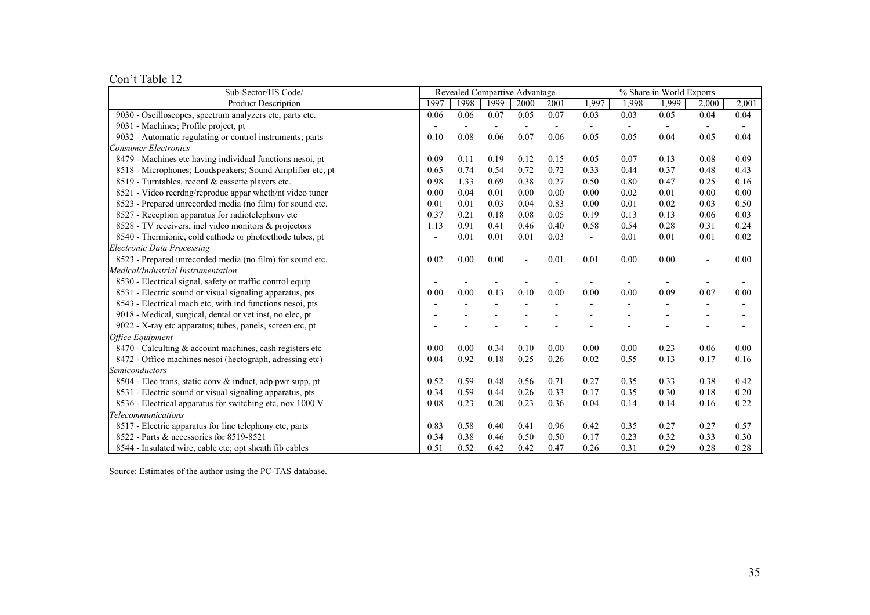Con't Table 12

| Sub-Sector/HS Code/                                       |      |      | Revealed Compartive Advantage<br>% Share in World Exports |                          |                          |       |                          |                          |       |                          |
|-----------------------------------------------------------|------|------|-----------------------------------------------------------|--------------------------|--------------------------|-------|--------------------------|--------------------------|-------|--------------------------|
| <b>Product Description</b>                                | 1997 | 1998 | 1999                                                      | 2000                     | 2001                     | 1.997 | 1,998                    | 1,999                    | 2,000 | 2,001                    |
| 9030 - Oscilloscopes, spectrum analyzers etc, parts etc.  | 0.06 | 0.06 | 0.07                                                      | 0.05                     | 0.07                     | 0.03  | 0.03                     | 0.05                     | 0.04  | 0.04                     |
| 9031 - Machines; Profile project, pt                      |      |      | $\overline{\phantom{a}}$                                  | $\overline{\phantom{a}}$ | $\overline{\phantom{a}}$ |       | $\overline{\phantom{a}}$ | $\overline{\phantom{a}}$ |       | $\overline{\phantom{a}}$ |
| 9032 - Automatic regulating or control instruments; parts | 0.10 | 0.08 | 0.06                                                      | 0.07                     | 0.06                     | 0.05  | 0.05                     | 0.04                     | 0.05  | 0.04                     |
| <b>Consumer Electronics</b>                               |      |      |                                                           |                          |                          |       |                          |                          |       |                          |
| 8479 - Machines etc having individual functions nesoi, pt | 0.09 | 0.11 | 0.19                                                      | 0.12                     | 0.15                     | 0.05  | 0.07                     | 0.13                     | 0.08  | 0.09                     |
| 8518 - Microphones; Loudspeakers; Sound Amplifier etc, pt | 0.65 | 0.74 | 0.54                                                      | 0.72                     | 0.72                     | 0.33  | 0.44                     | 0.37                     | 0.48  | 0.43                     |
| 8519 - Turntables, record & cassette players etc.         | 0.98 | 1.33 | 0.69                                                      | 0.38                     | 0.27                     | 0.50  | 0.80                     | 0.47                     | 0.25  | 0.16                     |
| 8521 - Video recrdng/reproduc appar wheth/nt video tuner  | 0.00 | 0.04 | 0.01                                                      | 0.00                     | 0.00                     | 0.00  | 0.02                     | 0.01                     | 0.00  | 0.00                     |
| 8523 - Prepared unrecorded media (no film) for sound etc. | 0.01 | 0.01 | 0.03                                                      | 0.04                     | 0.83                     | 0.00  | 0.01                     | 0.02                     | 0.03  | 0.50                     |
| 8527 - Reception apparatus for radiotelephony etc         | 0.37 | 0.21 | 0.18                                                      | 0.08                     | 0.05                     | 0.19  | 0.13                     | 0.13                     | 0.06  | 0.03                     |
| 8528 - TV receivers, incl video monitors & projectors     | 1.13 | 0.91 | 0.41                                                      | 0.46                     | 0.40                     | 0.58  | 0.54                     | 0.28                     | 0.31  | 0.24                     |
| 8540 - Thermionic, cold cathode or photocthode tubes, pt  |      | 0.01 | 0.01                                                      | 0.01                     | 0.03                     |       | 0.01                     | 0.01                     | 0.01  | 0.02                     |
| <b>Electronic Data Processing</b>                         |      |      |                                                           |                          |                          |       |                          |                          |       |                          |
| 8523 - Prepared unrecorded media (no film) for sound etc. | 0.02 | 0.00 | 0.00                                                      |                          | 0.01                     | 0.01  | 0.00                     | 0.00                     |       | 0.00                     |
| Medical/Industrial Instrumentation                        |      |      |                                                           |                          |                          |       |                          |                          |       |                          |
| 8530 - Electrical signal, safety or traffic control equip |      |      |                                                           |                          |                          |       |                          |                          |       |                          |
| 8531 - Electric sound or visual signaling apparatus, pts  | 0.00 | 0.00 | 0.13                                                      | 0.10                     | 0.00                     | 0.00  | 0.00                     | 0.09                     | 0.07  | 0.00                     |
| 8543 - Electrical mach etc, with ind functions nesoi, pts |      |      |                                                           |                          |                          |       |                          |                          |       |                          |
| 9018 - Medical, surgical, dental or vet inst, no elec, pt |      |      |                                                           |                          |                          |       |                          |                          |       |                          |
| 9022 - X-ray etc apparatus; tubes, panels, screen etc, pt |      |      |                                                           |                          |                          |       |                          |                          |       |                          |
| <b>Office Equipment</b>                                   |      |      |                                                           |                          |                          |       |                          |                          |       |                          |
| 8470 - Calculting & account machines, cash registers etc  | 0.00 | 0.00 | 0.34                                                      | 0.10                     | 0.00                     | 0.00  | 0.00                     | 0.23                     | 0.06  | 0.00                     |
| 8472 - Office machines nesoi (hectograph, adressing etc)  | 0.04 | 0.92 | 0.18                                                      | 0.25                     | 0.26                     | 0.02  | 0.55                     | 0.13                     | 0.17  | 0.16                     |
| Semiconductors                                            |      |      |                                                           |                          |                          |       |                          |                          |       |                          |
| 8504 - Elec trans, static conv & induct, adp pwr supp, pt | 0.52 | 0.59 | 0.48                                                      | 0.56                     | 0.71                     | 0.27  | 0.35                     | 0.33                     | 0.38  | 0.42                     |
| 8531 - Electric sound or visual signaling apparatus, pts  | 0.34 | 0.59 | 0.44                                                      | 0.26                     | 0.33                     | 0.17  | 0.35                     | 0.30                     | 0.18  | 0.20                     |
| 8536 - Electrical apparatus for switching etc, nov 1000 V | 0.08 | 0.23 | 0.20                                                      | 0.23                     | 0.36                     | 0.04  | 0.14                     | 0.14                     | 0.16  | 0.22                     |
| <b>Telecommunications</b>                                 |      |      |                                                           |                          |                          |       |                          |                          |       |                          |
| 8517 - Electric apparatus for line telephony etc, parts   | 0.83 | 0.58 | 0.40                                                      | 0.41                     | 0.96                     | 0.42  | 0.35                     | 0.27                     | 0.27  | 0.57                     |
| 8522 - Parts & accessories for 8519-8521                  | 0.34 | 0.38 | 0.46                                                      | 0.50                     | 0.50                     | 0.17  | 0.23                     | 0.32                     | 0.33  | 0.30                     |
| 8544 - Insulated wire, cable etc; opt sheath fib cables   | 0.51 | 0.52 | 0.42                                                      | 0.42                     | 0.47                     | 0.26  | 0.31                     | 0.29                     | 0.28  | 0.28                     |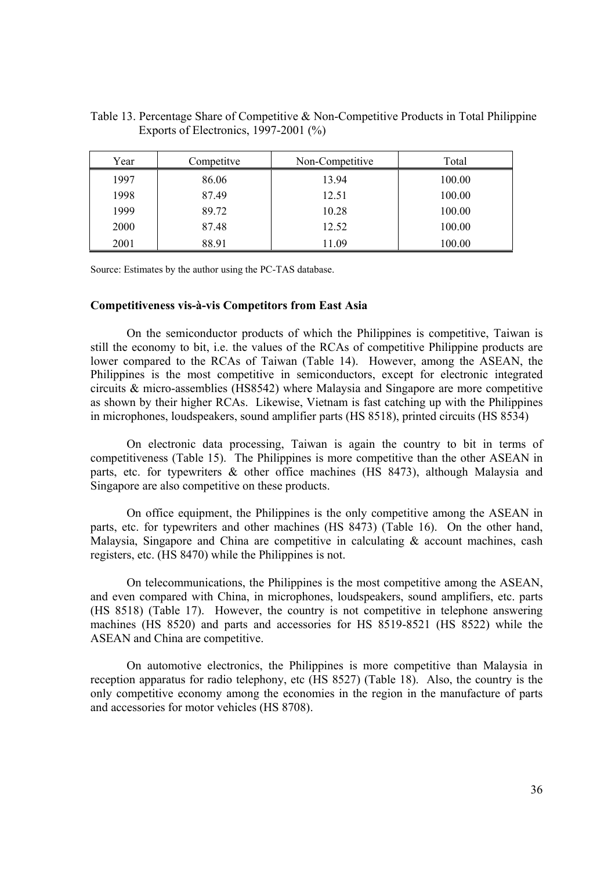| Year | Competitye | Non-Competitive | Total  |
|------|------------|-----------------|--------|
| 1997 | 86.06      | 13.94           | 100.00 |
| 1998 | 87.49      | 12.51           | 100.00 |
| 1999 | 89.72      | 10.28           | 100.00 |
| 2000 | 87.48      | 12.52           | 100.00 |
| 2001 | 88.91      | 11.09           | 100.00 |

Table 13. Percentage Share of Competitive & Non-Competitive Products in Total Philippine Exports of Electronics, 1997-2001 (%)

Source: Estimates by the author using the PC-TAS database.

#### **Competitiveness vis-à-vis Competitors from East Asia**

 On the semiconductor products of which the Philippines is competitive, Taiwan is still the economy to bit, i.e. the values of the RCAs of competitive Philippine products are lower compared to the RCAs of Taiwan (Table 14). However, among the ASEAN, the Philippines is the most competitive in semiconductors, except for electronic integrated circuits & micro-assemblies (HS8542) where Malaysia and Singapore are more competitive as shown by their higher RCAs. Likewise, Vietnam is fast catching up with the Philippines in microphones, loudspeakers, sound amplifier parts (HS 8518), printed circuits (HS 8534)

On electronic data processing, Taiwan is again the country to bit in terms of competitiveness (Table 15). The Philippines is more competitive than the other ASEAN in parts, etc. for typewriters & other office machines (HS 8473), although Malaysia and Singapore are also competitive on these products.

 On office equipment, the Philippines is the only competitive among the ASEAN in parts, etc. for typewriters and other machines (HS 8473) (Table 16). On the other hand, Malaysia, Singapore and China are competitive in calculating & account machines, cash registers, etc. (HS 8470) while the Philippines is not.

 On telecommunications, the Philippines is the most competitive among the ASEAN, and even compared with China, in microphones, loudspeakers, sound amplifiers, etc. parts (HS 8518) (Table 17). However, the country is not competitive in telephone answering machines (HS 8520) and parts and accessories for HS 8519-8521 (HS 8522) while the ASEAN and China are competitive.

 On automotive electronics, the Philippines is more competitive than Malaysia in reception apparatus for radio telephony, etc (HS 8527) (Table 18). Also, the country is the only competitive economy among the economies in the region in the manufacture of parts and accessories for motor vehicles (HS 8708).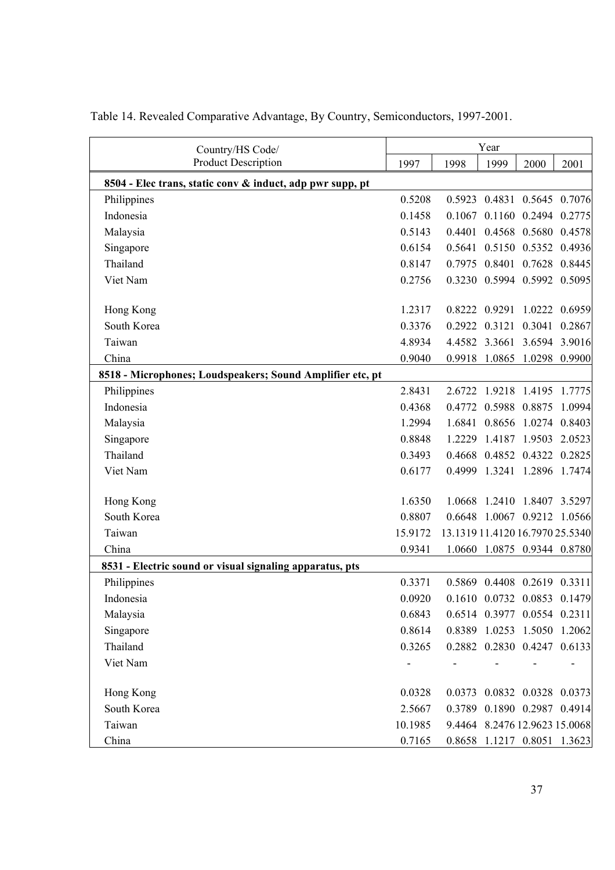| Country/HS Code/                                          |         |                                 | Year                          |        |        |
|-----------------------------------------------------------|---------|---------------------------------|-------------------------------|--------|--------|
| <b>Product Description</b>                                | 1997    | 1998                            | 1999                          | 2000   | 2001   |
| 8504 - Elec trans, static conv & induct, adp pwr supp, pt |         |                                 |                               |        |        |
| Philippines                                               | 0.5208  |                                 | 0.5923 0.4831 0.5645 0.7076   |        |        |
| Indonesia                                                 | 0.1458  |                                 | 0.1067 0.1160 0.2494          |        | 0.2775 |
| Malaysia                                                  | 0.5143  |                                 | 0.4401 0.4568 0.5680 0.4578   |        |        |
| Singapore                                                 | 0.6154  |                                 | 0.5641 0.5150 0.5352          |        | 0.4936 |
| Thailand                                                  | 0.8147  |                                 | 0.7975 0.8401 0.7628          |        | 0.8445 |
| Viet Nam                                                  | 0.2756  |                                 | 0.3230 0.5994 0.5992 0.5095   |        |        |
| Hong Kong                                                 | 1.2317  |                                 | 0.8222 0.9291                 | 1.0222 | 0.6959 |
| South Korea                                               | 0.3376  |                                 | 0.2922 0.3121                 | 0.3041 | 0.2867 |
| Taiwan                                                    | 4.8934  |                                 | 4.4582 3.3661 3.6594          |        | 3.9016 |
| China                                                     | 0.9040  |                                 | 0.9918 1.0865                 | 1.0298 | 0.9900 |
| 8518 - Microphones; Loudspeakers; Sound Amplifier etc, pt |         |                                 |                               |        |        |
| Philippines                                               | 2.8431  |                                 | 2.6722 1.9218 1.4195          |        | 1.7775 |
| Indonesia                                                 | 0.4368  |                                 | 0.4772 0.5988 0.8875          |        | 1.0994 |
| Malaysia                                                  | 1.2994  |                                 | 1.6841 0.8656 1.0274          |        | 0.8403 |
| Singapore                                                 | 0.8848  |                                 | 1.2229 1.4187 1.9503          |        | 2.0523 |
| Thailand                                                  | 0.3493  |                                 | 0.4668 0.4852 0.4322 0.2825   |        |        |
| Viet Nam                                                  | 0.6177  |                                 | 0.4999 1.3241 1.2896 1.7474   |        |        |
| Hong Kong                                                 | 1.6350  |                                 | 1.0668 1.2410 1.8407 3.5297   |        |        |
| South Korea                                               | 0.8807  |                                 | 0.6648 1.0067 0.9212 1.0566   |        |        |
| Taiwan                                                    | 15.9172 | 13.1319 11.4120 16.7970 25.5340 |                               |        |        |
| China                                                     | 0.9341  |                                 | 1.0660 1.0875 0.9344 0.8780   |        |        |
| 8531 - Electric sound or visual signaling apparatus, pts  |         |                                 |                               |        |        |
| Philippines                                               | 0.3371  |                                 | 0.5869 0.4408 0.2619 0.3311   |        |        |
| Indonesia                                                 | 0.0920  |                                 | 0.1610 0.0732 0.0853 0.1479   |        |        |
| Malaysia                                                  | 0.6843  |                                 | 0.6514 0.3977 0.0554 0.2311   |        |        |
| Singapore                                                 | 0.8614  |                                 | 0.8389 1.0253 1.5050 1.2062   |        |        |
| Thailand                                                  | 0.3265  |                                 | 0.2882 0.2830 0.4247 0.6133   |        |        |
| Viet Nam                                                  |         |                                 |                               |        |        |
| Hong Kong                                                 | 0.0328  |                                 | 0.0373 0.0832 0.0328 0.0373   |        |        |
| South Korea                                               | 2.5667  |                                 | 0.3789 0.1890 0.2987 0.4914   |        |        |
| Taiwan                                                    | 10.1985 |                                 | 9.4464 8.2476 12.9623 15.0068 |        |        |
| China                                                     | 0.7165  |                                 | 0.8658 1.1217 0.8051 1.3623   |        |        |

Table 14. Revealed Comparative Advantage, By Country, Semiconductors, 1997-2001.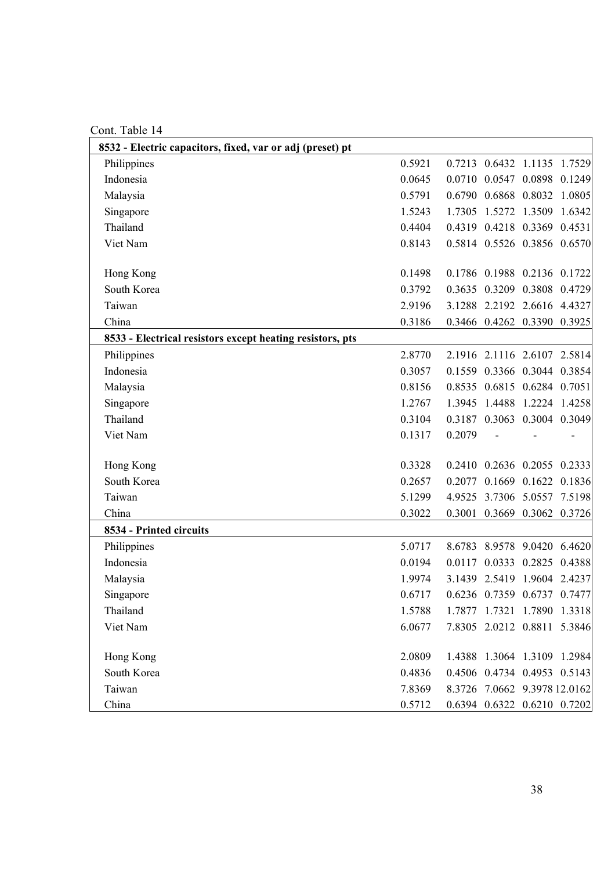Cont. Table 14

| 8532 - Electric capacitors, fixed, var or adj (preset) pt |        |        |                              |        |
|-----------------------------------------------------------|--------|--------|------------------------------|--------|
| Philippines                                               | 0.5921 |        | 0.7213 0.6432 1.1135 1.7529  |        |
| Indonesia                                                 | 0.0645 |        | 0.0710 0.0547 0.0898 0.1249  |        |
| Malaysia                                                  | 0.5791 |        | 0.6790 0.6868 0.8032 1.0805  |        |
| Singapore                                                 | 1.5243 |        | 1.7305 1.5272 1.3509         | 1.6342 |
| Thailand                                                  | 0.4404 |        | 0.4319 0.4218 0.3369 0.4531  |        |
| Viet Nam                                                  | 0.8143 |        | 0.5814 0.5526 0.3856 0.6570  |        |
|                                                           |        |        |                              |        |
| Hong Kong                                                 | 0.1498 |        | 0.1786 0.1988 0.2136 0.1722  |        |
| South Korea                                               | 0.3792 |        | 0.3635 0.3209 0.3808 0.4729  |        |
| Taiwan                                                    | 2.9196 |        | 3.1288 2.2192 2.6616 4.4327  |        |
| China                                                     | 0.3186 |        | 0.3466 0.4262 0.3390 0.3925  |        |
| 8533 - Electrical resistors except heating resistors, pts |        |        |                              |        |
| Philippines                                               | 2.8770 |        | 2.1916 2.1116 2.6107 2.5814  |        |
| Indonesia                                                 | 0.3057 |        | 0.1559 0.3366 0.3044 0.3854  |        |
| Malaysia                                                  | 0.8156 |        | 0.8535 0.6815 0.6284 0.7051  |        |
| Singapore                                                 | 1.2767 |        | 1.3945 1.4488 1.2224 1.4258  |        |
| Thailand                                                  | 0.3104 |        | 0.3187 0.3063 0.3004 0.3049  |        |
| Viet Nam                                                  | 0.1317 | 0.2079 |                              |        |
|                                                           |        |        |                              |        |
| Hong Kong                                                 | 0.3328 |        | 0.2410 0.2636 0.2055 0.2333  |        |
| South Korea                                               | 0.2657 |        | 0.2077 0.1669 0.1622 0.1836  |        |
| Taiwan                                                    | 5.1299 |        | 4.9525 3.7306 5.0557 7.5198  |        |
| China                                                     | 0.3022 |        | 0.3001 0.3669 0.3062 0.3726  |        |
| 8534 - Printed circuits                                   |        |        |                              |        |
| Philippines                                               | 5.0717 |        | 8.6783 8.9578 9.0420 6.4620  |        |
| Indonesia                                                 | 0.0194 |        | 0.0117 0.0333 0.2825 0.4388  |        |
| Malaysia                                                  | 1.9974 |        | 3.1439 2.5419 1.9604 2.4237  |        |
| Singapore                                                 | 0.6717 |        | 0.6236 0.7359 0.6737 0.7477  |        |
| Thailand                                                  | 1.5788 |        | 1.7877 1.7321 1.7890 1.3318  |        |
| Viet Nam                                                  | 6.0677 |        | 7.8305 2.0212 0.8811 5.3846  |        |
|                                                           |        |        |                              |        |
| Hong Kong                                                 | 2.0809 |        | 1.4388 1.3064 1.3109 1.2984  |        |
| South Korea                                               | 0.4836 |        | 0.4506 0.4734 0.4953 0.5143  |        |
| Taiwan                                                    | 7.8369 |        | 8.3726 7.0662 9.3978 12.0162 |        |
| China                                                     | 0.5712 |        | 0.6394 0.6322 0.6210 0.7202  |        |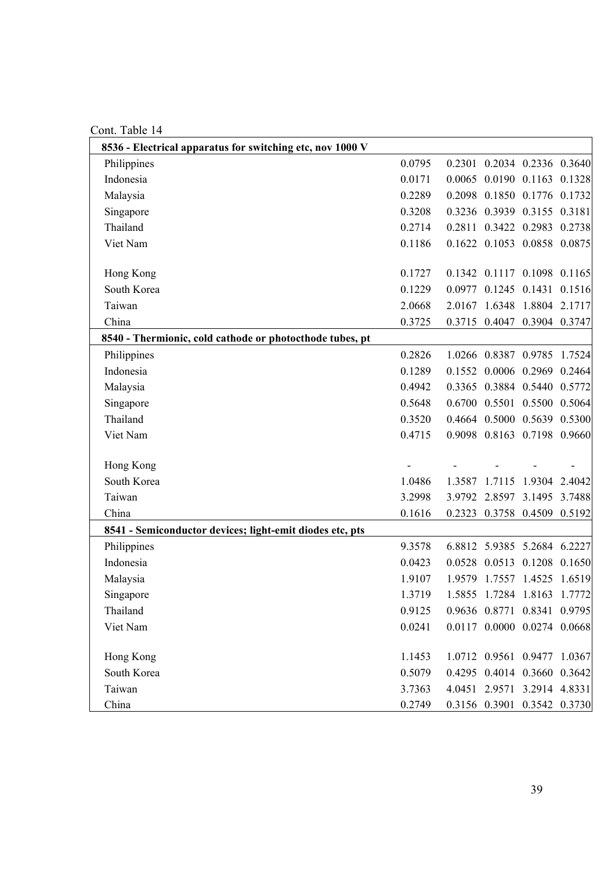Cont. Table 14

| CUIII. TUUIV 17                                           |        |        |                             |        |        |
|-----------------------------------------------------------|--------|--------|-----------------------------|--------|--------|
| 8536 - Electrical apparatus for switching etc, nov 1000 V |        |        |                             |        |        |
| Philippines                                               | 0.0795 |        | 0.2301 0.2034 0.2336 0.3640 |        |        |
| Indonesia                                                 | 0.0171 |        | 0.0065 0.0190 0.1163 0.1328 |        |        |
| Malaysia                                                  | 0.2289 |        | 0.2098 0.1850 0.1776 0.1732 |        |        |
| Singapore                                                 | 0.3208 |        | 0.3236 0.3939 0.3155 0.3181 |        |        |
| Thailand                                                  | 0.2714 |        | 0.2811 0.3422 0.2983 0.2738 |        |        |
| Viet Nam                                                  | 0.1186 |        | 0.1622 0.1053 0.0858 0.0875 |        |        |
|                                                           |        |        |                             |        |        |
| Hong Kong                                                 | 0.1727 |        | 0.1342 0.1117 0.1098 0.1165 |        |        |
| South Korea                                               | 0.1229 |        | 0.0977 0.1245 0.1431 0.1516 |        |        |
| Taiwan                                                    | 2.0668 |        | 2.0167 1.6348 1.8804 2.1717 |        |        |
| China                                                     | 0.3725 |        | 0.3715 0.4047 0.3904 0.3747 |        |        |
| 8540 - Thermionic, cold cathode or photocthode tubes, pt  |        |        |                             |        |        |
| Philippines                                               | 0.2826 |        | 1.0266 0.8387 0.9785 1.7524 |        |        |
| Indonesia                                                 | 0.1289 |        | 0.1552 0.0006 0.2969 0.2464 |        |        |
| Malaysia                                                  | 0.4942 |        | 0.3365 0.3884 0.5440 0.5772 |        |        |
| Singapore                                                 | 0.5648 |        | 0.6700 0.5501 0.5500 0.5064 |        |        |
| Thailand                                                  | 0.3520 |        | 0.4664 0.5000 0.5639 0.5300 |        |        |
| Viet Nam                                                  | 0.4715 |        | 0.9098 0.8163 0.7198 0.9660 |        |        |
|                                                           |        |        |                             |        |        |
| Hong Kong                                                 |        |        |                             |        |        |
| South Korea                                               | 1.0486 | 1.3587 | 1.7115                      | 1.9304 | 2.4042 |
| Taiwan                                                    | 3.2998 |        | 3.9792 2.8597 3.1495 3.7488 |        |        |
| China                                                     | 0.1616 |        | 0.2323 0.3758 0.4509 0.5192 |        |        |
| 8541 - Semiconductor devices; light-emit diodes etc, pts  |        |        |                             |        |        |
| Philippines                                               | 9.3578 |        | 6.8812 5.9385 5.2684 6.2227 |        |        |
| Indonesia                                                 | 0.0423 |        | 0.0528 0.0513 0.1208 0.1650 |        |        |
| Malaysia                                                  | 1.9107 |        | 1.9579 1.7557 1.4525 1.6519 |        |        |
| Singapore                                                 | 1.3719 |        | 1.5855 1.7284 1.8163 1.7772 |        |        |
| Thailand                                                  | 0.9125 |        | 0.9636 0.8771 0.8341 0.9795 |        |        |
| Viet Nam                                                  | 0.0241 |        | 0.0117 0.0000 0.0274 0.0668 |        |        |
|                                                           |        |        |                             |        |        |
| Hong Kong                                                 | 1.1453 |        | 1.0712 0.9561 0.9477 1.0367 |        |        |
| South Korea                                               | 0.5079 |        | 0.4295 0.4014 0.3660 0.3642 |        |        |
| Taiwan                                                    | 3.7363 |        | 4.0451 2.9571 3.2914 4.8331 |        |        |
| China                                                     | 0.2749 |        | 0.3156 0.3901 0.3542 0.3730 |        |        |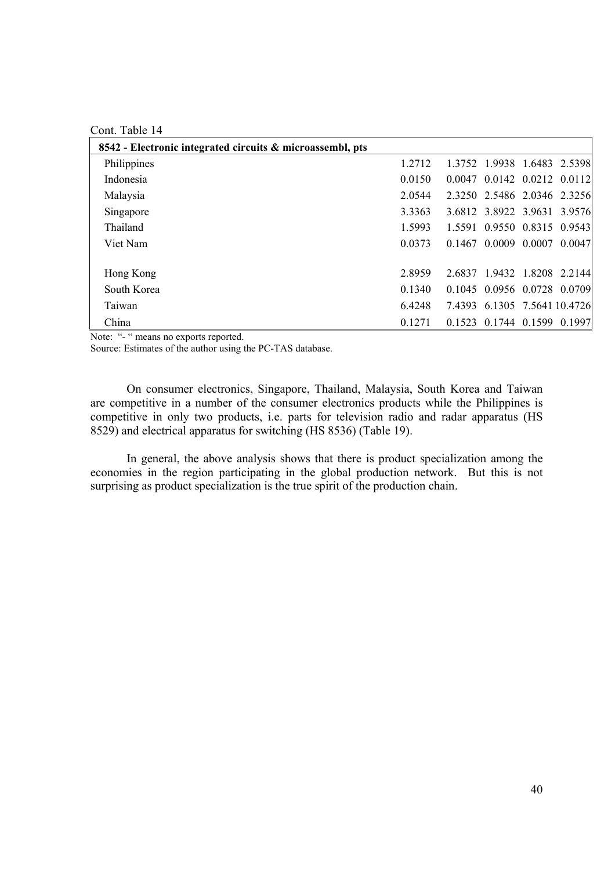Cont. Table 14

| 8542 - Electronic integrated circuits & microassembl, pts |        |                              |                                     |  |
|-----------------------------------------------------------|--------|------------------------------|-------------------------------------|--|
| Philippines                                               | 1.2712 |                              | 1.3752 1.9938 1.6483 2.5398         |  |
| Indonesia                                                 | 0.0150 | 0.0047 0.0142 0.0212 0.0112  |                                     |  |
| Malaysia                                                  | 2.0544 | 2.3250 2.5486 2.0346 2.3256  |                                     |  |
| Singapore                                                 | 3.3363 |                              | 3.6812 3.8922 3.9631 3.9576         |  |
| Thailand                                                  | 1.5993 | 1.5591 0.9550 0.8315 0.9543  |                                     |  |
| Viet Nam                                                  | 0.0373 |                              | $0.1467$ $0.0009$ $0.0007$ $0.0047$ |  |
|                                                           |        |                              |                                     |  |
| Hong Kong                                                 | 2.8959 | 2.6837 1.9432 1.8208 2.2144  |                                     |  |
| South Korea                                               | 0.1340 | 0.1045 0.0956 0.0728 0.0709  |                                     |  |
| Taiwan                                                    | 6.4248 | 7.4393 6.1305 7.5641 10.4726 |                                     |  |
| China                                                     | 0.1271 |                              | 0.1523 0.1744 0.1599 0.1997         |  |

Note: "- " means no exports reported.

Source: Estimates of the author using the PC-TAS database.

On consumer electronics, Singapore, Thailand, Malaysia, South Korea and Taiwan are competitive in a number of the consumer electronics products while the Philippines is competitive in only two products, i.e. parts for television radio and radar apparatus (HS 8529) and electrical apparatus for switching (HS 8536) (Table 19).

 In general, the above analysis shows that there is product specialization among the economies in the region participating in the global production network. But this is not surprising as product specialization is the true spirit of the production chain.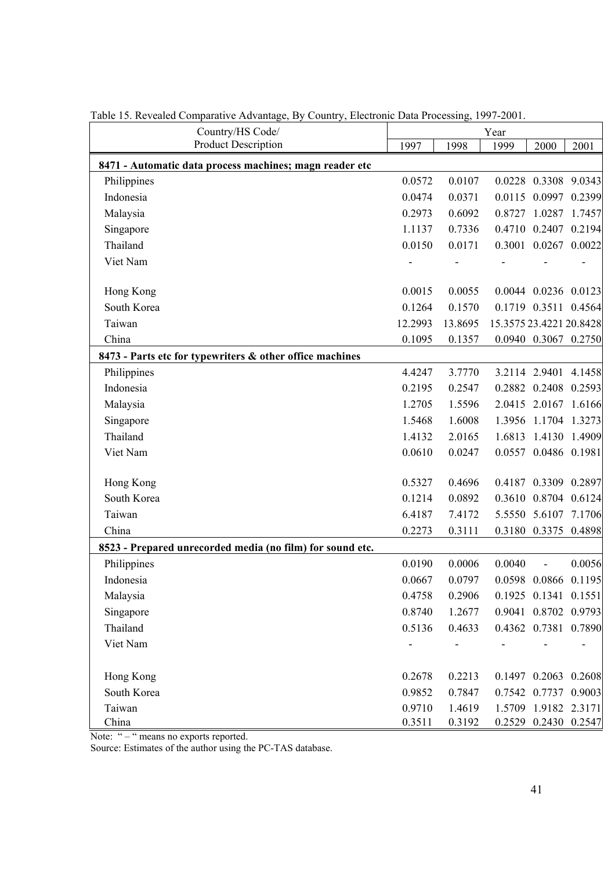| Country/HS Code/                                          |         | Year    |        |                          |        |  |
|-----------------------------------------------------------|---------|---------|--------|--------------------------|--------|--|
| <b>Product Description</b>                                | 1997    | 1998    | 1999   | 2000                     | 2001   |  |
| 8471 - Automatic data process machines; magn reader etc   |         |         |        |                          |        |  |
| Philippines                                               | 0.0572  | 0.0107  |        | 0.0228 0.3308 9.0343     |        |  |
| Indonesia                                                 | 0.0474  | 0.0371  |        | 0.0115 0.0997 0.2399     |        |  |
| Malaysia                                                  | 0.2973  | 0.6092  |        | 0.8727 1.0287 1.7457     |        |  |
| Singapore                                                 | 1.1137  | 0.7336  |        | 0.4710 0.2407 0.2194     |        |  |
| Thailand                                                  | 0.0150  | 0.0171  |        | 0.3001 0.0267 0.0022     |        |  |
| Viet Nam                                                  |         |         |        |                          |        |  |
| Hong Kong                                                 | 0.0015  | 0.0055  |        | 0.0044 0.0236 0.0123     |        |  |
| South Korea                                               | 0.1264  | 0.1570  |        | 0.1719 0.3511 0.4564     |        |  |
| Taiwan                                                    | 12.2993 | 13.8695 |        | 15.3575 23.4221 20.8428  |        |  |
| China                                                     | 0.1095  | 0.1357  |        | 0.0940 0.3067 0.2750     |        |  |
| 8473 - Parts etc for typewriters & other office machines  |         |         |        |                          |        |  |
| Philippines                                               | 4.4247  | 3.7770  |        | 3.2114 2.9401 4.1458     |        |  |
| Indonesia                                                 | 0.2195  | 0.2547  |        | 0.2882 0.2408            | 0.2593 |  |
| Malaysia                                                  | 1.2705  | 1.5596  |        | 2.0415 2.0167 1.6166     |        |  |
| Singapore                                                 | 1.5468  | 1.6008  |        | 1.3956 1.1704 1.3273     |        |  |
| Thailand                                                  | 1.4132  | 2.0165  |        | 1.6813 1.4130 1.4909     |        |  |
| Viet Nam                                                  | 0.0610  | 0.0247  |        | 0.0557 0.0486 0.1981     |        |  |
| Hong Kong                                                 | 0.5327  | 0.4696  |        | 0.4187 0.3309 0.2897     |        |  |
| South Korea                                               | 0.1214  | 0.0892  |        | 0.3610 0.8704 0.6124     |        |  |
| Taiwan                                                    | 6.4187  | 7.4172  |        | 5.5550 5.6107            | 7.1706 |  |
| China                                                     | 0.2273  | 0.3111  |        | 0.3180 0.3375 0.4898     |        |  |
| 8523 - Prepared unrecorded media (no film) for sound etc. |         |         |        |                          |        |  |
| Philippines                                               | 0.0190  | 0.0006  | 0.0040 | $\overline{\phantom{a}}$ | 0.0056 |  |
| Indonesia                                                 | 0.0667  | 0.0797  |        | 0.0598 0.0866 0.1195     |        |  |
| Malaysia                                                  | 0.4758  | 0.2906  |        | 0.1925 0.1341 0.1551     |        |  |
| Singapore                                                 | 0.8740  | 1.2677  |        | 0.9041 0.8702 0.9793     |        |  |
| Thailand                                                  | 0.5136  | 0.4633  |        | 0.4362 0.7381 0.7890     |        |  |
| Viet Nam                                                  |         |         |        |                          |        |  |
| Hong Kong                                                 | 0.2678  | 0.2213  |        | 0.1497 0.2063 0.2608     |        |  |
| South Korea                                               | 0.9852  | 0.7847  |        | 0.7542 0.7737 0.9003     |        |  |
| Taiwan                                                    | 0.9710  | 1.4619  |        | 1.5709 1.9182 2.3171     |        |  |
| China                                                     | 0.3511  | 0.3192  |        | 0.2529 0.2430 0.2547     |        |  |

Table 15. Revealed Comparative Advantage, By Country, Electronic Data Processing, 1997-2001.

Note: " – " means no exports reported.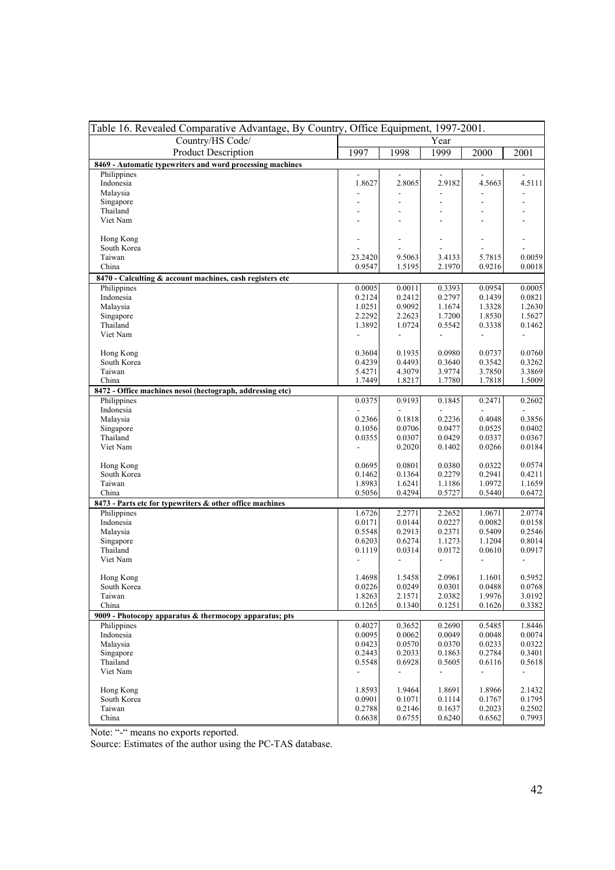| Table 16. Revealed Comparative Advantage, By Country, Office Equipment, 1997-2001. |                                    |                                    |                                    |                                    |                                    |  |  |
|------------------------------------------------------------------------------------|------------------------------------|------------------------------------|------------------------------------|------------------------------------|------------------------------------|--|--|
| Country/HS Code/                                                                   |                                    |                                    | Year                               |                                    |                                    |  |  |
| <b>Product Description</b>                                                         | 1997                               | 1998                               | 1999                               | 2000                               | 2001                               |  |  |
| 8469 - Automatic typewriters and word processing machines                          |                                    |                                    |                                    |                                    |                                    |  |  |
| Philippines                                                                        |                                    | $\overline{a}$                     | $\overline{\phantom{a}}$           |                                    |                                    |  |  |
| Indonesia                                                                          | 1.8627                             | 2.8065                             | 2.9182                             | 4.5663                             | 4.5111                             |  |  |
| Malaysia                                                                           |                                    | $\overline{a}$                     |                                    |                                    |                                    |  |  |
| Singapore                                                                          |                                    | $\qquad \qquad \blacksquare$       |                                    | $\overline{\phantom{a}}$           |                                    |  |  |
| Thailand                                                                           |                                    |                                    |                                    |                                    |                                    |  |  |
| Viet Nam                                                                           |                                    |                                    |                                    |                                    |                                    |  |  |
| Hong Kong                                                                          |                                    | $\overline{\phantom{a}}$           |                                    | $\overline{a}$                     |                                    |  |  |
| South Korea                                                                        |                                    |                                    |                                    |                                    |                                    |  |  |
| Taiwan                                                                             | 23.2420                            | 9.5063                             | 3.4133                             | 5.7815                             | 0.0059                             |  |  |
| China                                                                              | 0.9547                             | 1.5195                             | 2.1970                             | 0.9216                             | 0.0018                             |  |  |
| 8470 - Calculting & account machines, cash registers etc                           |                                    |                                    |                                    |                                    |                                    |  |  |
| Philippines                                                                        | 0.0005                             | 0.0011                             | 0.3393                             | 0.0954                             | 0.0005                             |  |  |
| Indonesia                                                                          | 0.2124                             | 0.2412                             | 0.2797                             | 0.1439                             | 0.0821                             |  |  |
| Malaysia                                                                           | 1.0251                             | 0.9092                             | 1.1674                             | 1.3328                             | 1.2630                             |  |  |
| Singapore                                                                          | 2.2292                             | 2.2623                             | 1.7200                             | 1.8530                             | 1.5627                             |  |  |
| Thailand                                                                           | 1.3892                             | 1.0724                             | 0.5542                             | 0.3338                             | 0.1462                             |  |  |
| Viet Nam                                                                           |                                    | $\overline{\phantom{a}}$           |                                    |                                    |                                    |  |  |
|                                                                                    |                                    |                                    |                                    |                                    |                                    |  |  |
| Hong Kong                                                                          | 0.3604                             | 0.1935                             | 0.0980                             | 0.0737                             | 0.0760                             |  |  |
| South Korea                                                                        | 0.4239                             | 0.4493                             | 0.3640                             | 0.3542                             | 0.3262                             |  |  |
| Taiwan                                                                             | 5.4271                             | 4.3079                             | 3.9774                             | 3.7850                             | 3.3869                             |  |  |
| China                                                                              | 1.7449                             | 1.8217                             | 1.7780                             | 1.7818                             | 1.5009                             |  |  |
| 8472 - Office machines nesoi (hectograph, addressing etc)<br>Philippines           | 0.0375                             | 0.9193                             | 0.1845                             | 0.2471                             | 0.2602                             |  |  |
| Indonesia                                                                          |                                    |                                    |                                    |                                    |                                    |  |  |
| Malaysia                                                                           | 0.2366                             | 0.1818                             | 0.2236                             | 0.4048                             | 0.3856                             |  |  |
| Singapore                                                                          | 0.1056                             | 0.0706                             | 0.0477                             | 0.0525                             | 0.0402                             |  |  |
| Thailand                                                                           | 0.0355                             | 0.0307                             | 0.0429                             | 0.0337                             | 0.0367                             |  |  |
| Viet Nam                                                                           |                                    | 0.2020                             | 0.1402                             | 0.0266                             | 0.0184                             |  |  |
|                                                                                    |                                    |                                    |                                    |                                    |                                    |  |  |
| Hong Kong                                                                          | 0.0695                             | 0.0801                             | 0.0380                             | 0.0322                             | 0.0574                             |  |  |
| South Korea                                                                        | 0.1462                             | 0.1364                             | 0.2279                             | 0.2941                             | 0.4211                             |  |  |
| Taiwan                                                                             | 1.8983                             | 1.6241                             | 1.1186                             | 1.0972                             | 1.1659                             |  |  |
| China                                                                              | 0.5056                             | 0.4294                             | 0.5727                             | 0.5440                             | 0.6472                             |  |  |
| 8473 - Parts etc for typewriters & other office machines                           |                                    |                                    |                                    |                                    |                                    |  |  |
| Philippines<br>Indonesia                                                           | 1.6726<br>0.0171                   | 2.2771<br>0.0144                   | 2.2652<br>0.0227                   | 1.0671<br>0.0082                   | 2.0774<br>0.0158                   |  |  |
| Malaysia                                                                           | 0.5548                             | 0.2913                             | 0.2371                             | 0.5409                             | 0.2546                             |  |  |
| Singapore                                                                          | 0.6203                             | 0.6274                             | 1.1273                             | 1.1204                             | 0.8014                             |  |  |
| Thailand                                                                           | 0.1119                             | 0.0314                             | 0.0172                             | 0.0610                             | 0.0917                             |  |  |
| Viet Nam                                                                           | $\overline{\phantom{a}}$           | $\overline{\phantom{a}}$           | $\overline{\phantom{a}}$           | $\overline{\phantom{a}}$           |                                    |  |  |
|                                                                                    |                                    |                                    |                                    |                                    |                                    |  |  |
| Hong Kong                                                                          | 1.4698                             | 1.5458                             | 2.0961                             | 1.1601                             | 0.5952                             |  |  |
| South Korea                                                                        | 0.0226                             | 0.0249                             | 0.0301                             | 0.0488                             | 0.0768                             |  |  |
| Taiwan                                                                             | 1.8263                             | 2.1571                             | 2.0382                             | 1.9976                             | 3.0192                             |  |  |
| China                                                                              | 0.1265                             | 0.1340                             | 0.1251                             | 0.1626                             | 0.3382                             |  |  |
| 9009 - Photocopy apparatus & thermocopy apparatus; pts                             |                                    |                                    |                                    |                                    |                                    |  |  |
| Philippines                                                                        | 0.4027                             | 0.3652                             | 0.2690                             | 0.5485                             | 1.8446                             |  |  |
| Indonesia                                                                          | 0.0095                             | 0.0062                             | 0.0049                             | 0.0048                             | 0.0074                             |  |  |
| Malaysia                                                                           | 0.0423                             | 0.0570                             | 0.0370                             | 0.0233                             | 0.0322                             |  |  |
| Singapore<br>Thailand                                                              | 0.2443                             | 0.2033                             | 0.1863                             | 0.2784                             | 0.3401                             |  |  |
| Viet Nam                                                                           | 0.5548<br>$\overline{\phantom{a}}$ | 0.6928<br>$\overline{\phantom{a}}$ | 0.5605<br>$\overline{\phantom{a}}$ | 0.6116<br>$\overline{\phantom{a}}$ | 0.5618<br>$\overline{\phantom{a}}$ |  |  |
|                                                                                    |                                    |                                    |                                    |                                    |                                    |  |  |
| Hong Kong                                                                          | 1.8593                             | 1.9464                             | 1.8691                             | 1.8966                             | 2.1432                             |  |  |
| South Korea                                                                        | 0.0901                             | 0.1071                             | 0.1114                             | 0.1767                             | 0.1795                             |  |  |
| Taiwan                                                                             | 0.2788                             | 0.2146                             | 0.1637                             | 0.2023                             | 0.2502                             |  |  |
| China                                                                              | 0.6638                             | 0.6755                             | 0.6240                             | 0.6562                             | 0.7993                             |  |  |

Note: "-" means no exports reported.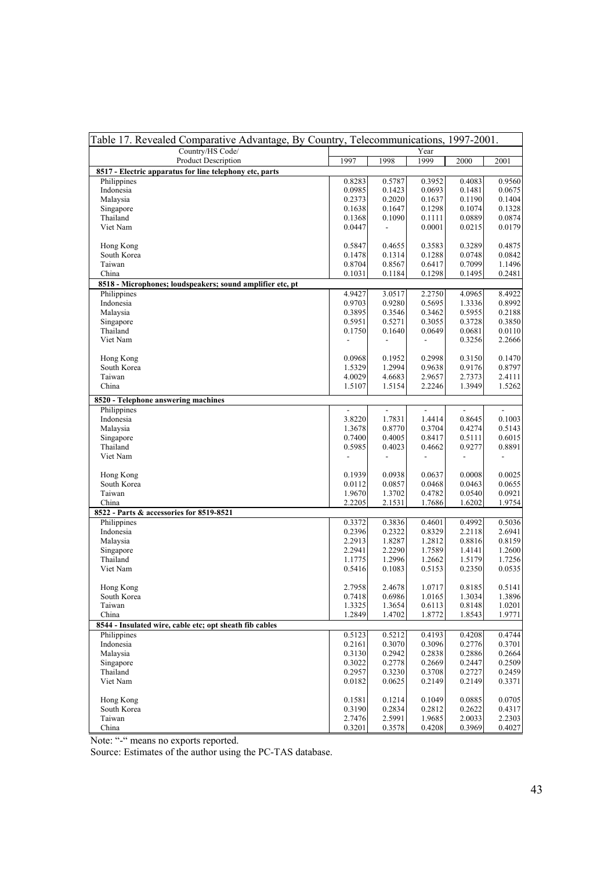| Table 17. Revealed Comparative Advantage, By Country, Telecommunications, 1997-2001. |                  |                                    |                              |                  |                  |  |  |
|--------------------------------------------------------------------------------------|------------------|------------------------------------|------------------------------|------------------|------------------|--|--|
| Country/HS Code/                                                                     |                  |                                    | Year                         |                  |                  |  |  |
| Product Description                                                                  | 1997             | 1998                               | 1999                         | 2000             | 2001             |  |  |
| 8517 - Electric apparatus for line telephony etc, parts                              |                  |                                    |                              |                  |                  |  |  |
| Philippines                                                                          | 0.8283           | 0.5787                             | 0.3952                       | 0.4083           | 0.9560           |  |  |
| Indonesia                                                                            | 0.0985           | 0.1423                             | 0.0693                       | 0.1481           | 0.0675           |  |  |
| Malaysia                                                                             | 0.2373           | 0.2020                             | 0.1637                       | 0.1190           | 0.1404           |  |  |
| Singapore<br>Thailand                                                                | 0.1638           | 0.1647                             | 0.1298                       | 0.1074           | 0.1328<br>0.0874 |  |  |
| Viet Nam                                                                             | 0.1368<br>0.0447 | 0.1090<br>$\overline{\phantom{a}}$ | 0.1111<br>0.0001             | 0.0889<br>0.0215 | 0.0179           |  |  |
|                                                                                      |                  |                                    |                              |                  |                  |  |  |
| Hong Kong                                                                            | 0.5847           | 0.4655                             | 0.3583                       | 0.3289           | 0.4875           |  |  |
| South Korea                                                                          | 0.1478           | 0.1314                             | 0.1288                       | 0.0748           | 0.0842           |  |  |
| Taiwan                                                                               | 0.8704           | 0.8567                             | 0.6417                       | 0.7099           | 1.1496           |  |  |
| China                                                                                | 0.1031           | 0.1184                             | 0.1298                       | 0.1495           | 0.2481           |  |  |
| 8518 - Microphones; loudspeakers; sound amplifier etc, pt                            |                  |                                    |                              |                  |                  |  |  |
| Philippines                                                                          | 4.9427           | 3.0517                             | 2.2750                       | 4.0965           | 8.4922           |  |  |
| Indonesia                                                                            | 0.9703           | 0.9280                             | 0.5695                       | 1.3336           | 0.8992           |  |  |
| Malaysia                                                                             | 0.3895           | 0.3546                             | 0.3462                       | 0.5955           | 0.2188           |  |  |
| Singapore                                                                            | 0.5951           | 0.5271                             | 0.3055                       | 0.3728           | 0.3850           |  |  |
| Thailand                                                                             | 0.1750           | 0.1640                             | 0.0649                       | 0.0681           | 0.0110           |  |  |
| Viet Nam                                                                             | $\blacksquare$   | $\overline{\phantom{a}}$           | $\qquad \qquad \blacksquare$ | 0.3256           | 2.2666           |  |  |
|                                                                                      |                  |                                    |                              |                  |                  |  |  |
| Hong Kong                                                                            | 0.0968           | 0.1952                             | 0.2998                       | 0.3150           | 0.1470           |  |  |
| South Korea<br>Taiwan                                                                | 1.5329<br>4.0029 | 1.2994                             | 0.9638                       | 0.9176           | 0.8797           |  |  |
| China                                                                                | 1.5107           | 4.6683<br>1.5154                   | 2.9657<br>2.2246             | 2.7373<br>1.3949 | 2.4111<br>1.5262 |  |  |
|                                                                                      |                  |                                    |                              |                  |                  |  |  |
| 8520 - Telephone answering machines                                                  |                  |                                    |                              |                  |                  |  |  |
| Philippines                                                                          |                  |                                    |                              |                  | $\overline{a}$   |  |  |
| Indonesia                                                                            | 3.8220           | 1.7831                             | 1.4414                       | 0.8645           | 0.1003           |  |  |
| Malaysia                                                                             | 1.3678           | 0.8770                             | 0.3704                       | 0.4274           | 0.5143           |  |  |
| Singapore                                                                            | 0.7400           | 0.4005                             | 0.8417                       | 0.5111           | 0.6015           |  |  |
| Thailand                                                                             | 0.5985           | 0.4023                             | 0.4662                       | 0.9277           | 0.8891           |  |  |
| Viet Nam                                                                             |                  | $\frac{1}{2}$                      | $\overline{\phantom{a}}$     |                  |                  |  |  |
| Hong Kong                                                                            | 0.1939           | 0.0938                             | 0.0637                       | 0.0008           | 0.0025           |  |  |
| South Korea                                                                          | 0.0112           | 0.0857                             | 0.0468                       | 0.0463           | 0.0655           |  |  |
| Taiwan                                                                               | 1.9670           | 1.3702                             | 0.4782                       | 0.0540           | 0.0921           |  |  |
| China                                                                                | 2.2205           | 2.1531                             | 1.7686                       | 1.6202           | 1.9754           |  |  |
| 8522 - Parts & accessories for 8519-8521                                             |                  |                                    |                              |                  |                  |  |  |
| Philippines                                                                          | 0.3372           | 0.3836                             | 0.4601                       | 0.4992           | 0.5036           |  |  |
| Indonesia                                                                            | 0.2396           | 0.2322                             | 0.8329                       | 2.2118           | 2.6941           |  |  |
| Malaysia                                                                             | 2.2913           | 1.8287                             | 1.2812                       | 0.8816           | 0.8159           |  |  |
| Singapore                                                                            | 2.2941           | 2.2290                             | 1.7589                       | 1.4141           | 1.2600           |  |  |
| Thailand                                                                             | 1.1775           | 1.2996                             | 1.2662                       | 1.5179           | 1.7256           |  |  |
| Viet Nam                                                                             | 0.5416           | 0.1083                             | 0.5153                       | 0.2350           | 0.0535           |  |  |
|                                                                                      |                  |                                    |                              |                  |                  |  |  |
| Hong Kong                                                                            | 2.7958           | 2.4678                             | 1.0717                       | 0.8185           | 0.5141           |  |  |
| South Korea                                                                          | 0.7418           | 0.6986                             | 1.0165                       | 1.3034           | 1.3896           |  |  |
| Taiwan<br>China                                                                      | 1.3325           | 1.3654                             | 0.6113                       | 0.8148           | 1.0201           |  |  |
| 8544 - Insulated wire, cable etc; opt sheath fib cables                              | 1.2849           | 1.4702                             | 1.8772                       | 1.8543           | 1.9771           |  |  |
| Philippines                                                                          | 0.5123           | 0.5212                             |                              |                  | 0.4744           |  |  |
| Indonesia                                                                            | 0.2161           | 0.3070                             | 0.4193<br>0.3096             | 0.4208<br>0.2776 | 0.3701           |  |  |
| Malaysia                                                                             | 0.3130           | 0.2942                             | 0.2838                       | 0.2886           | 0.2664           |  |  |
| Singapore                                                                            | 0.3022           | 0.2778                             | 0.2669                       | 0.2447           | 0.2509           |  |  |
| Thailand                                                                             | 0.2957           | 0.3230                             | 0.3708                       | 0.2727           | 0.2459           |  |  |
| Viet Nam                                                                             | 0.0182           | 0.0625                             | 0.2149                       | 0.2149           | 0.3371           |  |  |
|                                                                                      |                  |                                    |                              |                  |                  |  |  |
| Hong Kong                                                                            | 0.1581           | 0.1214                             | 0.1049                       | 0.0885           | 0.0705           |  |  |
| South Korea                                                                          | 0.3190           | 0.2834                             | 0.2812                       | 0.2622           | 0.4317           |  |  |
| Taiwan                                                                               | 2.7476           | 2.5991                             | 1.9685                       | 2.0033           | 2.2303           |  |  |
| China                                                                                | 0.3201           | 0.3578                             | 0.4208                       | 0.3969           | 0.4027           |  |  |

Note: "-" means no exports reported.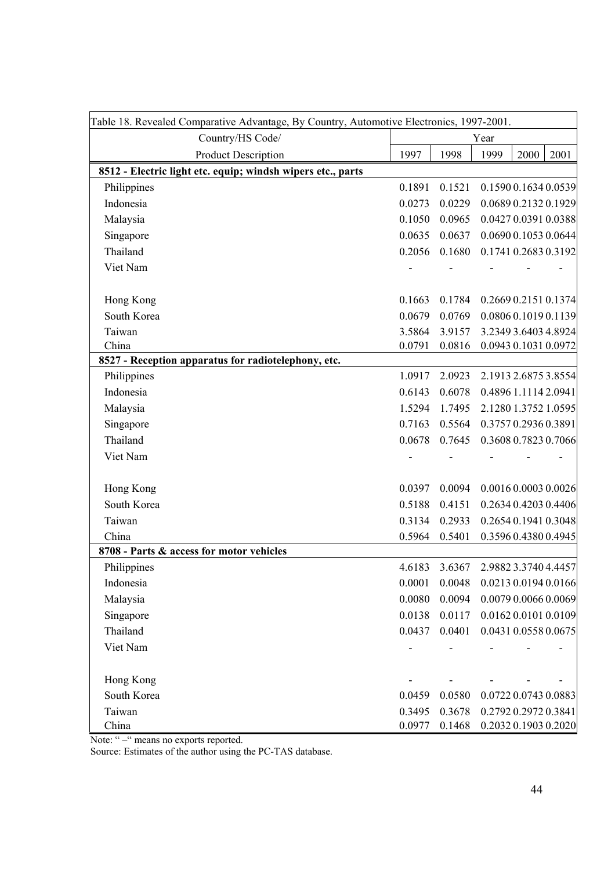| Table 18. Revealed Comparative Advantage, By Country, Automotive Electronics, 1997-2001. |        |        |      |                      |      |
|------------------------------------------------------------------------------------------|--------|--------|------|----------------------|------|
| Country/HS Code/                                                                         | Year   |        |      |                      |      |
| <b>Product Description</b>                                                               | 1997   | 1998   | 1999 | 2000                 | 2001 |
| 8512 - Electric light etc. equip; windsh wipers etc., parts                              |        |        |      |                      |      |
| Philippines                                                                              | 0.1891 | 0.1521 |      | 0.1590 0.1634 0.0539 |      |
| Indonesia                                                                                | 0.0273 | 0.0229 |      | 0.0689 0.2132 0.1929 |      |
| Malaysia                                                                                 | 0.1050 | 0.0965 |      | 0.0427 0.0391 0.0388 |      |
| Singapore                                                                                | 0.0635 | 0.0637 |      | 0.0690 0.1053 0.0644 |      |
| Thailand                                                                                 | 0.2056 | 0.1680 |      | 0.1741 0.2683 0.3192 |      |
| Viet Nam                                                                                 |        |        |      |                      |      |
| Hong Kong                                                                                | 0.1663 | 0.1784 |      | 0.2669 0.2151 0.1374 |      |
| South Korea                                                                              | 0.0679 | 0.0769 |      | 0.0806 0.1019 0.1139 |      |
| Taiwan                                                                                   | 3.5864 | 3.9157 |      | 3.2349 3.6403 4.8924 |      |
| China                                                                                    | 0.0791 | 0.0816 |      | 0.0943 0.1031 0.0972 |      |
| 8527 - Reception apparatus for radiotelephony, etc.                                      |        |        |      |                      |      |
| Philippines                                                                              | 1.0917 | 2.0923 |      | 2.1913 2.6875 3.8554 |      |
| Indonesia                                                                                | 0.6143 | 0.6078 |      | 0.4896 1.1114 2.0941 |      |
| Malaysia                                                                                 | 1.5294 | 1.7495 |      | 2.1280 1.3752 1.0595 |      |
| Singapore                                                                                | 0.7163 | 0.5564 |      | 0.3757 0.2936 0.3891 |      |
| Thailand                                                                                 | 0.0678 | 0.7645 |      | 0.3608 0.7823 0.7066 |      |
| Viet Nam                                                                                 |        |        |      |                      |      |
| Hong Kong                                                                                | 0.0397 | 0.0094 |      | 0.0016 0.0003 0.0026 |      |
| South Korea                                                                              | 0.5188 | 0.4151 |      | 0.2634 0.4203 0.4406 |      |
| Taiwan                                                                                   | 0.3134 | 0.2933 |      | 0.2654 0.1941 0.3048 |      |
| China                                                                                    | 0.5964 | 0.5401 |      | 0.3596 0.4380 0.4945 |      |
| 8708 - Parts & access for motor vehicles                                                 |        |        |      |                      |      |
| Philippines                                                                              | 4.6183 | 3.6367 |      | 2.9882 3.3740 4.4457 |      |
| Indonesia                                                                                | 0.0001 | 0.0048 |      | 0.0213 0.0194 0.0166 |      |
| Malaysia                                                                                 | 0.0080 | 0.0094 |      | 0.0079 0.0066 0.0069 |      |
| Singapore                                                                                | 0.0138 | 0.0117 |      | 0.0162 0.0101 0.0109 |      |
| Thailand                                                                                 | 0.0437 | 0.0401 |      | 0.0431 0.0558 0.0675 |      |
| Viet Nam                                                                                 |        |        |      |                      |      |
| Hong Kong                                                                                |        |        |      |                      |      |
| South Korea                                                                              | 0.0459 | 0.0580 |      | 0.0722 0.0743 0.0883 |      |
| Taiwan                                                                                   | 0.3495 | 0.3678 |      | 0.2792 0.2972 0.3841 |      |
| China                                                                                    | 0.0977 | 0.1468 |      | 0.2032 0.1903 0.2020 |      |

Note: " – " means no exports reported.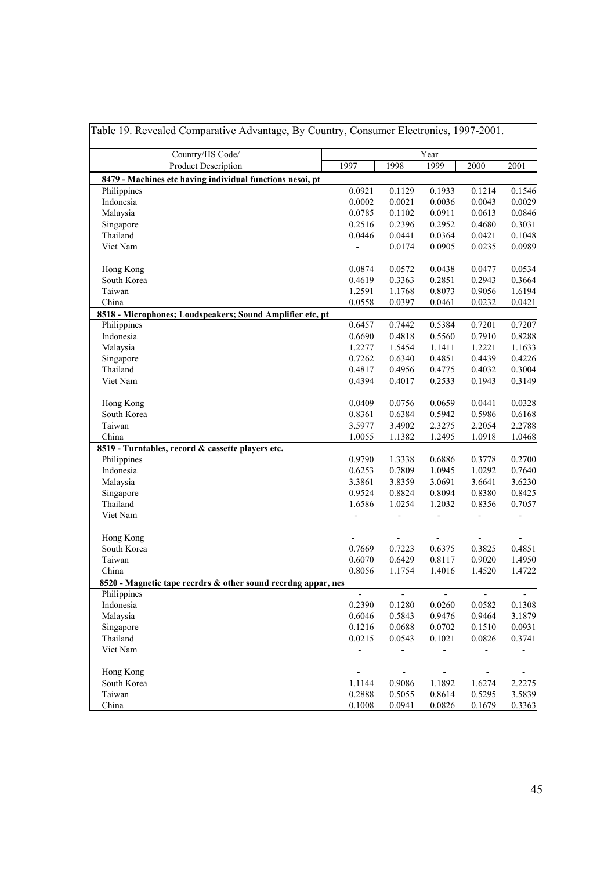| Country/HS Code/                                                       |                              | Year                     |                          |                          |                          |  |
|------------------------------------------------------------------------|------------------------------|--------------------------|--------------------------|--------------------------|--------------------------|--|
| Product Description                                                    | 1997                         | 1998                     | 1999                     | 2000                     | 2001                     |  |
| 8479 - Machines etc having individual functions nesoi, pt              |                              |                          |                          |                          |                          |  |
| Philippines                                                            | 0.0921                       | 0.1129                   | 0.1933                   | 0.1214                   | 0.1546                   |  |
| Indonesia                                                              | 0.0002                       | 0.0021                   | 0.0036                   | 0.0043                   | 0.0029                   |  |
| Malaysia                                                               | 0.0785                       | 0.1102                   | 0.0911                   | 0.0613                   | 0.0846                   |  |
| Singapore                                                              | 0.2516                       | 0.2396                   | 0.2952                   | 0.4680                   | 0.3031                   |  |
| Thailand                                                               | 0.0446                       | 0.0441                   | 0.0364                   | 0.0421                   | 0.1048                   |  |
| Viet Nam                                                               | $\overline{a}$               | 0.0174                   | 0.0905                   | 0.0235                   | 0.0989                   |  |
| Hong Kong                                                              | 0.0874                       | 0.0572                   | 0.0438                   | 0.0477                   | 0.0534                   |  |
| South Korea                                                            | 0.4619                       | 0.3363                   | 0.2851                   | 0.2943                   | 0.3664                   |  |
| Taiwan                                                                 | 1.2591                       | 1.1768                   | 0.8073                   | 0.9056                   | 1.6194                   |  |
| China                                                                  | 0.0558                       | 0.0397                   | 0.0461                   | 0.0232                   | 0.0421                   |  |
| 8518 - Microphones; Loudspeakers; Sound Amplifier etc, pt              |                              |                          |                          |                          |                          |  |
| Philippines                                                            | 0.6457                       | 0.7442                   | 0.5384                   | 0.7201                   | 0.7207                   |  |
| Indonesia                                                              | 0.6690                       | 0.4818                   | 0.5560                   | 0.7910                   | 0.8288                   |  |
| Malaysia                                                               | 1.2277                       | 1.5454                   | 1.1411                   | 1.2221                   | 1.1633                   |  |
| Singapore                                                              | 0.7262                       | 0.6340                   | 0.4851                   | 0.4439                   | 0.4226                   |  |
| Thailand                                                               | 0.4817                       | 0.4956                   | 0.4775                   | 0.4032                   | 0.3004                   |  |
| Viet Nam                                                               | 0.4394                       | 0.4017                   | 0.2533                   | 0.1943                   | 0.3149                   |  |
| Hong Kong                                                              | 0.0409                       | 0.0756                   | 0.0659                   | 0.0441                   | 0.0328                   |  |
| South Korea                                                            | 0.8361                       | 0.6384                   | 0.5942                   | 0.5986                   | 0.6168                   |  |
| Taiwan                                                                 | 3.5977                       | 3.4902                   | 2.3275                   | 2.2054                   | 2.2788                   |  |
| China                                                                  | 1.0055                       | 1.1382                   | 1.2495                   | 1.0918                   | 1.0468                   |  |
| 8519 - Turntables, record & cassette players etc.                      |                              |                          |                          |                          |                          |  |
| Philippines                                                            | 0.9790                       | 1.3338                   | 0.6886                   | 0.3778                   | 0.2700                   |  |
| Indonesia                                                              | 0.6253                       | 0.7809                   | 1.0945                   | 1.0292                   | 0.7640                   |  |
| Malaysia                                                               | 3.3861                       | 3.8359                   | 3.0691                   | 3.6641                   | 3.6230                   |  |
| Singapore                                                              | 0.9524                       | 0.8824                   | 0.8094                   | 0.8380                   | 0.8425                   |  |
| Thailand                                                               | 1.6586                       | 1.0254                   | 1.2032                   | 0.8356                   | 0.7057                   |  |
| Viet Nam                                                               |                              |                          |                          |                          |                          |  |
| Hong Kong                                                              |                              |                          |                          |                          |                          |  |
| South Korea                                                            | 0.7669                       | 0.7223                   | 0.6375                   | 0.3825                   | 0.4851                   |  |
| Taiwan                                                                 | 0.6070                       | 0.6429                   | 0.8117                   | 0.9020                   | 1.4950                   |  |
| China<br>8520 - Magnetic tape recrdrs & other sound recrdng appar, nes | 0.8056                       | 1.1754                   | 1.4016                   | 1.4520                   | 1.4722                   |  |
| Philippines                                                            | $\overline{\phantom{a}}$     | $\blacksquare$           | $\blacksquare$           | ÷.                       | $\blacksquare$           |  |
| Indonesia                                                              | 0.2390                       | 0.1280                   | 0.0260                   | 0.0582                   | 0.1308                   |  |
| Malaysia                                                               | 0.6046                       | 0.5843                   | 0.9476                   | 0.9464                   | 3.1879                   |  |
| Singapore                                                              | 0.1216                       | 0.0688                   | 0.0702                   | 0.1510                   | 0.0931                   |  |
| Thailand                                                               | 0.0215                       | 0.0543                   | 0.1021                   | 0.0826                   | 0.3741                   |  |
| Viet Nam                                                               | $\qquad \qquad \blacksquare$ | $\overline{\phantom{0}}$ | $\blacksquare$           | $\overline{\phantom{a}}$ | $\overline{\phantom{0}}$ |  |
| Hong Kong                                                              | $\overline{\phantom{0}}$     | $\overline{\phantom{a}}$ | $\overline{\phantom{a}}$ | $\overline{\phantom{a}}$ | $\overline{\phantom{0}}$ |  |
| South Korea                                                            | 1.1144                       | 0.9086                   | 1.1892                   | 1.6274                   | 2.2275                   |  |
| Taiwan                                                                 | 0.2888                       | 0.5055                   | 0.8614                   | 0.5295                   | 3.5839                   |  |
| China                                                                  | 0.1008                       | 0.0941                   | 0.0826                   | 0.1679                   | 0.3363                   |  |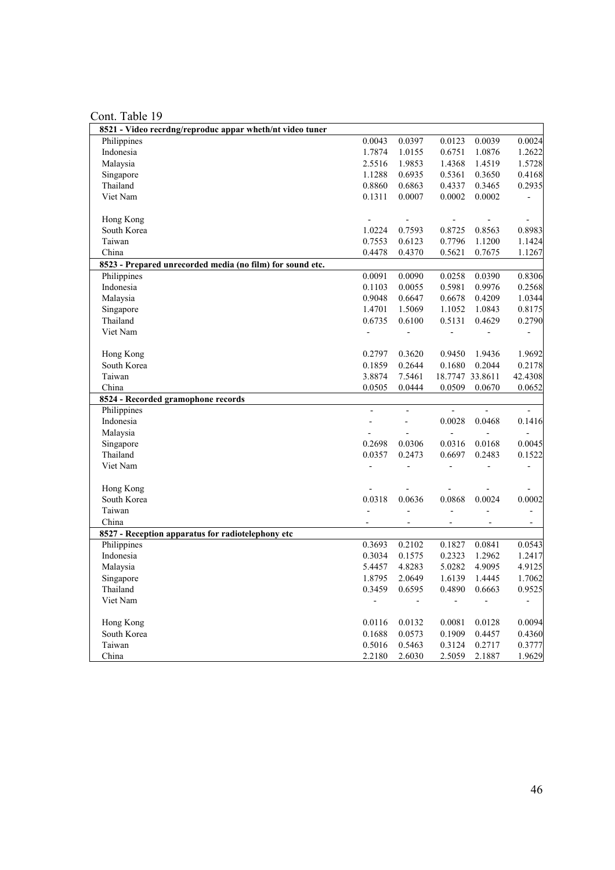| 8521 - Video recrdng/reproduc appar wheth/nt video tuner  |                          |                              |                          |                              |                          |
|-----------------------------------------------------------|--------------------------|------------------------------|--------------------------|------------------------------|--------------------------|
| Philippines                                               | 0.0043                   | 0.0397                       | 0.0123                   | 0.0039                       | 0.0024                   |
| Indonesia                                                 | 1.7874                   | 1.0155                       | 0.6751                   | 1.0876                       | 1.2622                   |
| Malaysia                                                  | 2.5516                   | 1.9853                       | 1.4368                   | 1.4519                       | 1.5728                   |
| Singapore                                                 | 1.1288                   | 0.6935                       | 0.5361                   | 0.3650                       | 0.4168                   |
| Thailand                                                  | 0.8860                   | 0.6863                       | 0.4337                   | 0.3465                       | 0.2935                   |
| Viet Nam                                                  | 0.1311                   | 0.0007                       | 0.0002                   | 0.0002                       | $\overline{\phantom{a}}$ |
|                                                           |                          |                              |                          |                              |                          |
| Hong Kong                                                 | $\overline{\phantom{a}}$ | $\overline{\phantom{a}}$     | $\overline{\phantom{m}}$ |                              | $\blacksquare$           |
| South Korea                                               | 1.0224                   | 0.7593                       | 0.8725                   | 0.8563                       | 0.8983                   |
| Taiwan                                                    | 0.7553                   | 0.6123                       | 0.7796                   | 1.1200                       | 1.1424                   |
| China                                                     | 0.4478                   | 0.4370                       | 0.5621                   | 0.7675                       | 1.1267                   |
| 8523 - Prepared unrecorded media (no film) for sound etc. |                          |                              |                          |                              |                          |
| Philippines                                               | 0.0091                   | 0.0090                       | 0.0258                   | 0.0390                       | 0.8306                   |
| Indonesia                                                 | 0.1103                   | 0.0055                       | 0.5981                   | 0.9976                       | 0.2568                   |
| Malaysia                                                  | 0.9048                   | 0.6647                       | 0.6678                   | 0.4209                       | 1.0344                   |
| Singapore                                                 | 1.4701                   | 1.5069                       | 1.1052                   | 1.0843                       | 0.8175                   |
| Thailand                                                  | 0.6735                   | 0.6100                       | 0.5131                   | 0.4629                       | 0.2790                   |
| Viet Nam                                                  | $\overline{\phantom{a}}$ | ÷,                           | $\blacksquare$           |                              | $\blacksquare$           |
|                                                           |                          |                              |                          |                              |                          |
| Hong Kong                                                 | 0.2797                   | 0.3620                       | 0.9450                   | 1.9436                       | 1.9692                   |
| South Korea                                               | 0.1859                   | 0.2644                       | 0.1680                   | 0.2044                       | 0.2178                   |
| Taiwan                                                    | 3.8874                   | 7.5461                       |                          | 18.7747 33.8611              | 42.4308                  |
| China                                                     | 0.0505                   | 0.0444                       | 0.0509                   | 0.0670                       | 0.0652                   |
| 8524 - Recorded gramophone records                        |                          |                              |                          |                              |                          |
| Philippines                                               | $\frac{1}{2}$            | $\frac{1}{2}$                |                          |                              | $\frac{1}{2}$            |
| Indonesia                                                 | $\frac{1}{2}$            | $\blacksquare$               | 0.0028                   | 0.0468                       | 0.1416                   |
| Malaysia                                                  |                          |                              |                          |                              | $\frac{1}{2}$            |
| Singapore                                                 | 0.2698                   | 0.0306                       | 0.0316                   | 0.0168                       | 0.0045                   |
| Thailand                                                  | 0.0357                   | 0.2473                       | 0.6697                   | 0.2483                       | 0.1522                   |
| Viet Nam                                                  | $\blacksquare$           | $\overline{\phantom{a}}$     | $\overline{a}$           | $\overline{a}$               | $\overline{\phantom{a}}$ |
|                                                           |                          |                              |                          |                              |                          |
| Hong Kong                                                 | $\frac{1}{2}$            | $\overline{a}$               |                          | $\overline{a}$               | $\overline{\phantom{a}}$ |
| South Korea                                               | 0.0318                   | 0.0636                       | 0.0868                   | 0.0024                       | 0.0002                   |
| Taiwan                                                    | $\frac{1}{2}$            | $\frac{1}{2}$                | $\overline{\phantom{a}}$ | $\overline{\phantom{0}}$     | $\blacksquare$           |
| China                                                     |                          | $\qquad \qquad \blacksquare$ | -                        | $\qquad \qquad \blacksquare$ | $\blacksquare$           |
| 8527 - Reception apparatus for radiotelephony etc         |                          |                              |                          |                              |                          |
| Philippines                                               | 0.3693                   | 0.2102                       | 0.1827                   | 0.0841                       | 0.0543                   |
| Indonesia                                                 | 0.3034                   | 0.1575                       | 0.2323                   | 1.2962                       | 1.2417                   |
| Malaysia                                                  | 5.4457                   | 4.8283                       | 5.0282                   | 4.9095                       | 4.9125                   |
| Singapore                                                 | 1.8795                   | 2.0649                       | 1.6139                   | 1.4445                       | 1.7062                   |
| Thailand                                                  | 0.3459                   | 0.6595                       | 0.4890                   | 0.6663                       | 0.9525                   |
| Viet Nam                                                  | ÷,                       | $\overline{\phantom{a}}$     | $\overline{\phantom{a}}$ | $\overline{a}$               | $\qquad \qquad -$        |
|                                                           |                          |                              |                          |                              |                          |
| Hong Kong                                                 | 0.0116                   | 0.0132                       | 0.0081                   | 0.0128                       | 0.0094                   |
| South Korea                                               | 0.1688                   | 0.0573                       | 0.1909                   | 0.4457                       | 0.4360                   |
| Taiwan                                                    | 0.5016                   | 0.5463                       | 0.3124                   | 0.2717                       | 0.3777                   |
| China                                                     | 2.2180                   | 2.6030                       | 2.5059                   | 2.1887                       | 1.9629                   |
|                                                           |                          |                              |                          |                              |                          |

Cont. Table 19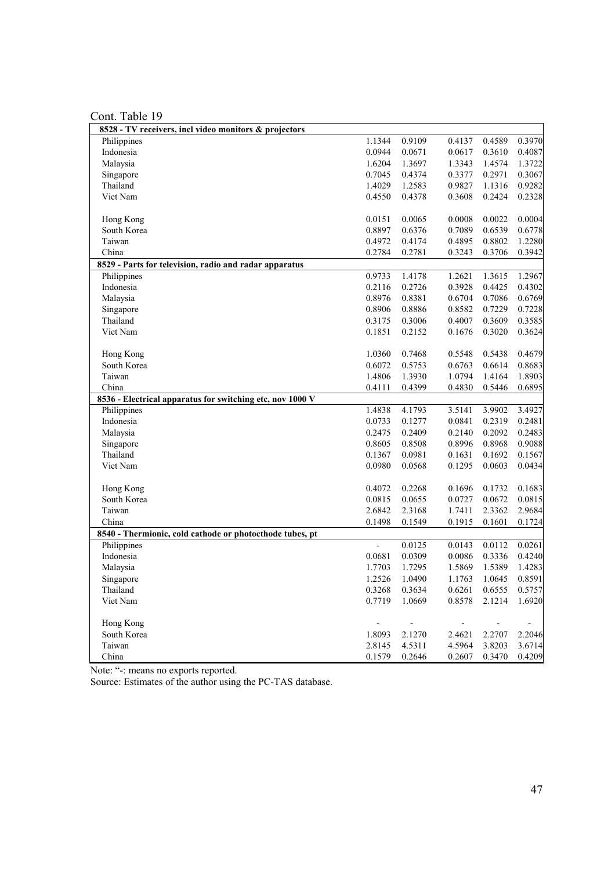Cont. Table 19

| 8528 - TV receivers, incl video monitors & projectors     |                |        |        |        |        |
|-----------------------------------------------------------|----------------|--------|--------|--------|--------|
| Philippines                                               | 1.1344         | 0.9109 | 0.4137 | 0.4589 | 0.3970 |
| Indonesia                                                 | 0.0944         | 0.0671 | 0.0617 | 0.3610 | 0.4087 |
| Malaysia                                                  | 1.6204         | 1.3697 | 1.3343 | 1.4574 | 1.3722 |
| Singapore                                                 | 0.7045         | 0.4374 | 0.3377 | 0.2971 | 0.3067 |
| Thailand                                                  | 1.4029         | 1.2583 | 0.9827 | 1.1316 | 0.9282 |
| Viet Nam                                                  | 0.4550         | 0.4378 | 0.3608 | 0.2424 | 0.2328 |
|                                                           |                |        |        |        |        |
| Hong Kong                                                 | 0.0151         | 0.0065 | 0.0008 | 0.0022 | 0.0004 |
| South Korea                                               | 0.8897         | 0.6376 | 0.7089 | 0.6539 | 0.6778 |
| Taiwan                                                    | 0.4972         | 0.4174 | 0.4895 | 0.8802 | 1.2280 |
| China                                                     | 0.2784         | 0.2781 | 0.3243 | 0.3706 | 0.3942 |
| 8529 - Parts for television, radio and radar apparatus    |                |        |        |        |        |
| Philippines                                               | 0.9733         | 1.4178 | 1.2621 | 1.3615 | 1.2967 |
| Indonesia                                                 | 0.2116         | 0.2726 | 0.3928 | 0.4425 | 0.4302 |
| Malaysia                                                  | 0.8976         | 0.8381 | 0.6704 | 0.7086 | 0.6769 |
| Singapore                                                 | 0.8906         | 0.8886 | 0.8582 | 0.7229 | 0.7228 |
| Thailand                                                  | 0.3175         | 0.3006 | 0.4007 | 0.3609 | 0.3585 |
| Viet Nam                                                  | 0.1851         | 0.2152 | 0.1676 | 0.3020 | 0.3624 |
|                                                           |                |        |        |        |        |
| Hong Kong                                                 | 1.0360         | 0.7468 | 0.5548 | 0.5438 | 0.4679 |
| South Korea                                               | 0.6072         | 0.5753 | 0.6763 | 0.6614 | 0.8683 |
| Taiwan                                                    | 1.4806         | 1.3930 | 1.0794 | 1.4164 | 1.8903 |
| China                                                     | 0.4111         | 0.4399 | 0.4830 | 0.5446 | 0.6895 |
| 8536 - Electrical apparatus for switching etc, nov 1000 V |                |        |        |        |        |
| Philippines                                               | 1.4838         | 4.1793 | 3.5141 | 3.9902 | 3.4927 |
| Indonesia                                                 | 0.0733         | 0.1277 | 0.0841 | 0.2319 | 0.2481 |
| Malaysia                                                  | 0.2475         | 0.2409 | 0.2140 | 0.2092 | 0.2483 |
| Singapore                                                 | 0.8605         | 0.8508 | 0.8996 | 0.8968 | 0.9088 |
| Thailand                                                  | 0.1367         | 0.0981 | 0.1631 | 0.1692 | 0.1567 |
| Viet Nam                                                  | 0.0980         | 0.0568 | 0.1295 | 0.0603 | 0.0434 |
|                                                           |                |        |        |        |        |
| Hong Kong                                                 | 0.4072         | 0.2268 | 0.1696 | 0.1732 | 0.1683 |
| South Korea                                               | 0.0815         | 0.0655 | 0.0727 | 0.0672 | 0.0815 |
| Taiwan                                                    | 2.6842         | 2.3168 | 1.7411 | 2.3362 | 2.9684 |
| China                                                     | 0.1498         | 0.1549 | 0.1915 | 0.1601 | 0.1724 |
| 8540 - Thermionic, cold cathode or photocthode tubes, pt  |                |        |        |        |        |
| Philippines                                               | $\overline{a}$ | 0.0125 | 0.0143 | 0.0112 | 0.0261 |
| Indonesia                                                 | 0.0681         | 0.0309 | 0.0086 | 0.3336 | 0.4240 |
| Malaysia                                                  | 1.7703         | 1.7295 | 1.5869 | 1.5389 | 1.4283 |
| Singapore                                                 | 1.2526         | 1.0490 | 1.1763 | 1.0645 | 0.8591 |
| Thailand                                                  | 0.3268         | 0.3634 | 0.6261 | 0.6555 | 0.5757 |
| Viet Nam                                                  | 0.7719         | 1.0669 | 0.8578 | 2.1214 | 1.6920 |
|                                                           |                |        |        |        |        |
| Hong Kong                                                 |                |        |        |        |        |
| South Korea                                               | 1.8093         | 2.1270 | 2.4621 | 2.2707 | 2.2046 |
| Taiwan                                                    | 2.8145         | 4.5311 | 4.5964 | 3.8203 | 3.6714 |
| China                                                     | 0.1579         | 0.2646 | 0.2607 | 0.3470 | 0.4209 |

Note: "-: means no exports reported.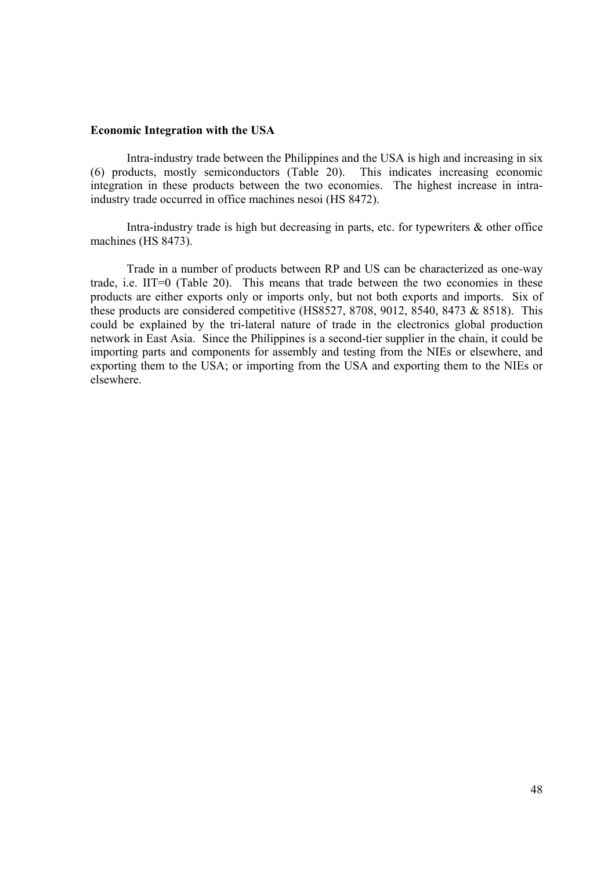#### **Economic Integration with the USA**

Intra-industry trade between the Philippines and the USA is high and increasing in six (6) products, mostly semiconductors (Table 20). This indicates increasing economic integration in these products between the two economies. The highest increase in intraindustry trade occurred in office machines nesoi (HS 8472).

Intra-industry trade is high but decreasing in parts, etc. for typewriters  $\&$  other office machines (HS 8473).

 Trade in a number of products between RP and US can be characterized as one-way trade, i.e. IIT=0 (Table 20). This means that trade between the two economies in these products are either exports only or imports only, but not both exports and imports. Six of these products are considered competitive (HS8527, 8708, 9012, 8540, 8473 & 8518). This could be explained by the tri-lateral nature of trade in the electronics global production network in East Asia. Since the Philippines is a second-tier supplier in the chain, it could be importing parts and components for assembly and testing from the NIEs or elsewhere, and exporting them to the USA; or importing from the USA and exporting them to the NIEs or elsewhere.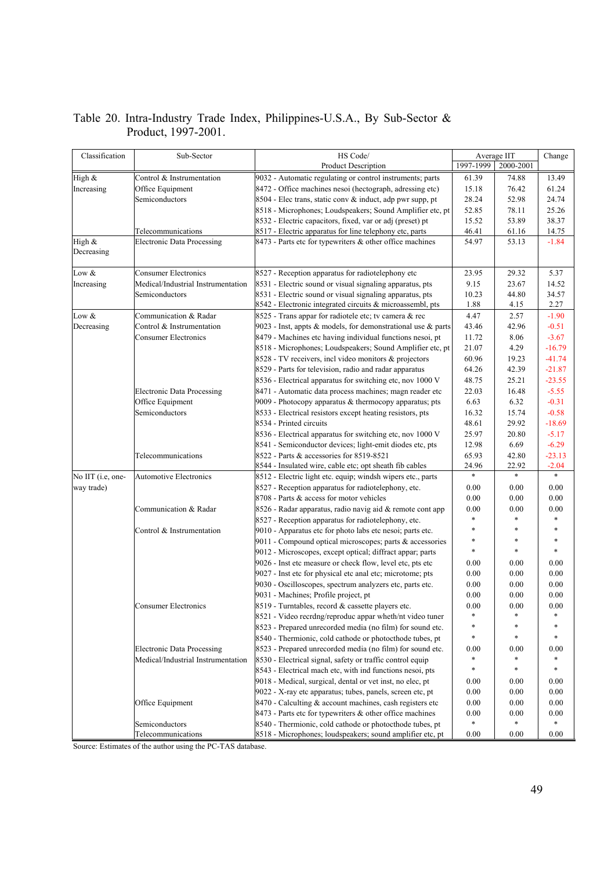| Classification    | Sub-Sector                         | HS Code/                                                           | Average IIT | Change    |          |
|-------------------|------------------------------------|--------------------------------------------------------------------|-------------|-----------|----------|
|                   |                                    | <b>Product Description</b>                                         | 1997-1999   | 2000-2001 |          |
| High &            | Control & Instrumentation          | 9032 - Automatic regulating or control instruments; parts          | 61.39       | 74.88     | 13.49    |
| Increasing        | Office Equipment                   | 8472 - Office machines nesoi (hectograph, adressing etc)           | 15.18       | 76.42     | 61.24    |
|                   | Semiconductors                     | 8504 - Elec trans, static conv & induct, adp pwr supp, pt          | 28.24       | 52.98     | 24.74    |
|                   |                                    | 8518 - Microphones; Loudspeakers; Sound Amplifier etc, pt          | 52.85       | 78.11     | 25.26    |
|                   |                                    | 8532 - Electric capacitors, fixed, var or adj (preset) pt          | 15.52       | 53.89     | 38.37    |
|                   | Telecommunications                 | 8517 - Electric apparatus for line telephony etc, parts            | 46.41       | 61.16     | 14.75    |
| High &            | <b>Electronic Data Processing</b>  | 8473 - Parts etc for typewriters & other office machines           | 54.97       | 53.13     | $-1.84$  |
| Decreasing        |                                    |                                                                    |             |           |          |
| Low &             | <b>Consumer Electronics</b>        | 8527 - Reception apparatus for radiotelephony etc                  | 23.95       | 29.32     | 5.37     |
| Increasing        | Medical/Industrial Instrumentation | 8531 - Electric sound or visual signaling apparatus, pts           | 9.15        | 23.67     | 14.52    |
|                   | Semiconductors                     | 8531 - Electric sound or visual signaling apparatus, pts           | 10.23       | 44.80     | 34.57    |
|                   |                                    | 8542 - Electronic integrated circuits & microassembl, pts          | 1.88        | 4.15      | 2.27     |
| Low &             | Communication & Radar              | 8525 - Trans appar for radiotele etc; tv camera & rec              | 4.47        | 2.57      | $-1.90$  |
| Decreasing        | Control & Instrumentation          | 9023 - Inst, appts $\&$ models, for demonstrational use $\&$ parts | 43.46       | 42.96     | $-0.51$  |
|                   | <b>Consumer Electronics</b>        | 8479 - Machines etc having individual functions nesoi, pt          | 11.72       | 8.06      | $-3.67$  |
|                   |                                    | 8518 - Microphones; Loudspeakers; Sound Amplifier etc, pt          | 21.07       | 4.29      | $-16.79$ |
|                   |                                    | 8528 - TV receivers, incl video monitors & projectors              | 60.96       | 19.23     | $-41.74$ |
|                   |                                    | 8529 - Parts for television, radio and radar apparatus             | 64.26       | 42.39     | $-21.87$ |
|                   |                                    | 8536 - Electrical apparatus for switching etc, nov 1000 V          | 48.75       | 25.21     | $-23.55$ |
|                   | <b>Electronic Data Processing</b>  | 8471 - Automatic data process machines; magn reader etc            | 22.03       | 16.48     | $-5.55$  |
|                   | Office Equipment                   | 9009 - Photocopy apparatus $&$ thermocopy apparatus; pts           | 6.63        | 6.32      | $-0.31$  |
|                   | Semiconductors                     | 8533 - Electrical resistors except heating resistors, pts          | 16.32       | 15.74     | $-0.58$  |
|                   |                                    | 8534 - Printed circuits                                            | 48.61       | 29.92     | $-18.69$ |
|                   |                                    | 8536 - Electrical apparatus for switching etc, nov 1000 V          | 25.97       | 20.80     | $-5.17$  |
|                   |                                    | 8541 - Semiconductor devices; light-emit diodes etc, pts           | 12.98       | 6.69      | $-6.29$  |
|                   | Telecommunications                 | 8522 - Parts & accessories for 8519-8521                           | 65.93       | 42.80     | $-23.13$ |
|                   |                                    | 8544 - Insulated wire, cable etc; opt sheath fib cables            | 24.96       | 22.92     | $-2.04$  |
| No IIT (i.e, one- | <b>Automotive Electronics</b>      | 8512 - Electric light etc. equip; windsh wipers etc., parts        |             | $\ast$    | $\ast$   |
| way trade)        |                                    | 8527 - Reception apparatus for radiotelephony, etc.                | 0.00        | 0.00      | 0.00     |
|                   |                                    | 8708 - Parts & access for motor vehicles                           | 0.00        | 0.00      | 0.00     |
|                   | Communication & Radar              | 8526 - Radar apparatus, radio navig aid & remote cont app          | 0.00        | 0.00      | 0.00     |
|                   |                                    | 8527 - Reception apparatus for radiotelephony, etc.                | *           | *         | $\ast$   |
|                   | Control & Instrumentation          | 9010 - Apparatus etc for photo labs etc nesoi; parts etc.          | *           | *         | $\ast$   |
|                   |                                    | 9011 - Compound optical microscopes; parts & accessories           | *           | *         | $\ast$   |
|                   |                                    | 9012 - Microscopes, except optical; diffract appar; parts          | $\ast$      | $\ast$    | $\ast$   |
|                   |                                    | 9026 - Inst etc measure or check flow, level etc, pts etc          | 0.00        | 0.00      | 0.00     |
|                   |                                    | 9027 - Inst etc for physical etc anal etc; microtome; pts          | 0.00        | 0.00      | 0.00     |
|                   |                                    | 9030 - Oscilloscopes, spectrum analyzers etc, parts etc.           | 0.00        | 0.00      | 0.00     |
|                   |                                    | 9031 - Machines; Profile project, pt                               | 0.00        | 0.00      | 0.00     |
|                   | <b>Consumer Electronics</b>        | 8519 - Turntables, record & cassette players etc.                  | 0.00        | 0.00      | 0.00     |
|                   |                                    | 8521 - Video recrdng/reproduc appar wheth/nt video tuner           | $\ast$      | $\ast$    | $\ast$   |
|                   |                                    | 8523 - Prepared unrecorded media (no film) for sound etc.          | $\ast$      | $\ast$    | $\ast$   |
|                   |                                    | 8540 - Thermionic, cold cathode or photocthode tubes, pt           | *           | $\ast$    | $\ast$   |
|                   | <b>Electronic Data Processing</b>  | 8523 - Prepared unrecorded media (no film) for sound etc.          | 0.00        | 0.00      | 0.00     |
|                   | Medical/Industrial Instrumentation | 8530 - Electrical signal, safety or traffic control equip          |             |           |          |
|                   |                                    | 8543 - Electrical mach etc, with ind functions nesoi, pts          | $\ast$      | $\ast$    | $\ast$   |
|                   |                                    | 9018 - Medical, surgical, dental or vet inst, no elec, pt          | 0.00        | 0.00      | 0.00     |
|                   |                                    | 9022 - X-ray etc apparatus; tubes, panels, screen etc, pt          | 0.00        | 0.00      | 0.00     |
|                   | Office Equipment                   | 8470 - Calculting & account machines, cash registers etc           | 0.00        | 0.00      | 0.00     |
|                   |                                    | 8473 - Parts etc for typewriters & other office machines           | 0.00        | 0.00      | 0.00     |
|                   | Semiconductors                     | 8540 - Thermionic, cold cathode or photocthode tubes, pt           | $\ast$      | *         | $\ast$   |
|                   | Telecommunications                 | 8518 - Microphones; loudspeakers; sound amplifier etc, pt          | 0.00        | 0.00      | 0.00     |

# Table 20. Intra-Industry Trade Index, Philippines-U.S.A., By Sub-Sector & Product, 1997-2001.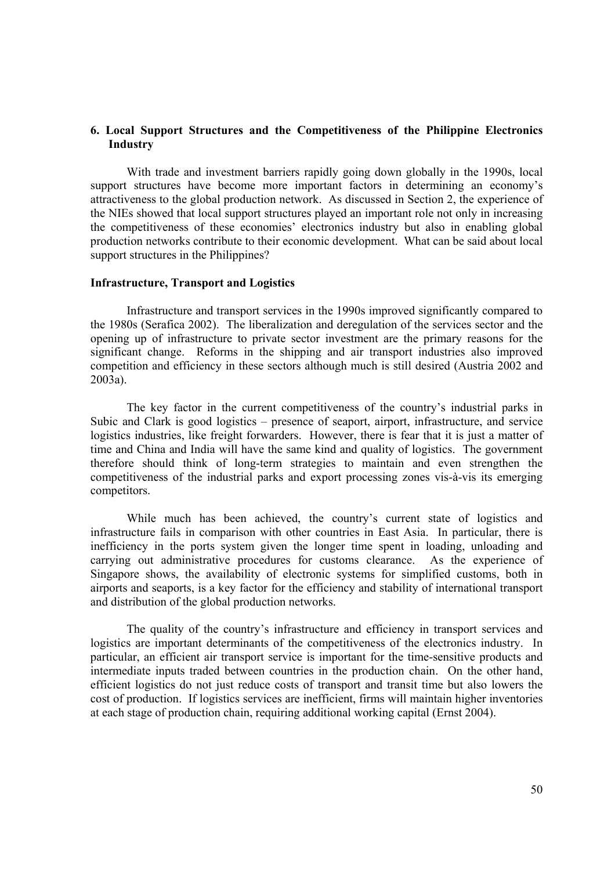# **6. Local Support Structures and the Competitiveness of the Philippine Electronics Industry**

 With trade and investment barriers rapidly going down globally in the 1990s, local support structures have become more important factors in determining an economy's attractiveness to the global production network. As discussed in Section 2, the experience of the NIEs showed that local support structures played an important role not only in increasing the competitiveness of these economies' electronics industry but also in enabling global production networks contribute to their economic development. What can be said about local support structures in the Philippines?

#### **Infrastructure, Transport and Logistics**

Infrastructure and transport services in the 1990s improved significantly compared to the 1980s (Serafica 2002). The liberalization and deregulation of the services sector and the opening up of infrastructure to private sector investment are the primary reasons for the significant change. Reforms in the shipping and air transport industries also improved competition and efficiency in these sectors although much is still desired (Austria 2002 and 2003a).

The key factor in the current competitiveness of the country's industrial parks in Subic and Clark is good logistics – presence of seaport, airport, infrastructure, and service logistics industries, like freight forwarders. However, there is fear that it is just a matter of time and China and India will have the same kind and quality of logistics. The government therefore should think of long-term strategies to maintain and even strengthen the competitiveness of the industrial parks and export processing zones vis-à-vis its emerging competitors.

While much has been achieved, the country's current state of logistics and infrastructure fails in comparison with other countries in East Asia. In particular, there is inefficiency in the ports system given the longer time spent in loading, unloading and carrying out administrative procedures for customs clearance. As the experience of Singapore shows, the availability of electronic systems for simplified customs, both in airports and seaports, is a key factor for the efficiency and stability of international transport and distribution of the global production networks.

The quality of the country's infrastructure and efficiency in transport services and logistics are important determinants of the competitiveness of the electronics industry. In particular, an efficient air transport service is important for the time-sensitive products and intermediate inputs traded between countries in the production chain. On the other hand, efficient logistics do not just reduce costs of transport and transit time but also lowers the cost of production. If logistics services are inefficient, firms will maintain higher inventories at each stage of production chain, requiring additional working capital (Ernst 2004).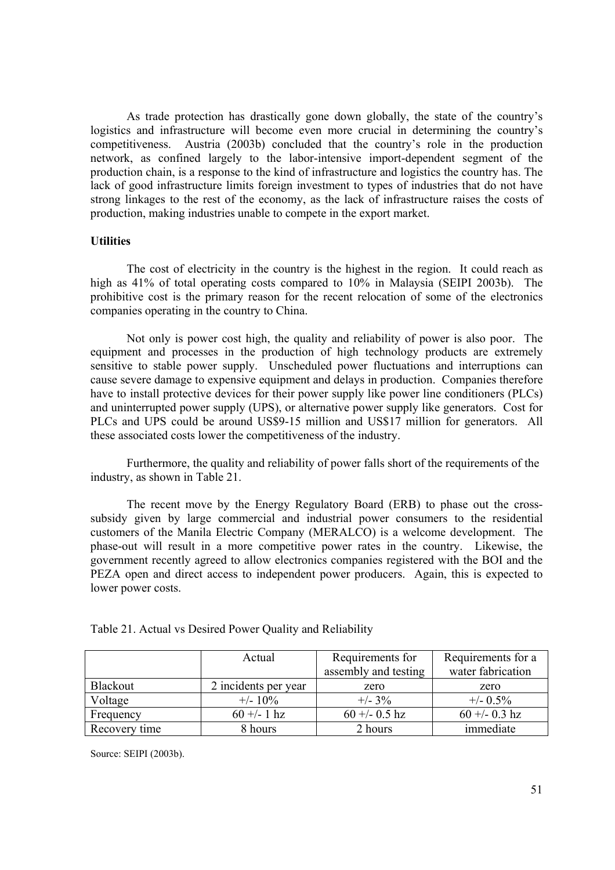As trade protection has drastically gone down globally, the state of the country's logistics and infrastructure will become even more crucial in determining the country's competitiveness. Austria (2003b) concluded that the country's role in the production network, as confined largely to the labor-intensive import-dependent segment of the production chain, is a response to the kind of infrastructure and logistics the country has. The lack of good infrastructure limits foreign investment to types of industries that do not have strong linkages to the rest of the economy, as the lack of infrastructure raises the costs of production, making industries unable to compete in the export market.

#### **Utilities**

The cost of electricity in the country is the highest in the region. It could reach as high as 41% of total operating costs compared to 10% in Malaysia (SEIPI 2003b). The prohibitive cost is the primary reason for the recent relocation of some of the electronics companies operating in the country to China.

Not only is power cost high, the quality and reliability of power is also poor. The equipment and processes in the production of high technology products are extremely sensitive to stable power supply. Unscheduled power fluctuations and interruptions can cause severe damage to expensive equipment and delays in production. Companies therefore have to install protective devices for their power supply like power line conditioners (PLCs) and uninterrupted power supply (UPS), or alternative power supply like generators. Cost for PLCs and UPS could be around US\$9-15 million and US\$17 million for generators. All these associated costs lower the competitiveness of the industry.

Furthermore, the quality and reliability of power falls short of the requirements of the industry, as shown in Table 21.

The recent move by the Energy Regulatory Board (ERB) to phase out the crosssubsidy given by large commercial and industrial power consumers to the residential customers of the Manila Electric Company (MERALCO) is a welcome development. The phase-out will result in a more competitive power rates in the country. Likewise, the government recently agreed to allow electronics companies registered with the BOI and the PEZA open and direct access to independent power producers. Again, this is expected to lower power costs.

|               | Actual               | Requirements for     | Requirements for a |
|---------------|----------------------|----------------------|--------------------|
|               |                      | assembly and testing | water fabrication  |
| Blackout      | 2 incidents per year | zero                 | zero               |
| Voltage       | $+/- 10\%$           | $+/- 3\%$            | $+/- 0.5\%$        |
| Frequency     | $60 + - 1$ hz        | $60 + -0.5$ hz       | $60 + -0.3$ hz     |
| Recovery time | 8 hours              | 2 hours              | immediate          |

Table 21. Actual vs Desired Power Quality and Reliability

Source: SEIPI (2003b).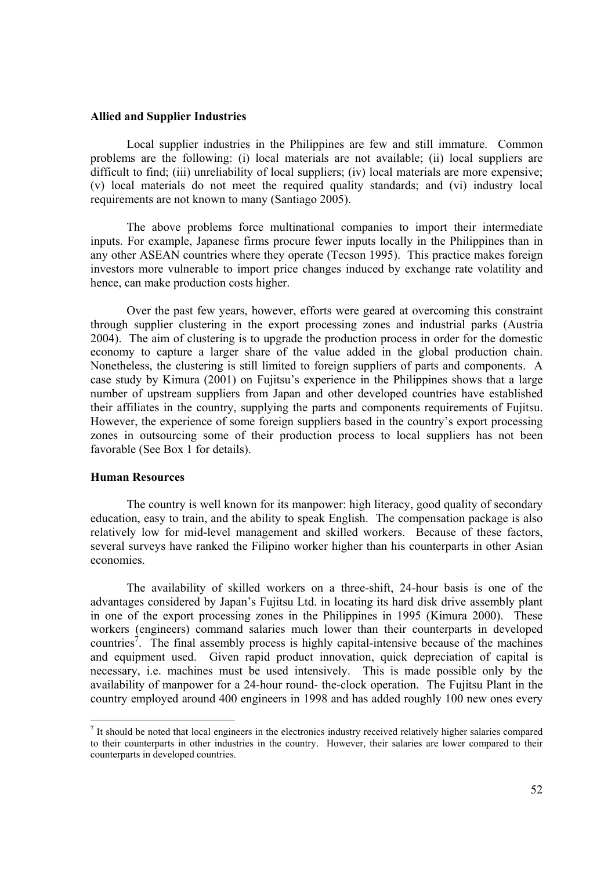#### **Allied and Supplier Industries**

Local supplier industries in the Philippines are few and still immature. Common problems are the following: (i) local materials are not available; (ii) local suppliers are difficult to find; (iii) unreliability of local suppliers; (iv) local materials are more expensive; (v) local materials do not meet the required quality standards; and (vi) industry local requirements are not known to many (Santiago 2005).

The above problems force multinational companies to import their intermediate inputs. For example, Japanese firms procure fewer inputs locally in the Philippines than in any other ASEAN countries where they operate (Tecson 1995). This practice makes foreign investors more vulnerable to import price changes induced by exchange rate volatility and hence, can make production costs higher.

 Over the past few years, however, efforts were geared at overcoming this constraint through supplier clustering in the export processing zones and industrial parks (Austria 2004). The aim of clustering is to upgrade the production process in order for the domestic economy to capture a larger share of the value added in the global production chain. Nonetheless, the clustering is still limited to foreign suppliers of parts and components. A case study by Kimura (2001) on Fujitsu's experience in the Philippines shows that a large number of upstream suppliers from Japan and other developed countries have established their affiliates in the country, supplying the parts and components requirements of Fujitsu. However, the experience of some foreign suppliers based in the country's export processing zones in outsourcing some of their production process to local suppliers has not been favorable (See Box 1 for details).

## **Human Resources**

The country is well known for its manpower: high literacy, good quality of secondary education, easy to train, and the ability to speak English. The compensation package is also relatively low for mid-level management and skilled workers. Because of these factors, several surveys have ranked the Filipino worker higher than his counterparts in other Asian economies.

The availability of skilled workers on a three-shift, 24-hour basis is one of the advantages considered by Japan's Fujitsu Ltd. in locating its hard disk drive assembly plant in one of the export processing zones in the Philippines in 1995 (Kimura 2000). These workers (engineers) command salaries much lower than their counterparts in developed countries<sup>7</sup>. The final assembly process is highly capital-intensive because of the machines and equipment used. Given rapid product innovation, quick depreciation of capital is necessary, i.e. machines must be used intensively. This is made possible only by the availability of manpower for a 24-hour round- the-clock operation. The Fujitsu Plant in the country employed around 400 engineers in 1998 and has added roughly 100 new ones every

 $<sup>7</sup>$  It should be noted that local engineers in the electronics industry received relatively higher salaries compared</sup> to their counterparts in other industries in the country. However, their salaries are lower compared to their counterparts in developed countries.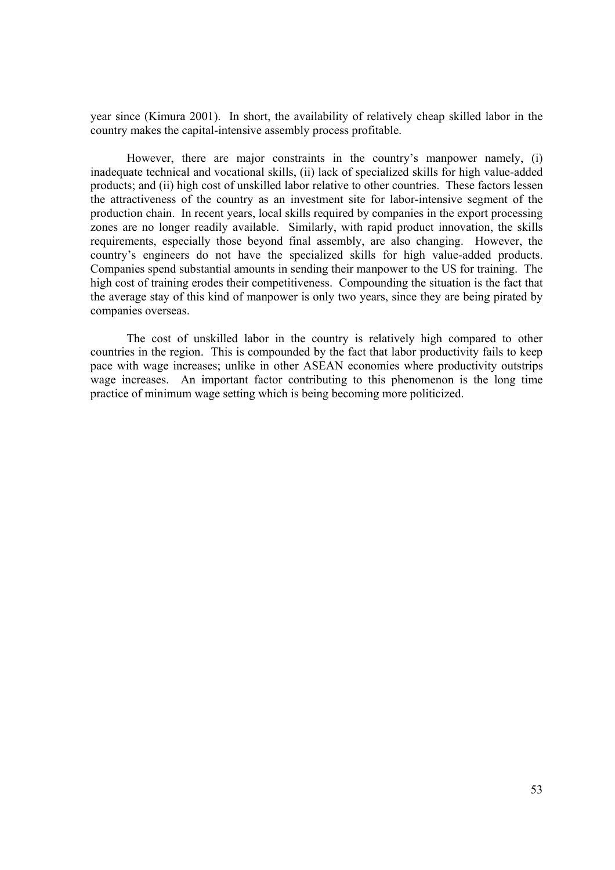year since (Kimura 2001). In short, the availability of relatively cheap skilled labor in the country makes the capital-intensive assembly process profitable.

However, there are major constraints in the country's manpower namely, (i) inadequate technical and vocational skills, (ii) lack of specialized skills for high value-added products; and (ii) high cost of unskilled labor relative to other countries. These factors lessen the attractiveness of the country as an investment site for labor-intensive segment of the production chain. In recent years, local skills required by companies in the export processing zones are no longer readily available. Similarly, with rapid product innovation, the skills requirements, especially those beyond final assembly, are also changing. However, the country's engineers do not have the specialized skills for high value-added products. Companies spend substantial amounts in sending their manpower to the US for training. The high cost of training erodes their competitiveness. Compounding the situation is the fact that the average stay of this kind of manpower is only two years, since they are being pirated by companies overseas.

The cost of unskilled labor in the country is relatively high compared to other countries in the region. This is compounded by the fact that labor productivity fails to keep pace with wage increases; unlike in other ASEAN economies where productivity outstrips wage increases. An important factor contributing to this phenomenon is the long time practice of minimum wage setting which is being becoming more politicized.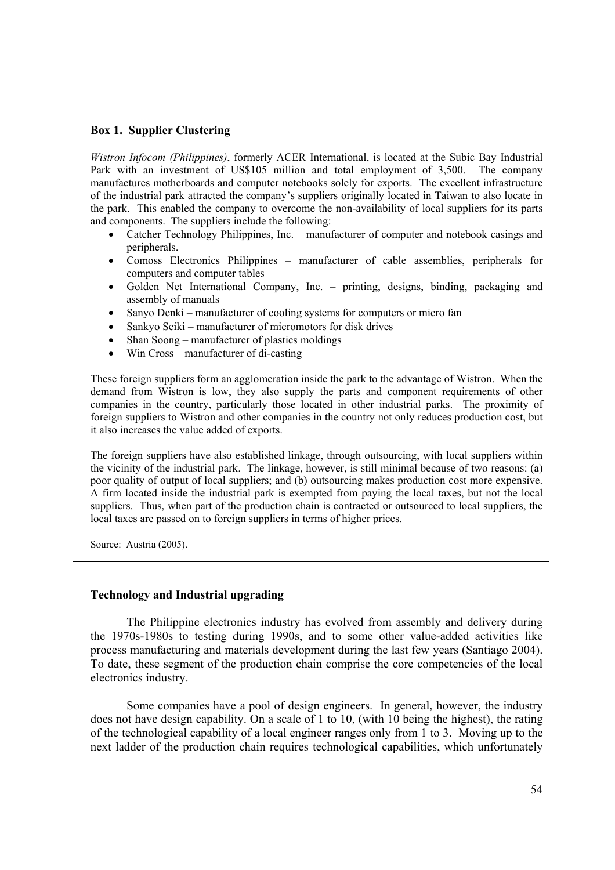# **Box 1. Supplier Clustering**

j

*Wistron Infocom (Philippines)*, formerly ACER International, is located at the Subic Bay Industrial Park with an investment of US\$105 million and total employment of 3,500. The company manufactures motherboards and computer notebooks solely for exports. The excellent infrastructure of the industrial park attracted the company's suppliers originally located in Taiwan to also locate in the park. This enabled the company to overcome the non-availability of local suppliers for its parts and components. The suppliers include the following:

- Catcher Technology Philippines, Inc. manufacturer of computer and notebook casings and peripherals.
- Comoss Electronics Philippines manufacturer of cable assemblies, peripherals for computers and computer tables
- Golden Net International Company, Inc. printing, designs, binding, packaging and assembly of manuals
- Sanyo Denki manufacturer of cooling systems for computers or micro fan
- Sankyo Seiki manufacturer of micromotors for disk drives
- Shan Soong manufacturer of plastics moldings
- Win Cross manufacturer of di-casting

These foreign suppliers form an agglomeration inside the park to the advantage of Wistron. When the demand from Wistron is low, they also supply the parts and component requirements of other companies in the country, particularly those located in other industrial parks. The proximity of foreign suppliers to Wistron and other companies in the country not only reduces production cost, but it also increases the value added of exports.

The foreign suppliers have also established linkage, through outsourcing, with local suppliers within the vicinity of the industrial park. The linkage, however, is still minimal because of two reasons: (a) poor quality of output of local suppliers; and (b) outsourcing makes production cost more expensive. A firm located inside the industrial park is exempted from paying the local taxes, but not the local suppliers. Thus, when part of the production chain is contracted or outsourced to local suppliers, the local taxes are passed on to foreign suppliers in terms of higher prices.

Source: Austria (2005).

# **Technology and Industrial upgrading**

 The Philippine electronics industry has evolved from assembly and delivery during the 1970s-1980s to testing during 1990s, and to some other value-added activities like process manufacturing and materials development during the last few years (Santiago 2004). To date, these segment of the production chain comprise the core competencies of the local electronics industry.

Some companies have a pool of design engineers. In general, however, the industry does not have design capability. On a scale of 1 to 10, (with 10 being the highest), the rating of the technological capability of a local engineer ranges only from 1 to 3. Moving up to the next ladder of the production chain requires technological capabilities, which unfortunately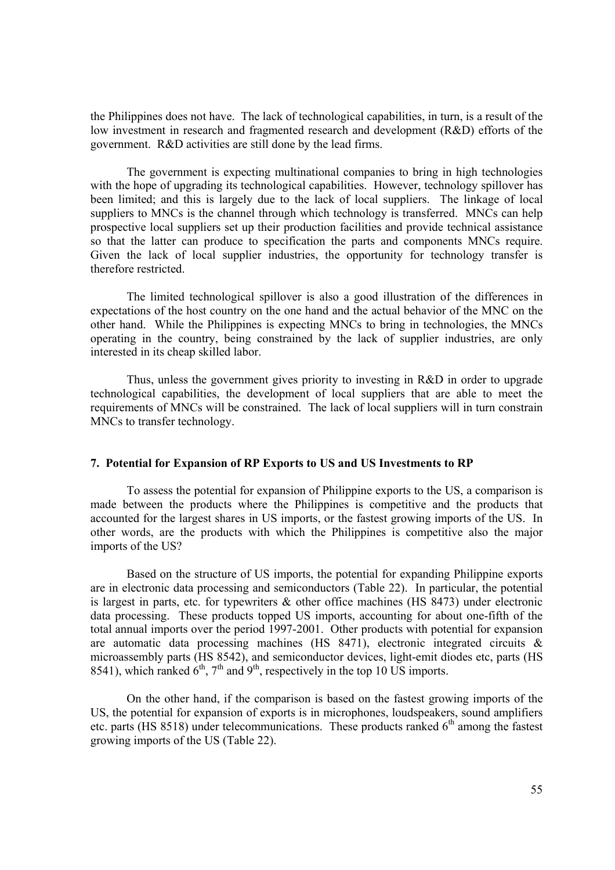the Philippines does not have. The lack of technological capabilities, in turn, is a result of the low investment in research and fragmented research and development (R&D) efforts of the government. R&D activities are still done by the lead firms.

 The government is expecting multinational companies to bring in high technologies with the hope of upgrading its technological capabilities. However, technology spillover has been limited; and this is largely due to the lack of local suppliers. The linkage of local suppliers to MNCs is the channel through which technology is transferred. MNCs can help prospective local suppliers set up their production facilities and provide technical assistance so that the latter can produce to specification the parts and components MNCs require. Given the lack of local supplier industries, the opportunity for technology transfer is therefore restricted.

The limited technological spillover is also a good illustration of the differences in expectations of the host country on the one hand and the actual behavior of the MNC on the other hand. While the Philippines is expecting MNCs to bring in technologies, the MNCs operating in the country, being constrained by the lack of supplier industries, are only interested in its cheap skilled labor.

 Thus, unless the government gives priority to investing in R&D in order to upgrade technological capabilities, the development of local suppliers that are able to meet the requirements of MNCs will be constrained. The lack of local suppliers will in turn constrain MNCs to transfer technology.

## **7. Potential for Expansion of RP Exports to US and US Investments to RP**

 To assess the potential for expansion of Philippine exports to the US, a comparison is made between the products where the Philippines is competitive and the products that accounted for the largest shares in US imports, or the fastest growing imports of the US. In other words, are the products with which the Philippines is competitive also the major imports of the US?

Based on the structure of US imports, the potential for expanding Philippine exports are in electronic data processing and semiconductors (Table 22). In particular, the potential is largest in parts, etc. for typewriters & other office machines (HS 8473) under electronic data processing. These products topped US imports, accounting for about one-fifth of the total annual imports over the period 1997-2001. Other products with potential for expansion are automatic data processing machines (HS 8471), electronic integrated circuits & microassembly parts (HS 8542), and semiconductor devices, light-emit diodes etc, parts (HS 8541), which ranked  $6<sup>th</sup>$ ,  $7<sup>th</sup>$  and  $9<sup>th</sup>$ , respectively in the top 10 US imports.

On the other hand, if the comparison is based on the fastest growing imports of the US, the potential for expansion of exports is in microphones, loudspeakers, sound amplifiers etc. parts (HS 8518) under telecommunications. These products ranked  $6<sup>th</sup>$  among the fastest growing imports of the US (Table 22).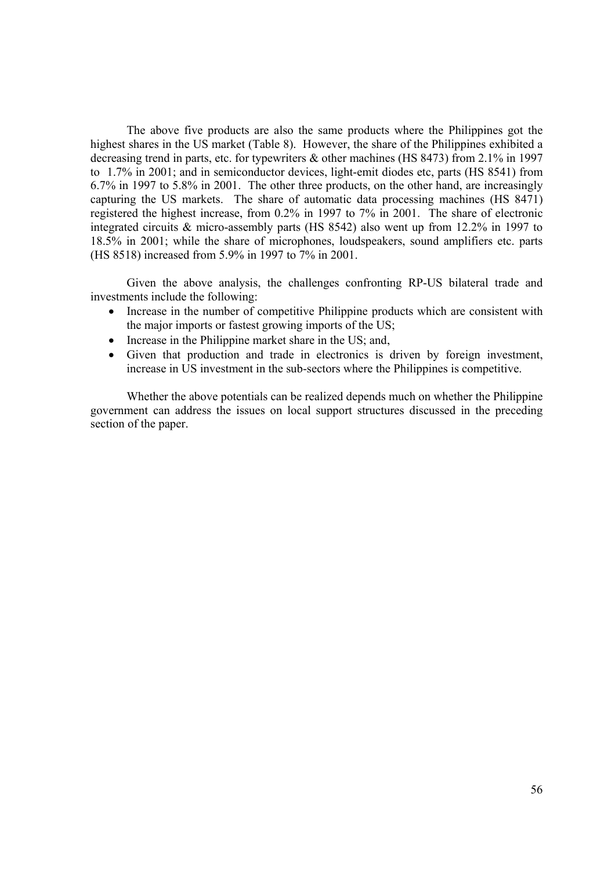The above five products are also the same products where the Philippines got the highest shares in the US market (Table 8). However, the share of the Philippines exhibited a decreasing trend in parts, etc. for typewriters & other machines (HS 8473) from 2.1% in 1997 to 1.7% in 2001; and in semiconductor devices, light-emit diodes etc, parts (HS 8541) from 6.7% in 1997 to 5.8% in 2001. The other three products, on the other hand, are increasingly capturing the US markets. The share of automatic data processing machines (HS 8471) registered the highest increase, from 0.2% in 1997 to 7% in 2001. The share of electronic integrated circuits & micro-assembly parts (HS 8542) also went up from 12.2% in 1997 to 18.5% in 2001; while the share of microphones, loudspeakers, sound amplifiers etc. parts (HS 8518) increased from 5.9% in 1997 to 7% in 2001.

Given the above analysis, the challenges confronting RP-US bilateral trade and investments include the following:

- Increase in the number of competitive Philippine products which are consistent with the major imports or fastest growing imports of the US;
- Increase in the Philippine market share in the US; and,
- Given that production and trade in electronics is driven by foreign investment, increase in US investment in the sub-sectors where the Philippines is competitive.

Whether the above potentials can be realized depends much on whether the Philippine government can address the issues on local support structures discussed in the preceding section of the paper.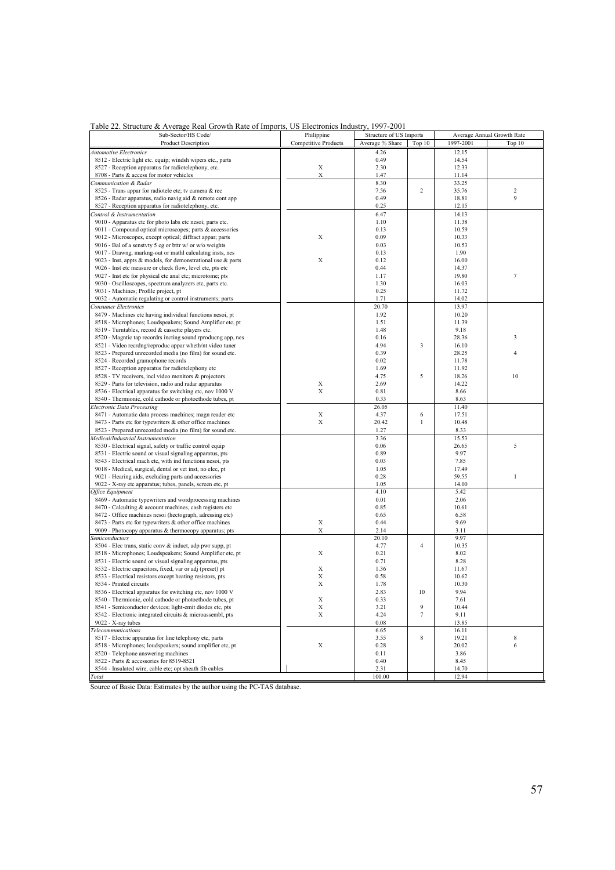|  |  |  | Table 22. Structure & Average Real Growth Rate of Imports, US Electronics Industry, 1997-2001 |
|--|--|--|-----------------------------------------------------------------------------------------------|
|  |  |  |                                                                                               |

| Sub-Sector/HS Code/                                          | Philippine                  | Structure of US Imports |                |           | Average Annual Growth Rate |  |
|--------------------------------------------------------------|-----------------------------|-------------------------|----------------|-----------|----------------------------|--|
| <b>Product Description</b>                                   | <b>Competitive Products</b> | Average % Share         | Top 10         | 1997-2001 | Top 10                     |  |
|                                                              |                             |                         |                |           |                            |  |
| Automotive Electronics                                       |                             | 4.26                    |                | 12.15     |                            |  |
| 8512 - Electric light etc. equip; windsh wipers etc., parts  |                             | 0.49                    |                | 14.54     |                            |  |
| 8527 - Reception apparatus for radiotelephony, etc.          | $\mathbf X$                 | 2.30                    |                | 12.33     |                            |  |
| 8708 - Parts & access for motor vehicles                     | $\mathbf X$                 | 1.47                    |                | 11.14     |                            |  |
| Communication & Radar                                        |                             | 8.30                    |                | 33.25     |                            |  |
|                                                              |                             |                         |                |           |                            |  |
| 8525 - Trans appar for radiotele etc; tv camera & rec        |                             | 7.56                    | $\overline{c}$ | 35.76     | $\overline{\mathbf{c}}$    |  |
| 8526 - Radar apparatus, radio navig aid & remote cont app    |                             | 0.49                    |                | 18.81     | 9                          |  |
| 8527 - Reception apparatus for radiotelephony, etc.          |                             | 0.25                    |                | 12.15     |                            |  |
| Control & Instrumentation                                    |                             | 6.47                    |                | 14.13     |                            |  |
| 9010 - Apparatus etc for photo labs etc nesoi; parts etc.    |                             | 1.10                    |                | 11.38     |                            |  |
|                                                              |                             |                         |                |           |                            |  |
| 9011 - Compound optical microscopes; parts & accessories     |                             | 0.13                    |                | 10.59     |                            |  |
| 9012 - Microscopes, except optical; diffract appar; parts    | $\mathbf X$                 | 0.09                    |                | 10.33     |                            |  |
| 9016 - Bal of a senstvty 5 cg or bttr w/ or w/o weights      |                             | 0.03                    |                | 10.53     |                            |  |
| 9017 - Drawng, markng-out or mathl calculatng insts, nes     |                             | 0.13                    |                | 1.90      |                            |  |
| 9023 - Inst, appts & models, for demonstrational use & parts | X                           | 0.12                    |                | 16.00     |                            |  |
|                                                              |                             |                         |                |           |                            |  |
| 9026 - Inst etc measure or check flow, level etc, pts etc    |                             | 0.44                    |                | 14.37     |                            |  |
| 9027 - Inst etc for physical etc anal etc; microtome; pts    |                             | 1.17                    |                | 19.80     | 7                          |  |
| 9030 - Oscilloscopes, spectrum analyzers etc, parts etc.     |                             | 1.30                    |                | 16.03     |                            |  |
| 9031 - Machines; Profile project, pt                         |                             | 0.25                    |                | 11.72     |                            |  |
| 9032 - Automatic regulating or control instruments; parts    |                             | 1.71                    |                | 14.02     |                            |  |
|                                                              |                             |                         |                |           |                            |  |
| Consumer Electronics                                         |                             | 20.70                   |                | 13.97     |                            |  |
| 8479 - Machines etc having individual functions nesoi, pt    |                             | 1.92                    |                | 10.20     |                            |  |
| 8518 - Microphones; Loudspeakers; Sound Amplifier etc, pt    |                             | 1.51                    |                | 11.39     |                            |  |
| 8519 - Turntables, record & cassette players etc.            |                             | 1.48                    |                | 9.18      |                            |  |
| 8520 - Magntic tap recordrs incting sound rproducng app, nes |                             | 0.16                    |                | 28.36     | 3                          |  |
|                                                              |                             |                         |                |           |                            |  |
| 8521 - Video recrdng/reproduc appar wheth/nt video tuner     |                             | 4.94                    | 3              | 16.10     |                            |  |
| 8523 - Prepared unrecorded media (no film) for sound etc.    |                             | 0.39                    |                | 28.25     | 4                          |  |
| 8524 - Recorded gramophone records                           |                             | 0.02                    |                | 11.78     |                            |  |
| 8527 - Reception apparatus for radiotelephony etc            |                             | 1.69                    |                | 11.92     |                            |  |
| 8528 - TV receivers, incl video monitors & projectors        |                             | 4.75                    | 5              | 18.26     | 10                         |  |
|                                                              | X                           |                         |                |           |                            |  |
| 8529 - Parts for television, radio and radar apparatus       |                             | 2.69                    |                | 14.22     |                            |  |
| 8536 - Electrical apparatus for switching etc, nov 1000 V    | X                           | 0.81                    |                | 8.66      |                            |  |
| 8540 - Thermionic, cold cathode or photocthode tubes, pt     |                             | 0.33                    |                | 8.63      |                            |  |
| Electronic Data Processing                                   |                             | 26.05                   |                | 11.40     |                            |  |
| 8471 - Automatic data process machines; magn reader etc      | Х                           | 4.37                    | 6              | 17.51     |                            |  |
| 8473 - Parts etc for typewriters & other office machines     | X                           | 20.42                   | $\mathbf{1}$   | 10.48     |                            |  |
|                                                              |                             |                         |                |           |                            |  |
| 8523 - Prepared unrecorded media (no film) for sound etc.    |                             | 1.27                    |                | 8.33      |                            |  |
| Medical/Industrial Instrumentation                           |                             | 3.36                    |                | 15.53     |                            |  |
| 8530 - Electrical signal, safety or traffic control equip    |                             | 0.06                    |                | 26.65     | 5                          |  |
| 8531 - Electric sound or visual signaling apparatus, pts     |                             | 0.89                    |                | 9.97      |                            |  |
|                                                              |                             | 0.03                    |                | 7.85      |                            |  |
| 8543 - Electrical mach etc, with ind functions nesoi, pts    |                             |                         |                |           |                            |  |
| 9018 - Medical, surgical, dental or vet inst, no elec, pt    |                             | 1.05                    |                | 17.49     |                            |  |
| 9021 - Hearing aids, excluding parts and accessories         |                             | 0.28                    |                | 59.55     | $\mathbf{1}$               |  |
| 9022 - X-ray etc apparatus; tubes, panels, screen etc, pt    |                             | 1.05                    |                | 14.00     |                            |  |
| Office Equipment                                             |                             | 4.10                    |                | 5.42      |                            |  |
| 8469 - Automatic typewriters and wordprocessing machines     |                             | 0.01                    |                | 2.06      |                            |  |
|                                                              |                             |                         |                |           |                            |  |
| 8470 - Calculting & account machines, cash registers etc     |                             | 0.85                    |                | 10.61     |                            |  |
| 8472 - Office machines nesoi (hectograph, adressing etc)     |                             | 0.65                    |                | 6.58      |                            |  |
| 8473 - Parts etc for typewriters & other office machines     | X                           | 0.44                    |                | 9.69      |                            |  |
| 9009 - Photocopy apparatus & thermocopy apparatus; pts       | X                           | 2.14                    |                | 3.11      |                            |  |
| <i>semiconductors</i>                                        |                             | 20.10                   |                | 9.97      |                            |  |
|                                                              |                             |                         |                |           |                            |  |
| 8504 - Elec trans, static conv & induct, adp pwr supp, pt    |                             | 4.77                    | 4              | 10.35     |                            |  |
| 8518 - Microphones; Loudspeakers; Sound Amplifier etc, pt    | $\mathbf X$                 | 0.21                    |                | 8.02      |                            |  |
| 8531 - Electric sound or visual signaling apparatus, pts     |                             | 0.71                    |                | 8.28      |                            |  |
| 8532 - Electric capacitors, fixed, var or adj (preset) pt    | X                           | 1.36                    |                | 11.67     |                            |  |
| 8533 - Electrical resistors except heating resistors, pts    | X                           | 0.58                    |                | 10.62     |                            |  |
|                                                              |                             |                         |                |           |                            |  |
| 8534 - Printed circuits                                      | X                           | 1.78                    |                | 10.30     |                            |  |
| 8536 - Electrical apparatus for switching etc, nov 1000 V    |                             | 2.83                    | 10             | 9.94      |                            |  |
| 8540 - Thermionic, cold cathode or photocthode tubes, pt     | Х                           | 0.33                    |                | 7.61      |                            |  |
| 8541 - Semiconductor devices; light-emit diodes etc, pts     | X                           | 3.21                    | 9              | 10.44     |                            |  |
| 8542 - Electronic integrated circuits & microassembl, pts    | X                           | 4.24                    | 7              | 9.11      |                            |  |
|                                                              |                             |                         |                |           |                            |  |
| 9022 - X-ray tubes                                           |                             | 0.08                    |                | 13.85     |                            |  |
| <b>Telecommunications</b>                                    |                             | 6.65                    |                | 16.11     |                            |  |
| 8517 - Electric apparatus for line telephony etc, parts      |                             | 3.55                    | 8              | 19.21     | 8                          |  |
| 8518 - Microphones; loudspeakers; sound amplifier etc, pt    | X                           | 0.28                    |                | 20.02     | 6                          |  |
| 8520 - Telephone answering machines                          |                             | 0.11                    |                | 3.86      |                            |  |
|                                                              |                             |                         |                |           |                            |  |
| 8522 - Parts & accessories for 8519-8521                     |                             | 0.40                    |                | 8.45      |                            |  |
| 8544 - Insulated wire, cable etc; opt sheath fib cables      |                             | 2.31                    |                | 14.70     |                            |  |
| Total                                                        |                             | 100.00                  |                | 12.94     |                            |  |

Source of Basic Data: Estimates by the author using the PC-TAS database.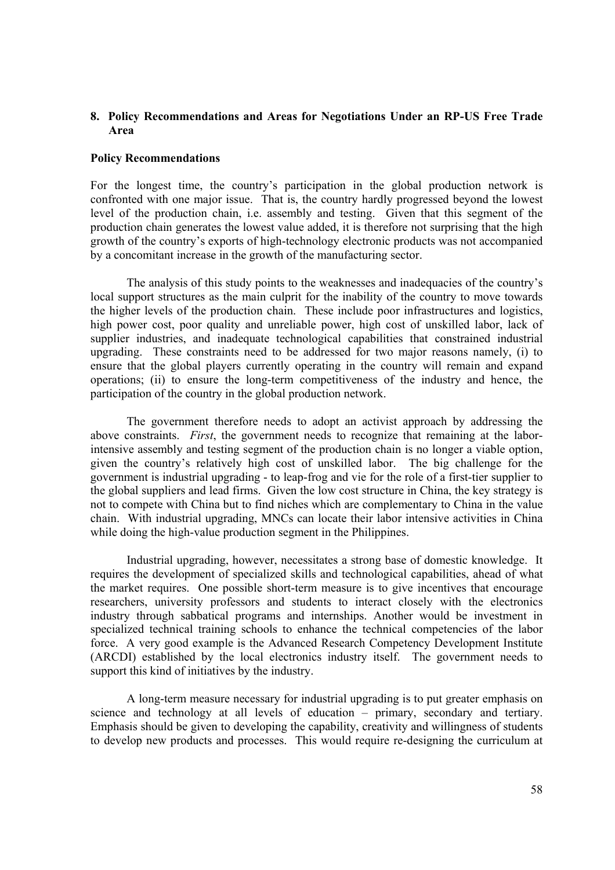# **8. Policy Recommendations and Areas for Negotiations Under an RP-US Free Trade Area**

### **Policy Recommendations**

For the longest time, the country's participation in the global production network is confronted with one major issue. That is, the country hardly progressed beyond the lowest level of the production chain, i.e. assembly and testing. Given that this segment of the production chain generates the lowest value added, it is therefore not surprising that the high growth of the country's exports of high-technology electronic products was not accompanied by a concomitant increase in the growth of the manufacturing sector.

 The analysis of this study points to the weaknesses and inadequacies of the country's local support structures as the main culprit for the inability of the country to move towards the higher levels of the production chain. These include poor infrastructures and logistics, high power cost, poor quality and unreliable power, high cost of unskilled labor, lack of supplier industries, and inadequate technological capabilities that constrained industrial upgrading. These constraints need to be addressed for two major reasons namely, (i) to ensure that the global players currently operating in the country will remain and expand operations; (ii) to ensure the long-term competitiveness of the industry and hence, the participation of the country in the global production network.

The government therefore needs to adopt an activist approach by addressing the above constraints. *First*, the government needs to recognize that remaining at the laborintensive assembly and testing segment of the production chain is no longer a viable option, given the country's relatively high cost of unskilled labor. The big challenge for the government is industrial upgrading - to leap-frog and vie for the role of a first-tier supplier to the global suppliers and lead firms. Given the low cost structure in China, the key strategy is not to compete with China but to find niches which are complementary to China in the value chain. With industrial upgrading, MNCs can locate their labor intensive activities in China while doing the high-value production segment in the Philippines.

Industrial upgrading, however, necessitates a strong base of domestic knowledge. It requires the development of specialized skills and technological capabilities, ahead of what the market requires. One possible short-term measure is to give incentives that encourage researchers, university professors and students to interact closely with the electronics industry through sabbatical programs and internships. Another would be investment in specialized technical training schools to enhance the technical competencies of the labor force. A very good example is the Advanced Research Competency Development Institute (ARCDI) established by the local electronics industry itself. The government needs to support this kind of initiatives by the industry.

A long-term measure necessary for industrial upgrading is to put greater emphasis on science and technology at all levels of education – primary, secondary and tertiary. Emphasis should be given to developing the capability, creativity and willingness of students to develop new products and processes. This would require re-designing the curriculum at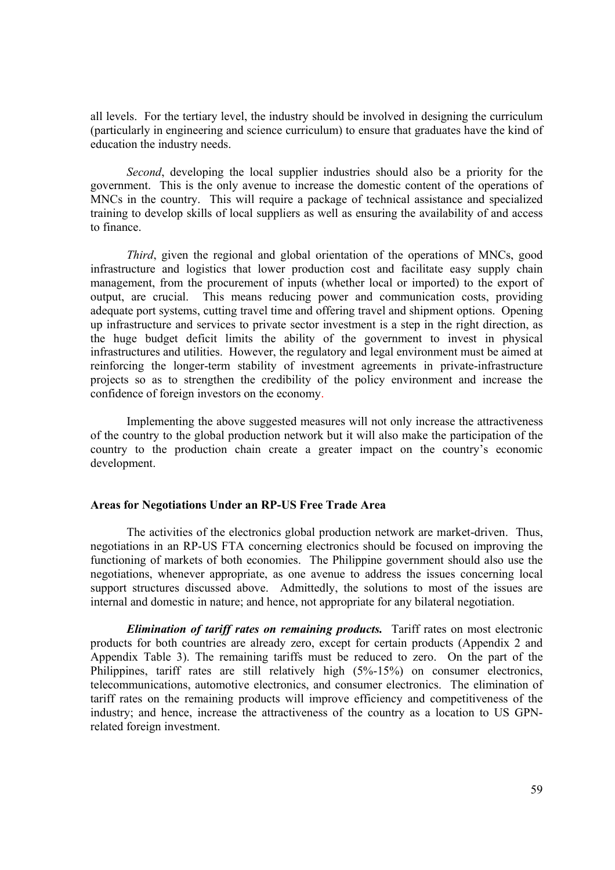all levels. For the tertiary level, the industry should be involved in designing the curriculum (particularly in engineering and science curriculum) to ensure that graduates have the kind of education the industry needs.

*Second*, developing the local supplier industries should also be a priority for the government. This is the only avenue to increase the domestic content of the operations of MNCs in the country. This will require a package of technical assistance and specialized training to develop skills of local suppliers as well as ensuring the availability of and access to finance.

*Third*, given the regional and global orientation of the operations of MNCs, good infrastructure and logistics that lower production cost and facilitate easy supply chain management, from the procurement of inputs (whether local or imported) to the export of output, are crucial. This means reducing power and communication costs, providing adequate port systems, cutting travel time and offering travel and shipment options. Opening up infrastructure and services to private sector investment is a step in the right direction, as the huge budget deficit limits the ability of the government to invest in physical infrastructures and utilities. However, the regulatory and legal environment must be aimed at reinforcing the longer-term stability of investment agreements in private-infrastructure projects so as to strengthen the credibility of the policy environment and increase the confidence of foreign investors on the economy.

 Implementing the above suggested measures will not only increase the attractiveness of the country to the global production network but it will also make the participation of the country to the production chain create a greater impact on the country's economic development.

#### **Areas for Negotiations Under an RP-US Free Trade Area**

 The activities of the electronics global production network are market-driven. Thus, negotiations in an RP-US FTA concerning electronics should be focused on improving the functioning of markets of both economies. The Philippine government should also use the negotiations, whenever appropriate, as one avenue to address the issues concerning local support structures discussed above. Admittedly, the solutions to most of the issues are internal and domestic in nature; and hence, not appropriate for any bilateral negotiation.

*Elimination of tariff rates on remaining products.* Tariff rates on most electronic products for both countries are already zero, except for certain products (Appendix 2 and Appendix Table 3). The remaining tariffs must be reduced to zero. On the part of the Philippines, tariff rates are still relatively high (5%-15%) on consumer electronics, telecommunications, automotive electronics, and consumer electronics. The elimination of tariff rates on the remaining products will improve efficiency and competitiveness of the industry; and hence, increase the attractiveness of the country as a location to US GPNrelated foreign investment.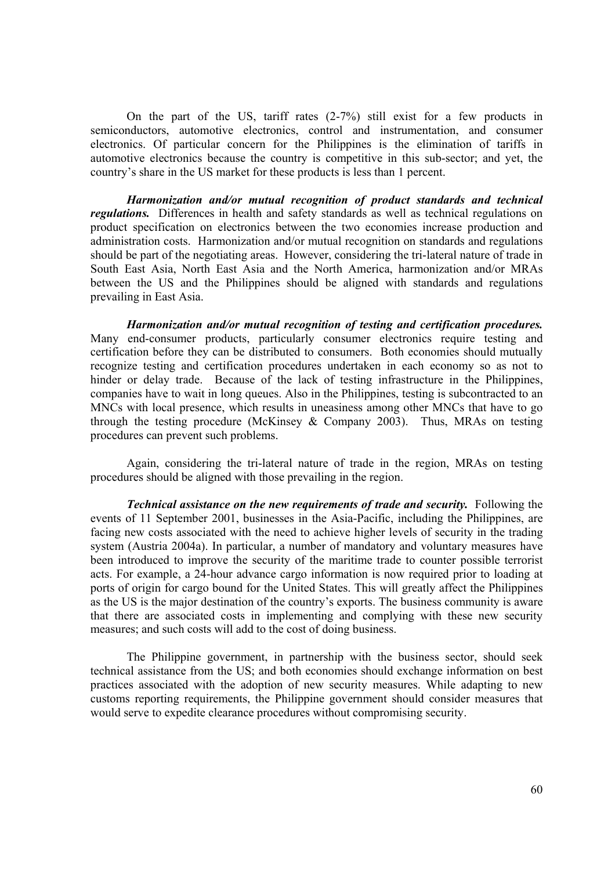On the part of the US, tariff rates (2-7%) still exist for a few products in semiconductors, automotive electronics, control and instrumentation, and consumer electronics. Of particular concern for the Philippines is the elimination of tariffs in automotive electronics because the country is competitive in this sub-sector; and yet, the country's share in the US market for these products is less than 1 percent.

*Harmonization and/or mutual recognition of product standards and technical regulations.* Differences in health and safety standards as well as technical regulations on product specification on electronics between the two economies increase production and administration costs. Harmonization and/or mutual recognition on standards and regulations should be part of the negotiating areas. However, considering the tri-lateral nature of trade in South East Asia, North East Asia and the North America, harmonization and/or MRAs between the US and the Philippines should be aligned with standards and regulations prevailing in East Asia.

*Harmonization and/or mutual recognition of testing and certification procedures.* Many end-consumer products, particularly consumer electronics require testing and certification before they can be distributed to consumers. Both economies should mutually recognize testing and certification procedures undertaken in each economy so as not to hinder or delay trade. Because of the lack of testing infrastructure in the Philippines, companies have to wait in long queues. Also in the Philippines, testing is subcontracted to an MNCs with local presence, which results in uneasiness among other MNCs that have to go through the testing procedure (McKinsey & Company 2003). Thus, MRAs on testing procedures can prevent such problems.

Again, considering the tri-lateral nature of trade in the region, MRAs on testing procedures should be aligned with those prevailing in the region.

*Technical assistance on the new requirements of trade and security.* Following the events of 11 September 2001, businesses in the Asia-Pacific, including the Philippines, are facing new costs associated with the need to achieve higher levels of security in the trading system (Austria 2004a). In particular, a number of mandatory and voluntary measures have been introduced to improve the security of the maritime trade to counter possible terrorist acts. For example, a 24-hour advance cargo information is now required prior to loading at ports of origin for cargo bound for the United States. This will greatly affect the Philippines as the US is the major destination of the country's exports. The business community is aware that there are associated costs in implementing and complying with these new security measures; and such costs will add to the cost of doing business.

The Philippine government, in partnership with the business sector, should seek technical assistance from the US; and both economies should exchange information on best practices associated with the adoption of new security measures. While adapting to new customs reporting requirements, the Philippine government should consider measures that would serve to expedite clearance procedures without compromising security.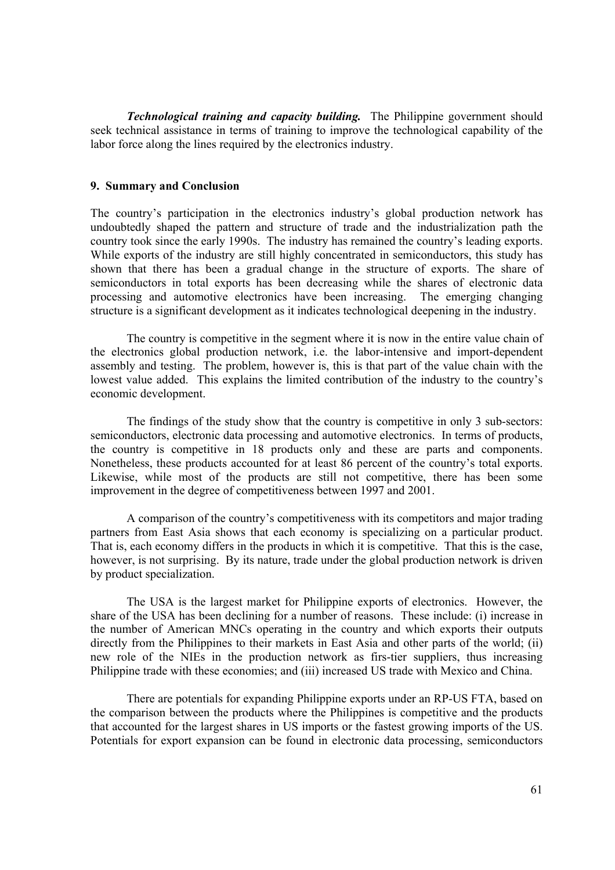*Technological training and capacity building.* The Philippine government should seek technical assistance in terms of training to improve the technological capability of the labor force along the lines required by the electronics industry.

#### **9. Summary and Conclusion**

The country's participation in the electronics industry's global production network has undoubtedly shaped the pattern and structure of trade and the industrialization path the country took since the early 1990s. The industry has remained the country's leading exports. While exports of the industry are still highly concentrated in semiconductors, this study has shown that there has been a gradual change in the structure of exports. The share of semiconductors in total exports has been decreasing while the shares of electronic data processing and automotive electronics have been increasing. The emerging changing structure is a significant development as it indicates technological deepening in the industry.

The country is competitive in the segment where it is now in the entire value chain of the electronics global production network, i.e. the labor-intensive and import-dependent assembly and testing. The problem, however is, this is that part of the value chain with the lowest value added. This explains the limited contribution of the industry to the country's economic development.

The findings of the study show that the country is competitive in only 3 sub-sectors: semiconductors, electronic data processing and automotive electronics. In terms of products, the country is competitive in 18 products only and these are parts and components. Nonetheless, these products accounted for at least 86 percent of the country's total exports. Likewise, while most of the products are still not competitive, there has been some improvement in the degree of competitiveness between 1997 and 2001.

A comparison of the country's competitiveness with its competitors and major trading partners from East Asia shows that each economy is specializing on a particular product. That is, each economy differs in the products in which it is competitive. That this is the case, however, is not surprising. By its nature, trade under the global production network is driven by product specialization.

The USA is the largest market for Philippine exports of electronics. However, the share of the USA has been declining for a number of reasons. These include: (i) increase in the number of American MNCs operating in the country and which exports their outputs directly from the Philippines to their markets in East Asia and other parts of the world; (ii) new role of the NIEs in the production network as firs-tier suppliers, thus increasing Philippine trade with these economies; and (iii) increased US trade with Mexico and China.

There are potentials for expanding Philippine exports under an RP-US FTA, based on the comparison between the products where the Philippines is competitive and the products that accounted for the largest shares in US imports or the fastest growing imports of the US. Potentials for export expansion can be found in electronic data processing, semiconductors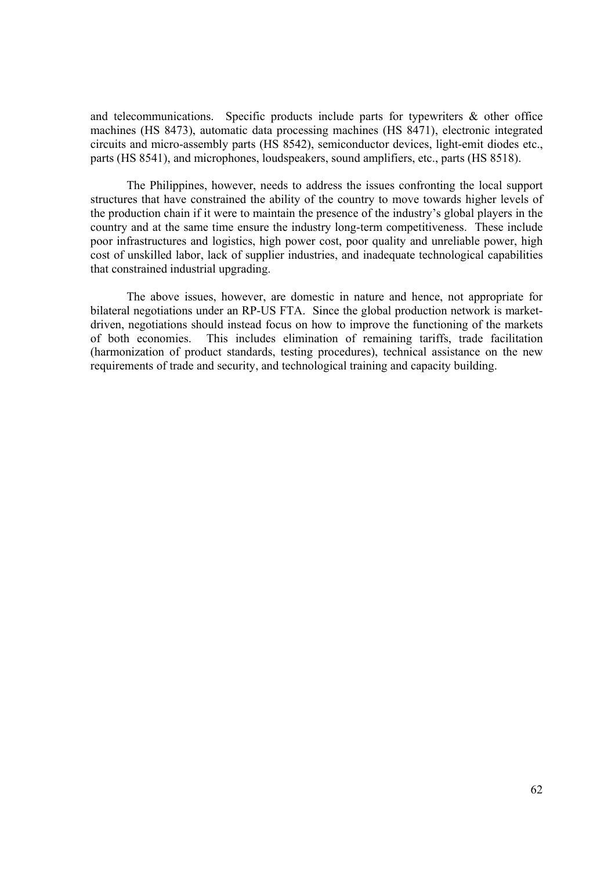and telecommunications. Specific products include parts for typewriters  $\&$  other office machines (HS 8473), automatic data processing machines (HS 8471), electronic integrated circuits and micro-assembly parts (HS 8542), semiconductor devices, light-emit diodes etc., parts (HS 8541), and microphones, loudspeakers, sound amplifiers, etc., parts (HS 8518).

The Philippines, however, needs to address the issues confronting the local support structures that have constrained the ability of the country to move towards higher levels of the production chain if it were to maintain the presence of the industry's global players in the country and at the same time ensure the industry long-term competitiveness. These include poor infrastructures and logistics, high power cost, poor quality and unreliable power, high cost of unskilled labor, lack of supplier industries, and inadequate technological capabilities that constrained industrial upgrading.

The above issues, however, are domestic in nature and hence, not appropriate for bilateral negotiations under an RP-US FTA. Since the global production network is marketdriven, negotiations should instead focus on how to improve the functioning of the markets of both economies. This includes elimination of remaining tariffs, trade facilitation (harmonization of product standards, testing procedures), technical assistance on the new requirements of trade and security, and technological training and capacity building.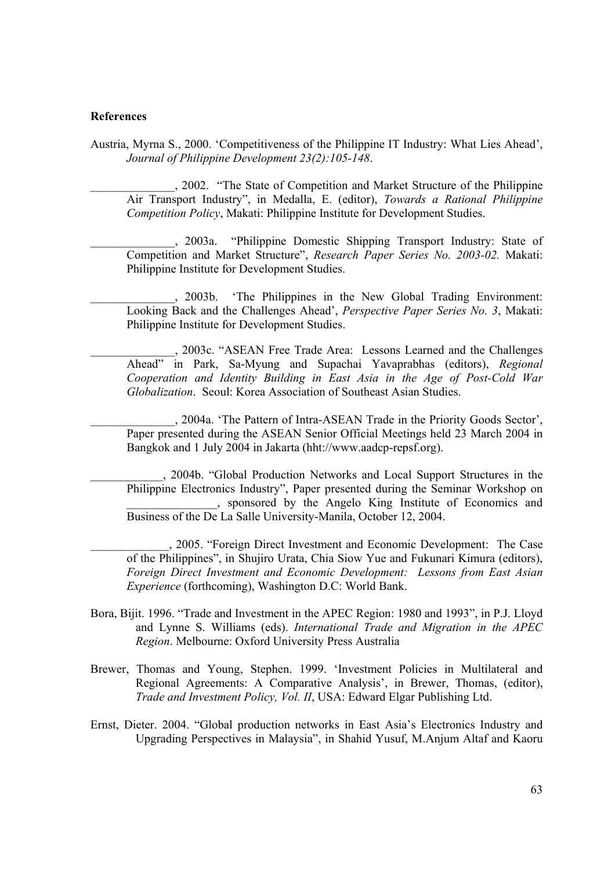#### **References**

Austria, Myrna S., 2000. 'Competitiveness of the Philippine IT Industry: What Lies Ahead', *Journal of Philippine Development 23(2):105-148*.

\_\_\_\_\_\_\_\_\_\_\_\_\_\_, 2002. "The State of Competition and Market Structure of the Philippine Air Transport Industry", in Medalla, E. (editor), *Towards a Rational Philippine Competition Policy*, Makati: Philippine Institute for Development Studies.

\_\_\_\_\_\_\_\_\_\_\_\_\_\_, 2003a. "Philippine Domestic Shipping Transport Industry: State of Competition and Market Structure", *Research Paper Series No. 2003-02.* Makati: Philippine Institute for Development Studies.

\_\_\_\_\_\_\_\_\_\_\_\_\_\_, 2003b. 'The Philippines in the New Global Trading Environment: Looking Back and the Challenges Ahead', *Perspective Paper Series No. 3*, Makati: Philippine Institute for Development Studies.

*\_\_\_\_\_\_\_\_\_\_\_\_\_\_*, 2003c. "ASEAN Free Trade Area: Lessons Learned and the Challenges Ahead" in Park, Sa-Myung and Supachai Yavaprabhas (editors), *Regional Cooperation and Identity Building in East Asia in the Age of Post-Cold War Globalization*. Seoul: Korea Association of Southeast Asian Studies.

\_\_\_\_\_\_\_\_\_\_\_\_\_\_, 2004a. 'The Pattern of Intra-ASEAN Trade in the Priority Goods Sector', Paper presented during the ASEAN Senior Official Meetings held 23 March 2004 in Bangkok and 1 July 2004 in Jakarta (hht://www.aadcp-repsf.org).

\_\_\_\_\_\_\_\_\_\_\_\_, 2004b. "Global Production Networks and Local Support Structures in the Philippine Electronics Industry", Paper presented during the Seminar Workshop on \_\_\_\_\_\_\_\_\_\_\_\_\_\_\_, sponsored by the Angelo King Institute of Economics and Business of the De La Salle University-Manila, October 12, 2004.

\_\_\_\_\_\_\_\_\_\_\_\_\_, 2005. "Foreign Direct Investment and Economic Development: The Case of the Philippines", in Shujiro Urata, Chia Siow Yue and Fukunari Kimura (editors), *Foreign Direct Investment and Economic Development: Lessons from East Asian Experience* (forthcoming), Washington D.C: World Bank.

- Bora, Bijit. 1996. "Trade and Investment in the APEC Region: 1980 and 1993", in P.J. Lloyd and Lynne S. Williams (eds). *International Trade and Migration in the APEC Region*. Melbourne: Oxford University Press Australia
- Brewer, Thomas and Young, Stephen. 1999. 'Investment Policies in Multilateral and Regional Agreements: A Comparative Analysis', in Brewer, Thomas, (editor), *Trade and Investment Policy, Vol. II*, USA: Edward Elgar Publishing Ltd.
- Ernst, Dieter. 2004. "Global production networks in East Asia's Electronics Industry and Upgrading Perspectives in Malaysia", in Shahid Yusuf, M.Anjum Altaf and Kaoru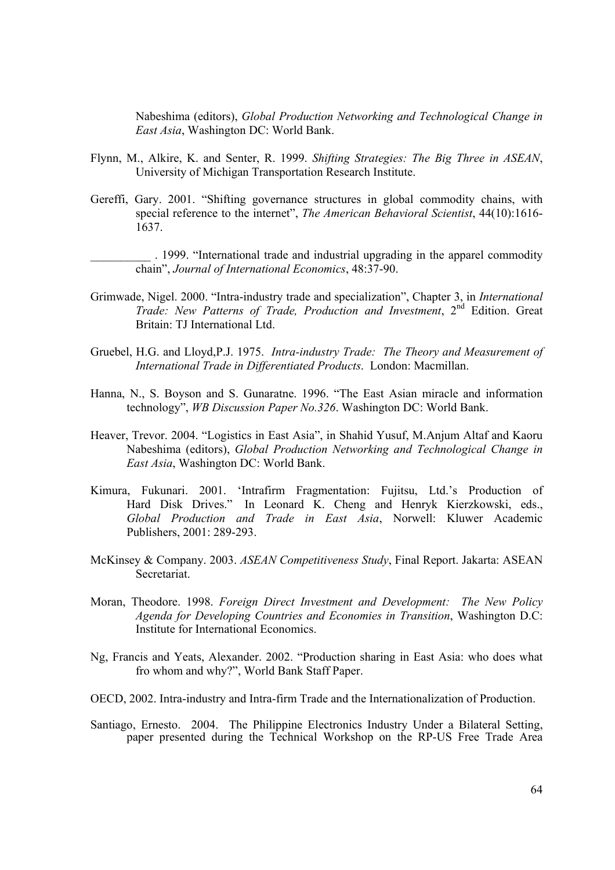Nabeshima (editors), *Global Production Networking and Technological Change in East Asia*, Washington DC: World Bank.

- Flynn, M., Alkire, K. and Senter, R. 1999. *Shifting Strategies: The Big Three in ASEAN*, University of Michigan Transportation Research Institute.
- Gereffi, Gary. 2001. "Shifting governance structures in global commodity chains, with special reference to the internet", *The American Behavioral Scientist*, 44(10):1616- 1637.

\_\_\_\_\_\_\_\_\_\_ . 1999. "International trade and industrial upgrading in the apparel commodity chain", *Journal of International Economics*, 48:37-90.

- Grimwade, Nigel. 2000. "Intra-industry trade and specialization", Chapter 3, in *International Trade: New Patterns of Trade, Production and Investment*, 2nd Edition. Great Britain: TJ International Ltd.
- Gruebel, H.G. and Lloyd,P.J. 1975. *Intra-industry Trade: The Theory and Measurement of International Trade in Differentiated Products*. London: Macmillan.
- Hanna, N., S. Boyson and S. Gunaratne. 1996. "The East Asian miracle and information technology", *WB Discussion Paper No.326*. Washington DC: World Bank.
- Heaver, Trevor. 2004. "Logistics in East Asia", in Shahid Yusuf, M.Anjum Altaf and Kaoru Nabeshima (editors), *Global Production Networking and Technological Change in East Asia*, Washington DC: World Bank.
- Kimura, Fukunari. 2001. 'Intrafirm Fragmentation: Fujitsu, Ltd.'s Production of Hard Disk Drives." In Leonard K. Cheng and Henryk Kierzkowski, eds., *Global Production and Trade in East Asia*, Norwell: Kluwer Academic Publishers, 2001: 289-293.
- McKinsey & Company. 2003. *ASEAN Competitiveness Study*, Final Report. Jakarta: ASEAN **Secretariat**
- Moran, Theodore. 1998. *Foreign Direct Investment and Development: The New Policy Agenda for Developing Countries and Economies in Transition*, Washington D.C: Institute for International Economics.
- Ng, Francis and Yeats, Alexander. 2002. "Production sharing in East Asia: who does what fro whom and why?", World Bank Staff Paper.
- OECD, 2002. Intra-industry and Intra-firm Trade and the Internationalization of Production.
- Santiago, Ernesto. 2004. The Philippine Electronics Industry Under a Bilateral Setting, paper presented during the Technical Workshop on the RP-US Free Trade Area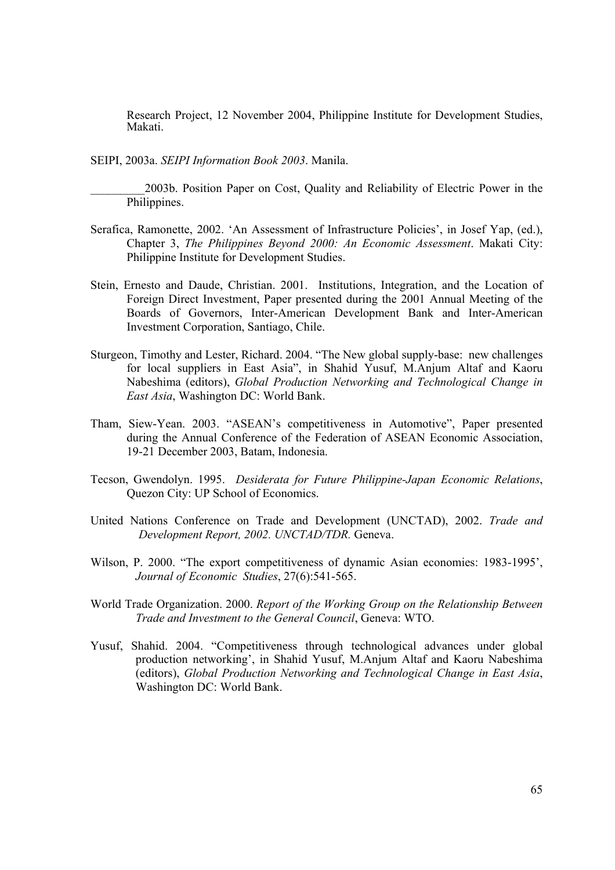Research Project, 12 November 2004, Philippine Institute for Development Studies, Makati.

SEIPI, 2003a. *SEIPI Information Book 2003*. Manila.

\_\_\_\_\_\_\_\_\_2003b. Position Paper on Cost, Quality and Reliability of Electric Power in the Philippines.

- Serafica, Ramonette, 2002. 'An Assessment of Infrastructure Policies', in Josef Yap, (ed.), Chapter 3, *The Philippines Beyond 2000: An Economic Assessment*. Makati City: Philippine Institute for Development Studies.
- Stein, Ernesto and Daude, Christian. 2001. Institutions, Integration, and the Location of Foreign Direct Investment, Paper presented during the 2001 Annual Meeting of the Boards of Governors, Inter-American Development Bank and Inter-American Investment Corporation, Santiago, Chile.
- Sturgeon, Timothy and Lester, Richard. 2004. "The New global supply-base: new challenges for local suppliers in East Asia", in Shahid Yusuf, M.Anjum Altaf and Kaoru Nabeshima (editors), *Global Production Networking and Technological Change in East Asia*, Washington DC: World Bank.
- Tham, Siew-Yean. 2003. "ASEAN's competitiveness in Automotive", Paper presented during the Annual Conference of the Federation of ASEAN Economic Association, 19-21 December 2003, Batam, Indonesia.
- Tecson, Gwendolyn. 1995. *Desiderata for Future Philippine-Japan Economic Relations*, Quezon City: UP School of Economics.
- United Nations Conference on Trade and Development (UNCTAD), 2002. *Trade and Development Report, 2002. UNCTAD/TDR.* Geneva.
- Wilson, P. 2000. "The export competitiveness of dynamic Asian economies: 1983-1995', *Journal of Economic Studies*, 27(6):541-565.
- World Trade Organization. 2000. *Report of the Working Group on the Relationship Between Trade and Investment to the General Council*, Geneva: WTO.
- Yusuf, Shahid. 2004. "Competitiveness through technological advances under global production networking', in Shahid Yusuf, M.Anjum Altaf and Kaoru Nabeshima (editors), *Global Production Networking and Technological Change in East Asia*, Washington DC: World Bank.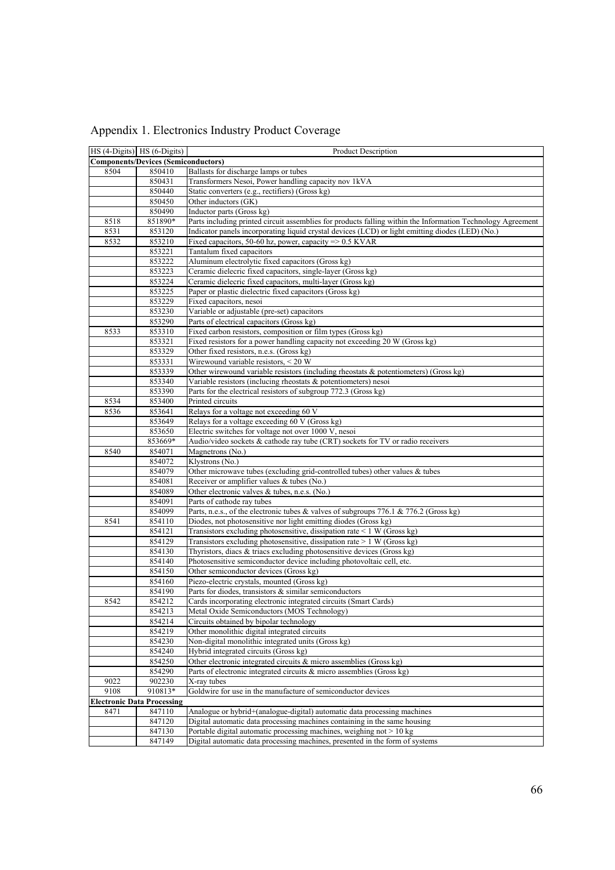|      | HS (4-Digits) HS (6-Digits)                | Product Description                                                                                         |
|------|--------------------------------------------|-------------------------------------------------------------------------------------------------------------|
|      | <b>Components/Devices (Semiconductors)</b> |                                                                                                             |
| 8504 | 850410                                     | Ballasts for discharge lamps or tubes                                                                       |
|      | 850431                                     | Transformers Nesoi, Power handling capacity nov 1kVA                                                        |
|      | 850440                                     | Static converters (e.g., rectifiers) (Gross kg)                                                             |
|      | 850450                                     | Other inductors (GK)                                                                                        |
|      | 850490                                     | Inductor parts (Gross kg)                                                                                   |
| 8518 | 851890*                                    | Parts including printed circuit assemblies for products falling within the Information Technology Agreement |
| 8531 | 853120                                     | Indicator panels incorporating liquid crystal devices (LCD) or light emitting diodes (LED) (No.)            |
| 8532 | 853210                                     | Fixed capacitors, 50-60 hz, power, capacity $\Rightarrow$ 0.5 KVAR                                          |
|      | 853221                                     | Tantalum fixed capacitors                                                                                   |
|      | 853222                                     | Aluminum electrolytic fixed capacitors (Gross kg)                                                           |
|      | 853223                                     | Ceramic dielecric fixed capacitors, single-layer (Gross kg)                                                 |
|      | 853224                                     | Ceramic dielecric fixed capacitors, multi-layer (Gross kg)                                                  |
|      | 853225                                     | Paper or plastic dielectric fixed capacitors (Gross kg)                                                     |
|      | 853229                                     | Fixed capacitors, nesoi                                                                                     |
|      | 853230                                     | Variable or adjustable (pre-set) capacitors                                                                 |
|      | 853290                                     | Parts of electrical capacitors (Gross kg)                                                                   |
| 8533 | 853310                                     | Fixed carbon resistors, composition or film types (Gross kg)                                                |
|      | 853321                                     | Fixed resistors for a power handling capacity not exceeding 20 W (Gross kg)                                 |
|      | 853329                                     | Other fixed resistors, n.e.s. (Gross kg)                                                                    |
|      | 853331                                     | Wirewound variable resistors, < 20 W                                                                        |
|      | 853339                                     | Other wirewound variable resistors (including rheostats $\&$ potentiometers) (Gross kg)                     |
|      | 853340                                     | Variable resistors (inclucing rheostats $\&$ potentiometers) nesoi                                          |
|      | 853390                                     | Parts for the electrical resistors of subgroup 772.3 (Gross kg)                                             |
| 8534 | 853400                                     | Printed circuits                                                                                            |
| 8536 | 853641                                     | Relays for a voltage not exceeding 60 V                                                                     |
|      | 853649                                     | Relays for a voltage exceeding 60 V (Gross kg)                                                              |
|      | 853650                                     | Electric switches for voltage not over 1000 V, nesoi                                                        |
|      | 853669*                                    | Audio/video sockets & cathode ray tube (CRT) sockets for TV or radio receivers                              |
| 8540 | 854071<br>854072                           | Magnetrons (No.)<br>Klystrons (No.)                                                                         |
|      | 854079                                     | Other microwave tubes (excluding grid-controlled tubes) other values & tubes                                |
|      | 854081                                     | Receiver or amplifier values & tubes (No.)                                                                  |
|      | 854089                                     | Other electronic valves & tubes, n.e.s. (No.)                                                               |
|      | 854091                                     | Parts of cathode ray tubes                                                                                  |
|      | 854099                                     | Parts, n.e.s., of the electronic tubes & valves of subgroups 776.1 & 776.2 (Gross kg)                       |
| 8541 | 854110                                     | Diodes, not photosensitive nor light emitting diodes (Gross kg)                                             |
|      | 854121                                     | Transistors excluding photosensitive, dissipation rate $\leq 1$ W (Gross kg)                                |
|      | 854129                                     | Transistors excluding photosensitive, dissipation rate > 1 W (Gross kg)                                     |
|      | 854130                                     | Thyristors, diacs & triacs excluding photosensitive devices (Gross kg)                                      |
|      | 854140                                     | Photosensitive semiconductor device including photovoltaic cell, etc.                                       |
|      | 854150                                     | Other semiconductor devices (Gross kg)                                                                      |
|      | 854160                                     | Piezo-electric crystals, mounted (Gross kg)                                                                 |
|      | 854190                                     | Parts for diodes, transistors & similar semiconductors                                                      |
| 8542 | 854212                                     | Cards incorporating electronic integrated circuits (Smart Cards)                                            |
|      | 854213                                     | Metal Oxide Semiconductors (MOS Technology)                                                                 |
|      | 854214                                     | Circuits obtained by bipolar technology                                                                     |
|      | 854219                                     | Other monolithic digital integrated circuits                                                                |
|      | 854230                                     | Non-digital monolithic integrated units (Gross kg)                                                          |
|      | 854240                                     | Hybrid integrated circuits (Gross kg)                                                                       |
|      | 854250                                     | Other electronic integrated circuits & micro assemblies (Gross kg)                                          |
|      | 854290                                     | Parts of electronic integrated circuits & micro assemblies (Gross kg)                                       |
| 9022 | 902230                                     | X-ray tubes                                                                                                 |
| 9108 | 910813*                                    | Goldwire for use in the manufacture of semiconductor devices                                                |
|      | <b>Electronic Data Processing</b>          |                                                                                                             |
| 8471 | 847110                                     | Analogue or hybrid+(analogue-digital) automatic data processing machines                                    |
|      | 847120                                     | Digital automatic data processing machines containing in the same housing                                   |
|      | 847130                                     | Portable digital automatic processing machines, weighing not > 10 kg                                        |
|      | 847149                                     | Digital automatic data processing machines, presented in the form of systems                                |

Appendix 1. Electronics Industry Product Coverage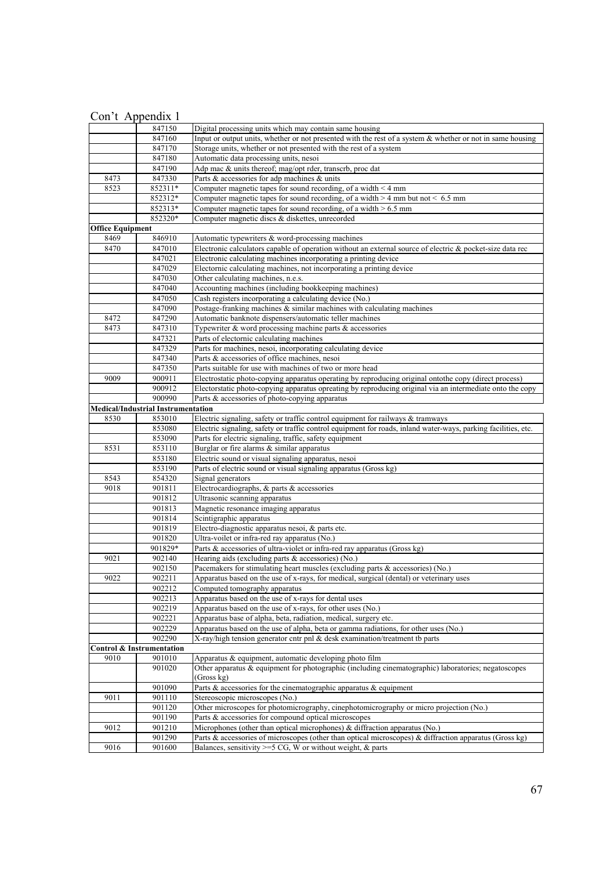|                         | 847150                                    | Digital processing units which may contain same housing                                                           |
|-------------------------|-------------------------------------------|-------------------------------------------------------------------------------------------------------------------|
|                         | 847160                                    | Input or output units, whether or not presented with the rest of a system $\&$ whether or not in same housing     |
|                         | 847170                                    | Storage units, whether or not presented with the rest of a system                                                 |
|                         | 847180                                    | Automatic data processing units, nesoi                                                                            |
|                         | 847190                                    | Adp mac & units thereof; mag/opt rder, transcrb, proc dat                                                         |
| 8473                    | 847330                                    | Parts & accessories for adp machines & units                                                                      |
| 8523                    | 852311*                                   | Computer magnetic tapes for sound recording, of a width $\leq 4$ mm                                               |
|                         | 852312*                                   | Computer magnetic tapes for sound recording, of a width $>$ 4 mm but not < 6.5 mm                                 |
|                         | 852313*                                   | Computer magnetic tapes for sound recording, of a width $> 6.5$ mm                                                |
|                         | 852320*                                   | Computer magnetic discs & diskettes, unrecorded                                                                   |
| <b>Office Equipment</b> |                                           |                                                                                                                   |
| 8469                    | 846910                                    | Automatic typewriters & word-processing machines                                                                  |
| 8470                    | 847010                                    | Electronic calculators capable of operation without an external source of electric $\&$ pocket-size data rec      |
|                         | 847021                                    | Electronic calculating machines incorporating a printing device                                                   |
|                         | 847029                                    | Electornic calculating machines, not incorporating a printing device                                              |
|                         | 847030                                    | Other calculating machines, n.e.s.                                                                                |
|                         | 847040                                    | Accounting machines (including bookkeeping machines)                                                              |
|                         | 847050                                    | Cash registers incorporating a calculating device (No.)                                                           |
|                         | 847090                                    | Postage-franking machines $\&$ similar machines with calculating machines                                         |
| 8472                    | 847290                                    | Automatic banknote dispensers/automatic teller machines                                                           |
| 8473                    | 847310                                    | Typewriter $\&$ word processing machine parts $\&$ accessories                                                    |
|                         | 847321                                    | Parts of electornic calculating machines                                                                          |
|                         | 847329                                    | Parts for machines, nesoi, incorporating calculating device                                                       |
|                         | 847340                                    | Parts & accessories of office machines, nesoi                                                                     |
|                         | 847350                                    | Parts suitable for use with machines of two or more head                                                          |
| 9009                    | 900911                                    | Electrostatic photo-copying apparatus operating by reproducing original ontothe copy (direct process)             |
|                         | 900912                                    | Electorstatic photo-copying apparatus opreating by reproducing original via an intermediate onto the copy         |
|                         | 900990                                    | Parts & accessories of photo-copying apparatus                                                                    |
|                         | <b>Medical/Industrial Instrumentation</b> |                                                                                                                   |
| 8530                    | 853010                                    | Electric signaling, safety or traffic control equipment for railways & tramways                                   |
|                         | 853080                                    | Electric signaling, safety or traffic control equipment for roads, inland water-ways, parking facilities, etc.    |
|                         | 853090                                    | Parts for electric signaling, traffic, safety equipment                                                           |
| 8531                    | 853110                                    | Burglar or fire alarms $\&$ similar apparatus                                                                     |
|                         | 853180                                    | Electric sound or visual signaling apparatus, nesoi                                                               |
|                         | 853190                                    | Parts of electric sound or visual signaling apparatus (Gross kg)                                                  |
| 8543                    | 854320                                    | Signal generators                                                                                                 |
| 9018                    | 901811                                    | Electrocardiographs, & parts & accessories                                                                        |
|                         | 901812                                    | Ultrasonic scanning apparatus                                                                                     |
|                         | 901813                                    | Magnetic resonance imaging apparatus                                                                              |
|                         | 901814                                    | Scintigraphic apparatus                                                                                           |
|                         | 901819                                    | Electro-diagnostic apparatus nesoi, $\overline{\mathcal{X}}$ parts etc.                                           |
|                         | 901820                                    | Ultra-voilet or infra-red ray apparatus (No.)                                                                     |
|                         | 901829*                                   | Parts & accessories of ultra-violet or infra-red ray apparatus (Gross kg)                                         |
| 9021                    | 902140                                    | Hearing aids (excluding parts & accessories) (No.)                                                                |
|                         | 902150                                    | Pacemakers for stimulating heart muscles (excluding parts & accessories) (No.)                                    |
| 9022                    | 902211                                    | Apparatus based on the use of x-rays, for medical, surgical (dental) or veterinary uses                           |
|                         | 902212                                    | Computed tomography apparatus                                                                                     |
|                         | 902213                                    | Apparatus based on the use of x-rays for dental uses                                                              |
|                         | 902219                                    | Apparatus based on the use of x-rays, for other uses (No.)                                                        |
|                         | 902221                                    | Apparatus base of alpha, beta, radiation, medical, surgery etc.                                                   |
|                         | 902229                                    | Apparatus based on the use of alpha, beta or gamma radiations, for other uses (No.)                               |
|                         | 902290                                    | X-ray/high tension generator cntr pnl $\&$ desk examination/treatment tb parts                                    |
|                         | <b>Control &amp; Instrumentation</b>      |                                                                                                                   |
| 9010                    | 901010                                    | Apparatus & equipment, automatic developing photo film                                                            |
|                         | 901020                                    | Other apparatus & equipment for photographic (including cinematographic) laboratories; negatoscopes<br>(Gross kg) |
|                         | 901090                                    | Parts $\&$ accessories for the cinematographic apparatus $\&$ equipment                                           |
| 9011                    | 901110                                    | Stereoscopic microscopes (No.)                                                                                    |
|                         | 901120                                    | Other microscopes for photomicrography, cinephotomicrography or micro projection (No.)                            |
|                         | 901190                                    | Parts & accessories for compound optical microscopes                                                              |
| 9012                    | 901210                                    | Microphones (other than optical microphones) & diffraction apparatus (No.)                                        |
|                         | 901290                                    |                                                                                                                   |
|                         |                                           | Parts & accessories of microscopes (other than optical microscopes) & diffraction apparatus (Gross kg)            |
| 9016                    | 901600                                    | Balances, sensitivity $>=$ 5 CG, W or without weight, & parts                                                     |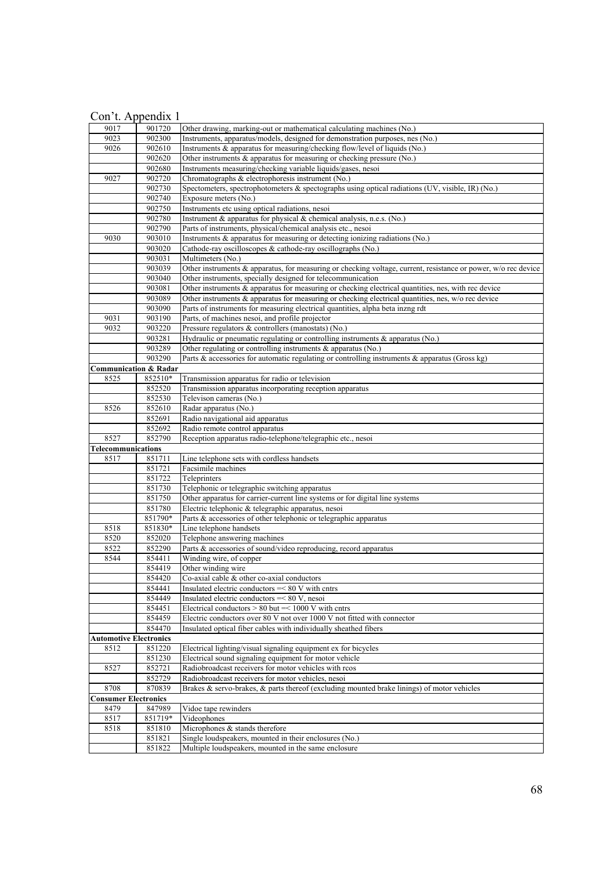| 9017                          | 901720                           | Other drawing, marking-out or mathematical calculating machines (No.)                                          |
|-------------------------------|----------------------------------|----------------------------------------------------------------------------------------------------------------|
| 9023                          | 902300                           | Instruments, apparatus/models, designed for demonstration purposes, nes (No.)                                  |
| 9026                          | 902610                           | Instruments & apparatus for measuring/checking flow/level of liquids (No.)                                     |
|                               | 902620                           | Other instruments $\&$ apparatus for measuring or checking pressure (No.)                                      |
|                               | 902680                           | Instruments measuring/checking variable liquids/gases, nesoi                                                   |
| 9027                          | 902720                           | Chromatographs & electrophoresis instrument (No.)                                                              |
|                               | 902730                           | Spectometers, spectrophotometers & spectographs using optical radiations (UV, visible, IR) (No.)               |
|                               | 902740                           | Exposure meters (No.)                                                                                          |
|                               | 902750                           | Instruments etc using optical radiations, nesoi                                                                |
|                               | 902780                           | Instrument & apparatus for physical & chemical analysis, n.e.s. (No.)                                          |
|                               | 902790                           | Parts of instruments, physical/chemical analysis etc., nesoi                                                   |
| 9030                          | 903010                           | Instruments & apparatus for measuring or detecting ionizing radiations (No.)                                   |
|                               | 903020                           | Cathode-ray oscilloscopes & cathode-ray oscillographs (No.)                                                    |
|                               | 903031                           | Multimeters (No.)                                                                                              |
|                               | 903039                           | Other instruments & apparatus, for measuring or checking voltage, current, resistance or power, w/o rec device |
|                               | 903040                           | Other instruments, specially designed for telecommunication                                                    |
|                               | 903081                           | Other instruments $\&$ apparatus for measuring or checking electrical quantities, nes, with rec device         |
|                               | 903089                           | Other instruments & apparatus for measuring or checking electrical quantities, nes, w/o rec device             |
|                               | 903090                           | Parts of instruments for measuring electrical quantities, alpha beta inzng rdt                                 |
| 9031                          | 903190                           | Parts, of machines nesoi, and profile projector                                                                |
| 9032                          | 903220                           | Pressure regulators & controllers (manostats) (No.)                                                            |
|                               | 903281                           | Hydraulic or pneumatic regulating or controlling instruments $\&$ apparatus (No.)                              |
|                               | 903289                           | Other regulating or controlling instruments & apparatus (No.)                                                  |
|                               | 903290                           | Parts & accessories for automatic regulating or controlling instruments $\overline{\&$ apparatus (Gross kg)    |
|                               | <b>Communication &amp; Radar</b> |                                                                                                                |
| 8525                          | 852510*                          | Transmission apparatus for radio or television                                                                 |
|                               | 852520                           | Transmission apparatus incorporating reception apparatus                                                       |
|                               | 852530                           | Televison cameras (No.)                                                                                        |
| 8526                          | 852610                           | Radar apparatus (No.)                                                                                          |
|                               | 852691                           | Radio navigational aid apparatus                                                                               |
|                               | 852692                           | Radio remote control apparatus                                                                                 |
| 8527                          | 852790                           | Reception apparatus radio-telephone/telegraphic etc., nesoi                                                    |
| Telecommunications            |                                  |                                                                                                                |
| 8517                          | 851711                           | Line telephone sets with cordless handsets                                                                     |
|                               | 851721                           | Facsimile machines                                                                                             |
|                               | 851722                           | Teleprinters                                                                                                   |
|                               | 851730                           | Telephonic or telegraphic switching apparatus                                                                  |
|                               | 851750                           | Other apparatus for carrier-current line systems or for digital line systems                                   |
|                               | 851780                           | Electric telephonic & telegraphic apparatus, nesoi                                                             |
|                               | 851790*                          | Parts & accessories of other telephonic or telegraphic apparatus                                               |
| 8518                          | 851830*                          | Line telephone handsets                                                                                        |
| 8520                          | 852020                           | Telephone answering machines                                                                                   |
| 8522                          | 852290                           | Parts & accessories of sound/video reproducing, record apparatus                                               |
| 8544                          | 854411                           | Winding wire, of copper                                                                                        |
|                               | 854419                           | Other winding wire                                                                                             |
|                               | 854420                           | Co-axial cable & other co-axial conductors                                                                     |
|                               | 854441                           | Insulated electric conductors $=< 80 V$ with cntrs                                                             |
|                               | 854449                           | Insulated electric conductors $=< 80 V$ , nesoi                                                                |
|                               | 854451                           | Electrical conductors $> 80$ but $=< 1000$ V with cntrs                                                        |
|                               | 854459                           | Electric conductors over 80 V not over 1000 V not fitted with connector                                        |
|                               | 854470                           | Insulated optical fiber cables with individually sheathed fibers                                               |
| <b>Automotive Electronics</b> |                                  |                                                                                                                |
| 8512                          | 851220                           | Electrical lighting/visual signaling equipment ex for bicycles                                                 |
|                               | 851230                           | Electrical sound signaling equipment for motor vehicle                                                         |
| 8527                          | 852721                           | Radiobroadcast receivers for motor vehicles with rcos                                                          |
|                               | 852729                           | Radiobroadcast receivers for motor vehicles, nesoi                                                             |
| 8708                          | 870839                           | Brakes & servo-brakes, & parts thereof (excluding mounted brake linings) of motor vehicles                     |
| <b>Consumer Electronics</b>   |                                  |                                                                                                                |
| 8479                          | 847989                           | Vidoe tape rewinders                                                                                           |
| 8517                          | 851719*                          | Videophones                                                                                                    |
| 8518                          | 851810                           | Microphones & stands therefore                                                                                 |
|                               |                                  |                                                                                                                |
|                               | 851821                           | Single loudspeakers, mounted in their enclosures (No.)                                                         |
|                               | 851822                           | Multiple loudspeakers, mounted in the same enclosure                                                           |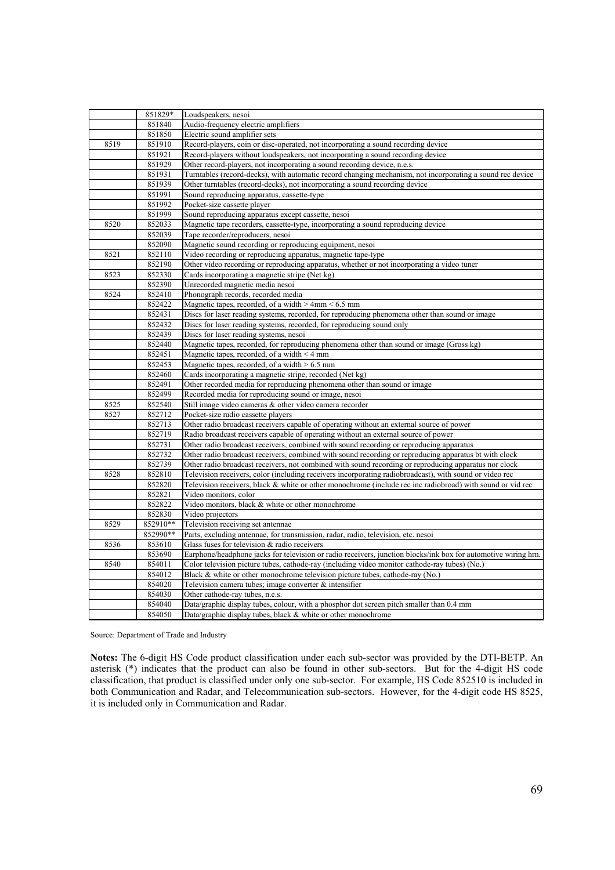|      | 851829*  | Loudspeakers, nesoi                                                                                            |
|------|----------|----------------------------------------------------------------------------------------------------------------|
|      | 851840   | Audio-frequency electric amplifiers                                                                            |
|      | 851850   | Electric sound amplifier sets                                                                                  |
| 8519 | 851910   | Record-players, coin or disc-operated, not incorporating a sound recording device                              |
|      | 851921   | Record-players without loudspeakers, not incorporating a sound recording device                                |
|      | 851929   | Other record-players, not incorporating a sound recording device, n.e.s.                                       |
|      | 851931   | Turntables (record-decks), with automatic record changing mechanism, not incorporating a sound rec device      |
|      | 851939   | Other turntables (record-decks), not incorporating a sound recording device                                    |
|      | 851991   | Sound reproducing apparatus, cassette-type                                                                     |
|      | 851992   | Pocket-size cassette player                                                                                    |
|      | 851999   | Sound reproducing apparatus except cassette, nesoi                                                             |
| 8520 | 852033   | Magnetic tape recorders, cassette-type, incorporating a sound reproducing device                               |
|      | 852039   | Tape recorder/reproducers, nesoi                                                                               |
|      | 852090   | Magnetic sound recording or reproducing equipment, nesoi                                                       |
| 8521 | 852110   | Video recording or reproducing apparatus, magnetic tape-type                                                   |
|      | 852190   | Other video recording or reproducing apparatus, whether or not incorporating a video tuner                     |
| 8523 | 852330   | Cards incorporating a magnetic stripe (Net kg)                                                                 |
|      | 852390   | Unrecorded magnetic media nesoi                                                                                |
| 8524 | 852410   | Phonograph records, recorded media                                                                             |
|      | 852422   | Magnetic tapes, recorded, of a width $> 4 \text{mm} < 6.5 \text{mm}$                                           |
|      | 852431   | Discs for laser reading systems, recorded, for reproducing phenomena other than sound or image                 |
|      | 852432   | Discs for laser reading systems, recorded, for reproducing sound only                                          |
|      | 852439   | Discs for laser reading systems, nesoi                                                                         |
|      | 852440   | Magnetic tapes, recorded, for reproducing phenomena other than sound or image (Gross kg)                       |
|      | 852451   | Magnetic tapes, recorded, of a width < 4 mm                                                                    |
|      | 852453   | Magnetic tapes, recorded, of a width $> 6.5$ mm                                                                |
|      | 852460   | Cards incorporating a magnetic stripe, recorded (Net kg)                                                       |
|      | 852491   | Other recorded media for reproducing phenomena other than sound or image                                       |
|      | 852499   | Recorded media for reproducing sound or image, nesoi                                                           |
| 8525 | 852540   | Still image video cameras & other video camera recorder                                                        |
| 8527 | 852712   | Pocket-size radio cassette players                                                                             |
|      | 852713   | Other radio broadcast receivers capable of operating without an external source of power                       |
|      | 852719   | Radio broadcast receivers capable of operating without an external source of power                             |
|      | 852731   | Other radio broadcast receivers, combined with sound recording or reproducing apparatus                        |
|      | 852732   | Other radio broadcast receivers, combined with sound recording or reproducing apparatus bt with clock          |
|      | 852739   | Other radio broadcast receivers, not combined with sound recording or reproducing apparatus nor clock          |
| 8528 | 852810   | Television receivers, color (including receivers incorporating radiobroadcast), with sound or video rec        |
|      | 852820   | Television receivers, black & white or other monochrome (include rec inc radiobroad) with sound or vid rec     |
|      | 852821   | Video monitors, color                                                                                          |
|      | 852822   | Video monitors, black & white or other monochrome                                                              |
|      | 852830   | Video projectors                                                                                               |
| 8529 | 852910** | Television receiving set antennae                                                                              |
|      | 852990** | Parts, excluding antennae, for transmission, radar, radio, television, etc. nesoi                              |
| 8536 | 853610   | Glass fuses for television & radio receivers                                                                   |
|      | 853690   | Earphone/headphone jacks for television or radio receivers, junction blocks/ink box for automotive wiring hrn. |
| 8540 | 854011   | Color television picture tubes, cathode-ray (including video monitor cathode-ray tubes) (No.)                  |
|      | 854012   | Black & white or other monochrome television picture tubes, cathode-ray (No.)                                  |
|      | 854020   | Television camera tubes; image converter & intensifier                                                         |
|      | 854030   | Other cathode-ray tubes, n.e.s.                                                                                |
|      | 854040   | Data/graphic display tubes, colour, with a phosphor dot screen pitch smaller than 0.4 mm                       |
|      | 854050   | Data/graphic display tubes, black & white or other monochrome                                                  |

Source: Department of Trade and Industry

**Notes:** The 6-digit HS Code product classification under each sub-sector was provided by the DTI-BETP. An asterisk (\*) indicates that the product can also be found in other sub-sectors. But for the 4-digit HS code classification, that product is classified under only one sub-sector. For example, HS Code 852510 is included in both Communication and Radar, and Telecommunication sub-sectors. However, for the 4-digit code HS 8525, it is included only in Communication and Radar.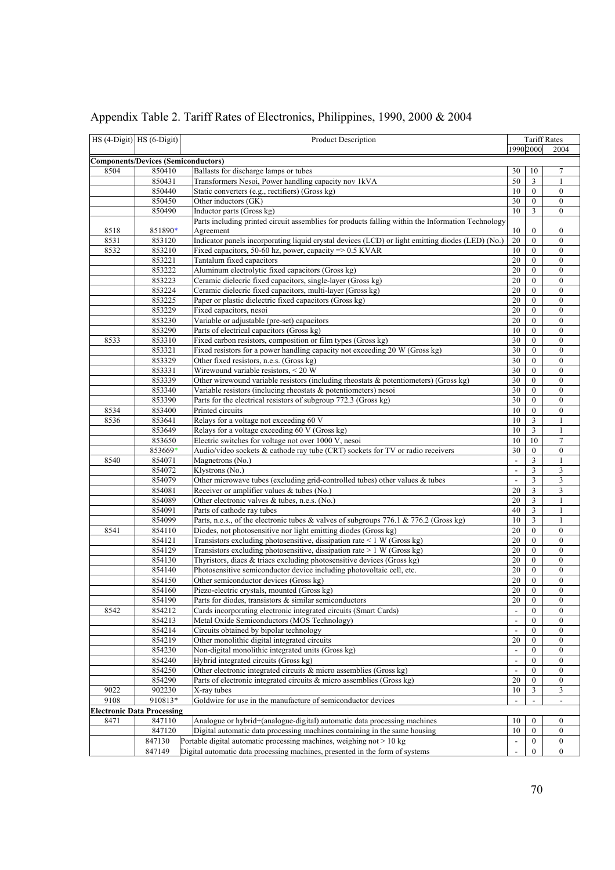| HS (4-Digit) HS (6-Digit) |                                            | Product Description                                                                                |                          |                                    | <b>Tariff Rates</b>              |
|---------------------------|--------------------------------------------|----------------------------------------------------------------------------------------------------|--------------------------|------------------------------------|----------------------------------|
|                           |                                            |                                                                                                    |                          | 1990 2000                          | 2004                             |
|                           | <b>Components/Devices (Semiconductors)</b> |                                                                                                    |                          |                                    |                                  |
| 8504                      | 850410                                     | Ballasts for discharge lamps or tubes                                                              | 30                       | 10                                 | 7                                |
|                           | 850431                                     | Transformers Nesoi, Power handling capacity nov 1kVA                                               | 50                       | $\overline{3}$                     | $\mathbf{1}$                     |
|                           | 850440                                     | Static converters (e.g., rectifiers) (Gross kg)                                                    | 10                       | $\mathbf{0}$                       | $\boldsymbol{0}$                 |
|                           | 850450                                     | Other inductors (GK)                                                                               | 30                       | $\mathbf{0}$                       | $\boldsymbol{0}$                 |
|                           | 850490                                     | Inductor parts (Gross kg)                                                                          | 10                       | 3                                  | $\boldsymbol{0}$                 |
|                           |                                            | Parts including printed circuit assemblies for products falling within the Information Technology  |                          |                                    |                                  |
| 8518                      | 851890*                                    | Agreement                                                                                          | 10                       | $\boldsymbol{0}$                   | $\boldsymbol{0}$                 |
| 8531                      | 853120                                     | Indicator panels incorporating liquid crystal devices (LCD) or light emitting diodes (LED) (No.)   | 20                       | $\mathbf{0}$                       | $\boldsymbol{0}$                 |
| 8532                      | 853210                                     | Fixed capacitors, 50-60 hz, power, capacity $\approx$ 0.5 KVAR                                     | 10                       | $\mathbf{0}$                       | $\boldsymbol{0}$                 |
|                           | 853221                                     | Tantalum fixed capacitors                                                                          | 20                       | $\mathbf{0}$                       | $\boldsymbol{0}$                 |
|                           | 853222                                     | Aluminum electrolytic fixed capacitors (Gross kg)                                                  | 20                       | $\boldsymbol{0}$                   | $\boldsymbol{0}$                 |
|                           | 853223                                     | Ceramic dielecric fixed capacitors, single-layer (Gross kg)                                        | 20                       | $\mathbf{0}$                       | $\boldsymbol{0}$                 |
|                           | 853224                                     | Ceramic dielecric fixed capacitors, multi-layer (Gross kg)                                         | 20                       | $\mathbf{0}$                       | $\boldsymbol{0}$                 |
|                           | 853225                                     | Paper or plastic dielectric fixed capacitors (Gross kg)                                            | 20                       | $\mathbf{0}$                       | $\boldsymbol{0}$                 |
|                           | 853229                                     | Fixed capacitors, nesoi                                                                            | 20                       | $\mathbf{0}$                       | $\boldsymbol{0}$                 |
|                           | 853230                                     | Variable or adjustable (pre-set) capacitors                                                        | 20                       | $\mathbf{0}$                       | $\boldsymbol{0}$                 |
|                           | 853290                                     | Parts of electrical capacitors (Gross kg)                                                          | 10                       | $\mathbf{0}$                       | $\boldsymbol{0}$                 |
| 8533                      | 853310                                     | Fixed carbon resistors, composition or film types (Gross kg)                                       | 30                       | $\mathbf{0}$                       | $\boldsymbol{0}$                 |
|                           | 853321                                     | Fixed resistors for a power handling capacity not exceeding 20 W (Gross kg)                        | 30                       | $\mathbf{0}$                       | $\boldsymbol{0}$                 |
|                           | 853329                                     | Other fixed resistors, n.e.s. (Gross kg)                                                           | 30                       | $\mathbf{0}$                       | $\boldsymbol{0}$                 |
|                           | 853331                                     | Wirewound variable resistors, < 20 W                                                               | 30                       | $\theta$                           | $\boldsymbol{0}$                 |
|                           | 853339                                     | Other wirewound variable resistors (including rheostats & potentiometers) (Gross kg)               | 30                       | $\theta$                           | $\boldsymbol{0}$                 |
|                           | 853340                                     | Variable resistors (inclucing rheostats & potentiometers) nesoi                                    | 30                       | $\mathbf{0}$                       | $\boldsymbol{0}$                 |
|                           | 853390                                     | Parts for the electrical resistors of subgroup 772.3 (Gross kg)                                    | 30                       | $\boldsymbol{0}$                   | $\boldsymbol{0}$                 |
| 8534                      | 853400                                     | Printed circuits                                                                                   | 10                       | $\mathbf{0}$                       | $\boldsymbol{0}$                 |
| 8536                      | 853641                                     | Relays for a voltage not exceeding 60 V                                                            | 10                       | 3                                  | 1                                |
|                           | 853649                                     | Relays for a voltage exceeding 60 V (Gross kg)                                                     | 10<br>10                 | 3                                  | $\mathbf{1}$<br>$\tau$           |
|                           | 853650                                     | Electric switches for voltage not over 1000 V, nesoi                                               | 30                       | 10                                 |                                  |
| 8540                      | 853669*<br>854071                          | Audio/video sockets & cathode ray tube (CRT) sockets for TV or radio receivers<br>Magnetrons (No.) | $\overline{\phantom{a}}$ | $\boldsymbol{0}$<br>$\mathfrak{Z}$ | $\boldsymbol{0}$<br>$\mathbf{1}$ |
|                           | 854072                                     | Klystrons (No.)                                                                                    | $\blacksquare$           | 3                                  | 3                                |
|                           | 854079                                     | Other microwave tubes (excluding grid-controlled tubes) other values & tubes                       |                          | $\overline{\mathbf{3}}$            | $\overline{\mathbf{3}}$          |
|                           | 854081                                     | Receiver or amplifier values & tubes (No.)                                                         | 20                       | 3                                  | 3                                |
|                           | 854089                                     | Other electronic valves & tubes, n.e.s. (No.)                                                      | 20                       | 3                                  |                                  |
|                           | 854091                                     | Parts of cathode ray tubes                                                                         | 40                       | 3                                  | $\mathbf{1}$                     |
|                           | 854099                                     | Parts, n.e.s., of the electronic tubes & valves of subgroups 776.1 & 776.2 (Gross kg)              | 10                       | 3                                  | 1                                |
| 8541                      | 854110                                     | Diodes, not photosensitive nor light emitting diodes (Gross kg)                                    | 20                       | $\boldsymbol{0}$                   | $\boldsymbol{0}$                 |
|                           | 854121                                     | Transistors excluding photosensitive, dissipation rate < 1 W (Gross kg)                            | 20                       | $\mathbf{0}$                       | $\boldsymbol{0}$                 |
|                           | 854129                                     | Transistors excluding photosensitive, dissipation rate > 1 W (Gross kg)                            | 20                       | $\mathbf{0}$                       | $\boldsymbol{0}$                 |
|                           | 854130                                     | Thyristors, diacs & triacs excluding photosensitive devices (Gross kg)                             | 20                       | $\mathbf{0}$                       | $\boldsymbol{0}$                 |
|                           | 854140                                     | Photosensitive semiconductor device including photovoltaic cell, etc.                              | 20                       | $\mathbf{0}$                       | $\boldsymbol{0}$                 |
|                           | 854150                                     | Other semiconductor devices (Gross kg)                                                             | 20                       | $\boldsymbol{0}$                   | $\boldsymbol{0}$                 |
|                           | 854160                                     | Piezo-electric crystals, mounted (Gross kg)                                                        | 20                       | $\mathbf{0}$                       | $\boldsymbol{0}$                 |
|                           | 854190                                     | Parts for diodes, transistors & similar semiconductors                                             | 20                       | $\bf{0}$                           | $\bf{0}$                         |
| 8542                      | 854212                                     | Cards incorporating electronic integrated circuits (Smart Cards)                                   | $\blacksquare$           | $\theta$                           | $\mathbf{0}$                     |
|                           | 854213                                     | Metal Oxide Semiconductors (MOS Technology)                                                        | $\Box$                   | $\mathbf{0}$                       | $\boldsymbol{0}$                 |
|                           | 854214                                     | Circuits obtained by bipolar technology                                                            | $\omega$                 | $\boldsymbol{0}$                   | $\boldsymbol{0}$                 |
|                           | 854219                                     | Other monolithic digital integrated circuits                                                       | 20                       | $\mathbf{0}$                       | $\boldsymbol{0}$                 |
|                           | 854230                                     | Non-digital monolithic integrated units (Gross kg)                                                 | $\blacksquare$           | $\theta$                           | $\boldsymbol{0}$                 |
|                           | 854240                                     | Hybrid integrated circuits (Gross kg)                                                              | $\overline{\phantom{a}}$ | $\mathbf{0}$                       | $\boldsymbol{0}$                 |
|                           | 854250                                     | Other electronic integrated circuits & micro assemblies (Gross kg)                                 | $\overline{\phantom{a}}$ | $\boldsymbol{0}$                   | $\boldsymbol{0}$                 |
|                           | 854290                                     | Parts of electronic integrated circuits $\&$ micro assemblies (Gross kg)                           | 20                       | $\boldsymbol{0}$                   | $\boldsymbol{0}$                 |
| 9022                      | 902230                                     | X-ray tubes                                                                                        | 10                       | 3                                  | 3                                |
| 9108                      | 910813*                                    | Goldwire for use in the manufacture of semiconductor devices                                       | $\overline{\phantom{a}}$ |                                    | $\overline{\phantom{a}}$         |
|                           | <b>Electronic Data Processing</b>          |                                                                                                    |                          |                                    |                                  |
| 8471                      | 847110                                     | Analogue or hybrid+(analogue-digital) automatic data processing machines                           | 10                       | $\boldsymbol{0}$                   | $\boldsymbol{0}$                 |
|                           | 847120                                     | Digital automatic data processing machines containing in the same housing                          | 10                       | $\boldsymbol{0}$                   | $\boldsymbol{0}$                 |
|                           | 847130                                     | Portable digital automatic processing machines, weighing not > 10 kg                               | $\overline{\phantom{a}}$ | $\boldsymbol{0}$                   | $\boldsymbol{0}$                 |
|                           | 847149                                     | Digital automatic data processing machines, presented in the form of systems                       |                          | $\mathbf{0}$                       | $\boldsymbol{0}$                 |

Appendix Table 2. Tariff Rates of Electronics, Philippines, 1990, 2000 & 2004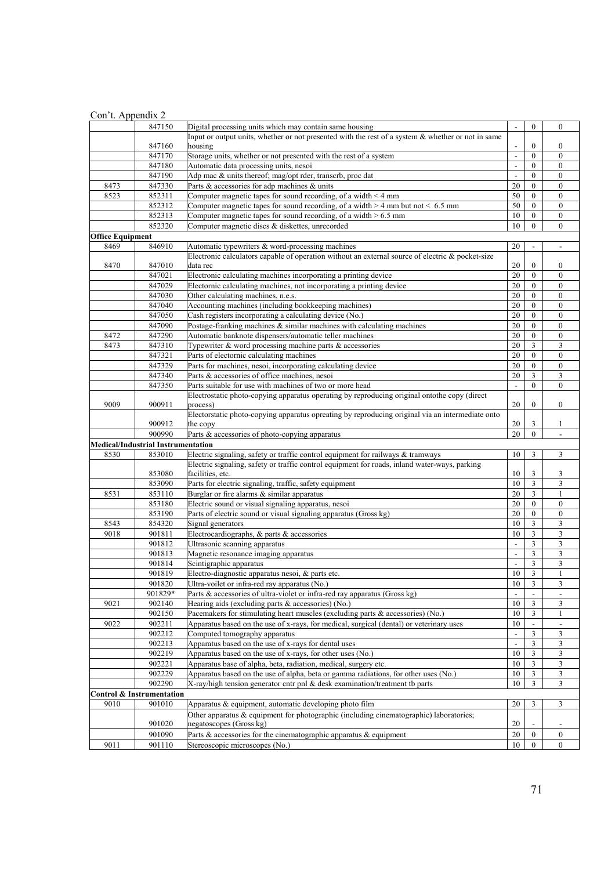| Con't. Appendix 2       |                                           |                                                                                                       |                                |                            |                                      |
|-------------------------|-------------------------------------------|-------------------------------------------------------------------------------------------------------|--------------------------------|----------------------------|--------------------------------------|
|                         | 847150                                    | Digital processing units which may contain same housing                                               |                                | $\boldsymbol{0}$           | $\mathbf{0}$                         |
|                         |                                           | Input or output units, whether or not presented with the rest of a system $\&$ whether or not in same |                                |                            |                                      |
|                         | 847160                                    | housing                                                                                               | $\sim$                         | $\boldsymbol{0}$           | $\boldsymbol{0}$                     |
|                         | 847170                                    | Storage units, whether or not presented with the rest of a system                                     | $\overline{\phantom{a}}$       | $\overline{0}$             | $\mathbf{0}$                         |
|                         | 847180<br>847190                          | Automatic data processing units, nesoi<br>Adp mac & units thereof; mag/opt rder, transcrb, proc dat   | $\blacksquare$                 | $\theta$<br>$\overline{0}$ | $\mathbf{0}$<br>$\overline{0}$       |
| 8473                    | 847330                                    | Parts & accessories for adp machines & units                                                          | $\overline{\phantom{a}}$<br>20 | $\overline{0}$             | $\boldsymbol{0}$                     |
| 8523                    | 852311                                    | Computer magnetic tapes for sound recording, of a width $\leq 4$ mm                                   | 50                             | $\overline{0}$             | $\boldsymbol{0}$                     |
|                         | 852312                                    | Computer magnetic tapes for sound recording, of a width $> 4$ mm but not < 6.5 mm                     | 50                             | $\overline{0}$             | $\boldsymbol{0}$                     |
|                         | 852313                                    | Computer magnetic tapes for sound recording, of a width $> 6.5$ mm                                    | 10                             | $\boldsymbol{0}$           | $\boldsymbol{0}$                     |
|                         | 852320                                    | Computer magnetic discs & diskettes, unrecorded                                                       | 10                             | $\overline{0}$             | $\overline{0}$                       |
| <b>Office Equipment</b> |                                           |                                                                                                       |                                |                            |                                      |
| 8469                    | 846910                                    | Automatic typewriters & word-processing machines                                                      | 20                             |                            |                                      |
|                         |                                           | Electronic calculators capable of operation without an external source of electric & pocket-size      |                                |                            |                                      |
| 8470                    | 847010                                    | data rec                                                                                              | 20                             | $\boldsymbol{0}$           | 0                                    |
|                         | 847021                                    | Electronic calculating machines incorporating a printing device                                       | 20                             | $\mathbf{0}$               | $\mathbf{0}$                         |
|                         | 847029                                    | Electornic calculating machines, not incorporating a printing device                                  | 20                             | $\overline{0}$             | $\boldsymbol{0}$                     |
|                         | 847030                                    | Other calculating machines, n.e.s.                                                                    | 20                             | $\overline{0}$             | $\mathbf{0}$                         |
|                         | 847040                                    | Accounting machines (including bookkeeping machines)                                                  | 20                             | $\boldsymbol{0}$           | $\boldsymbol{0}$                     |
|                         | 847050                                    | Cash registers incorporating a calculating device (No.)                                               | 20                             | $\overline{0}$             | $\boldsymbol{0}$                     |
|                         | 847090                                    | Postage-franking machines $\&$ similar machines with calculating machines                             | 20                             | $\overline{0}$             | $\mathbf{0}$                         |
| 8472                    | 847290                                    | Automatic banknote dispensers/automatic teller machines                                               | 20                             | $\overline{0}$             | $\boldsymbol{0}$                     |
| 8473                    | 847310                                    | Typewriter & word processing machine parts & accessories                                              | 20                             | 3                          | 3                                    |
|                         | 847321                                    | Parts of electornic calculating machines                                                              | 20                             | $\overline{0}$             | $\boldsymbol{0}$                     |
|                         | 847329                                    | Parts for machines, nesoi, incorporating calculating device                                           | 20                             | $\overline{0}$             | $\boldsymbol{0}$                     |
|                         | 847340                                    | Parts & accessories of office machines, nesoi                                                         | 20                             | 3                          | 3                                    |
|                         | 847350                                    | Parts suitable for use with machines of two or more head                                              | $\Box$                         | $\overline{0}$             | $\overline{0}$                       |
|                         |                                           | Electrostatic photo-copying apparatus operating by reproducing original ontothe copy (direct          |                                |                            |                                      |
| 9009                    | 900911                                    | process)                                                                                              | 20                             | $\boldsymbol{0}$           | $\overline{0}$                       |
|                         |                                           | Electorstatic photo-copying apparatus opreating by reproducing original via an intermediate onto      | 20                             | 3                          |                                      |
|                         | 900912<br>900990                          | the copy<br>Parts & accessories of photo-copying apparatus                                            | 20                             | $\overline{0}$             | 1                                    |
|                         | <b>Medical/Industrial Instrumentation</b> |                                                                                                       |                                |                            |                                      |
| 8530                    | 853010                                    | Electric signaling, safety or traffic control equipment for railways & tramways                       | 10                             | 3                          | 3                                    |
|                         |                                           | Electric signaling, safety or traffic control equipment for roads, inland water-ways, parking         |                                |                            |                                      |
|                         | 853080                                    | facilities, etc.                                                                                      | 10                             | 3                          | 3                                    |
|                         | 853090                                    | Parts for electric signaling, traffic, safety equipment                                               | 10                             | $\overline{\mathbf{3}}$    | 3                                    |
| 8531                    | 853110                                    | Burglar or fire alarms & similar apparatus                                                            | 20                             | 3                          | $\mathbf{1}$                         |
|                         | 853180                                    | Electric sound or visual signaling apparatus, nesoi                                                   | 20                             | $\overline{0}$             | $\boldsymbol{0}$                     |
|                         | 853190                                    | Parts of electric sound or visual signaling apparatus (Gross kg)                                      | 20                             | $\boldsymbol{0}$           | $\boldsymbol{0}$                     |
| 8543                    | 854320                                    | Signal generators                                                                                     | 10                             | $\overline{3}$             | 3                                    |
| 9018                    | 901811                                    | Electrocardiographs, & parts & accessories                                                            | 10                             | 3                          | 3                                    |
|                         | 901812                                    | Ultrasonic scanning apparatus                                                                         | $\blacksquare$                 | $\overline{\mathbf{3}}$    | $\overline{\mathbf{3}}$              |
|                         | 901813                                    | Magnetic resonance imaging apparatus                                                                  | $\blacksquare$                 | 3                          | 3                                    |
|                         | 901814                                    | Scintigraphic apparatus                                                                               | $\overline{a}$                 | $\overline{3}$             | 3                                    |
|                         | 901819                                    | Electro-diagnostic apparatus nesoi, & parts etc.                                                      | 10                             | 3                          | 1                                    |
|                         | 901820                                    | Ultra-voilet or infra-red ray apparatus (No.)                                                         | 10                             | 3                          | 3                                    |
|                         | 901829*                                   | Parts & accessories of ultra-violet or infra-red ray apparatus (Gross kg)                             | $\overline{\phantom{a}}$       |                            | $\overline{\phantom{0}}$             |
| 9021                    | 902140                                    | Hearing aids (excluding parts & accessories) (No.)                                                    | 10                             | 3                          | 3                                    |
|                         | 902150                                    | Pacemakers for stimulating heart muscles (excluding parts & accessories) (No.)                        | 10                             | 3                          | 1                                    |
| 9022                    | 902211                                    | Apparatus based on the use of x-rays, for medical, surgical (dental) or veterinary uses               | 10                             |                            |                                      |
|                         | 902212                                    | Computed tomography apparatus                                                                         | $\Box$                         | 3                          | 3                                    |
|                         | 902213                                    | Apparatus based on the use of x-rays for dental uses                                                  | $\blacksquare$                 | 3                          | 3                                    |
|                         | 902219                                    | Apparatus based on the use of x-rays, for other uses (No.)                                            | 10                             | 3                          | 3                                    |
|                         | 902221                                    | Apparatus base of alpha, beta, radiation, medical, surgery etc.                                       | 10                             | 3                          | $\overline{\mathbf{3}}$              |
|                         | 902229                                    | Apparatus based on the use of alpha, beta or gamma radiations, for other uses (No.)                   | 10                             | 3                          | $\overline{\mathbf{3}}$              |
|                         | 902290                                    | X-ray/high tension generator cntr pnl $\&$ desk examination/treatment tb parts                        | 10                             | 3                          | 3                                    |
|                         | Control & Instrumentation                 |                                                                                                       |                                |                            |                                      |
| 9010                    | 901010                                    | Apparatus & equipment, automatic developing photo film                                                | 20                             | 3                          | 3                                    |
|                         |                                           | Other apparatus & equipment for photographic (including cinematographic) laboratories;                |                                |                            |                                      |
|                         | 901020<br>901090                          | negatoscopes (Gross kg)<br>Parts $\&$ accessories for the cinematographic apparatus $\&$ equipment    | 20<br>20                       | $\mathbf{0}$               |                                      |
| 9011                    | 901110                                    | Stereoscopic microscopes (No.)                                                                        | 10                             | $\boldsymbol{0}$           | $\boldsymbol{0}$<br>$\boldsymbol{0}$ |
|                         |                                           |                                                                                                       |                                |                            |                                      |

# 71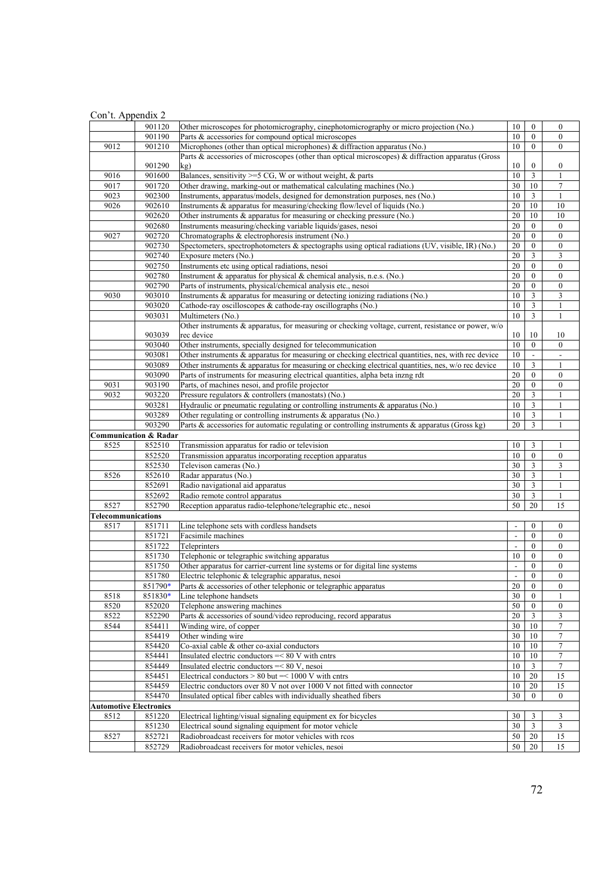|                                  | 901120             | Other microscopes for photomicrography, cinephotomicrography or micro projection (No.)                                             | 10                                         | $\mathbf{0}$                     | $\mathbf{0}$                         |
|----------------------------------|--------------------|------------------------------------------------------------------------------------------------------------------------------------|--------------------------------------------|----------------------------------|--------------------------------------|
|                                  | 901190             | Parts & accessories for compound optical microscopes                                                                               | 10                                         | $\mathbf{0}$                     | $\mathbf{0}$                         |
| 9012                             | 901210             | Microphones (other than optical microphones) & diffraction apparatus (No.)                                                         | 10                                         | $\mathbf{0}$                     | $\boldsymbol{0}$                     |
|                                  |                    | Parts & accessories of microscopes (other than optical microscopes) & diffraction apparatus (Gross                                 |                                            |                                  |                                      |
|                                  | 901290             | kg)                                                                                                                                | 10                                         | $\boldsymbol{0}$                 | $\boldsymbol{0}$                     |
| 9016                             | 901600             | Balances, sensitivity $>=$ 5 CG, W or without weight, & parts                                                                      | 10                                         | $\overline{\mathbf{3}}$          | $\mathbf{1}$                         |
| 9017                             | 901720             | Other drawing, marking-out or mathematical calculating machines (No.)                                                              | 30                                         | 10                               | $\overline{7}$                       |
| 9023                             | 902300             | Instruments, apparatus/models, designed for demonstration purposes, nes (No.)                                                      | 10                                         | 3                                | 1                                    |
| 9026                             | 902610             | Instruments & apparatus for measuring/checking flow/level of liquids (No.)                                                         | 20                                         | 10                               | 10                                   |
|                                  | 902620             | Other instruments & apparatus for measuring or checking pressure (No.)                                                             | 20                                         | 10                               | 10                                   |
|                                  | 902680             | Instruments measuring/checking variable liquids/gases, nesoi                                                                       | 20                                         | $\boldsymbol{0}$                 | $\boldsymbol{0}$                     |
| 9027                             | 902720             | Chromatographs & electrophoresis instrument (No.)                                                                                  | 20                                         | $\mathbf{0}$                     | $\boldsymbol{0}$                     |
|                                  | 902730             | Spectometers, spectrophotometers & spectographs using optical radiations (UV, visible, IR) (No.)                                   | 20                                         | $\mathbf{0}$                     | $\boldsymbol{0}$                     |
|                                  | 902740             | Exposure meters (No.)                                                                                                              | 20                                         | 3                                | 3                                    |
|                                  | 902750             | Instruments etc using optical radiations, nesoi                                                                                    | 20                                         | $\boldsymbol{0}$                 | $\mathbf{0}$                         |
|                                  | 902780             | Instrument & apparatus for physical & chemical analysis, n.e.s. (No.)                                                              | 20                                         | $\mathbf{0}$                     | $\boldsymbol{0}$                     |
|                                  | 902790             | Parts of instruments, physical/chemical analysis etc., nesoi                                                                       | 20                                         | $\mathbf{0}$                     | $\mathbf{0}$                         |
| 9030                             | 903010             | Instruments & apparatus for measuring or detecting ionizing radiations (No.)                                                       | 10                                         | 3                                | 3                                    |
|                                  | 903020             | Cathode-ray oscilloscopes & cathode-ray oscillographs (No.)                                                                        | 10                                         | 3                                | 1                                    |
|                                  | 903031             | Multimeters (No.)                                                                                                                  | 10                                         | $\overline{\mathbf{3}}$          | $\mathbf{1}$                         |
|                                  |                    | Other instruments & apparatus, for measuring or checking voltage, current, resistance or power, w/o                                |                                            |                                  |                                      |
|                                  | 903039             | rec device                                                                                                                         | 10                                         | 10                               | 10                                   |
|                                  | 903040             | Other instruments, specially designed for telecommunication                                                                        | 10                                         | $\mathbf{0}$                     | $\mathbf{0}$                         |
|                                  | 903081             | Other instruments & apparatus for measuring or checking electrical quantities, nes, with rec device                                | 10                                         |                                  |                                      |
|                                  | 903089             | Other instruments $\&$ apparatus for measuring or checking electrical quantities, nes, $w/o$ rec device                            | 10                                         | $\overline{\mathbf{3}}$          | $\mathbf{1}$                         |
|                                  | 903090             | Parts of instruments for measuring electrical quantities, alpha beta inzng rdt                                                     | 20                                         | $\mathbf{0}$                     | $\boldsymbol{0}$                     |
| 9031                             | 903190             | Parts, of machines nesoi, and profile projector                                                                                    | 20                                         | $\mathbf{0}$                     | $\mathbf{0}$                         |
| 9032                             | 903220             | Pressure regulators & controllers (manostats) (No.)                                                                                | 20                                         | 3                                | $\mathbf{1}$                         |
|                                  | 903281             | Hydraulic or pneumatic regulating or controlling instruments & apparatus (No.)                                                     | 10                                         | 3                                | 1                                    |
|                                  | 903289             | Other regulating or controlling instruments & apparatus (No.)                                                                      | 10                                         | $\mathfrak z$                    | $\mathbf{1}$                         |
|                                  | 903290             | Parts & accessories for automatic regulating or controlling instruments & apparatus (Gross kg)                                     | 20                                         | 3                                | 1                                    |
| <b>Communication &amp; Radar</b> |                    |                                                                                                                                    |                                            |                                  |                                      |
| 8525                             | 852510             | Transmission apparatus for radio or television                                                                                     | 10                                         | 3                                | 1                                    |
|                                  | 852520             | Transmission apparatus incorporating reception apparatus                                                                           | 10                                         | $\boldsymbol{0}$                 | $\boldsymbol{0}$                     |
|                                  | 852530             | Televison cameras (No.)                                                                                                            | 30                                         | 3                                | 3                                    |
| 8526                             | 852610             | Radar apparatus (No.)                                                                                                              | 30                                         | 3                                | $\mathbf{1}$                         |
|                                  | 852691             | Radio navigational aid apparatus                                                                                                   | 30                                         | 3                                | 1                                    |
|                                  | 852692             | Radio remote control apparatus                                                                                                     | 30                                         | $\mathfrak{Z}$<br>20             | $\mathbf{1}$                         |
| 8527                             | 852790             | Reception apparatus radio-telephone/telegraphic etc., nesoi                                                                        | 50                                         |                                  | 15                                   |
| Telecommunications               |                    |                                                                                                                                    |                                            |                                  |                                      |
| 8517                             | 851711             | Line telephone sets with cordless handsets                                                                                         | $\overline{\phantom{a}}$                   | $\mathbf{0}$                     | $\mathbf{0}$                         |
|                                  | 851721             | Facsimile machines                                                                                                                 | $\overline{\phantom{a}}$                   | $\mathbf{0}$                     | $\boldsymbol{0}$                     |
|                                  | 851722             | Teleprinters<br>Telephonic or telegraphic switching apparatus                                                                      | $\overline{a}$                             | $\mathbf{0}$                     | $\mathbf{0}$                         |
|                                  | 851730             |                                                                                                                                    | 10                                         | $\mathbf{0}$                     | $\boldsymbol{0}$<br>$\boldsymbol{0}$ |
|                                  | 851750<br>851780   | Other apparatus for carrier-current line systems or for digital line systems<br>Electric telephonic & telegraphic apparatus, nesoi | $\overline{\phantom{a}}$<br>$\overline{a}$ | $\boldsymbol{0}$<br>$\mathbf{0}$ | $\boldsymbol{0}$                     |
|                                  |                    |                                                                                                                                    |                                            |                                  |                                      |
| 8518                             | 851790*<br>851830* | Parts & accessories of other telephonic or telegraphic apparatus<br>Line telephone handsets                                        | 20<br>30                                   | $\boldsymbol{0}$<br>$\mathbf{0}$ | $\bf{0}$                             |
| 8520                             | 852020             | Telephone answering machines                                                                                                       | 50                                         | $\boldsymbol{0}$                 | $\boldsymbol{0}$                     |
| 8522                             | 852290             | Parts & accessories of sound/video reproducing, record apparatus                                                                   | 20                                         | 3                                | 3                                    |
| 8544                             | 854411             | Winding wire, of copper                                                                                                            | 30                                         | 10                               | $\overline{7}$                       |
|                                  | 854419             | Other winding wire                                                                                                                 | 30                                         | 10                               | 7                                    |
|                                  | 854420             | Co-axial cable & other co-axial conductors                                                                                         | 10                                         | 10                               | 7                                    |
|                                  | 854441             | Insulated electric conductors = < 80 V with entrs                                                                                  | 10                                         | 10                               | $\tau$                               |
|                                  | 854449             | Insulated electric conductors = < 80 V, nesoi                                                                                      | 10                                         | 3                                | 7                                    |
|                                  | 854451             | Electrical conductors $> 80$ but $=< 1000$ V with cntrs                                                                            | 10                                         | 20                               | 15                                   |
|                                  | 854459             | Electric conductors over 80 V not over 1000 V not fitted with connector                                                            | 10                                         | 20                               | 15                                   |
|                                  | 854470             | Insulated optical fiber cables with individually sheathed fibers                                                                   | 30                                         | $\boldsymbol{0}$                 | $\boldsymbol{0}$                     |
| <b>Automotive Electronics</b>    |                    |                                                                                                                                    |                                            |                                  |                                      |
| 8512                             | 851220             | Electrical lighting/visual signaling equipment ex for bicycles                                                                     | 30                                         | 3                                | 3                                    |
|                                  | 851230             | Electrical sound signaling equipment for motor vehicle                                                                             | 30                                         | $\overline{\mathbf{3}}$          | $\overline{3}$                       |
| 8527                             | 852721             | Radiobroadcast receivers for motor vehicles with rcos                                                                              | 50                                         | 20                               | 15                                   |
|                                  |                    |                                                                                                                                    |                                            |                                  |                                      |
|                                  | 852729             | Radiobroadcast receivers for motor vehicles, nesoi                                                                                 | 50                                         | 20                               | 15                                   |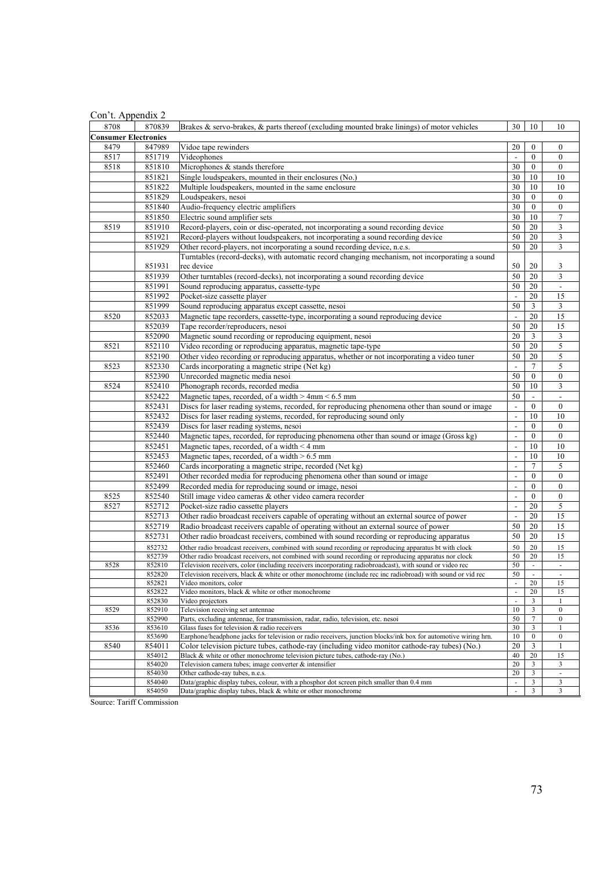| Con't. Appendix 2 |  |
|-------------------|--|
|-------------------|--|

| $\frac{1}{2}$               |                  |                                                                                                                |                          |                  |                     |
|-----------------------------|------------------|----------------------------------------------------------------------------------------------------------------|--------------------------|------------------|---------------------|
| 8708                        | 870839           | Brakes & servo-brakes, & parts thereof (excluding mounted brake linings) of motor vehicles                     | 30                       | 10               | 10                  |
| <b>Consumer Electronics</b> |                  |                                                                                                                |                          |                  |                     |
| 8479                        | 847989           | Vidoe tape rewinders                                                                                           | 20                       | $\boldsymbol{0}$ | $\mathbf{0}$        |
| 8517                        | 851719           | Videophones                                                                                                    | $\overline{\phantom{a}}$ | $\mathbf{0}$     | $\mathbf{0}$        |
| 8518                        | 851810           | Microphones & stands therefore                                                                                 | 30                       | $\mathbf{0}$     | $\mathbf{0}$        |
|                             | 851821           | Single loudspeakers, mounted in their enclosures (No.)                                                         | 30                       | 10               | $10\,$              |
|                             | 851822           | Multiple loudspeakers, mounted in the same enclosure                                                           | 30                       | 10               | 10                  |
|                             | 851829           | Loudspeakers, nesoi                                                                                            | 30                       | $\mathbf{0}$     | $\boldsymbol{0}$    |
|                             | 851840           | Audio-frequency electric amplifiers                                                                            | 30                       | $\mathbf{0}$     | $\boldsymbol{0}$    |
|                             | 851850           | Electric sound amplifier sets                                                                                  | 30                       | 10               | 7                   |
| 8519                        | 851910           | Record-players, coin or disc-operated, not incorporating a sound recording device                              | 50                       | 20               | 3                   |
|                             | 851921           | Record-players without loudspeakers, not incorporating a sound recording device                                | 50                       | 20               | 3                   |
|                             | 851929           | Other record-players, not incorporating a sound recording device, n.e.s.                                       | 50                       | 20               | 3                   |
|                             |                  | Turntables (record-decks), with automatic record changing mechanism, not incorporating a sound                 |                          |                  |                     |
|                             | 851931           | rec device                                                                                                     | 50                       | 20               | 3                   |
|                             | 851939           | Other turntables (record-decks), not incorporating a sound recording device                                    | 50                       | 20               | 3                   |
|                             | 851991           | Sound reproducing apparatus, cassette-type                                                                     | 50                       | 20               |                     |
|                             | 851992           | Pocket-size cassette player                                                                                    |                          | 20               | 15                  |
|                             | 851999           | Sound reproducing apparatus except cassette, nesoi                                                             | 50                       | 3                | 3                   |
| 8520                        | 852033           | Magnetic tape recorders, cassette-type, incorporating a sound reproducing device                               | $\blacksquare$           | 20               | 15                  |
|                             | 852039           | Tape recorder/reproducers, nesoi                                                                               | 50                       | 20               | 15                  |
|                             | 852090           | Magnetic sound recording or reproducing equipment, nesoi                                                       | 20                       | 3                | 3                   |
| 8521                        | 852110           | Video recording or reproducing apparatus, magnetic tape-type                                                   | 50                       | 20               | 5                   |
|                             | 852190           | Other video recording or reproducing apparatus, whether or not incorporating a video tuner                     | 50                       | 20               | 5                   |
| 8523                        |                  | Cards incorporating a magnetic stripe (Net kg)                                                                 | $\blacksquare$           | $7\phantom{.0}$  | 5                   |
|                             | 852330           |                                                                                                                | 50                       | $\mathbf{0}$     | $\boldsymbol{0}$    |
| 8524                        | 852390           | Unrecorded magnetic media nesoi<br>Phonograph records, recorded media                                          | 50                       | 10               |                     |
|                             | 852410           |                                                                                                                | 50                       |                  | 3                   |
|                             | 852422           | Magnetic tapes, recorded, of a width > 4mm < 6.5 mm                                                            |                          |                  |                     |
|                             | 852431           | Discs for laser reading systems, recorded, for reproducing phenomena other than sound or image                 | $\overline{\phantom{a}}$ | $\mathbf{0}$     | $\boldsymbol{0}$    |
|                             | 852432           | Discs for laser reading systems, recorded, for reproducing sound only                                          | $\Box$                   | 10               | 10                  |
|                             | 852439           | Discs for laser reading systems, nesoi                                                                         | $\blacksquare$           | $\mathbf{0}$     | $\boldsymbol{0}$    |
|                             | 852440           | Magnetic tapes, recorded, for reproducing phenomena other than sound or image (Gross kg)                       | $\overline{\phantom{a}}$ | $\mathbf{0}$     | $\mathbf{0}$        |
|                             | 852451           | Magnetic tapes, recorded, of a width $\leq 4$ mm                                                               | $\overline{\phantom{a}}$ | 10               | 10                  |
|                             | 852453           | Magnetic tapes, recorded, of a width $> 6.5$ mm                                                                | $\mathbb{L}$             | 10               | 10                  |
|                             | 852460           | Cards incorporating a magnetic stripe, recorded (Net kg)                                                       | $\overline{\phantom{a}}$ | 7                | 5                   |
|                             | 852491           | Other recorded media for reproducing phenomena other than sound or image                                       |                          | $\mathbf{0}$     | $\mathbf{0}$        |
|                             | 852499           | Recorded media for reproducing sound or image, nesoi                                                           | $\blacksquare$           | $\mathbf{0}$     | $\mathbf{0}$        |
| 8525                        | 852540           | Still image video cameras & other video camera recorder                                                        | $\overline{\phantom{a}}$ | $\boldsymbol{0}$ | $\boldsymbol{0}$    |
| 8527                        | 852712           | Pocket-size radio cassette players                                                                             | $\blacksquare$           | 20               | 5                   |
|                             | 852713           | Other radio broadcast receivers capable of operating without an external source of power                       | $\overline{\phantom{a}}$ | 20               | 15                  |
|                             | 852719           | Radio broadcast receivers capable of operating without an external source of power                             | 50                       | 20               | 15                  |
|                             | 852731           | Other radio broadcast receivers, combined with sound recording or reproducing apparatus                        | 50                       | 20               | 15                  |
|                             | 852732           | Other radio broadcast receivers, combined with sound recording or reproducing apparatus bt with clock          | 50                       | 20               | 15                  |
|                             | 852739           | Other radio broadcast receivers, not combined with sound recording or reproducing apparatus nor clock          | 50                       | 20               | 15                  |
| 8528                        | 852810           | Television receivers, color (including receivers incorporating radiobroadcast), with sound or video rec        | 50                       |                  | $\sim$              |
|                             | 852820           | Television receivers, black & white or other monochrome (include rec inc radiobroad) with sound or vid rec     | 50                       | $\Box$           | $\blacksquare$      |
|                             | 852821<br>852822 | Video monitors, color<br>Video monitors, black & white or other monochrome                                     | $\omega$                 | 20<br>20         | 15<br>15            |
|                             | 852830           | Video projectors                                                                                               |                          | 3                |                     |
| 8529                        | 852910           | Television receiving set antennae                                                                              | $10\,$                   | 3                | $\boldsymbol{0}$    |
|                             | 852990           | Parts, excluding antennae, for transmission, radar, radio, television, etc. nesoi                              | 50                       | $\overline{7}$   | $\boldsymbol{0}$    |
| 8536                        | 853610           | Glass fuses for television & radio receivers                                                                   | 30                       | 3                |                     |
|                             | 853690           | Earphone/headphone jacks for television or radio receivers, junction blocks/ink box for automotive wiring hrn. | $10\,$                   | $\boldsymbol{0}$ | $\boldsymbol{0}$    |
| 8540                        | 854011           | Color television picture tubes, cathode-ray (including video monitor cathode-ray tubes) (No.)                  | 20                       | 3                | -1                  |
|                             | 854012           | Black & white or other monochrome television picture tubes, cathode-ray (No.)                                  | 40                       | 20               | 15                  |
|                             | 854020           | Television camera tubes; image converter & intensifier                                                         | 20                       | 3                | 3                   |
|                             | 854030           | Other cathode-ray tubes, n.e.s.                                                                                | 20                       | 3                | $\bar{\phantom{a}}$ |
|                             | 854040           | Data/graphic display tubes, colour, with a phosphor dot screen pitch smaller than 0.4 mm                       | $\blacksquare$           | 3                | 3                   |
|                             | 854050           | Data/graphic display tubes, black & white or other monochrome                                                  | $\bar{\phantom{a}}$      | $\mathbf{3}$     | $\mathfrak{Z}$      |

Source: Tariff Commission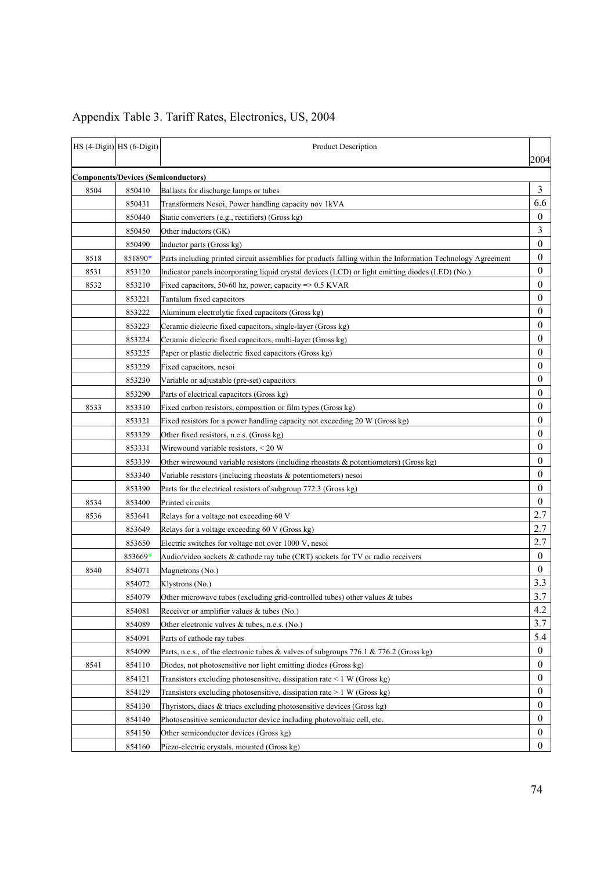|      | HS (4-Digit) HS (6-Digit) | <b>Product Description</b>                                                                                  | 2004             |
|------|---------------------------|-------------------------------------------------------------------------------------------------------------|------------------|
|      |                           | <b>Components/Devices (Semiconductors)</b>                                                                  |                  |
| 8504 | 850410                    | Ballasts for discharge lamps or tubes                                                                       | 3                |
|      | 850431                    | Transformers Nesoi, Power handling capacity nov 1kVA                                                        | 6.6              |
|      | 850440                    | Static converters (e.g., rectifiers) (Gross kg)                                                             | $\mathbf{0}$     |
|      | 850450                    | Other inductors (GK)                                                                                        | 3                |
|      | 850490                    | Inductor parts (Gross kg)                                                                                   | $\mathbf{0}$     |
| 8518 | 851890*                   | Parts including printed circuit assemblies for products falling within the Information Technology Agreement | $\bf{0}$         |
| 8531 | 853120                    | Indicator panels incorporating liquid crystal devices (LCD) or light emitting diodes (LED) (No.)            | $\mathbf{0}$     |
| 8532 | 853210                    | Fixed capacitors, 50-60 hz, power, capacity $\approx$ 0.5 KVAR                                              | $\theta$         |
|      | 853221                    | Tantalum fixed capacitors                                                                                   | $\theta$         |
|      | 853222                    | Aluminum electrolytic fixed capacitors (Gross kg)                                                           | $\bf{0}$         |
|      | 853223                    | Ceramic dielecric fixed capacitors, single-layer (Gross kg)                                                 | $\theta$         |
|      | 853224                    | Ceramic dielecric fixed capacitors, multi-layer (Gross kg)                                                  | $\theta$         |
|      | 853225                    | Paper or plastic dielectric fixed capacitors (Gross kg)                                                     | $\theta$         |
|      | 853229                    | Fixed capacitors, nesoi                                                                                     | $\theta$         |
|      | 853230                    | Variable or adjustable (pre-set) capacitors                                                                 | $\mathbf{0}$     |
|      | 853290                    | Parts of electrical capacitors (Gross kg)                                                                   | $\theta$         |
| 8533 | 853310                    | Fixed carbon resistors, composition or film types (Gross kg)                                                | $\theta$         |
|      | 853321                    | Fixed resistors for a power handling capacity not exceeding 20 W (Gross kg)                                 | $\theta$         |
|      | 853329                    | Other fixed resistors, n.e.s. (Gross kg)                                                                    | $\bf{0}$         |
|      | 853331                    | Wirewound variable resistors, < 20 W                                                                        | $\bf{0}$         |
|      | 853339                    | Other wirewound variable resistors (including rheostats $\&$ potentiometers) (Gross kg)                     | $\mathbf{0}$     |
|      | 853340                    | Variable resistors (inclucing rheostats & potentiometers) nesoi                                             | $\theta$         |
|      | 853390                    | Parts for the electrical resistors of subgroup 772.3 (Gross kg)                                             | $\theta$         |
| 8534 | 853400                    | Printed circuits                                                                                            | $\mathbf{0}$     |
| 8536 | 853641                    | Relays for a voltage not exceeding 60 V                                                                     | 2.7              |
|      | 853649                    | Relays for a voltage exceeding 60 V (Gross kg)                                                              | 2.7              |
|      | 853650                    | Electric switches for voltage not over 1000 V, nesoi                                                        | 2.7              |
|      | 853669*                   | Audio/video sockets & cathode ray tube (CRT) sockets for TV or radio receivers                              | $\mathbf{0}$     |
| 8540 | 854071                    | Magnetrons (No.)                                                                                            | $\mathbf{0}$     |
|      | 854072                    | Klystrons (No.)                                                                                             | 3.3              |
|      | 854079                    | Other microwave tubes (excluding grid-controlled tubes) other values & tubes                                | 3.7              |
|      | 854081                    | Receiver or amplifier values $\&$ tubes (No.)                                                               | 4.2              |
|      | 854089                    | Other electronic valves & tubes, n.e.s. (No.)                                                               | 3.7              |
|      | 854091                    | Parts of cathode ray tubes                                                                                  | 5.4              |
|      | 854099                    | Parts, n.e.s., of the electronic tubes & valves of subgroups 776.1 & 776.2 (Gross kg)                       | $\boldsymbol{0}$ |
| 8541 | 854110                    | Diodes, not photosensitive nor light emitting diodes (Gross kg)                                             | $\mathbf{0}$     |
|      | 854121                    | Transistors excluding photosensitive, dissipation rate $\leq 1$ W (Gross kg)                                | $\boldsymbol{0}$ |
|      | 854129                    | Transistors excluding photosensitive, dissipation rate $> 1$ W (Gross kg)                                   | $\mathbf{0}$     |
|      | 854130                    | Thyristors, diacs & triacs excluding photosensitive devices (Gross kg)                                      | $\boldsymbol{0}$ |
|      | 854140                    | Photosensitive semiconductor device including photovoltaic cell, etc.                                       | $\mathbf{0}$     |
|      | 854150                    | Other semiconductor devices (Gross kg)                                                                      | $\theta$         |
|      | 854160                    | Piezo-electric crystals, mounted (Gross kg)                                                                 | $\boldsymbol{0}$ |

# Appendix Table 3. Tariff Rates, Electronics, US, 2004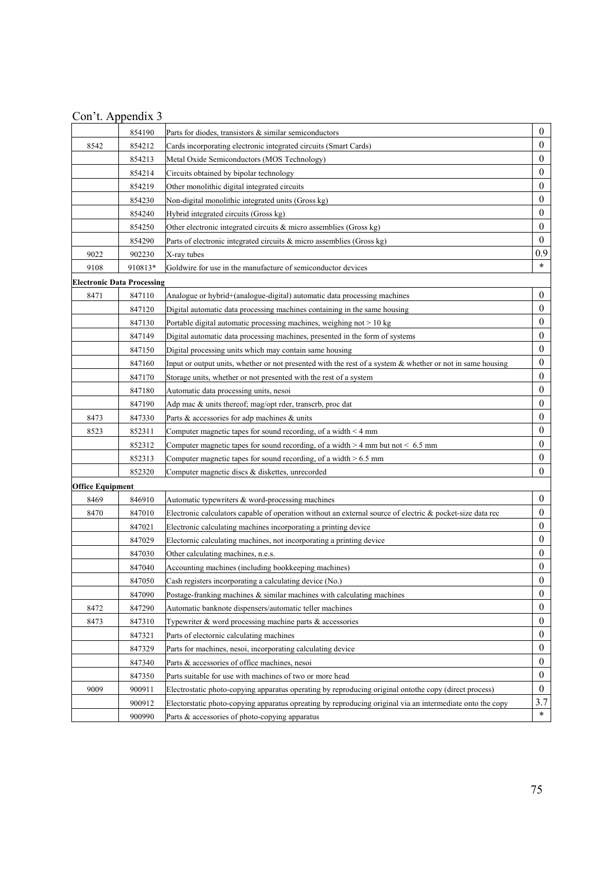|                         | 854190                            | Parts for diodes, transistors $\&$ similar semiconductors                                                     | $\boldsymbol{0}$ |
|-------------------------|-----------------------------------|---------------------------------------------------------------------------------------------------------------|------------------|
| 8542                    | 854212                            | Cards incorporating electronic integrated circuits (Smart Cards)                                              | $\mathbf{0}$     |
|                         | 854213                            | Metal Oxide Semiconductors (MOS Technology)                                                                   | $\theta$         |
|                         | 854214                            | Circuits obtained by bipolar technology                                                                       | $\mathbf{0}$     |
|                         | 854219                            | Other monolithic digital integrated circuits                                                                  | $\boldsymbol{0}$ |
|                         | 854230                            | Non-digital monolithic integrated units (Gross kg)                                                            | $\boldsymbol{0}$ |
|                         | 854240                            | Hybrid integrated circuits (Gross kg)                                                                         | $\boldsymbol{0}$ |
|                         | 854250                            | Other electronic integrated circuits $\&$ micro assemblies (Gross kg)                                         | $\mathbf{0}$     |
|                         | 854290                            | Parts of electronic integrated circuits $\&$ micro assemblies (Gross kg)                                      | $\mathbf{0}$     |
| 9022                    | 902230                            | X-ray tubes                                                                                                   | 0.9              |
| 9108                    | 910813*                           | Goldwire for use in the manufacture of semiconductor devices                                                  | $\ast$           |
|                         | <b>Electronic Data Processing</b> |                                                                                                               |                  |
| 8471                    | 847110                            | Analogue or hybrid+(analogue-digital) automatic data processing machines                                      | $\boldsymbol{0}$ |
|                         | 847120                            | Digital automatic data processing machines containing in the same housing                                     | $\boldsymbol{0}$ |
|                         | 847130                            | Portable digital automatic processing machines, weighing not > 10 kg                                          | $\boldsymbol{0}$ |
|                         | 847149                            | Digital automatic data processing machines, presented in the form of systems                                  | $\boldsymbol{0}$ |
|                         | 847150                            | Digital processing units which may contain same housing                                                       | $\boldsymbol{0}$ |
|                         | 847160                            | Input or output units, whether or not presented with the rest of a system $\&$ whether or not in same housing | $\boldsymbol{0}$ |
|                         | 847170                            | Storage units, whether or not presented with the rest of a system                                             | $\mathbf{0}$     |
|                         | 847180                            | Automatic data processing units, nesoi                                                                        | $\boldsymbol{0}$ |
|                         | 847190                            | Adp mac & units thereof; mag/opt rder, transcrb, proc dat                                                     | $\boldsymbol{0}$ |
| 8473                    | 847330                            | Parts & accessories for adp machines & units                                                                  | $\boldsymbol{0}$ |
| 8523                    | 852311                            | Computer magnetic tapes for sound recording, of a width $\leq 4$ mm                                           | $\mathbf{0}$     |
|                         | 852312                            | Computer magnetic tapes for sound recording, of a width $> 4$ mm but not $< 6.5$ mm                           | $\theta$         |
|                         | 852313                            | Computer magnetic tapes for sound recording, of a width $> 6.5$ mm                                            | $\boldsymbol{0}$ |
|                         | 852320                            | Computer magnetic discs & diskettes, unrecorded                                                               | $\mathbf{0}$     |
| <b>Office Equipment</b> |                                   |                                                                                                               |                  |
| 8469                    | 846910                            | Automatic typewriters & word-processing machines                                                              | $\boldsymbol{0}$ |
| 8470                    | 847010                            | Electronic calculators capable of operation without an external source of electric $\&$ pocket-size data rec  | $\mathbf{0}$     |
|                         | 847021                            | Electronic calculating machines incorporating a printing device                                               | $\boldsymbol{0}$ |
|                         | 847029                            | Electornic calculating machines, not incorporating a printing device                                          | $\boldsymbol{0}$ |
|                         | 847030                            | Other calculating machines, n.e.s.                                                                            | $\mathbf{0}$     |
|                         | 847040                            | Accounting machines (including bookkeeping machines)                                                          | $\boldsymbol{0}$ |
|                         | 847050                            | Cash registers incorporating a calculating device (No.)                                                       | $\mathbf{0}$     |
|                         | 847090                            | Postage-franking machines & similar machines with calculating machines                                        | $\boldsymbol{0}$ |
| 8472                    | 847290                            | Automatic banknote dispensers/automatic teller machines                                                       | $\boldsymbol{0}$ |
| 8473                    | 847310                            | Typewriter $\&$ word processing machine parts $\&$ accessories                                                | $\boldsymbol{0}$ |
|                         | 847321                            | Parts of electornic calculating machines                                                                      | $\boldsymbol{0}$ |
|                         | 847329                            | Parts for machines, nesoi, incorporating calculating device                                                   | $\mathbf{0}$     |
|                         | 847340                            | Parts & accessories of office machines, nesoi                                                                 | $\boldsymbol{0}$ |
|                         | 847350                            | Parts suitable for use with machines of two or more head                                                      | $\boldsymbol{0}$ |
| 9009                    | 900911                            | Electrostatic photo-copying apparatus operating by reproducing original ontothe copy (direct process)         | $\boldsymbol{0}$ |
|                         | 900912                            | Electorstatic photo-copying apparatus opreating by reproducing original via an intermediate onto the copy     | 3.7              |
|                         | 900990                            | Parts & accessories of photo-copying apparatus                                                                | $\ast$           |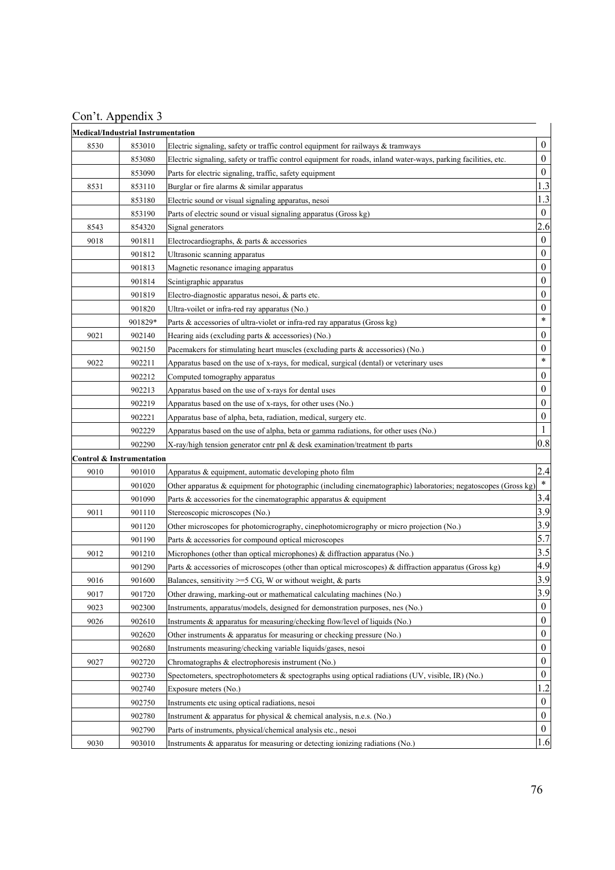| Con't. Appendix 3 |  |  |
|-------------------|--|--|
|                   |  |  |

|      | <b>Medical/Industrial Instrumentation</b> |                                                                                                                |                  |
|------|-------------------------------------------|----------------------------------------------------------------------------------------------------------------|------------------|
| 8530 | 853010                                    | Electric signaling, safety or traffic control equipment for railways $\&$ tramways                             | $\boldsymbol{0}$ |
|      | 853080                                    | Electric signaling, safety or traffic control equipment for roads, inland water-ways, parking facilities, etc. | $\boldsymbol{0}$ |
|      | 853090                                    | Parts for electric signaling, traffic, safety equipment                                                        | $\boldsymbol{0}$ |
| 8531 | 853110                                    | Burglar or fire alarms $&$ similar apparatus                                                                   | 1.3              |
|      | 853180                                    | Electric sound or visual signaling apparatus, nesoi                                                            | 1.3              |
|      | 853190                                    | Parts of electric sound or visual signaling apparatus (Gross kg)                                               | $\boldsymbol{0}$ |
| 8543 | 854320                                    | Signal generators                                                                                              | 2.6              |
| 9018 | 901811                                    | Electrocardiographs, & parts & accessories                                                                     | $\boldsymbol{0}$ |
|      | 901812                                    | Ultrasonic scanning apparatus                                                                                  | $\boldsymbol{0}$ |
|      | 901813                                    | Magnetic resonance imaging apparatus                                                                           | $\boldsymbol{0}$ |
|      | 901814                                    | Scintigraphic apparatus                                                                                        | $\boldsymbol{0}$ |
|      | 901819                                    | Electro-diagnostic apparatus nesoi, & parts etc.                                                               | $\boldsymbol{0}$ |
|      | 901820                                    | Ultra-voilet or infra-red ray apparatus (No.)                                                                  | $\boldsymbol{0}$ |
|      | 901829*                                   | Parts & accessories of ultra-violet or infra-red ray apparatus (Gross kg)                                      | $\ast$           |
| 9021 | 902140                                    | Hearing aids (excluding parts $\&$ accessories) (No.)                                                          | $\boldsymbol{0}$ |
|      | 902150                                    | Pacemakers for stimulating heart muscles (excluding parts & accessories) (No.)                                 | $\boldsymbol{0}$ |
| 9022 | 902211                                    | Apparatus based on the use of x-rays, for medical, surgical (dental) or veterinary uses                        | $\ast$           |
|      | 902212                                    | Computed tomography apparatus                                                                                  | $\boldsymbol{0}$ |
|      | 902213                                    | Apparatus based on the use of x-rays for dental uses                                                           | $\boldsymbol{0}$ |
|      | 902219                                    | Apparatus based on the use of x-rays, for other uses (No.)                                                     | $\boldsymbol{0}$ |
|      | 902221                                    | Apparatus base of alpha, beta, radiation, medical, surgery etc.                                                | $\boldsymbol{0}$ |
|      | 902229                                    | Apparatus based on the use of alpha, beta or gamma radiations, for other uses (No.)                            | 1                |
|      | 902290                                    | X-ray/high tension generator cntr pnl & desk examination/treatment tb parts                                    | 0.8              |
|      | Control & Instrumentation                 |                                                                                                                |                  |
| 9010 | 901010                                    | Apparatus & equipment, automatic developing photo film                                                         | 2.4              |
|      | 901020                                    | Other apparatus & equipment for photographic (including cinematographic) laboratories; negatoscopes (Gross kg) | $\ast$           |
|      | 901090                                    | Parts & accessories for the cinematographic apparatus & equipment                                              | 3.4              |
| 9011 | 901110                                    | Stereoscopic microscopes (No.)                                                                                 | 3.9              |
|      | 901120                                    | Other microscopes for photomicrography, cinephotomicrography or micro projection (No.)                         | 3.9              |
|      | 901190                                    | Parts & accessories for compound optical microscopes                                                           | 5.7              |
| 9012 | 901210                                    | Microphones (other than optical microphones) $\&$ diffraction apparatus (No.)                                  | 3.5              |
|      | 901290                                    | Parts & accessories of microscopes (other than optical microscopes) & diffraction apparatus (Gross kg)         | 4.9              |
| 9016 | 901600                                    | Balances, sensitivity $>=$ 5 CG, W or without weight, & parts                                                  | 3.9              |
| 9017 | 901720                                    | Other drawing, marking-out or mathematical calculating machines (No.)                                          | 3.9              |
| 9023 | 902300                                    | Instruments, apparatus/models, designed for demonstration purposes, nes (No.)                                  | $\boldsymbol{0}$ |
| 9026 | 902610                                    | Instruments & apparatus for measuring/checking flow/level of liquids (No.)                                     | $\boldsymbol{0}$ |
|      | 902620                                    | Other instruments & apparatus for measuring or checking pressure (No.)                                         | $\boldsymbol{0}$ |
|      | 902680                                    | Instruments measuring/checking variable liquids/gases, nesoi                                                   | $\boldsymbol{0}$ |
| 9027 | 902720                                    | Chromatographs & electrophoresis instrument (No.)                                                              | $\boldsymbol{0}$ |
|      | 902730                                    | Spectometers, spectrophotometers $\&$ spectographs using optical radiations (UV, visible, IR) (No.)            | $\boldsymbol{0}$ |
|      | 902740                                    | Exposure meters (No.)                                                                                          | 1.2              |
|      | 902750                                    | Instruments etc using optical radiations, nesoi                                                                | $\boldsymbol{0}$ |
|      | 902780                                    | Instrument & apparatus for physical & chemical analysis, n.e.s. (No.)                                          | $\boldsymbol{0}$ |
|      | 902790                                    | Parts of instruments, physical/chemical analysis etc., nesoi                                                   | $\boldsymbol{0}$ |
| 9030 | 903010                                    | Instruments & apparatus for measuring or detecting ionizing radiations (No.)                                   | 1.6              |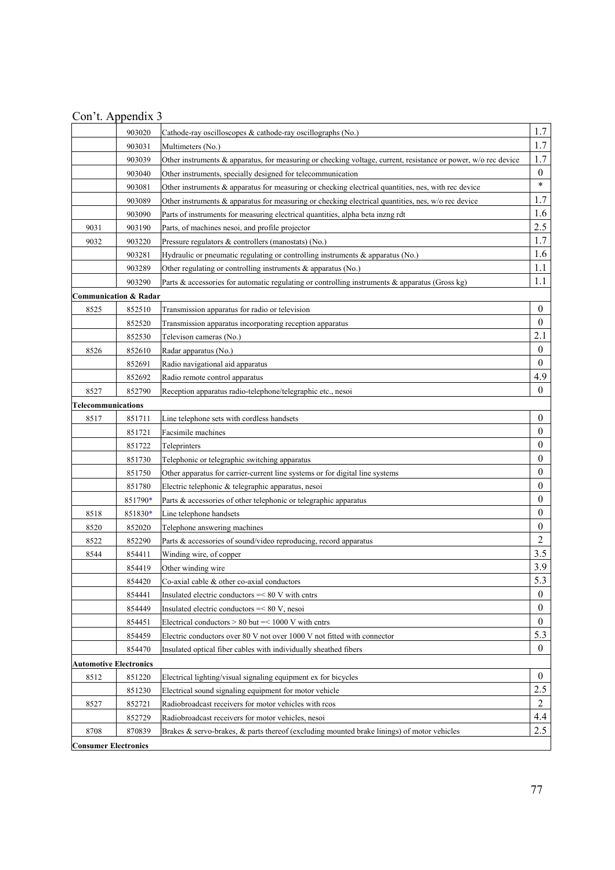|                             | 903020                           | Cathode-ray oscilloscopes & cathode-ray oscillographs (No.)                                                    | 1.7              |
|-----------------------------|----------------------------------|----------------------------------------------------------------------------------------------------------------|------------------|
|                             | 903031                           | Multimeters (No.)                                                                                              | 1.7              |
|                             | 903039                           | Other instruments & apparatus, for measuring or checking voltage, current, resistance or power, w/o rec device | 1.7              |
|                             | 903040                           | Other instruments, specially designed for telecommunication                                                    | $\boldsymbol{0}$ |
|                             | 903081                           | Other instruments $\&$ apparatus for measuring or checking electrical quantities, nes, with rec device         | $\ast$           |
|                             | 903089                           | Other instruments & apparatus for measuring or checking electrical quantities, nes, w/o rec device             | 1.7              |
|                             | 903090                           | Parts of instruments for measuring electrical quantities, alpha beta inzng rdt                                 | 1.6              |
| 9031                        | 903190                           | Parts, of machines nesoi, and profile projector                                                                | 2.5              |
| 9032                        | 903220                           | Pressure regulators $\&$ controllers (manostats) (No.)                                                         | 1.7              |
|                             | 903281                           | Hydraulic or pneumatic regulating or controlling instruments $\&$ apparatus (No.)                              | 1.6              |
|                             | 903289                           | Other regulating or controlling instruments & apparatus (No.)                                                  | 1.1              |
|                             | 903290                           | Parts & accessories for automatic regulating or controlling instruments & apparatus (Gross kg)                 | 1.1              |
|                             | <b>Communication &amp; Radar</b> |                                                                                                                |                  |
| 8525                        | 852510                           | Transmission apparatus for radio or television                                                                 | $\boldsymbol{0}$ |
|                             | 852520                           | Transmission apparatus incorporating reception apparatus                                                       | $\mathbf{0}$     |
|                             | 852530                           | Televison cameras (No.)                                                                                        | 2.1              |
| 8526                        | 852610                           | Radar apparatus (No.)                                                                                          | $\boldsymbol{0}$ |
|                             | 852691                           | Radio navigational aid apparatus                                                                               | $\theta$         |
|                             | 852692                           | Radio remote control apparatus                                                                                 | 4.9              |
| 8527                        | 852790                           | Reception apparatus radio-telephone/telegraphic etc., nesoi                                                    | $\overline{0}$   |
| Telecommunications          |                                  |                                                                                                                |                  |
| 8517                        | 851711                           | Line telephone sets with cordless handsets                                                                     | $\boldsymbol{0}$ |
|                             | 851721                           | Facsimile machines                                                                                             | $\overline{0}$   |
|                             | 851722                           | Teleprinters                                                                                                   | $\mathbf{0}$     |
|                             | 851730                           | Telephonic or telegraphic switching apparatus                                                                  | $\mathbf{0}$     |
|                             | 851750                           | Other apparatus for carrier-current line systems or for digital line systems                                   | $\bf{0}$         |
|                             | 851780                           | Electric telephonic & telegraphic apparatus, nesoi                                                             | $\boldsymbol{0}$ |
|                             | 851790*                          | Parts & accessories of other telephonic or telegraphic apparatus                                               | $\overline{0}$   |
| 8518                        | 851830*                          | Line telephone handsets                                                                                        | $\mathbf{0}$     |
| 8520                        | 852020                           | Telephone answering machines                                                                                   | $\boldsymbol{0}$ |
| 8522                        | 852290                           | Parts & accessories of sound/video reproducing, record apparatus                                               | $\overline{2}$   |
| 8544                        | 854411                           | Winding wire, of copper                                                                                        | 3.5              |
|                             | 854419                           | Other winding wire                                                                                             | 3.9              |
|                             | 854420                           | Co-axial cable $\&$ other co-axial conductors                                                                  | 5.3              |
|                             | 854441                           | Insulated electric conductors $=< 80$ V with entrs                                                             | 0                |
|                             | 854449                           | Insulated electric conductors $=< 80 V$ , nesoi                                                                | $\mathbf{0}$     |
|                             | 854451                           | Electrical conductors $> 80$ but $=< 1000$ V with entrs                                                        | $\overline{0}$   |
|                             | 854459                           | Electric conductors over 80 V not over 1000 V not fitted with connector                                        | 5.3              |
|                             | 854470                           | Insulated optical fiber cables with individually sheathed fibers                                               | $\overline{0}$   |
| Automotive Electronics      |                                  |                                                                                                                |                  |
| 8512                        | 851220                           | Electrical lighting/visual signaling equipment ex for bicycles                                                 | $\boldsymbol{0}$ |
|                             | 851230                           | Electrical sound signaling equipment for motor vehicle                                                         | 2.5              |
| 8527                        | 852721                           | Radiobroadcast receivers for motor vehicles with rcos                                                          | $\overline{c}$   |
|                             | 852729                           | Radiobroadcast receivers for motor vehicles, nesoi                                                             | 4.4              |
| 8708                        | 870839                           | Brakes & servo-brakes, & parts thereof (excluding mounted brake linings) of motor vehicles                     | 2.5              |
| <b>Consumer Electronics</b> |                                  |                                                                                                                |                  |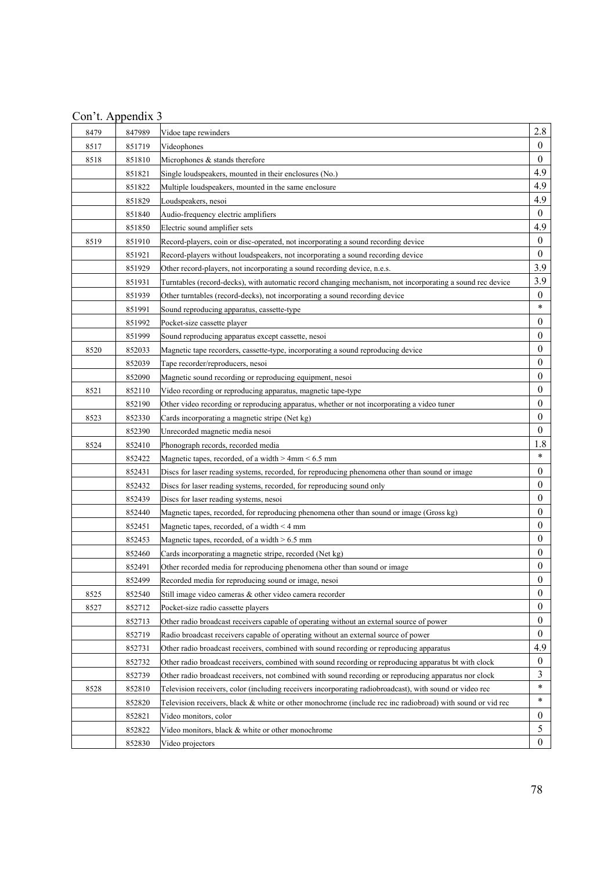| Con't. Appendix 3 |  |  |  |
|-------------------|--|--|--|
|                   |  |  |  |

| 8479 | 847989 | Vidoe tape rewinders                                                                                       | 2.8              |
|------|--------|------------------------------------------------------------------------------------------------------------|------------------|
| 8517 | 851719 | Videophones                                                                                                | $\overline{0}$   |
| 8518 | 851810 | Microphones & stands therefore                                                                             | $\mathbf{0}$     |
|      | 851821 | Single loudspeakers, mounted in their enclosures (No.)                                                     | 4.9              |
|      | 851822 | Multiple loudspeakers, mounted in the same enclosure                                                       | 4.9              |
|      | 851829 | Loudspeakers, nesoi                                                                                        | 4.9              |
|      | 851840 | Audio-frequency electric amplifiers                                                                        | $\overline{0}$   |
|      | 851850 | Electric sound amplifier sets                                                                              | 4.9              |
| 8519 | 851910 | Record-players, coin or disc-operated, not incorporating a sound recording device                          | $\mathbf{0}$     |
|      | 851921 | Record-players without loudspeakers, not incorporating a sound recording device                            | $\mathbf{0}$     |
|      | 851929 | Other record-players, not incorporating a sound recording device, n.e.s.                                   | 3.9              |
|      | 851931 | Turntables (record-decks), with automatic record changing mechanism, not incorporating a sound rec device  | 3.9              |
|      | 851939 | Other turntables (record-decks), not incorporating a sound recording device                                | $\boldsymbol{0}$ |
|      | 851991 | Sound reproducing apparatus, cassette-type                                                                 | $\ast$           |
|      | 851992 | Pocket-size cassette player                                                                                | $\mathbf{0}$     |
|      | 851999 | Sound reproducing apparatus except cassette, nesoi                                                         | 0                |
| 8520 | 852033 | Magnetic tape recorders, cassette-type, incorporating a sound reproducing device                           | $\boldsymbol{0}$ |
|      | 852039 | Tape recorder/reproducers, nesoi                                                                           | $\mathbf{0}$     |
|      | 852090 | Magnetic sound recording or reproducing equipment, nesoi                                                   | $\mathbf{0}$     |
| 8521 | 852110 | Video recording or reproducing apparatus, magnetic tape-type                                               | 0                |
|      | 852190 | Other video recording or reproducing apparatus, whether or not incorporating a video tuner                 | 0                |
| 8523 | 852330 | Cards incorporating a magnetic stripe (Net kg)                                                             | $\boldsymbol{0}$ |
|      | 852390 | Unrecorded magnetic media nesoi                                                                            | $\theta$         |
| 8524 | 852410 | Phonograph records, recorded media                                                                         | 1.8              |
|      | 852422 | Magnetic tapes, recorded, of a width > 4mm < 6.5 mm                                                        | $\ast$           |
|      | 852431 | Discs for laser reading systems, recorded, for reproducing phenomena other than sound or image             | 0                |
|      | 852432 | Discs for laser reading systems, recorded, for reproducing sound only                                      | 0                |
|      | 852439 | Discs for laser reading systems, nesoi                                                                     | $\mathbf{0}$     |
|      | 852440 | Magnetic tapes, recorded, for reproducing phenomena other than sound or image (Gross kg)                   | $\mathbf{0}$     |
|      | 852451 | Magnetic tapes, recorded, of a width $\leq 4$ mm                                                           | $\mathbf{0}$     |
|      | 852453 | Magnetic tapes, recorded, of a width $> 6.5$ mm                                                            | $\mathbf{0}$     |
|      | 852460 | Cards incorporating a magnetic stripe, recorded (Net kg)                                                   | 0                |
|      | 852491 | Other recorded media for reproducing phenomena other than sound or image                                   | $\boldsymbol{0}$ |
|      | 852499 | Recorded media for reproducing sound or image, nesoi                                                       | $\theta$         |
| 8525 | 852540 | Still image video cameras & other video camera recorder                                                    | $\boldsymbol{0}$ |
| 8527 | 852712 | Pocket-size radio cassette players                                                                         | $\mathbf{0}$     |
|      | 852713 | Other radio broadcast receivers capable of operating without an external source of power                   | $\boldsymbol{0}$ |
|      | 852719 | Radio broadcast receivers capable of operating without an external source of power                         | $\theta$         |
|      | 852731 | Other radio broadcast receivers, combined with sound recording or reproducing apparatus                    | 4.9              |
|      | 852732 | Other radio broadcast receivers, combined with sound recording or reproducing apparatus bt with clock      | $\mathbf{0}$     |
|      | 852739 | Other radio broadcast receivers, not combined with sound recording or reproducing apparatus nor clock      | 3                |
| 8528 | 852810 | Television receivers, color (including receivers incorporating radiobroadcast), with sound or video rec    | $\ast$           |
|      | 852820 | Television receivers, black & white or other monochrome (include rec inc radiobroad) with sound or vid rec | $\ast$           |
|      | 852821 | Video monitors, color                                                                                      | $\mathbf{0}$     |
|      | 852822 | Video monitors, black & white or other monochrome                                                          | 5                |
|      | 852830 | Video projectors                                                                                           | $\theta$         |